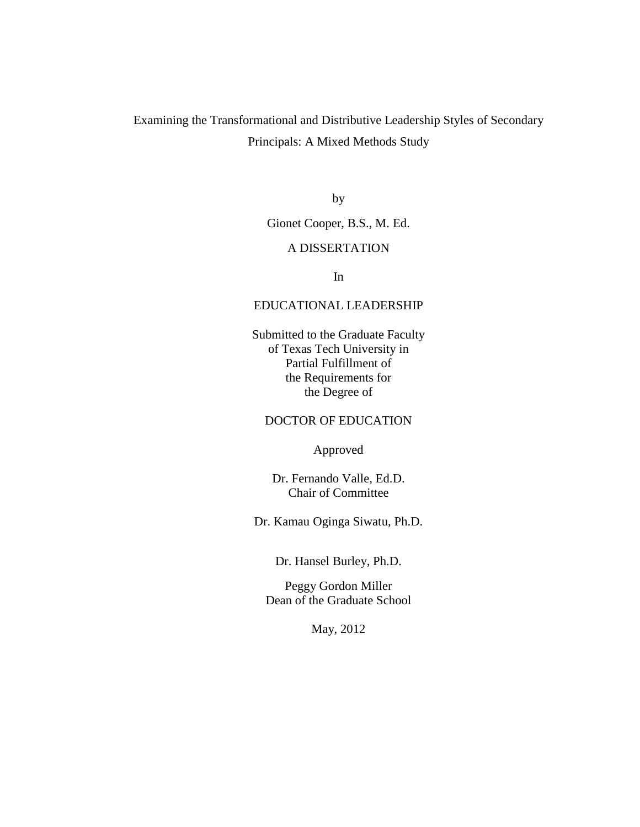# Examining the Transformational and Distributive Leadership Styles of Secondary Principals: A Mixed Methods Study

by

Gionet Cooper, B.S., M. Ed.

### A DISSERTATION

In

## EDUCATIONAL LEADERSHIP

Submitted to the Graduate Faculty of Texas Tech University in Partial Fulfillment of the Requirements for the Degree of

## DOCTOR OF EDUCATION

Approved

Dr. Fernando Valle, Ed.D. Chair of Committee

Dr. Kamau Oginga Siwatu, Ph.D.

Dr. Hansel Burley, Ph.D.

Peggy Gordon Miller Dean of the Graduate School

May, 2012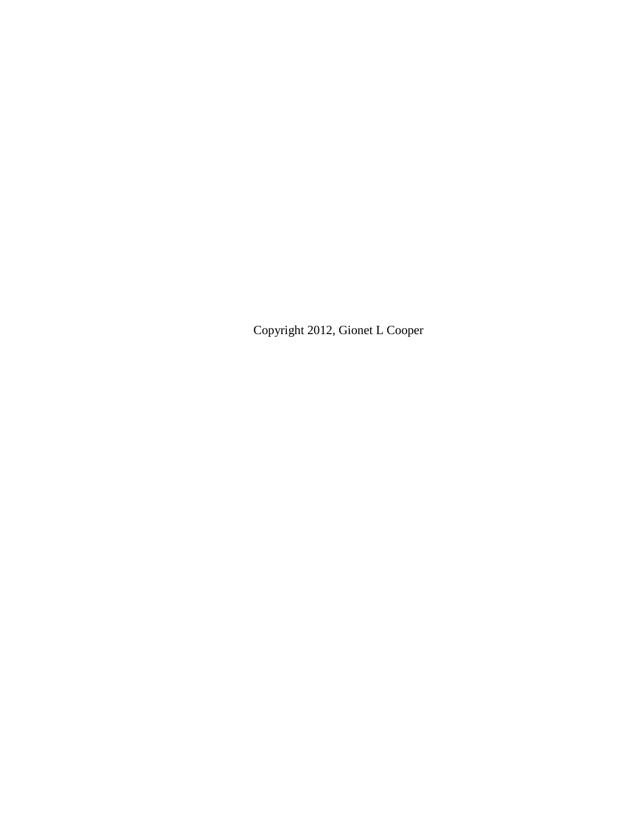Copyright 2012, Gionet L Cooper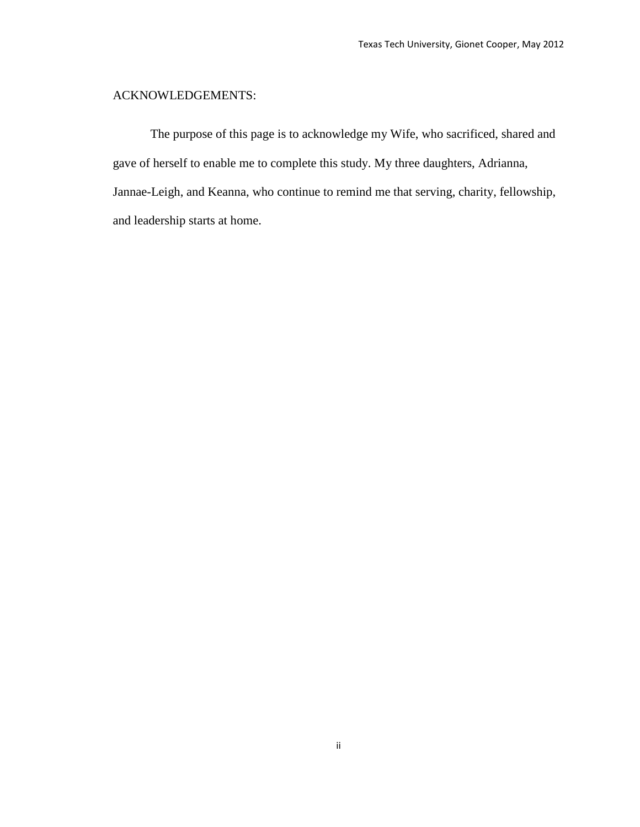# ACKNOWLEDGEMENTS:

The purpose of this page is to acknowledge my Wife, who sacrificed, shared and gave of herself to enable me to complete this study. My three daughters, Adrianna, Jannae-Leigh, and Keanna, who continue to remind me that serving, charity, fellowship, and leadership starts at home.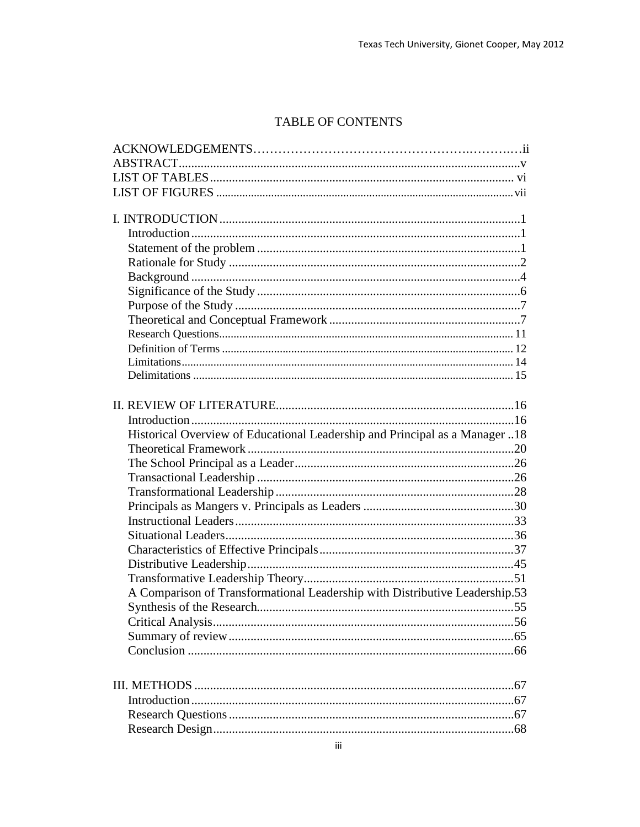# TABLE OF CONTENTS

| Historical Overview of Educational Leadership and Principal as a Manager 18 |
|-----------------------------------------------------------------------------|
|                                                                             |
|                                                                             |
|                                                                             |
|                                                                             |
|                                                                             |
|                                                                             |
|                                                                             |
|                                                                             |
|                                                                             |
|                                                                             |
| A Comparison of Transformational Leadership with Distributive Leadership.53 |
|                                                                             |
|                                                                             |
|                                                                             |
|                                                                             |
|                                                                             |
|                                                                             |
|                                                                             |
|                                                                             |
|                                                                             |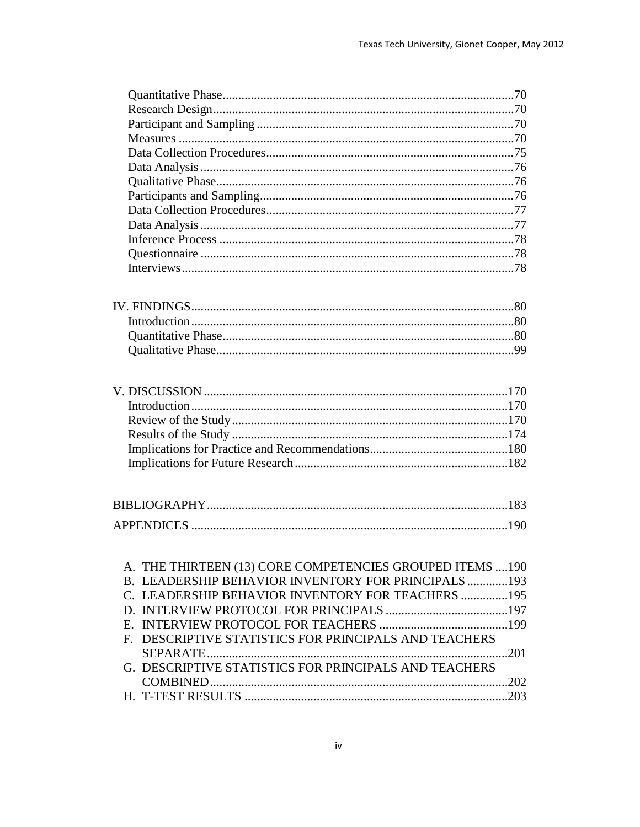| A. THE THIRTEEN (13) CORE COMPETENCIES GROUPED ITEMS  190 |            |
|-----------------------------------------------------------|------------|
| B. LEADERSHIP BEHAVIOR INVENTORY FOR PRINCIPALS193        |            |
| C. LEADERSHIP BEHAVIOR INVENTORY FOR TEACHERS 195         |            |
|                                                           |            |
|                                                           |            |
| F. DESCRIPTIVE STATISTICS FOR PRINCIPALS AND TEACHERS     |            |
|                                                           | $\sim 201$ |
| G. DESCRIPTIVE STATISTICS FOR PRINCIPALS AND TEACHERS     |            |
|                                                           |            |
|                                                           |            |
|                                                           |            |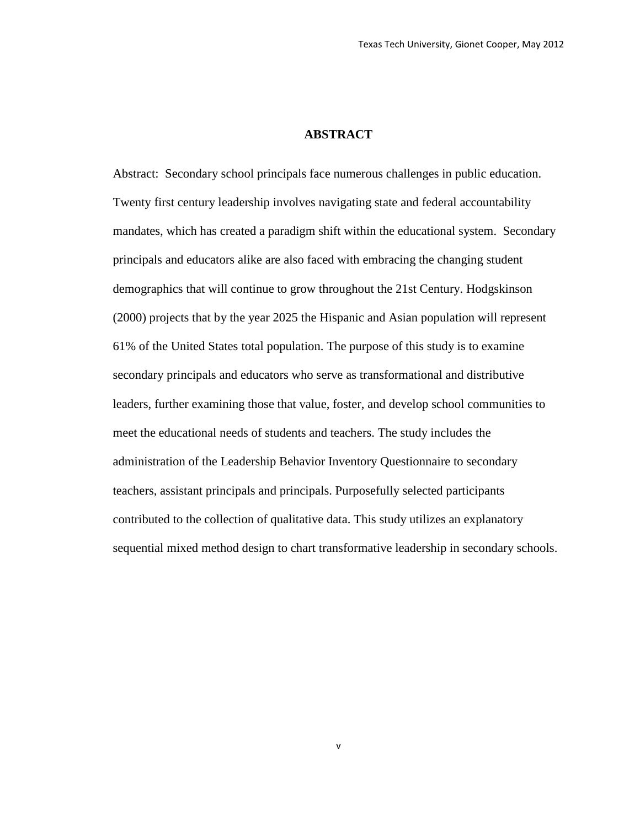## **ABSTRACT**

Abstract: Secondary school principals face numerous challenges in public education. Twenty first century leadership involves navigating state and federal accountability mandates, which has created a paradigm shift within the educational system. Secondary principals and educators alike are also faced with embracing the changing student demographics that will continue to grow throughout the 21st Century. Hodgskinson (2000) projects that by the year 2025 the Hispanic and Asian population will represent 61% of the United States total population. The purpose of this study is to examine secondary principals and educators who serve as transformational and distributive leaders, further examining those that value, foster, and develop school communities to meet the educational needs of students and teachers. The study includes the administration of the Leadership Behavior Inventory Questionnaire to secondary teachers, assistant principals and principals. Purposefully selected participants contributed to the collection of qualitative data. This study utilizes an explanatory sequential mixed method design to chart transformative leadership in secondary schools.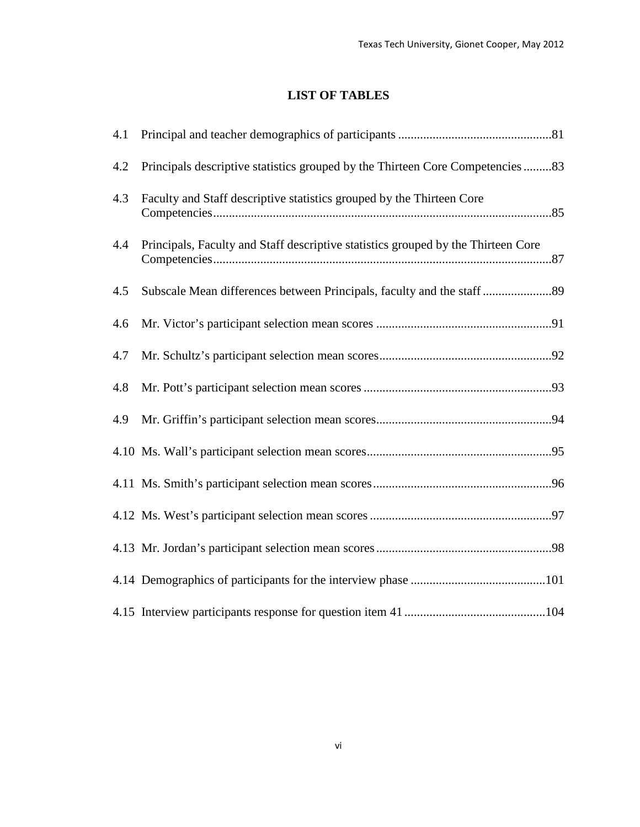## **LIST OF TABLES**

| 4.1 |                                                                                   |  |
|-----|-----------------------------------------------------------------------------------|--|
| 4.2 | Principals descriptive statistics grouped by the Thirteen Core Competencies 83    |  |
| 4.3 | Faculty and Staff descriptive statistics grouped by the Thirteen Core             |  |
| 4.4 | Principals, Faculty and Staff descriptive statistics grouped by the Thirteen Core |  |
| 4.5 |                                                                                   |  |
| 4.6 |                                                                                   |  |
| 4.7 |                                                                                   |  |
| 4.8 |                                                                                   |  |
| 4.9 |                                                                                   |  |
|     |                                                                                   |  |
|     |                                                                                   |  |
|     |                                                                                   |  |
|     |                                                                                   |  |
|     |                                                                                   |  |
|     |                                                                                   |  |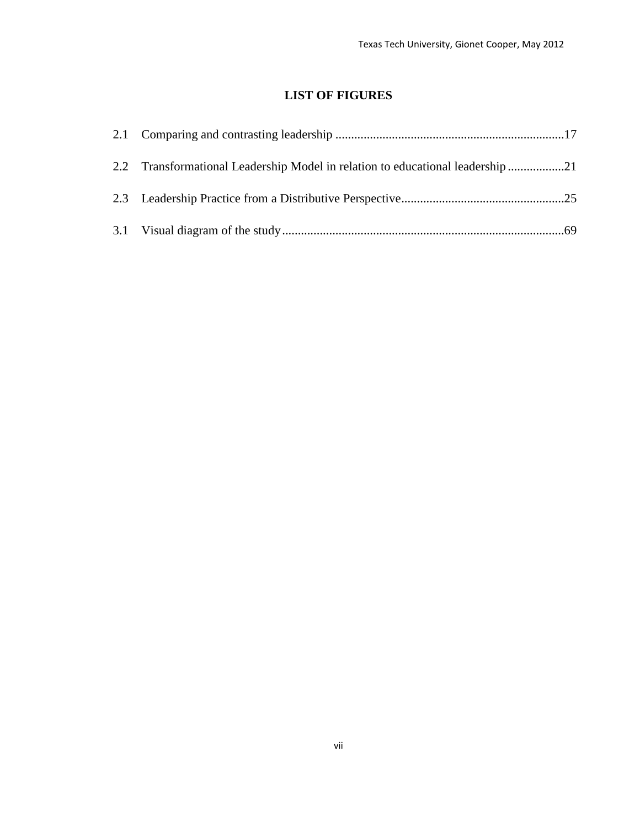# **LIST OF FIGURES**

| 2.2 Transformational Leadership Model in relation to educational leadership 21 |  |
|--------------------------------------------------------------------------------|--|
|                                                                                |  |
|                                                                                |  |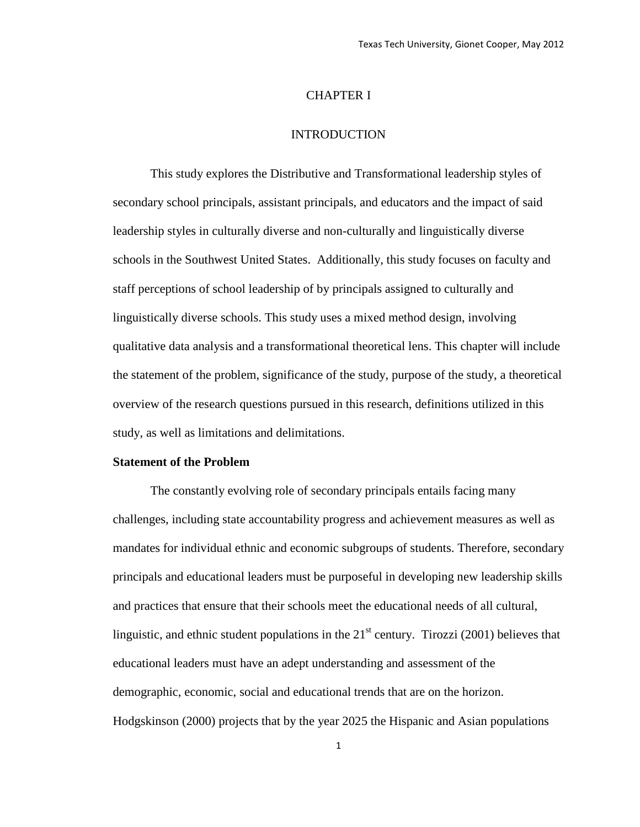#### CHAPTER I

#### INTRODUCTION

This study explores the Distributive and Transformational leadership styles of secondary school principals, assistant principals, and educators and the impact of said leadership styles in culturally diverse and non-culturally and linguistically diverse schools in the Southwest United States. Additionally, this study focuses on faculty and staff perceptions of school leadership of by principals assigned to culturally and linguistically diverse schools. This study uses a mixed method design, involving qualitative data analysis and a transformational theoretical lens. This chapter will include the statement of the problem, significance of the study, purpose of the study, a theoretical overview of the research questions pursued in this research, definitions utilized in this study, as well as limitations and delimitations.

#### **Statement of the Problem**

The constantly evolving role of secondary principals entails facing many challenges, including state accountability progress and achievement measures as well as mandates for individual ethnic and economic subgroups of students. Therefore, secondary principals and educational leaders must be purposeful in developing new leadership skills and practices that ensure that their schools meet the educational needs of all cultural, linguistic, and ethnic student populations in the  $21<sup>st</sup>$  century. Tirozzi (2001) believes that educational leaders must have an adept understanding and assessment of the demographic, economic, social and educational trends that are on the horizon. Hodgskinson (2000) projects that by the year 2025 the Hispanic and Asian populations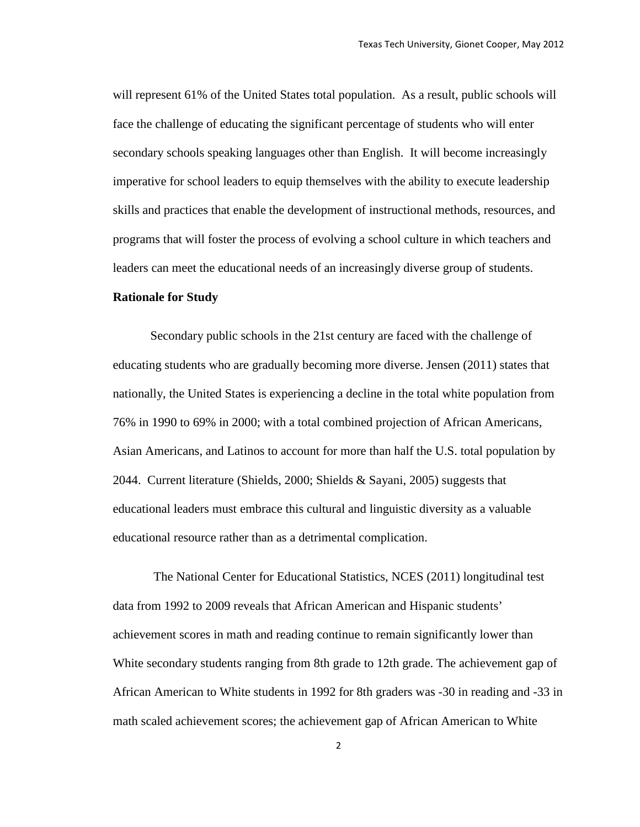will represent 61% of the United States total population. As a result, public schools will face the challenge of educating the significant percentage of students who will enter secondary schools speaking languages other than English. It will become increasingly imperative for school leaders to equip themselves with the ability to execute leadership skills and practices that enable the development of instructional methods, resources, and programs that will foster the process of evolving a school culture in which teachers and leaders can meet the educational needs of an increasingly diverse group of students.

#### **Rationale for Study**

Secondary public schools in the 21st century are faced with the challenge of educating students who are gradually becoming more diverse. Jensen (2011) states that nationally, the United States is experiencing a decline in the total white population from 76% in 1990 to 69% in 2000; with a total combined projection of African Americans, Asian Americans, and Latinos to account for more than half the U.S. total population by 2044. Current literature (Shields, 2000; Shields & Sayani, 2005) suggests that educational leaders must embrace this cultural and linguistic diversity as a valuable educational resource rather than as a detrimental complication.

The National Center for Educational Statistics, NCES (2011) longitudinal test data from 1992 to 2009 reveals that African American and Hispanic students' achievement scores in math and reading continue to remain significantly lower than White secondary students ranging from 8th grade to 12th grade. The achievement gap of African American to White students in 1992 for 8th graders was -30 in reading and -33 in math scaled achievement scores; the achievement gap of African American to White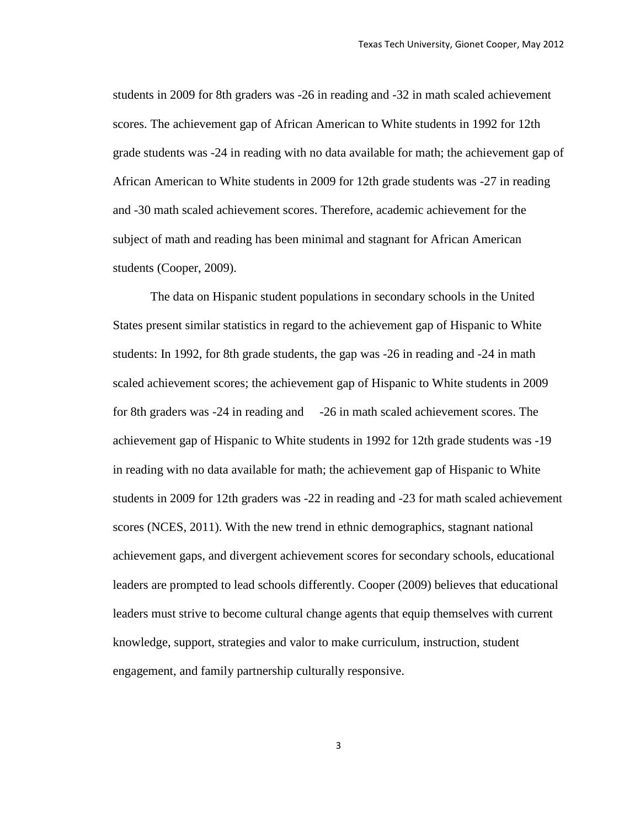students in 2009 for 8th graders was -26 in reading and -32 in math scaled achievement scores. The achievement gap of African American to White students in 1992 for 12th grade students was -24 in reading with no data available for math; the achievement gap of African American to White students in 2009 for 12th grade students was -27 in reading and -30 math scaled achievement scores. Therefore, academic achievement for the subject of math and reading has been minimal and stagnant for African American students (Cooper, 2009).

The data on Hispanic student populations in secondary schools in the United States present similar statistics in regard to the achievement gap of Hispanic to White students: In 1992, for 8th grade students, the gap was -26 in reading and -24 in math scaled achievement scores; the achievement gap of Hispanic to White students in 2009 for 8th graders was -24 in reading and -26 in math scaled achievement scores. The achievement gap of Hispanic to White students in 1992 for 12th grade students was -19 in reading with no data available for math; the achievement gap of Hispanic to White students in 2009 for 12th graders was -22 in reading and -23 for math scaled achievement scores (NCES, 2011). With the new trend in ethnic demographics, stagnant national achievement gaps, and divergent achievement scores for secondary schools, educational leaders are prompted to lead schools differently. Cooper (2009) believes that educational leaders must strive to become cultural change agents that equip themselves with current knowledge, support, strategies and valor to make curriculum, instruction, student engagement, and family partnership culturally responsive.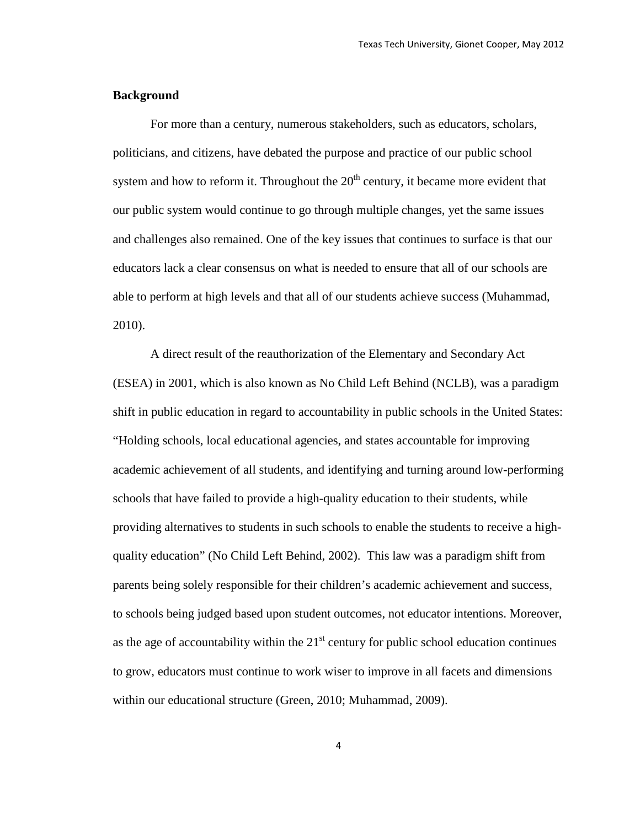#### **Background**

For more than a century, numerous stakeholders, such as educators, scholars, politicians, and citizens, have debated the purpose and practice of our public school system and how to reform it. Throughout the  $20<sup>th</sup>$  century, it became more evident that our public system would continue to go through multiple changes, yet the same issues and challenges also remained. One of the key issues that continues to surface is that our educators lack a clear consensus on what is needed to ensure that all of our schools are able to perform at high levels and that all of our students achieve success (Muhammad, 2010).

A direct result of the reauthorization of the Elementary and Secondary Act (ESEA) in 2001, which is also known as No Child Left Behind (NCLB), was a paradigm shift in public education in regard to accountability in public schools in the United States: "Holding schools, local educational agencies, and states accountable for improving academic achievement of all students, and identifying and turning around low-performing schools that have failed to provide a high-quality education to their students, while providing alternatives to students in such schools to enable the students to receive a highquality education" (No Child Left Behind, 2002). This law was a paradigm shift from parents being solely responsible for their children's academic achievement and success, to schools being judged based upon student outcomes, not educator intentions. Moreover, as the age of accountability within the  $21<sup>st</sup>$  century for public school education continues to grow, educators must continue to work wiser to improve in all facets and dimensions within our educational structure (Green, 2010; Muhammad, 2009).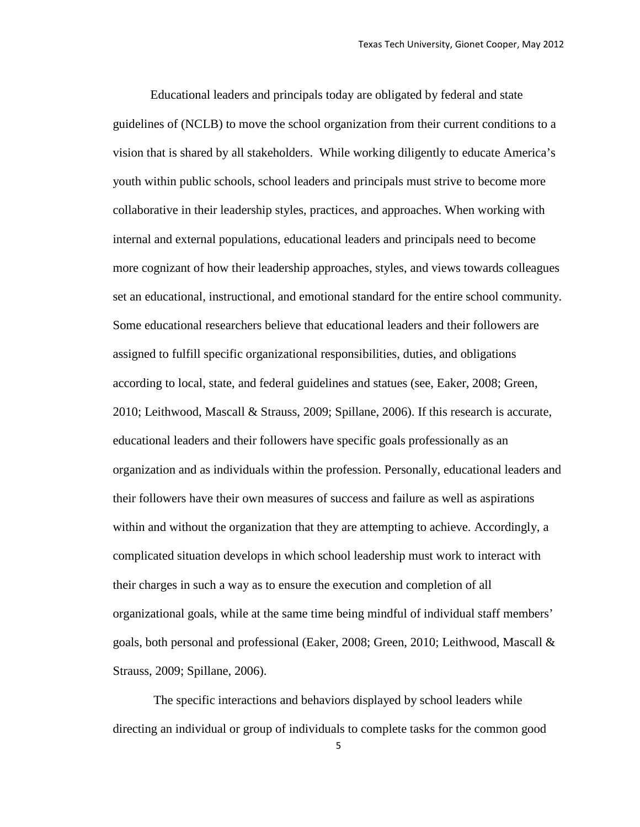Educational leaders and principals today are obligated by federal and state guidelines of (NCLB) to move the school organization from their current conditions to a vision that is shared by all stakeholders. While working diligently to educate America's youth within public schools, school leaders and principals must strive to become more collaborative in their leadership styles, practices, and approaches. When working with internal and external populations, educational leaders and principals need to become more cognizant of how their leadership approaches, styles, and views towards colleagues set an educational, instructional, and emotional standard for the entire school community. Some educational researchers believe that educational leaders and their followers are assigned to fulfill specific organizational responsibilities, duties, and obligations according to local, state, and federal guidelines and statues (see, Eaker, 2008; Green, 2010; Leithwood, Mascall & Strauss, 2009; Spillane, 2006). If this research is accurate, educational leaders and their followers have specific goals professionally as an organization and as individuals within the profession. Personally, educational leaders and their followers have their own measures of success and failure as well as aspirations within and without the organization that they are attempting to achieve. Accordingly, a complicated situation develops in which school leadership must work to interact with their charges in such a way as to ensure the execution and completion of all organizational goals, while at the same time being mindful of individual staff members' goals, both personal and professional (Eaker, 2008; Green, 2010; Leithwood, Mascall & Strauss, 2009; Spillane, 2006).

The specific interactions and behaviors displayed by school leaders while directing an individual or group of individuals to complete tasks for the common good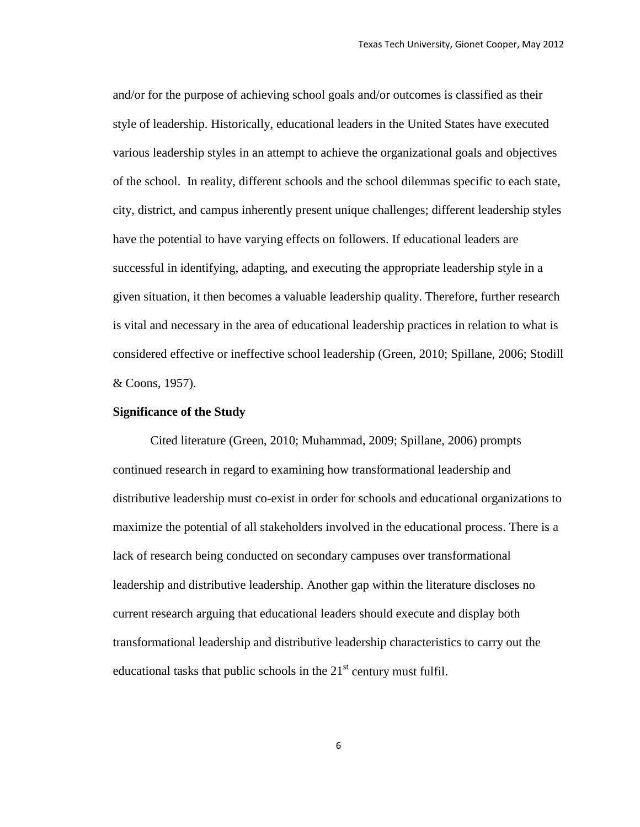and/or for the purpose of achieving school goals and/or outcomes is classified as their style of leadership. Historically, educational leaders in the United States have executed various leadership styles in an attempt to achieve the organizational goals and objectives of the school. In reality, different schools and the school dilemmas specific to each state, city, district, and campus inherently present unique challenges; different leadership styles have the potential to have varying effects on followers. If educational leaders are successful in identifying, adapting, and executing the appropriate leadership style in a given situation, it then becomes a valuable leadership quality. Therefore, further research is vital and necessary in the area of educational leadership practices in relation to what is considered effective or ineffective school leadership (Green, 2010; Spillane, 2006; Stodill & Coons, 1957).

#### **Significance of the Study**

Cited literature (Green, 2010; Muhammad, 2009; Spillane, 2006) prompts continued research in regard to examining how transformational leadership and distributive leadership must co-exist in order for schools and educational organizations to maximize the potential of all stakeholders involved in the educational process. There is a lack of research being conducted on secondary campuses over transformational leadership and distributive leadership. Another gap within the literature discloses no current research arguing that educational leaders should execute and display both transformational leadership and distributive leadership characteristics to carry out the educational tasks that public schools in the  $21<sup>st</sup>$  century must fulfil.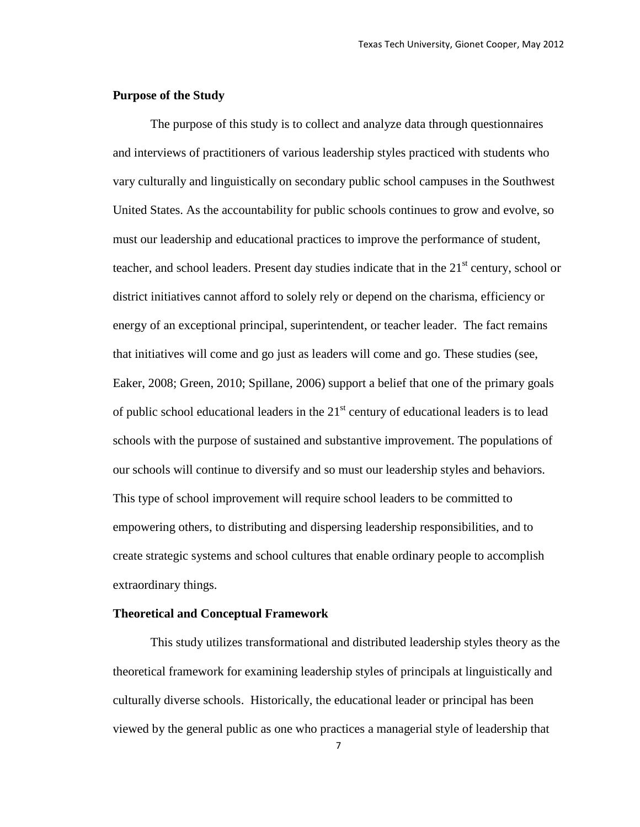#### **Purpose of the Study**

The purpose of this study is to collect and analyze data through questionnaires and interviews of practitioners of various leadership styles practiced with students who vary culturally and linguistically on secondary public school campuses in the Southwest United States. As the accountability for public schools continues to grow and evolve, so must our leadership and educational practices to improve the performance of student, teacher, and school leaders. Present day studies indicate that in the  $21<sup>st</sup>$  century, school or district initiatives cannot afford to solely rely or depend on the charisma, efficiency or energy of an exceptional principal, superintendent, or teacher leader. The fact remains that initiatives will come and go just as leaders will come and go. These studies (see, Eaker, 2008; Green, 2010; Spillane, 2006) support a belief that one of the primary goals of public school educational leaders in the  $21<sup>st</sup>$  century of educational leaders is to lead schools with the purpose of sustained and substantive improvement. The populations of our schools will continue to diversify and so must our leadership styles and behaviors. This type of school improvement will require school leaders to be committed to empowering others, to distributing and dispersing leadership responsibilities, and to create strategic systems and school cultures that enable ordinary people to accomplish extraordinary things.

#### **Theoretical and Conceptual Framework**

This study utilizes transformational and distributed leadership styles theory as the theoretical framework for examining leadership styles of principals at linguistically and culturally diverse schools. Historically, the educational leader or principal has been viewed by the general public as one who practices a managerial style of leadership that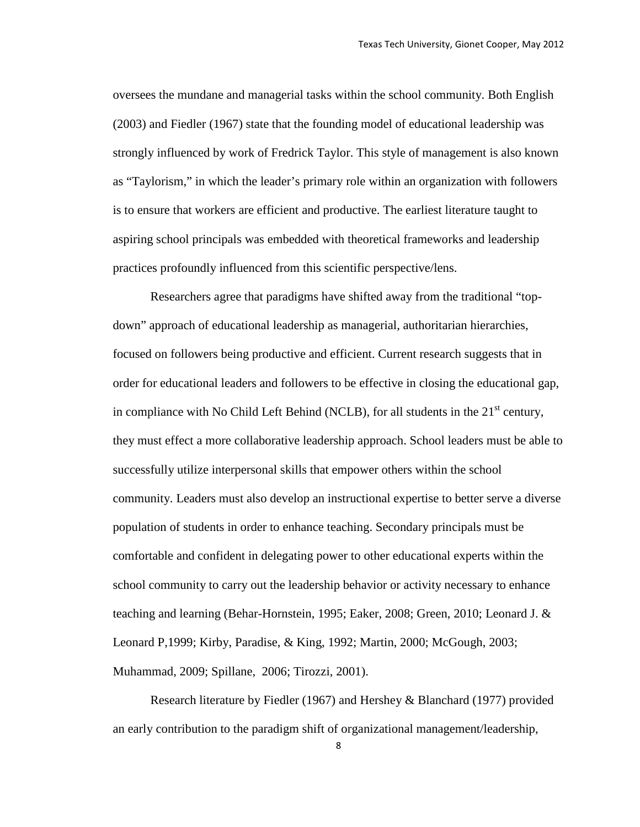oversees the mundane and managerial tasks within the school community. Both English (2003) and Fiedler (1967) state that the founding model of educational leadership was strongly influenced by work of Fredrick Taylor. This style of management is also known as "Taylorism," in which the leader's primary role within an organization with followers is to ensure that workers are efficient and productive. The earliest literature taught to aspiring school principals was embedded with theoretical frameworks and leadership practices profoundly influenced from this scientific perspective/lens.

Researchers agree that paradigms have shifted away from the traditional "topdown" approach of educational leadership as managerial, authoritarian hierarchies, focused on followers being productive and efficient. Current research suggests that in order for educational leaders and followers to be effective in closing the educational gap, in compliance with No Child Left Behind (NCLB), for all students in the  $21<sup>st</sup>$  century, they must effect a more collaborative leadership approach. School leaders must be able to successfully utilize interpersonal skills that empower others within the school community. Leaders must also develop an instructional expertise to better serve a diverse population of students in order to enhance teaching. Secondary principals must be comfortable and confident in delegating power to other educational experts within the school community to carry out the leadership behavior or activity necessary to enhance teaching and learning (Behar-Hornstein, 1995; Eaker, 2008; Green, 2010; Leonard J. & Leonard P,1999; Kirby, Paradise, & King, 1992; Martin, 2000; McGough, 2003; Muhammad, 2009; Spillane, 2006; Tirozzi, 2001).

Research literature by Fiedler (1967) and Hershey & Blanchard (1977) provided an early contribution to the paradigm shift of organizational management/leadership,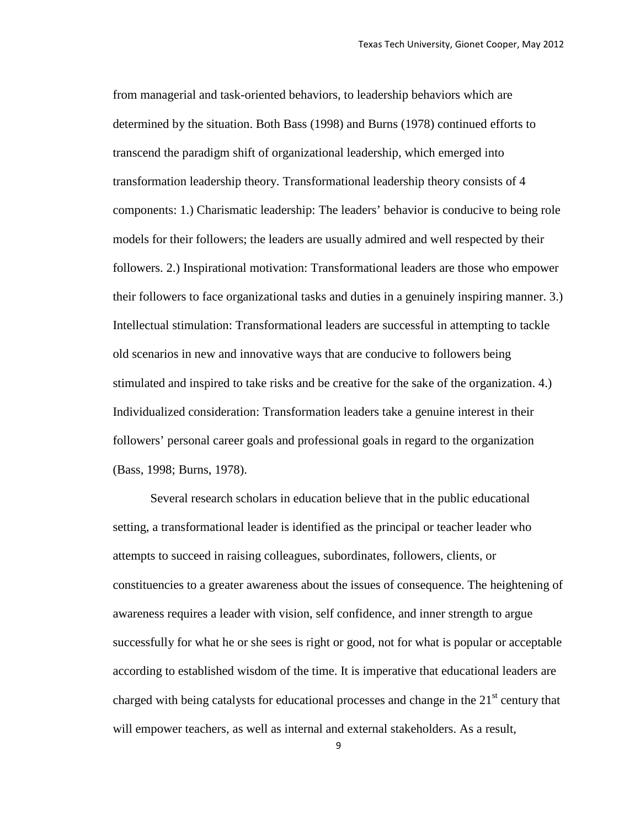from managerial and task-oriented behaviors, to leadership behaviors which are determined by the situation. Both Bass (1998) and Burns (1978) continued efforts to transcend the paradigm shift of organizational leadership, which emerged into transformation leadership theory. Transformational leadership theory consists of 4 components: 1.) Charismatic leadership: The leaders' behavior is conducive to being role models for their followers; the leaders are usually admired and well respected by their followers. 2.) Inspirational motivation: Transformational leaders are those who empower their followers to face organizational tasks and duties in a genuinely inspiring manner. 3.) Intellectual stimulation: Transformational leaders are successful in attempting to tackle old scenarios in new and innovative ways that are conducive to followers being stimulated and inspired to take risks and be creative for the sake of the organization. 4.) Individualized consideration: Transformation leaders take a genuine interest in their followers' personal career goals and professional goals in regard to the organization (Bass, 1998; Burns, 1978).

Several research scholars in education believe that in the public educational setting, a transformational leader is identified as the principal or teacher leader who attempts to succeed in raising colleagues, subordinates, followers, clients, or constituencies to a greater awareness about the issues of consequence. The heightening of awareness requires a leader with vision, self confidence, and inner strength to argue successfully for what he or she sees is right or good, not for what is popular or acceptable according to established wisdom of the time. It is imperative that educational leaders are charged with being catalysts for educational processes and change in the  $21<sup>st</sup>$  century that will empower teachers, as well as internal and external stakeholders. As a result,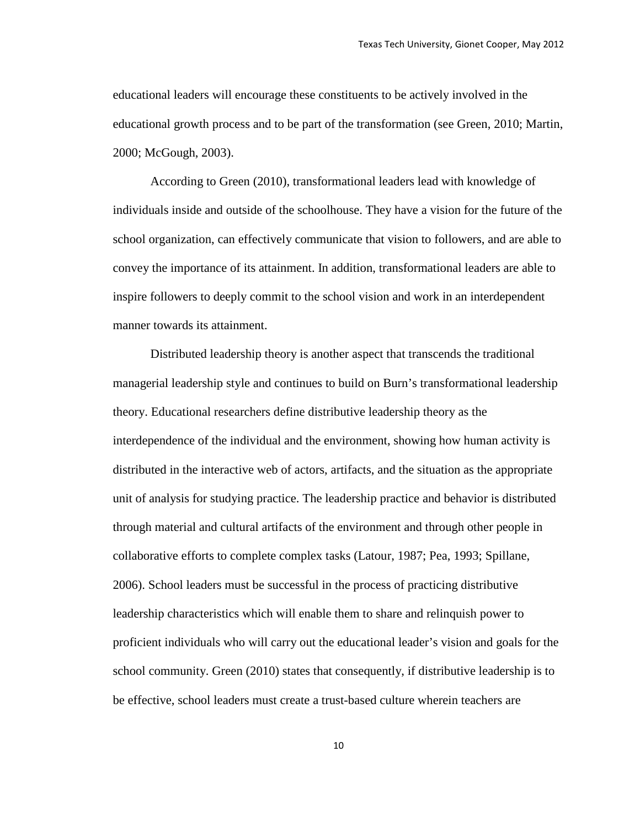educational leaders will encourage these constituents to be actively involved in the educational growth process and to be part of the transformation (see Green, 2010; Martin, 2000; McGough, 2003).

According to Green (2010), transformational leaders lead with knowledge of individuals inside and outside of the schoolhouse. They have a vision for the future of the school organization, can effectively communicate that vision to followers, and are able to convey the importance of its attainment. In addition, transformational leaders are able to inspire followers to deeply commit to the school vision and work in an interdependent manner towards its attainment.

Distributed leadership theory is another aspect that transcends the traditional managerial leadership style and continues to build on Burn's transformational leadership theory. Educational researchers define distributive leadership theory as the interdependence of the individual and the environment, showing how human activity is distributed in the interactive web of actors, artifacts, and the situation as the appropriate unit of analysis for studying practice. The leadership practice and behavior is distributed through material and cultural artifacts of the environment and through other people in collaborative efforts to complete complex tasks (Latour, 1987; Pea, 1993; Spillane, 2006). School leaders must be successful in the process of practicing distributive leadership characteristics which will enable them to share and relinquish power to proficient individuals who will carry out the educational leader's vision and goals for the school community. Green (2010) states that consequently, if distributive leadership is to be effective, school leaders must create a trust-based culture wherein teachers are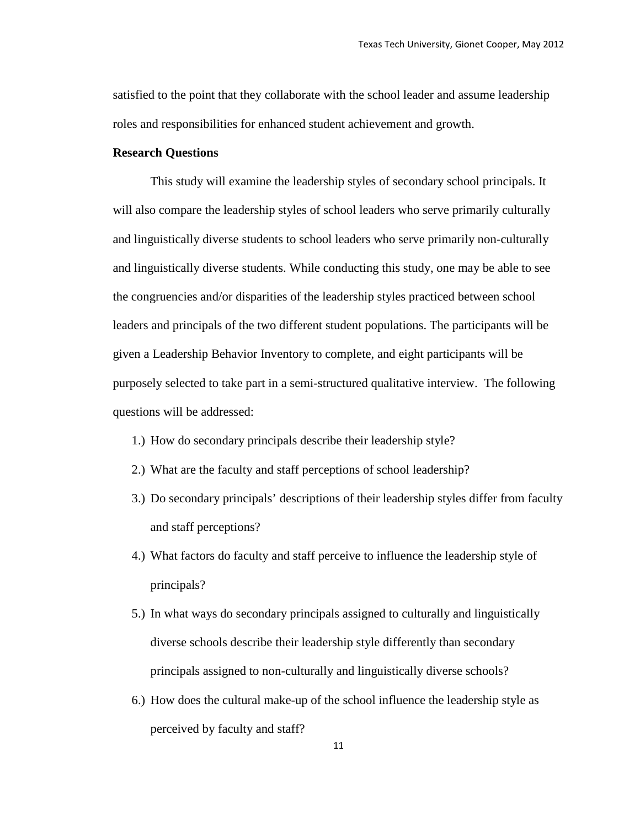satisfied to the point that they collaborate with the school leader and assume leadership roles and responsibilities for enhanced student achievement and growth.

#### **Research Questions**

This study will examine the leadership styles of secondary school principals. It will also compare the leadership styles of school leaders who serve primarily culturally and linguistically diverse students to school leaders who serve primarily non-culturally and linguistically diverse students. While conducting this study, one may be able to see the congruencies and/or disparities of the leadership styles practiced between school leaders and principals of the two different student populations. The participants will be given a Leadership Behavior Inventory to complete, and eight participants will be purposely selected to take part in a semi-structured qualitative interview. The following questions will be addressed:

- 1.) How do secondary principals describe their leadership style?
- 2.) What are the faculty and staff perceptions of school leadership?
- 3.) Do secondary principals' descriptions of their leadership styles differ from faculty and staff perceptions?
- 4.) What factors do faculty and staff perceive to influence the leadership style of principals?
- 5.) In what ways do secondary principals assigned to culturally and linguistically diverse schools describe their leadership style differently than secondary principals assigned to non-culturally and linguistically diverse schools?
- 6.) How does the cultural make-up of the school influence the leadership style as perceived by faculty and staff?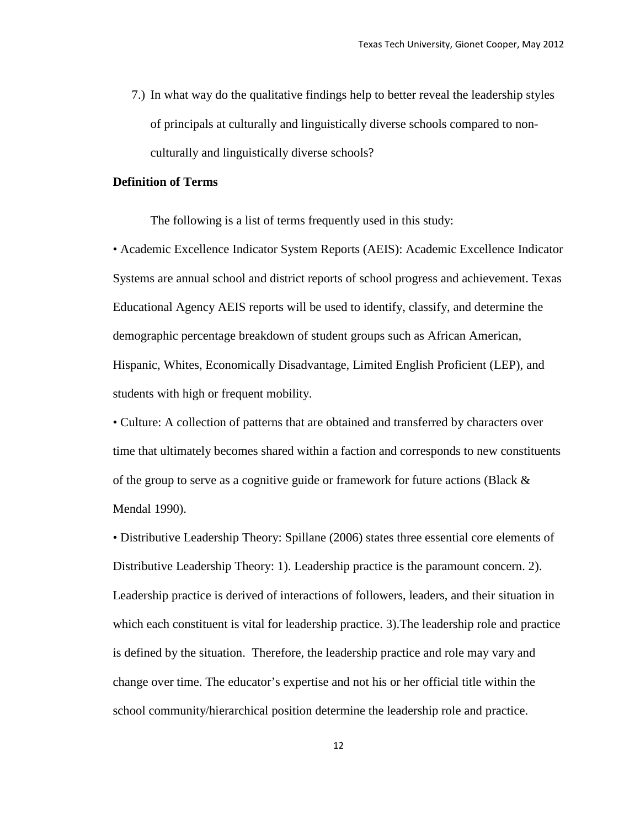7.) In what way do the qualitative findings help to better reveal the leadership styles of principals at culturally and linguistically diverse schools compared to nonculturally and linguistically diverse schools?

#### **Definition of Terms**

The following is a list of terms frequently used in this study:

• Academic Excellence Indicator System Reports (AEIS): Academic Excellence Indicator Systems are annual school and district reports of school progress and achievement. Texas Educational Agency AEIS reports will be used to identify, classify, and determine the demographic percentage breakdown of student groups such as African American, Hispanic, Whites, Economically Disadvantage, Limited English Proficient (LEP), and students with high or frequent mobility.

• Culture: A collection of patterns that are obtained and transferred by characters over time that ultimately becomes shared within a faction and corresponds to new constituents of the group to serve as a cognitive guide or framework for future actions (Black  $\&$ Mendal 1990).

• Distributive Leadership Theory: Spillane (2006) states three essential core elements of Distributive Leadership Theory: 1). Leadership practice is the paramount concern. 2). Leadership practice is derived of interactions of followers, leaders, and their situation in which each constituent is vital for leadership practice. 3).The leadership role and practice is defined by the situation. Therefore, the leadership practice and role may vary and change over time. The educator's expertise and not his or her official title within the school community/hierarchical position determine the leadership role and practice.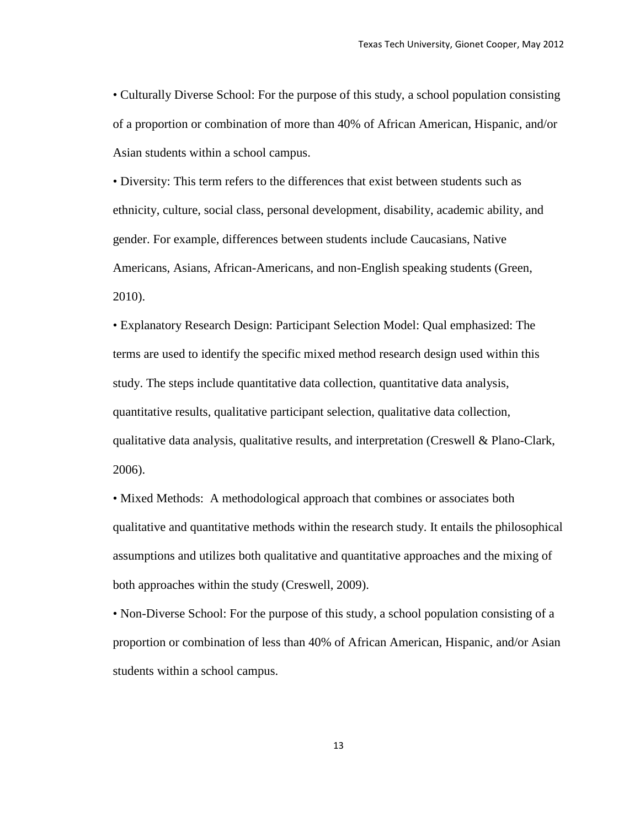• Culturally Diverse School: For the purpose of this study, a school population consisting of a proportion or combination of more than 40% of African American, Hispanic, and/or Asian students within a school campus.

• Diversity: This term refers to the differences that exist between students such as ethnicity, culture, social class, personal development, disability, academic ability, and gender. For example, differences between students include Caucasians, Native Americans, Asians, African-Americans, and non-English speaking students (Green, 2010).

• Explanatory Research Design: Participant Selection Model: Qual emphasized: The terms are used to identify the specific mixed method research design used within this study. The steps include quantitative data collection, quantitative data analysis, quantitative results, qualitative participant selection, qualitative data collection, qualitative data analysis, qualitative results, and interpretation (Creswell & Plano-Clark, 2006).

• Mixed Methods: A methodological approach that combines or associates both qualitative and quantitative methods within the research study. It entails the philosophical assumptions and utilizes both qualitative and quantitative approaches and the mixing of both approaches within the study (Creswell, 2009).

• Non-Diverse School: For the purpose of this study, a school population consisting of a proportion or combination of less than 40% of African American, Hispanic, and/or Asian students within a school campus.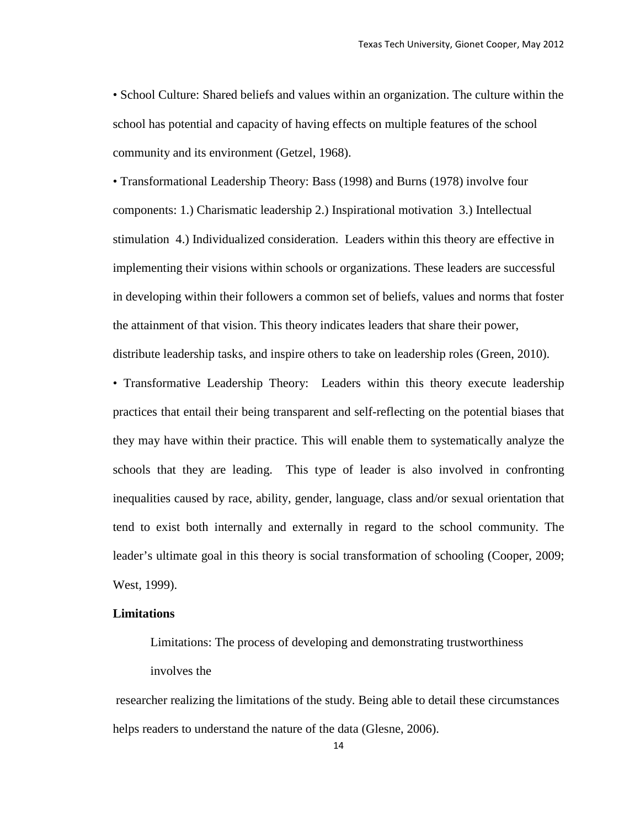• School Culture: Shared beliefs and values within an organization. The culture within the school has potential and capacity of having effects on multiple features of the school community and its environment (Getzel, 1968).

• Transformational Leadership Theory: Bass (1998) and Burns (1978) involve four components: 1.) Charismatic leadership 2.) Inspirational motivation 3.) Intellectual stimulation 4.) Individualized consideration. Leaders within this theory are effective in implementing their visions within schools or organizations. These leaders are successful in developing within their followers a common set of beliefs, values and norms that foster the attainment of that vision. This theory indicates leaders that share their power, distribute leadership tasks, and inspire others to take on leadership roles (Green, 2010).

• Transformative Leadership Theory: Leaders within this theory execute leadership practices that entail their being transparent and self-reflecting on the potential biases that they may have within their practice. This will enable them to systematically analyze the schools that they are leading. This type of leader is also involved in confronting inequalities caused by race, ability, gender, language, class and/or sexual orientation that tend to exist both internally and externally in regard to the school community. The leader's ultimate goal in this theory is social transformation of schooling (Cooper, 2009; West, 1999).

#### **Limitations**

Limitations: The process of developing and demonstrating trustworthiness involves the

researcher realizing the limitations of the study. Being able to detail these circumstances helps readers to understand the nature of the data (Glesne, 2006).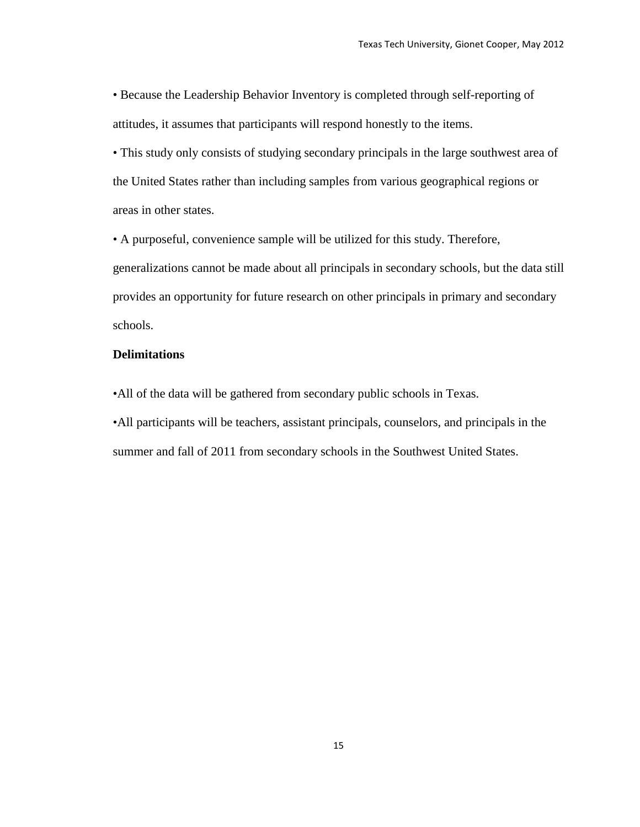• Because the Leadership Behavior Inventory is completed through self-reporting of attitudes, it assumes that participants will respond honestly to the items.

• This study only consists of studying secondary principals in the large southwest area of the United States rather than including samples from various geographical regions or areas in other states.

• A purposeful, convenience sample will be utilized for this study. Therefore, generalizations cannot be made about all principals in secondary schools, but the data still provides an opportunity for future research on other principals in primary and secondary schools.

#### **Delimitations**

•All of the data will be gathered from secondary public schools in Texas.

•All participants will be teachers, assistant principals, counselors, and principals in the summer and fall of 2011 from secondary schools in the Southwest United States.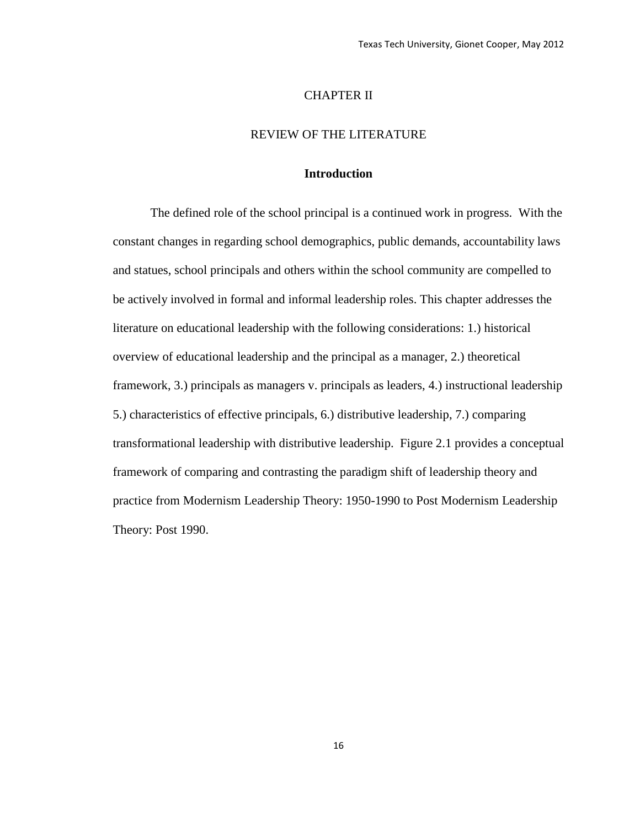#### CHAPTER II

## REVIEW OF THE LITERATURE

### **Introduction**

The defined role of the school principal is a continued work in progress. With the constant changes in regarding school demographics, public demands, accountability laws and statues, school principals and others within the school community are compelled to be actively involved in formal and informal leadership roles. This chapter addresses the literature on educational leadership with the following considerations: 1.) historical overview of educational leadership and the principal as a manager, 2.) theoretical framework, 3.) principals as managers v. principals as leaders, 4.) instructional leadership 5.) characteristics of effective principals, 6.) distributive leadership, 7.) comparing transformational leadership with distributive leadership. Figure 2.1 provides a conceptual framework of comparing and contrasting the paradigm shift of leadership theory and practice from Modernism Leadership Theory: 1950-1990 to Post Modernism Leadership Theory: Post 1990.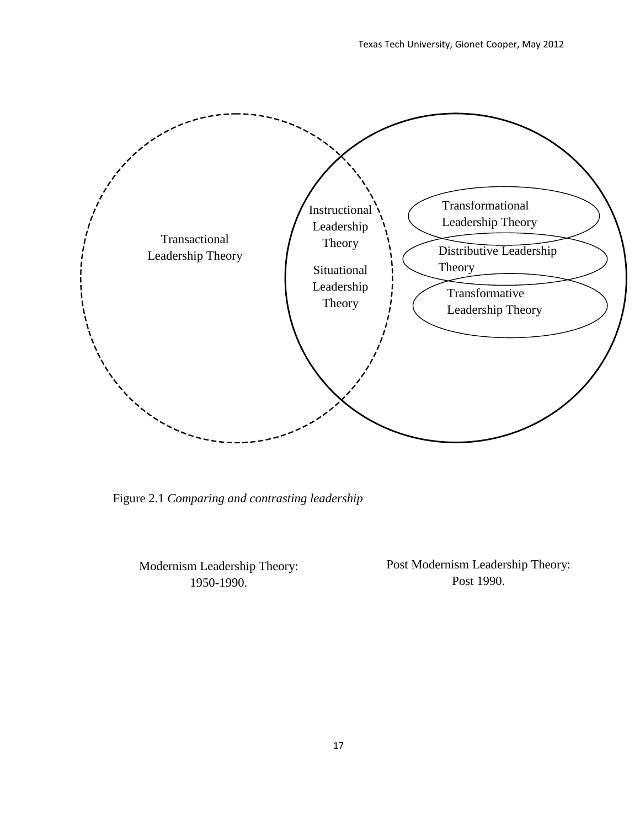

Figure 2.1 *Comparing and contrasting leadership*

Modernism Leadership Theory: 1950-1990.

Post Modernism Leadership Theory: Post 1990.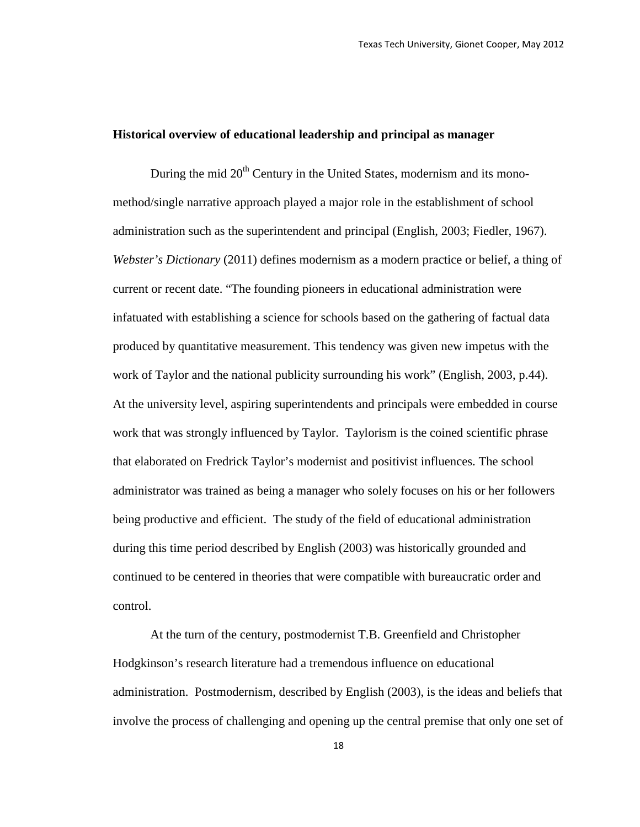## **Historical overview of educational leadership and principal as manager**

During the mid  $20<sup>th</sup>$  Century in the United States, modernism and its monomethod/single narrative approach played a major role in the establishment of school administration such as the superintendent and principal (English, 2003; Fiedler, 1967). *Webster's Dictionary* (2011) defines modernism as a modern practice or belief, a thing of current or recent date. "The founding pioneers in educational administration were infatuated with establishing a science for schools based on the gathering of factual data produced by quantitative measurement. This tendency was given new impetus with the work of Taylor and the national publicity surrounding his work" (English, 2003, p.44). At the university level, aspiring superintendents and principals were embedded in course work that was strongly influenced by Taylor. Taylorism is the coined scientific phrase that elaborated on Fredrick Taylor's modernist and positivist influences. The school administrator was trained as being a manager who solely focuses on his or her followers being productive and efficient. The study of the field of educational administration during this time period described by English (2003) was historically grounded and continued to be centered in theories that were compatible with bureaucratic order and control.

At the turn of the century, postmodernist T.B. Greenfield and Christopher Hodgkinson's research literature had a tremendous influence on educational administration. Postmodernism, described by English (2003), is the ideas and beliefs that involve the process of challenging and opening up the central premise that only one set of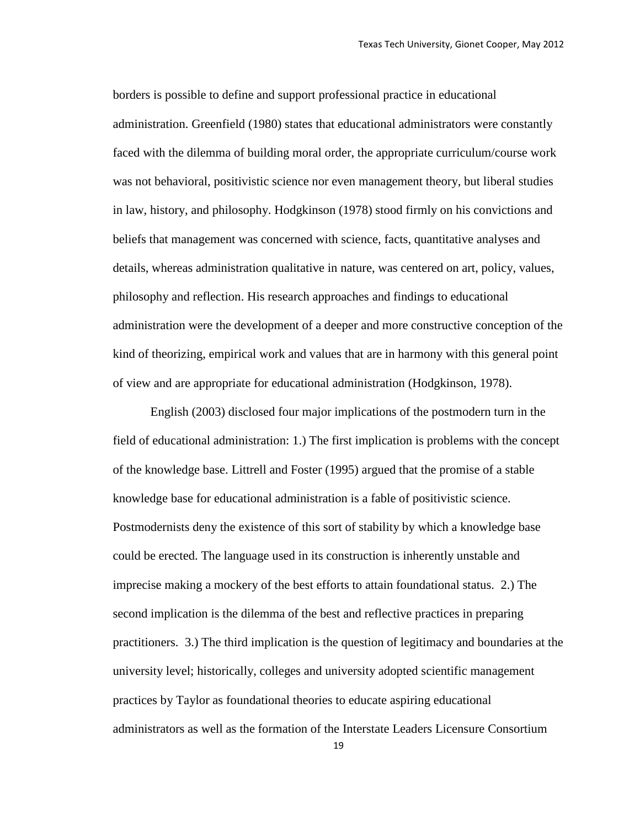borders is possible to define and support professional practice in educational administration. Greenfield (1980) states that educational administrators were constantly faced with the dilemma of building moral order, the appropriate curriculum/course work was not behavioral, positivistic science nor even management theory, but liberal studies in law, history, and philosophy. Hodgkinson (1978) stood firmly on his convictions and beliefs that management was concerned with science, facts, quantitative analyses and details, whereas administration qualitative in nature, was centered on art, policy, values, philosophy and reflection. His research approaches and findings to educational administration were the development of a deeper and more constructive conception of the kind of theorizing, empirical work and values that are in harmony with this general point of view and are appropriate for educational administration (Hodgkinson, 1978).

English (2003) disclosed four major implications of the postmodern turn in the field of educational administration: 1.) The first implication is problems with the concept of the knowledge base. Littrell and Foster (1995) argued that the promise of a stable knowledge base for educational administration is a fable of positivistic science. Postmodernists deny the existence of this sort of stability by which a knowledge base could be erected. The language used in its construction is inherently unstable and imprecise making a mockery of the best efforts to attain foundational status. 2.) The second implication is the dilemma of the best and reflective practices in preparing practitioners. 3.) The third implication is the question of legitimacy and boundaries at the university level; historically, colleges and university adopted scientific management practices by Taylor as foundational theories to educate aspiring educational administrators as well as the formation of the Interstate Leaders Licensure Consortium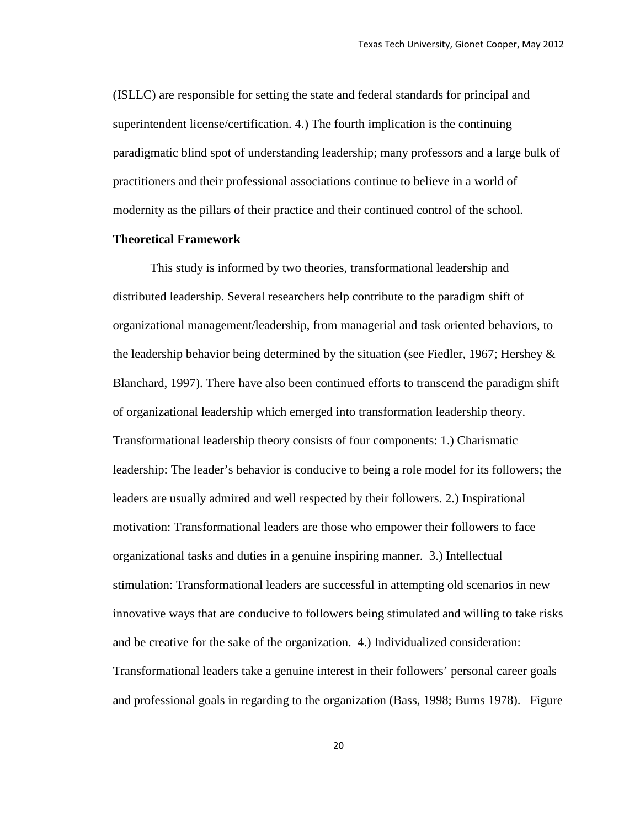(ISLLC) are responsible for setting the state and federal standards for principal and superintendent license/certification. 4.) The fourth implication is the continuing paradigmatic blind spot of understanding leadership; many professors and a large bulk of practitioners and their professional associations continue to believe in a world of modernity as the pillars of their practice and their continued control of the school.

#### **Theoretical Framework**

This study is informed by two theories, transformational leadership and distributed leadership. Several researchers help contribute to the paradigm shift of organizational management/leadership, from managerial and task oriented behaviors, to the leadership behavior being determined by the situation (see Fiedler, 1967; Hershey  $\&$ Blanchard, 1997). There have also been continued efforts to transcend the paradigm shift of organizational leadership which emerged into transformation leadership theory. Transformational leadership theory consists of four components: 1.) Charismatic leadership: The leader's behavior is conducive to being a role model for its followers; the leaders are usually admired and well respected by their followers. 2.) Inspirational motivation: Transformational leaders are those who empower their followers to face organizational tasks and duties in a genuine inspiring manner. 3.) Intellectual stimulation: Transformational leaders are successful in attempting old scenarios in new innovative ways that are conducive to followers being stimulated and willing to take risks and be creative for the sake of the organization. 4.) Individualized consideration: Transformational leaders take a genuine interest in their followers' personal career goals and professional goals in regarding to the organization (Bass, 1998; Burns 1978). Figure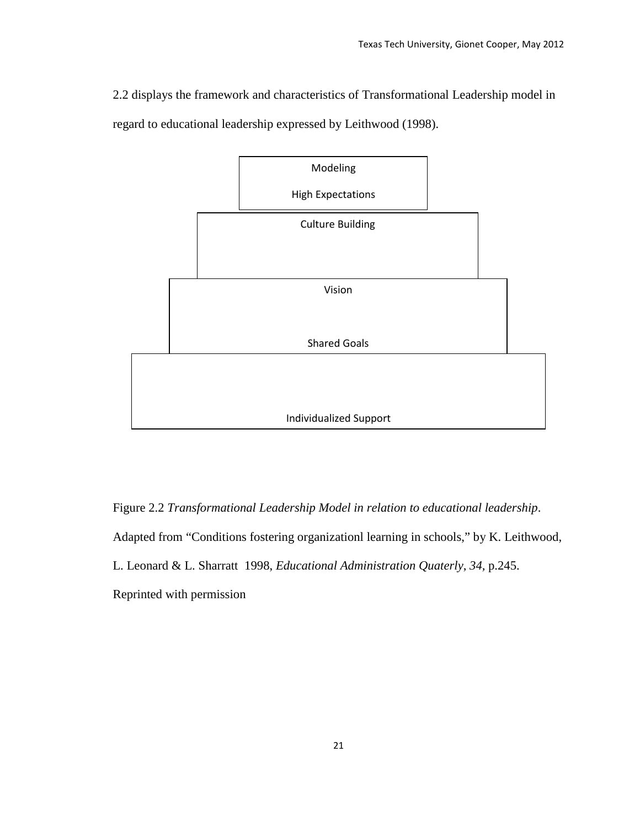2.2 displays the framework and characteristics of Transformational Leadership model in regard to educational leadership expressed by Leithwood (1998).



Figure 2.2 *Transformational Leadership Model in relation to educational leadership*. Adapted from "Conditions fostering organizationl learning in schools," by K. Leithwood, L. Leonard & L. Sharratt 1998, *Educational Administration Quaterly*, *34,* p.245. Reprinted with permission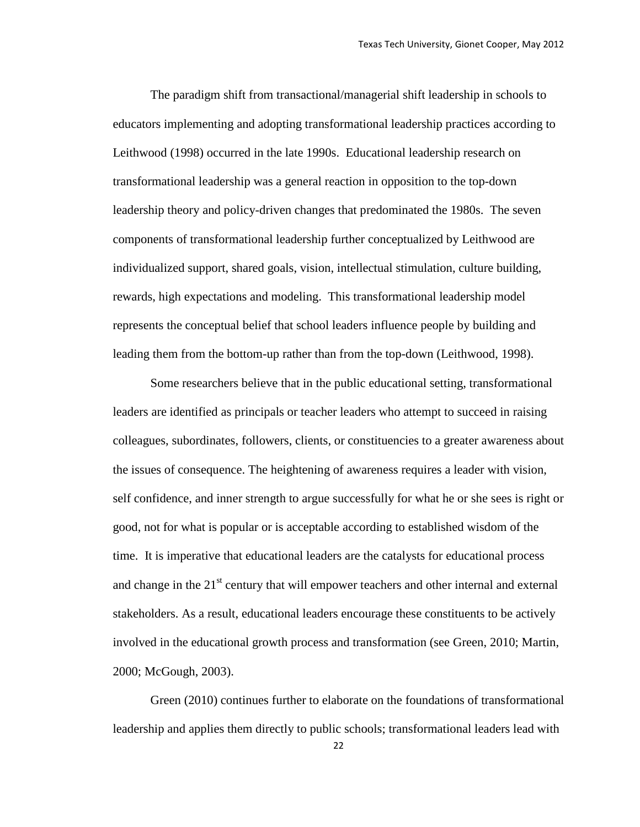The paradigm shift from transactional/managerial shift leadership in schools to educators implementing and adopting transformational leadership practices according to Leithwood (1998) occurred in the late 1990s. Educational leadership research on transformational leadership was a general reaction in opposition to the top-down leadership theory and policy-driven changes that predominated the 1980s. The seven components of transformational leadership further conceptualized by Leithwood are individualized support, shared goals, vision, intellectual stimulation, culture building, rewards, high expectations and modeling. This transformational leadership model represents the conceptual belief that school leaders influence people by building and leading them from the bottom-up rather than from the top-down (Leithwood, 1998).

Some researchers believe that in the public educational setting, transformational leaders are identified as principals or teacher leaders who attempt to succeed in raising colleagues, subordinates, followers, clients, or constituencies to a greater awareness about the issues of consequence. The heightening of awareness requires a leader with vision, self confidence, and inner strength to argue successfully for what he or she sees is right or good, not for what is popular or is acceptable according to established wisdom of the time. It is imperative that educational leaders are the catalysts for educational process and change in the  $21<sup>st</sup>$  century that will empower teachers and other internal and external stakeholders. As a result, educational leaders encourage these constituents to be actively involved in the educational growth process and transformation (see Green, 2010; Martin, 2000; McGough, 2003).

Green (2010) continues further to elaborate on the foundations of transformational leadership and applies them directly to public schools; transformational leaders lead with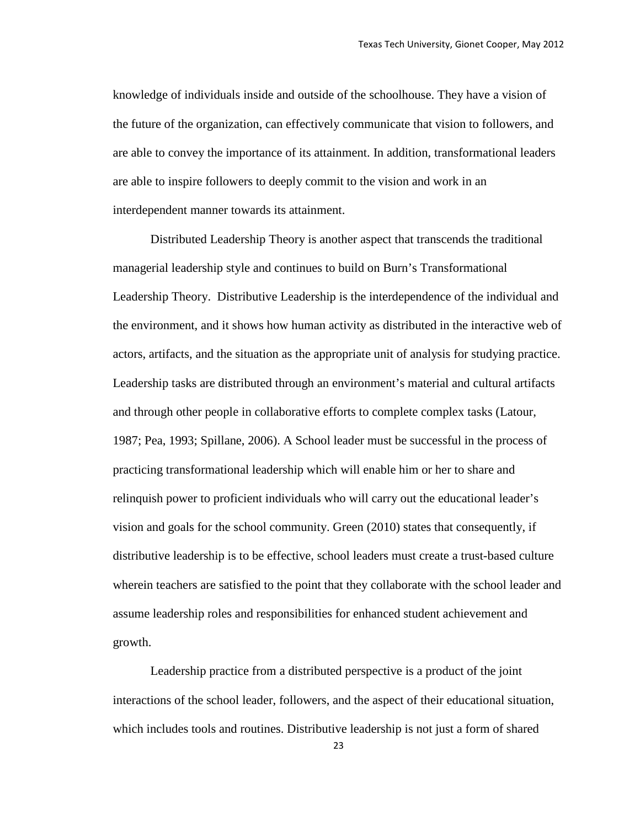knowledge of individuals inside and outside of the schoolhouse. They have a vision of the future of the organization, can effectively communicate that vision to followers, and are able to convey the importance of its attainment. In addition, transformational leaders are able to inspire followers to deeply commit to the vision and work in an interdependent manner towards its attainment.

Distributed Leadership Theory is another aspect that transcends the traditional managerial leadership style and continues to build on Burn's Transformational Leadership Theory. Distributive Leadership is the interdependence of the individual and the environment, and it shows how human activity as distributed in the interactive web of actors, artifacts, and the situation as the appropriate unit of analysis for studying practice. Leadership tasks are distributed through an environment's material and cultural artifacts and through other people in collaborative efforts to complete complex tasks (Latour, 1987; Pea, 1993; Spillane, 2006). A School leader must be successful in the process of practicing transformational leadership which will enable him or her to share and relinquish power to proficient individuals who will carry out the educational leader's vision and goals for the school community. Green (2010) states that consequently, if distributive leadership is to be effective, school leaders must create a trust-based culture wherein teachers are satisfied to the point that they collaborate with the school leader and assume leadership roles and responsibilities for enhanced student achievement and growth.

Leadership practice from a distributed perspective is a product of the joint interactions of the school leader, followers, and the aspect of their educational situation, which includes tools and routines. Distributive leadership is not just a form of shared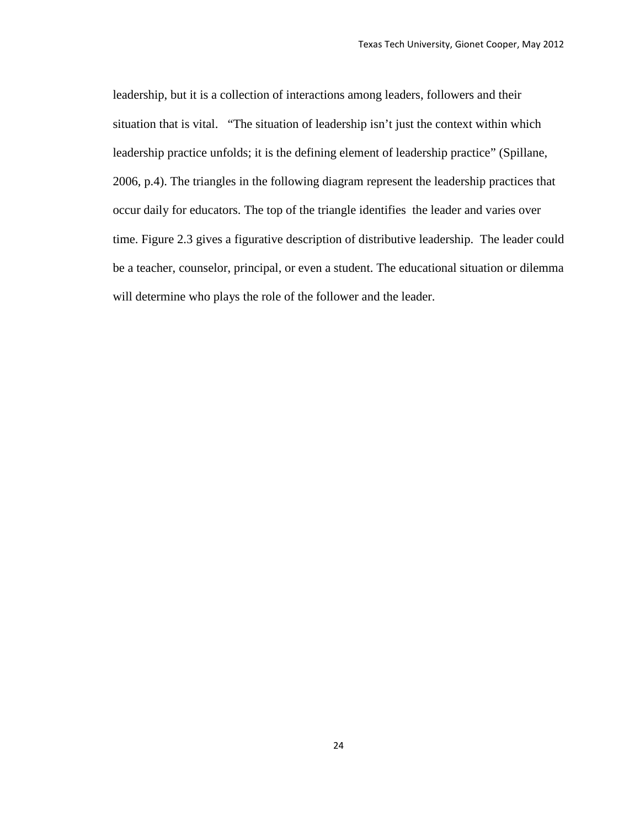leadership, but it is a collection of interactions among leaders, followers and their situation that is vital. "The situation of leadership isn't just the context within which leadership practice unfolds; it is the defining element of leadership practice" (Spillane, 2006, p.4). The triangles in the following diagram represent the leadership practices that occur daily for educators. The top of the triangle identifies the leader and varies over time. Figure 2.3 gives a figurative description of distributive leadership. The leader could be a teacher, counselor, principal, or even a student. The educational situation or dilemma will determine who plays the role of the follower and the leader.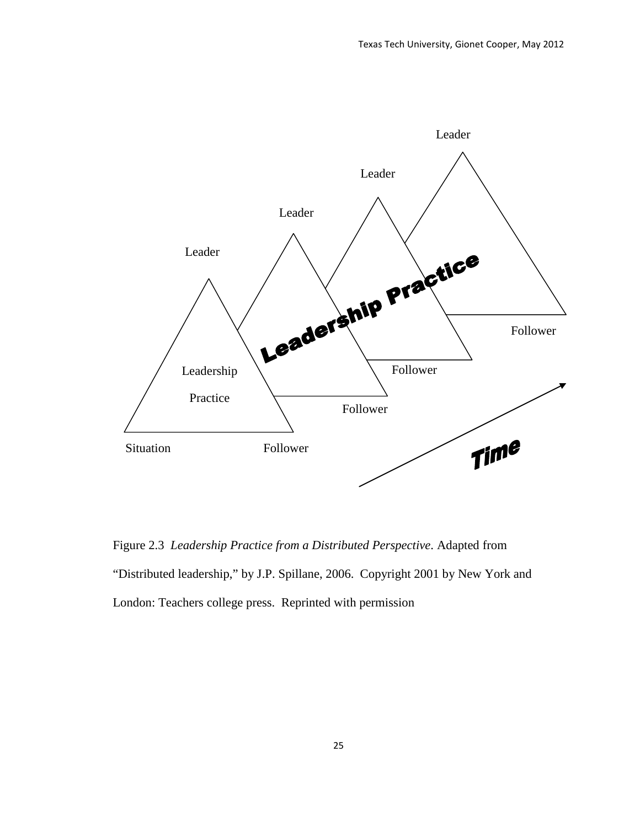

Figure 2.3 *Leadership Practice from a Distributed Perspective*. Adapted from "Distributed leadership," by J.P. Spillane, 2006. Copyright 2001 by New York and London: Teachers college press. Reprinted with permission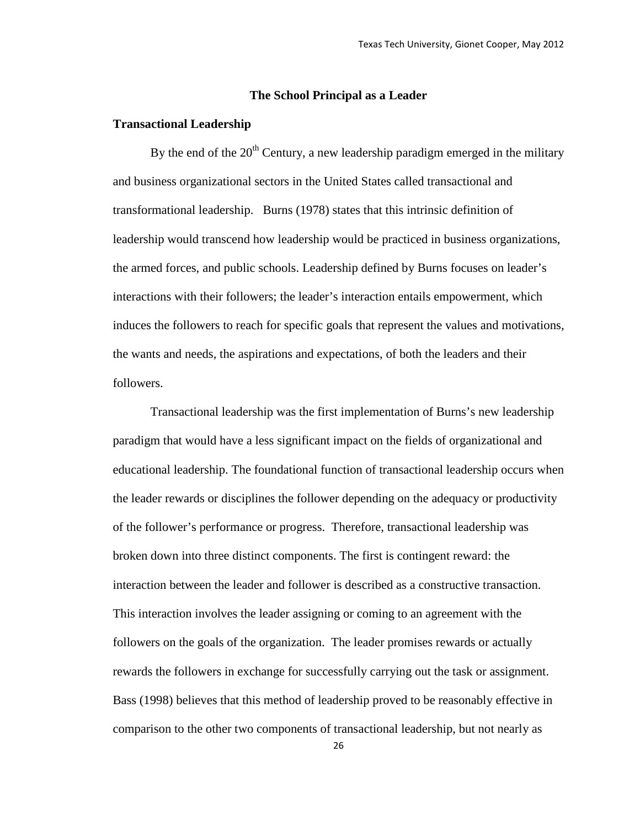#### **The School Principal as a Leader**

#### **Transactional Leadership**

By the end of the  $20<sup>th</sup>$  Century, a new leadership paradigm emerged in the military and business organizational sectors in the United States called transactional and transformational leadership. Burns (1978) states that this intrinsic definition of leadership would transcend how leadership would be practiced in business organizations, the armed forces, and public schools. Leadership defined by Burns focuses on leader's interactions with their followers; the leader's interaction entails empowerment, which induces the followers to reach for specific goals that represent the values and motivations, the wants and needs, the aspirations and expectations, of both the leaders and their followers.

Transactional leadership was the first implementation of Burns's new leadership paradigm that would have a less significant impact on the fields of organizational and educational leadership. The foundational function of transactional leadership occurs when the leader rewards or disciplines the follower depending on the adequacy or productivity of the follower's performance or progress. Therefore, transactional leadership was broken down into three distinct components. The first is contingent reward: the interaction between the leader and follower is described as a constructive transaction. This interaction involves the leader assigning or coming to an agreement with the followers on the goals of the organization. The leader promises rewards or actually rewards the followers in exchange for successfully carrying out the task or assignment. Bass (1998) believes that this method of leadership proved to be reasonably effective in comparison to the other two components of transactional leadership, but not nearly as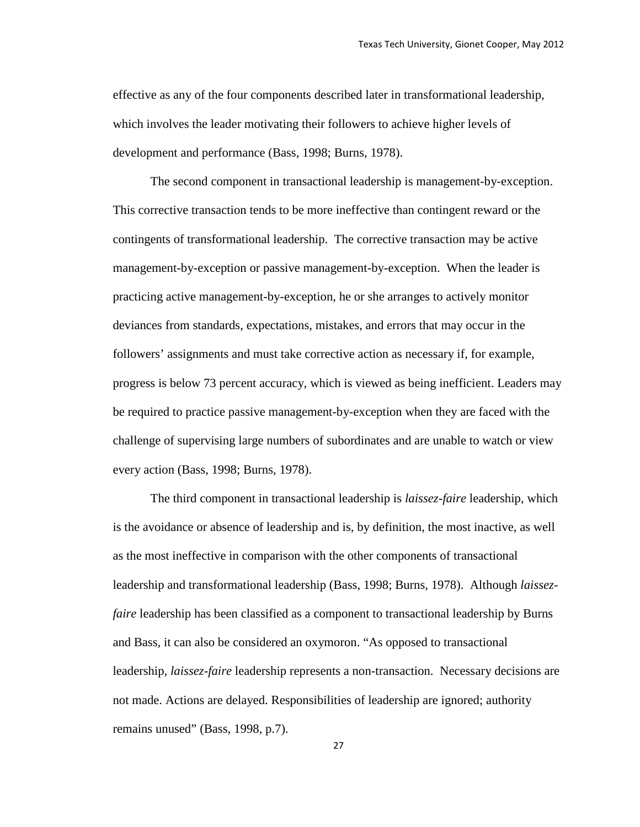effective as any of the four components described later in transformational leadership, which involves the leader motivating their followers to achieve higher levels of development and performance (Bass, 1998; Burns, 1978).

The second component in transactional leadership is management-by-exception. This corrective transaction tends to be more ineffective than contingent reward or the contingents of transformational leadership. The corrective transaction may be active management-by-exception or passive management-by-exception. When the leader is practicing active management-by-exception, he or she arranges to actively monitor deviances from standards, expectations, mistakes, and errors that may occur in the followers' assignments and must take corrective action as necessary if, for example, progress is below 73 percent accuracy, which is viewed as being inefficient. Leaders may be required to practice passive management-by-exception when they are faced with the challenge of supervising large numbers of subordinates and are unable to watch or view every action (Bass, 1998; Burns, 1978).

The third component in transactional leadership is *laissez-faire* leadership, which is the avoidance or absence of leadership and is, by definition, the most inactive, as well as the most ineffective in comparison with the other components of transactional leadership and transformational leadership (Bass, 1998; Burns, 1978). Although *laissezfaire* leadership has been classified as a component to transactional leadership by Burns and Bass, it can also be considered an oxymoron. "As opposed to transactional leadership, *laissez-faire* leadership represents a non-transaction. Necessary decisions are not made. Actions are delayed. Responsibilities of leadership are ignored; authority remains unused" (Bass, 1998, p.7).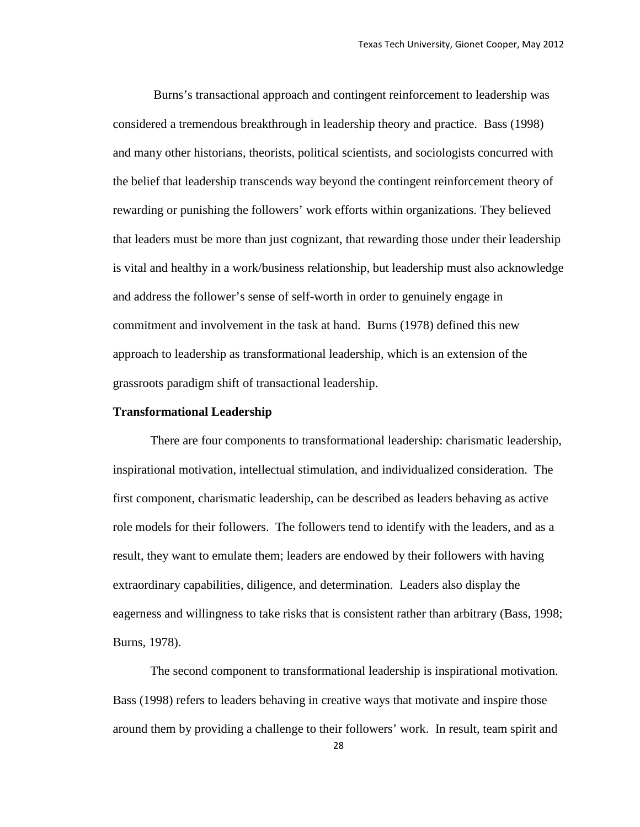Burns's transactional approach and contingent reinforcement to leadership was considered a tremendous breakthrough in leadership theory and practice. Bass (1998) and many other historians, theorists, political scientists, and sociologists concurred with the belief that leadership transcends way beyond the contingent reinforcement theory of rewarding or punishing the followers' work efforts within organizations. They believed that leaders must be more than just cognizant, that rewarding those under their leadership is vital and healthy in a work/business relationship, but leadership must also acknowledge and address the follower's sense of self-worth in order to genuinely engage in commitment and involvement in the task at hand. Burns (1978) defined this new approach to leadership as transformational leadership, which is an extension of the grassroots paradigm shift of transactional leadership.

#### **Transformational Leadership**

There are four components to transformational leadership: charismatic leadership, inspirational motivation, intellectual stimulation, and individualized consideration. The first component, charismatic leadership, can be described as leaders behaving as active role models for their followers. The followers tend to identify with the leaders, and as a result, they want to emulate them; leaders are endowed by their followers with having extraordinary capabilities, diligence, and determination. Leaders also display the eagerness and willingness to take risks that is consistent rather than arbitrary (Bass, 1998; Burns, 1978).

The second component to transformational leadership is inspirational motivation. Bass (1998) refers to leaders behaving in creative ways that motivate and inspire those around them by providing a challenge to their followers' work. In result, team spirit and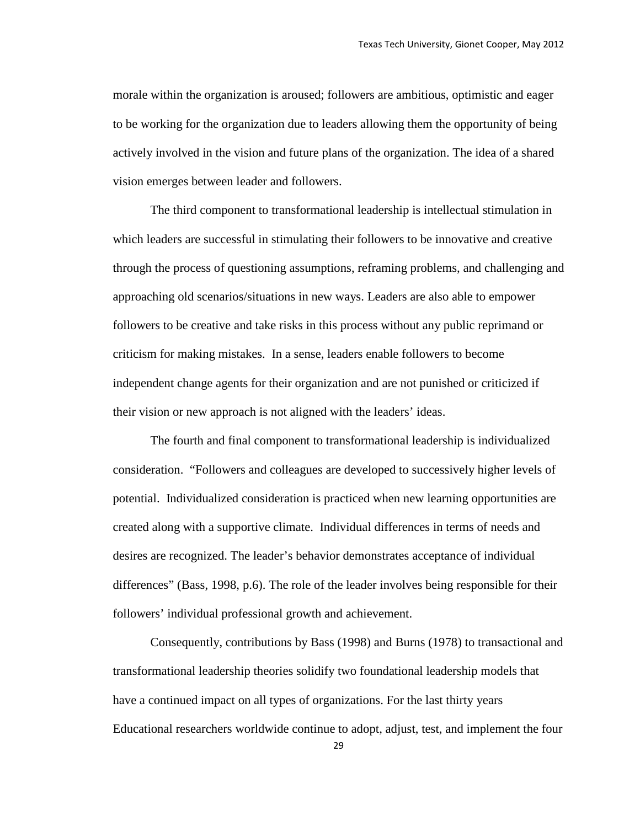morale within the organization is aroused; followers are ambitious, optimistic and eager to be working for the organization due to leaders allowing them the opportunity of being actively involved in the vision and future plans of the organization. The idea of a shared vision emerges between leader and followers.

The third component to transformational leadership is intellectual stimulation in which leaders are successful in stimulating their followers to be innovative and creative through the process of questioning assumptions, reframing problems, and challenging and approaching old scenarios/situations in new ways. Leaders are also able to empower followers to be creative and take risks in this process without any public reprimand or criticism for making mistakes. In a sense, leaders enable followers to become independent change agents for their organization and are not punished or criticized if their vision or new approach is not aligned with the leaders' ideas.

The fourth and final component to transformational leadership is individualized consideration. "Followers and colleagues are developed to successively higher levels of potential. Individualized consideration is practiced when new learning opportunities are created along with a supportive climate. Individual differences in terms of needs and desires are recognized. The leader's behavior demonstrates acceptance of individual differences" (Bass, 1998, p.6). The role of the leader involves being responsible for their followers' individual professional growth and achievement.

Consequently, contributions by Bass (1998) and Burns (1978) to transactional and transformational leadership theories solidify two foundational leadership models that have a continued impact on all types of organizations. For the last thirty years Educational researchers worldwide continue to adopt, adjust, test, and implement the four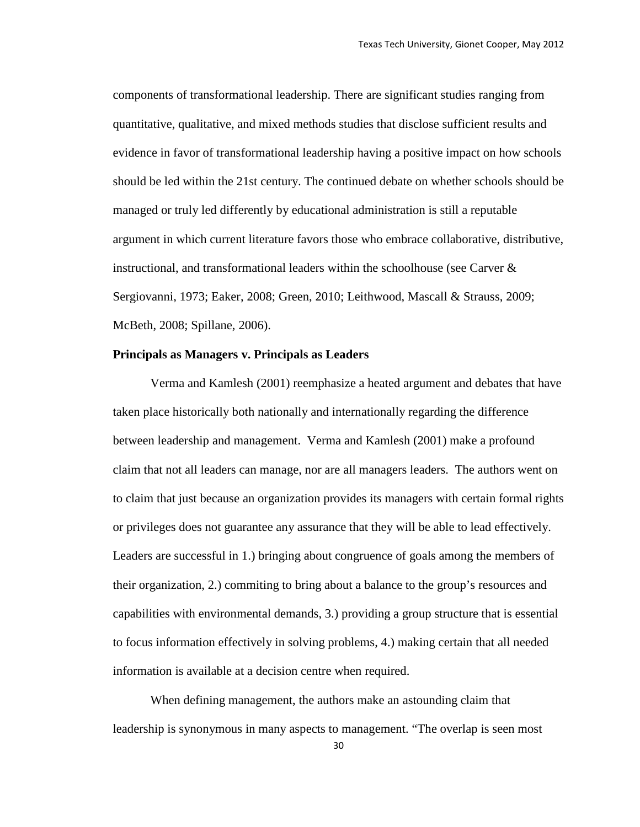components of transformational leadership. There are significant studies ranging from quantitative, qualitative, and mixed methods studies that disclose sufficient results and evidence in favor of transformational leadership having a positive impact on how schools should be led within the 21st century. The continued debate on whether schools should be managed or truly led differently by educational administration is still a reputable argument in which current literature favors those who embrace collaborative, distributive, instructional, and transformational leaders within the schoolhouse (see Carver  $\&$ Sergiovanni, 1973; Eaker, 2008; Green, 2010; Leithwood, Mascall & Strauss, 2009; McBeth, 2008; Spillane, 2006).

# **Principals as Managers v. Principals as Leaders**

Verma and Kamlesh (2001) reemphasize a heated argument and debates that have taken place historically both nationally and internationally regarding the difference between leadership and management. Verma and Kamlesh (2001) make a profound claim that not all leaders can manage, nor are all managers leaders. The authors went on to claim that just because an organization provides its managers with certain formal rights or privileges does not guarantee any assurance that they will be able to lead effectively. Leaders are successful in 1.) bringing about congruence of goals among the members of their organization, 2.) commiting to bring about a balance to the group's resources and capabilities with environmental demands, 3.) providing a group structure that is essential to focus information effectively in solving problems, 4.) making certain that all needed information is available at a decision centre when required.

When defining management, the authors make an astounding claim that leadership is synonymous in many aspects to management. "The overlap is seen most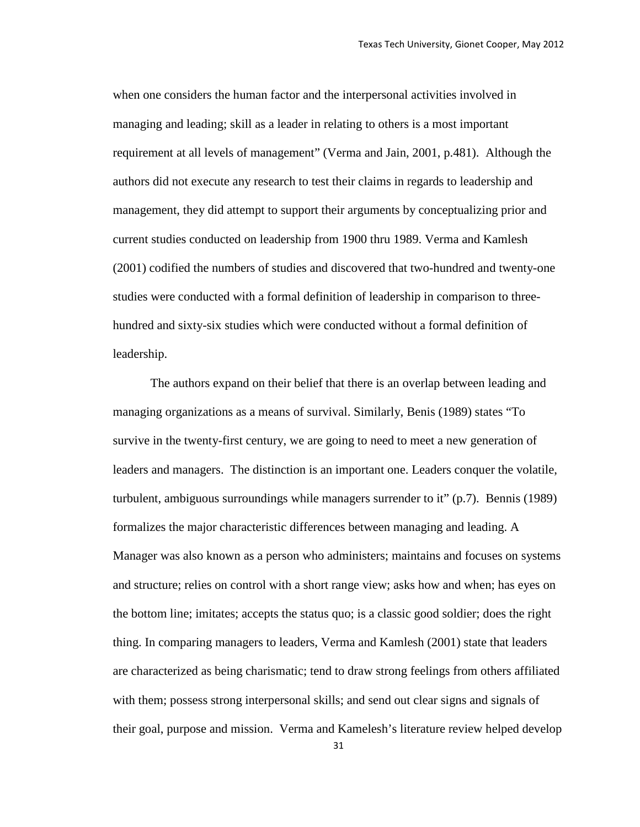when one considers the human factor and the interpersonal activities involved in managing and leading; skill as a leader in relating to others is a most important requirement at all levels of management" (Verma and Jain, 2001, p.481). Although the authors did not execute any research to test their claims in regards to leadership and management, they did attempt to support their arguments by conceptualizing prior and current studies conducted on leadership from 1900 thru 1989. Verma and Kamlesh (2001) codified the numbers of studies and discovered that two-hundred and twenty-one studies were conducted with a formal definition of leadership in comparison to threehundred and sixty-six studies which were conducted without a formal definition of leadership.

The authors expand on their belief that there is an overlap between leading and managing organizations as a means of survival. Similarly, Benis (1989) states "To survive in the twenty-first century, we are going to need to meet a new generation of leaders and managers. The distinction is an important one. Leaders conquer the volatile, turbulent, ambiguous surroundings while managers surrender to it" (p.7). Bennis (1989) formalizes the major characteristic differences between managing and leading. A Manager was also known as a person who administers; maintains and focuses on systems and structure; relies on control with a short range view; asks how and when; has eyes on the bottom line; imitates; accepts the status quo; is a classic good soldier; does the right thing. In comparing managers to leaders, Verma and Kamlesh (2001) state that leaders are characterized as being charismatic; tend to draw strong feelings from others affiliated with them; possess strong interpersonal skills; and send out clear signs and signals of their goal, purpose and mission. Verma and Kamelesh's literature review helped develop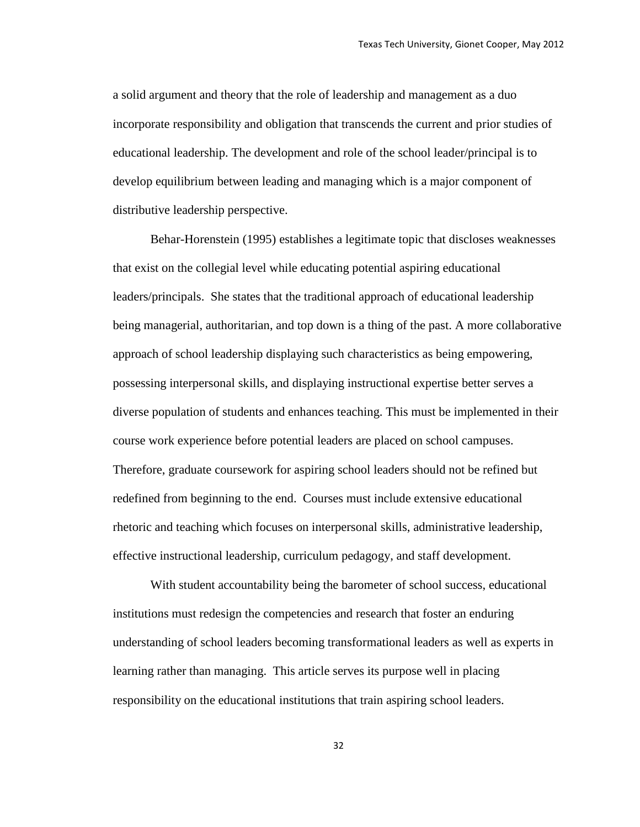a solid argument and theory that the role of leadership and management as a duo incorporate responsibility and obligation that transcends the current and prior studies of educational leadership. The development and role of the school leader/principal is to develop equilibrium between leading and managing which is a major component of distributive leadership perspective.

Behar-Horenstein (1995) establishes a legitimate topic that discloses weaknesses that exist on the collegial level while educating potential aspiring educational leaders/principals. She states that the traditional approach of educational leadership being managerial, authoritarian, and top down is a thing of the past. A more collaborative approach of school leadership displaying such characteristics as being empowering, possessing interpersonal skills, and displaying instructional expertise better serves a diverse population of students and enhances teaching. This must be implemented in their course work experience before potential leaders are placed on school campuses. Therefore, graduate coursework for aspiring school leaders should not be refined but redefined from beginning to the end. Courses must include extensive educational rhetoric and teaching which focuses on interpersonal skills, administrative leadership, effective instructional leadership, curriculum pedagogy, and staff development.

With student accountability being the barometer of school success, educational institutions must redesign the competencies and research that foster an enduring understanding of school leaders becoming transformational leaders as well as experts in learning rather than managing. This article serves its purpose well in placing responsibility on the educational institutions that train aspiring school leaders.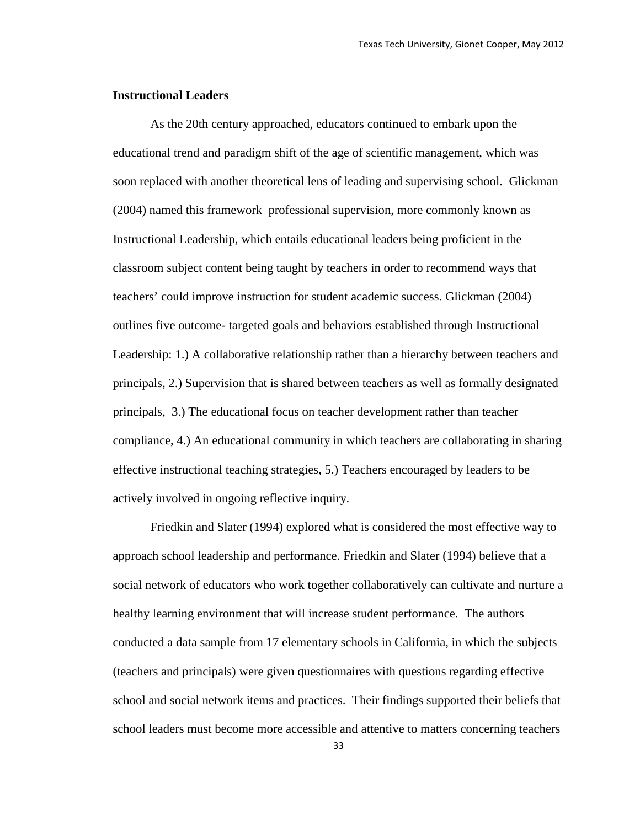# **Instructional Leaders**

As the 20th century approached, educators continued to embark upon the educational trend and paradigm shift of the age of scientific management, which was soon replaced with another theoretical lens of leading and supervising school. Glickman (2004) named this framework professional supervision, more commonly known as Instructional Leadership, which entails educational leaders being proficient in the classroom subject content being taught by teachers in order to recommend ways that teachers' could improve instruction for student academic success. Glickman (2004) outlines five outcome- targeted goals and behaviors established through Instructional Leadership: 1.) A collaborative relationship rather than a hierarchy between teachers and principals, 2.) Supervision that is shared between teachers as well as formally designated principals, 3.) The educational focus on teacher development rather than teacher compliance, 4.) An educational community in which teachers are collaborating in sharing effective instructional teaching strategies, 5.) Teachers encouraged by leaders to be actively involved in ongoing reflective inquiry.

Friedkin and Slater (1994) explored what is considered the most effective way to approach school leadership and performance. Friedkin and Slater (1994) believe that a social network of educators who work together collaboratively can cultivate and nurture a healthy learning environment that will increase student performance. The authors conducted a data sample from 17 elementary schools in California, in which the subjects (teachers and principals) were given questionnaires with questions regarding effective school and social network items and practices. Their findings supported their beliefs that school leaders must become more accessible and attentive to matters concerning teachers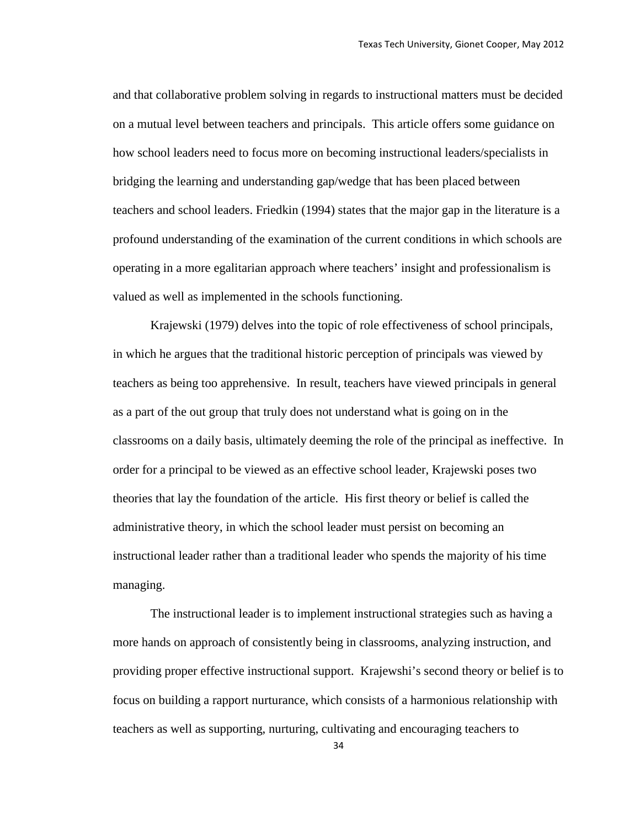and that collaborative problem solving in regards to instructional matters must be decided on a mutual level between teachers and principals. This article offers some guidance on how school leaders need to focus more on becoming instructional leaders/specialists in bridging the learning and understanding gap/wedge that has been placed between teachers and school leaders. Friedkin (1994) states that the major gap in the literature is a profound understanding of the examination of the current conditions in which schools are operating in a more egalitarian approach where teachers' insight and professionalism is valued as well as implemented in the schools functioning.

Krajewski (1979) delves into the topic of role effectiveness of school principals, in which he argues that the traditional historic perception of principals was viewed by teachers as being too apprehensive. In result, teachers have viewed principals in general as a part of the out group that truly does not understand what is going on in the classrooms on a daily basis, ultimately deeming the role of the principal as ineffective. In order for a principal to be viewed as an effective school leader, Krajewski poses two theories that lay the foundation of the article. His first theory or belief is called the administrative theory, in which the school leader must persist on becoming an instructional leader rather than a traditional leader who spends the majority of his time managing.

The instructional leader is to implement instructional strategies such as having a more hands on approach of consistently being in classrooms, analyzing instruction, and providing proper effective instructional support. Krajewshi's second theory or belief is to focus on building a rapport nurturance, which consists of a harmonious relationship with teachers as well as supporting, nurturing, cultivating and encouraging teachers to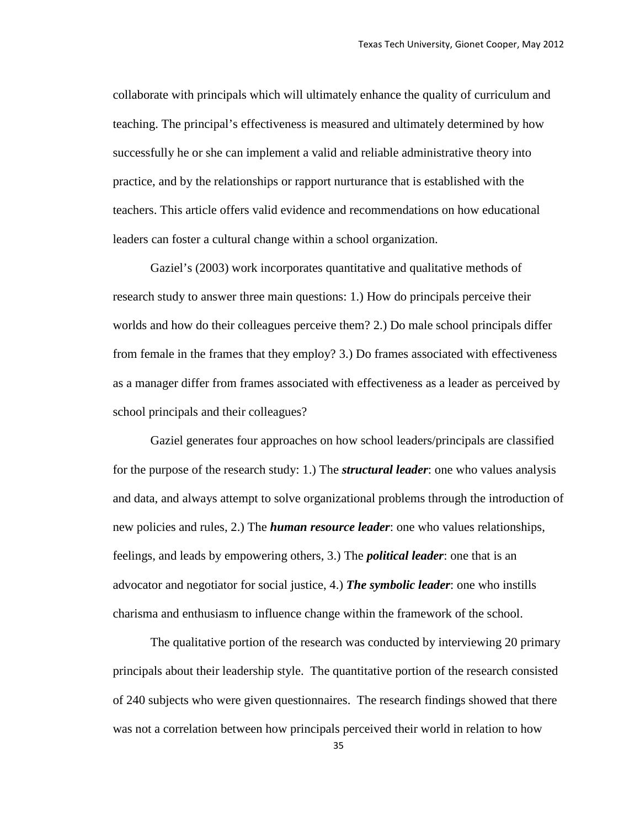collaborate with principals which will ultimately enhance the quality of curriculum and teaching. The principal's effectiveness is measured and ultimately determined by how successfully he or she can implement a valid and reliable administrative theory into practice, and by the relationships or rapport nurturance that is established with the teachers. This article offers valid evidence and recommendations on how educational leaders can foster a cultural change within a school organization.

Gaziel's (2003) work incorporates quantitative and qualitative methods of research study to answer three main questions: 1.) How do principals perceive their worlds and how do their colleagues perceive them? 2.) Do male school principals differ from female in the frames that they employ? 3.) Do frames associated with effectiveness as a manager differ from frames associated with effectiveness as a leader as perceived by school principals and their colleagues?

Gaziel generates four approaches on how school leaders/principals are classified for the purpose of the research study: 1.) The *structural leader*: one who values analysis and data, and always attempt to solve organizational problems through the introduction of new policies and rules, 2.) The *human resource leader*: one who values relationships, feelings, and leads by empowering others, 3.) The *political leader*: one that is an advocator and negotiator for social justice, 4.) *The symbolic leader*: one who instills charisma and enthusiasm to influence change within the framework of the school.

The qualitative portion of the research was conducted by interviewing 20 primary principals about their leadership style. The quantitative portion of the research consisted of 240 subjects who were given questionnaires. The research findings showed that there was not a correlation between how principals perceived their world in relation to how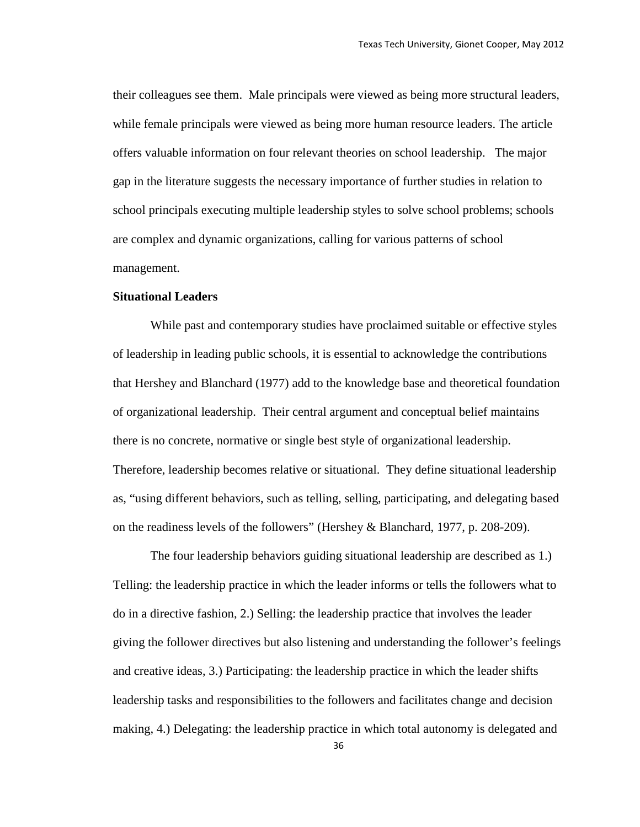their colleagues see them. Male principals were viewed as being more structural leaders, while female principals were viewed as being more human resource leaders. The article offers valuable information on four relevant theories on school leadership. The major gap in the literature suggests the necessary importance of further studies in relation to school principals executing multiple leadership styles to solve school problems; schools are complex and dynamic organizations, calling for various patterns of school management.

## **Situational Leaders**

While past and contemporary studies have proclaimed suitable or effective styles of leadership in leading public schools, it is essential to acknowledge the contributions that Hershey and Blanchard (1977) add to the knowledge base and theoretical foundation of organizational leadership. Their central argument and conceptual belief maintains there is no concrete, normative or single best style of organizational leadership. Therefore, leadership becomes relative or situational. They define situational leadership as, "using different behaviors, such as telling, selling, participating, and delegating based on the readiness levels of the followers" (Hershey & Blanchard, 1977, p. 208-209).

The four leadership behaviors guiding situational leadership are described as 1.) Telling: the leadership practice in which the leader informs or tells the followers what to do in a directive fashion, 2.) Selling: the leadership practice that involves the leader giving the follower directives but also listening and understanding the follower's feelings and creative ideas, 3.) Participating: the leadership practice in which the leader shifts leadership tasks and responsibilities to the followers and facilitates change and decision making, 4.) Delegating: the leadership practice in which total autonomy is delegated and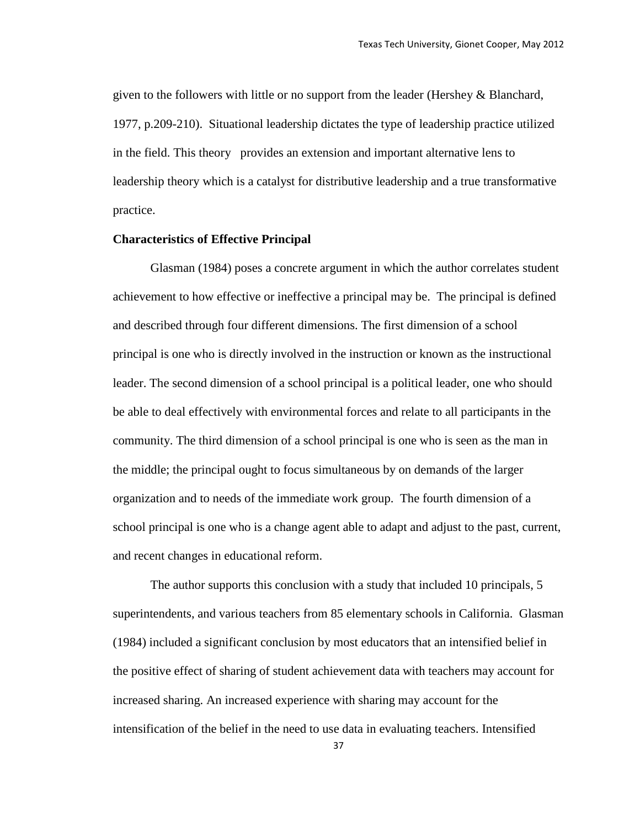given to the followers with little or no support from the leader (Hershey & Blanchard, 1977, p.209-210). Situational leadership dictates the type of leadership practice utilized in the field. This theory provides an extension and important alternative lens to leadership theory which is a catalyst for distributive leadership and a true transformative practice.

## **Characteristics of Effective Principal**

Glasman (1984) poses a concrete argument in which the author correlates student achievement to how effective or ineffective a principal may be. The principal is defined and described through four different dimensions. The first dimension of a school principal is one who is directly involved in the instruction or known as the instructional leader. The second dimension of a school principal is a political leader, one who should be able to deal effectively with environmental forces and relate to all participants in the community. The third dimension of a school principal is one who is seen as the man in the middle; the principal ought to focus simultaneous by on demands of the larger organization and to needs of the immediate work group. The fourth dimension of a school principal is one who is a change agent able to adapt and adjust to the past, current, and recent changes in educational reform.

The author supports this conclusion with a study that included 10 principals, 5 superintendents, and various teachers from 85 elementary schools in California. Glasman (1984) included a significant conclusion by most educators that an intensified belief in the positive effect of sharing of student achievement data with teachers may account for increased sharing. An increased experience with sharing may account for the intensification of the belief in the need to use data in evaluating teachers. Intensified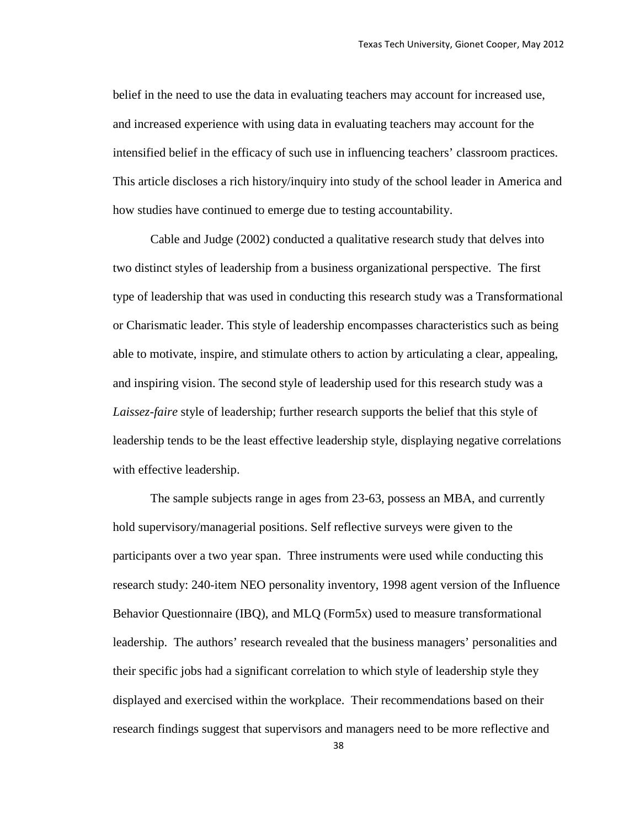belief in the need to use the data in evaluating teachers may account for increased use, and increased experience with using data in evaluating teachers may account for the intensified belief in the efficacy of such use in influencing teachers' classroom practices. This article discloses a rich history/inquiry into study of the school leader in America and how studies have continued to emerge due to testing accountability.

Cable and Judge (2002) conducted a qualitative research study that delves into two distinct styles of leadership from a business organizational perspective. The first type of leadership that was used in conducting this research study was a Transformational or Charismatic leader. This style of leadership encompasses characteristics such as being able to motivate, inspire, and stimulate others to action by articulating a clear, appealing, and inspiring vision. The second style of leadership used for this research study was a *Laissez-faire* style of leadership; further research supports the belief that this style of leadership tends to be the least effective leadership style, displaying negative correlations with effective leadership.

The sample subjects range in ages from 23-63, possess an MBA, and currently hold supervisory/managerial positions. Self reflective surveys were given to the participants over a two year span. Three instruments were used while conducting this research study: 240-item NEO personality inventory, 1998 agent version of the Influence Behavior Questionnaire (IBQ), and MLQ (Form5x) used to measure transformational leadership. The authors' research revealed that the business managers' personalities and their specific jobs had a significant correlation to which style of leadership style they displayed and exercised within the workplace. Their recommendations based on their research findings suggest that supervisors and managers need to be more reflective and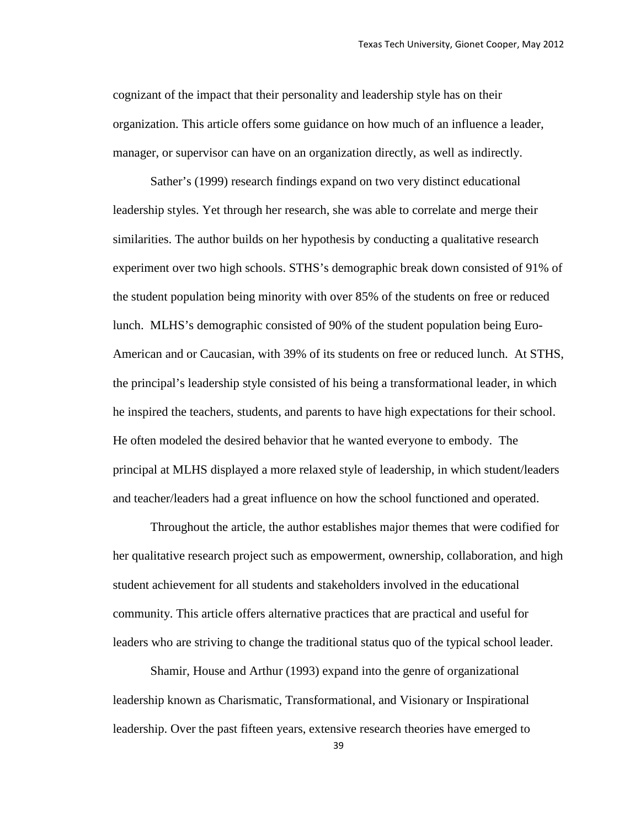cognizant of the impact that their personality and leadership style has on their organization. This article offers some guidance on how much of an influence a leader, manager, or supervisor can have on an organization directly, as well as indirectly.

Sather's (1999) research findings expand on two very distinct educational leadership styles. Yet through her research, she was able to correlate and merge their similarities. The author builds on her hypothesis by conducting a qualitative research experiment over two high schools. STHS's demographic break down consisted of 91% of the student population being minority with over 85% of the students on free or reduced lunch. MLHS's demographic consisted of 90% of the student population being Euro-American and or Caucasian, with 39% of its students on free or reduced lunch. At STHS, the principal's leadership style consisted of his being a transformational leader, in which he inspired the teachers, students, and parents to have high expectations for their school. He often modeled the desired behavior that he wanted everyone to embody. The principal at MLHS displayed a more relaxed style of leadership, in which student/leaders and teacher/leaders had a great influence on how the school functioned and operated.

Throughout the article, the author establishes major themes that were codified for her qualitative research project such as empowerment, ownership, collaboration, and high student achievement for all students and stakeholders involved in the educational community. This article offers alternative practices that are practical and useful for leaders who are striving to change the traditional status quo of the typical school leader.

Shamir, House and Arthur (1993) expand into the genre of organizational leadership known as Charismatic, Transformational, and Visionary or Inspirational leadership. Over the past fifteen years, extensive research theories have emerged to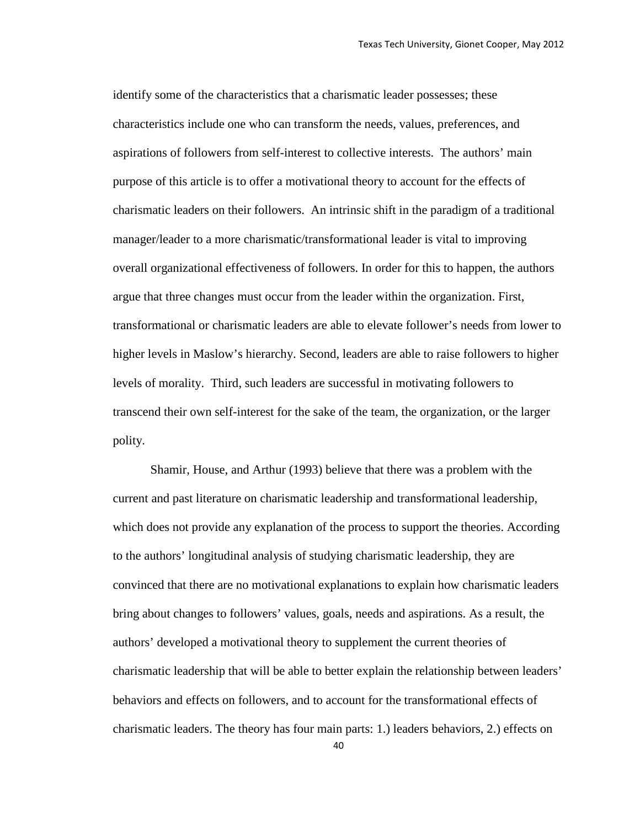identify some of the characteristics that a charismatic leader possesses; these characteristics include one who can transform the needs, values, preferences, and aspirations of followers from self-interest to collective interests. The authors' main purpose of this article is to offer a motivational theory to account for the effects of charismatic leaders on their followers. An intrinsic shift in the paradigm of a traditional manager/leader to a more charismatic/transformational leader is vital to improving overall organizational effectiveness of followers. In order for this to happen, the authors argue that three changes must occur from the leader within the organization. First, transformational or charismatic leaders are able to elevate follower's needs from lower to higher levels in Maslow's hierarchy. Second, leaders are able to raise followers to higher levels of morality. Third, such leaders are successful in motivating followers to transcend their own self-interest for the sake of the team, the organization, or the larger polity.

Shamir, House, and Arthur (1993) believe that there was a problem with the current and past literature on charismatic leadership and transformational leadership, which does not provide any explanation of the process to support the theories. According to the authors' longitudinal analysis of studying charismatic leadership, they are convinced that there are no motivational explanations to explain how charismatic leaders bring about changes to followers' values, goals, needs and aspirations. As a result, the authors' developed a motivational theory to supplement the current theories of charismatic leadership that will be able to better explain the relationship between leaders' behaviors and effects on followers, and to account for the transformational effects of charismatic leaders. The theory has four main parts: 1.) leaders behaviors, 2.) effects on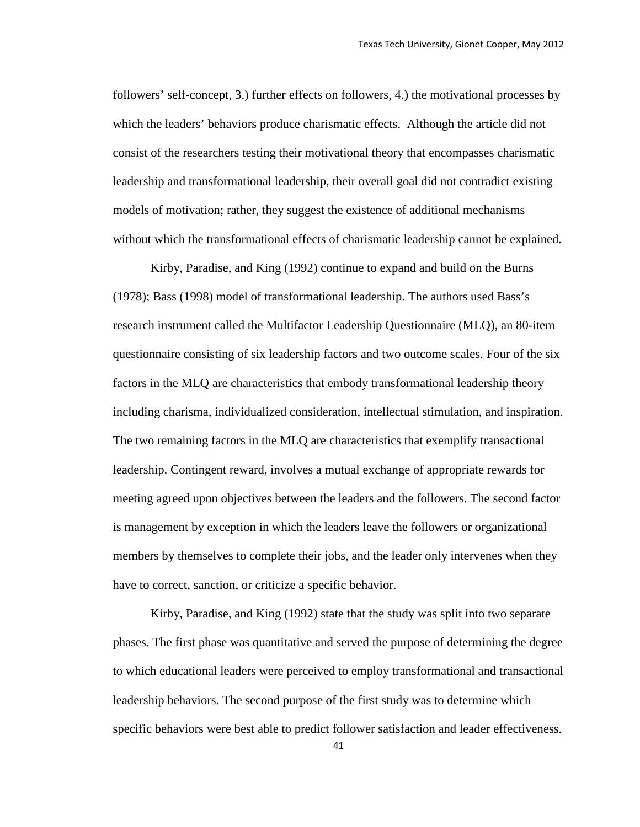followers' self-concept, 3.) further effects on followers, 4.) the motivational processes by which the leaders' behaviors produce charismatic effects. Although the article did not consist of the researchers testing their motivational theory that encompasses charismatic leadership and transformational leadership, their overall goal did not contradict existing models of motivation; rather, they suggest the existence of additional mechanisms without which the transformational effects of charismatic leadership cannot be explained.

Kirby, Paradise, and King (1992) continue to expand and build on the Burns (1978); Bass (1998) model of transformational leadership. The authors used Bass's research instrument called the Multifactor Leadership Questionnaire (MLQ), an 80-item questionnaire consisting of six leadership factors and two outcome scales. Four of the six factors in the MLQ are characteristics that embody transformational leadership theory including charisma, individualized consideration, intellectual stimulation, and inspiration. The two remaining factors in the MLQ are characteristics that exemplify transactional leadership. Contingent reward, involves a mutual exchange of appropriate rewards for meeting agreed upon objectives between the leaders and the followers. The second factor is management by exception in which the leaders leave the followers or organizational members by themselves to complete their jobs, and the leader only intervenes when they have to correct, sanction, or criticize a specific behavior.

Kirby, Paradise, and King (1992) state that the study was split into two separate phases. The first phase was quantitative and served the purpose of determining the degree to which educational leaders were perceived to employ transformational and transactional leadership behaviors. The second purpose of the first study was to determine which specific behaviors were best able to predict follower satisfaction and leader effectiveness.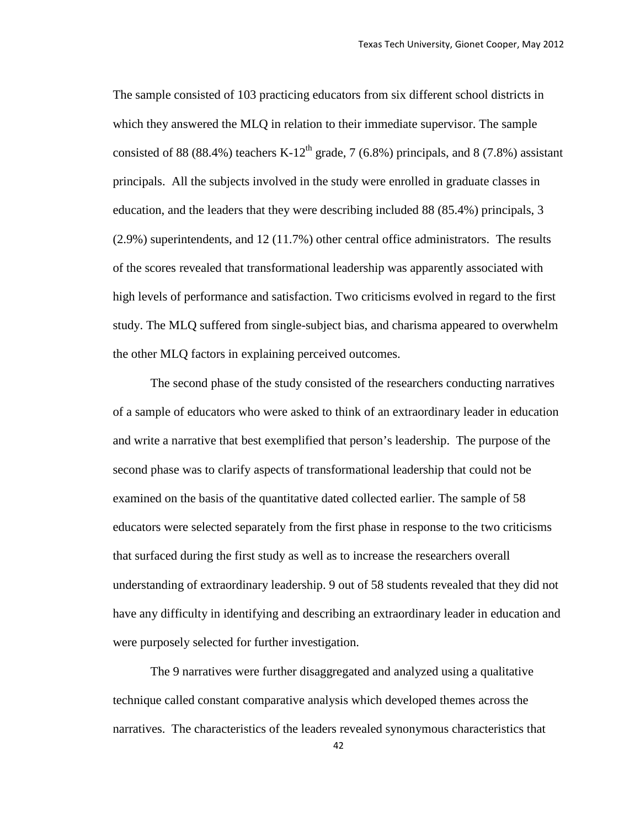The sample consisted of 103 practicing educators from six different school districts in which they answered the MLQ in relation to their immediate supervisor. The sample consisted of 88 (88.4%) teachers K-12<sup>th</sup> grade, 7 (6.8%) principals, and 8 (7.8%) assistant principals. All the subjects involved in the study were enrolled in graduate classes in education, and the leaders that they were describing included 88 (85.4%) principals, 3 (2.9%) superintendents, and 12 (11.7%) other central office administrators. The results of the scores revealed that transformational leadership was apparently associated with high levels of performance and satisfaction. Two criticisms evolved in regard to the first study. The MLQ suffered from single-subject bias, and charisma appeared to overwhelm the other MLQ factors in explaining perceived outcomes.

The second phase of the study consisted of the researchers conducting narratives of a sample of educators who were asked to think of an extraordinary leader in education and write a narrative that best exemplified that person's leadership. The purpose of the second phase was to clarify aspects of transformational leadership that could not be examined on the basis of the quantitative dated collected earlier. The sample of 58 educators were selected separately from the first phase in response to the two criticisms that surfaced during the first study as well as to increase the researchers overall understanding of extraordinary leadership. 9 out of 58 students revealed that they did not have any difficulty in identifying and describing an extraordinary leader in education and were purposely selected for further investigation.

The 9 narratives were further disaggregated and analyzed using a qualitative technique called constant comparative analysis which developed themes across the narratives. The characteristics of the leaders revealed synonymous characteristics that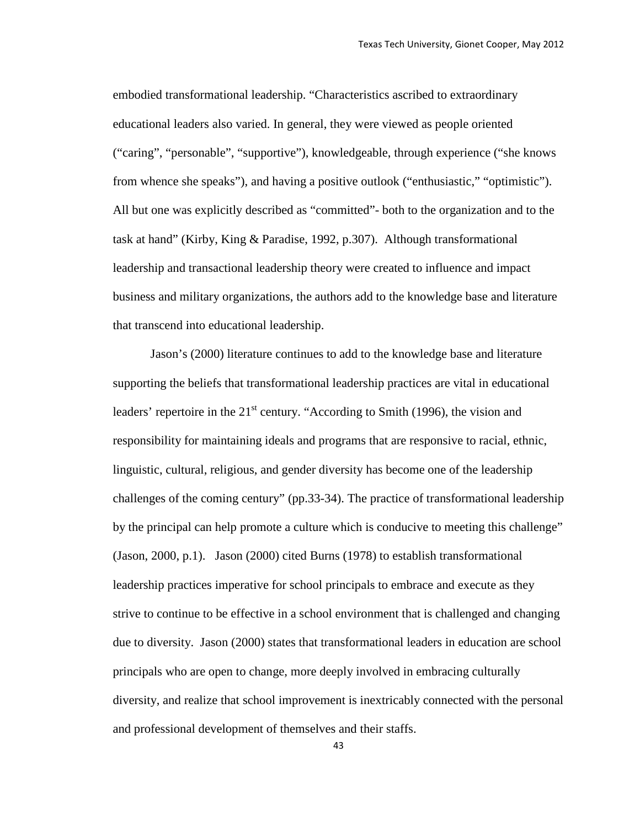embodied transformational leadership. "Characteristics ascribed to extraordinary educational leaders also varied. In general, they were viewed as people oriented ("caring", "personable", "supportive"), knowledgeable, through experience ("she knows from whence she speaks"), and having a positive outlook ("enthusiastic," "optimistic"). All but one was explicitly described as "committed"- both to the organization and to the task at hand" (Kirby, King & Paradise, 1992, p.307). Although transformational leadership and transactional leadership theory were created to influence and impact business and military organizations, the authors add to the knowledge base and literature that transcend into educational leadership.

Jason's (2000) literature continues to add to the knowledge base and literature supporting the beliefs that transformational leadership practices are vital in educational leaders' repertoire in the  $21<sup>st</sup>$  century. "According to Smith (1996), the vision and responsibility for maintaining ideals and programs that are responsive to racial, ethnic, linguistic, cultural, religious, and gender diversity has become one of the leadership challenges of the coming century" (pp.33-34). The practice of transformational leadership by the principal can help promote a culture which is conducive to meeting this challenge" (Jason, 2000, p.1). Jason (2000) cited Burns (1978) to establish transformational leadership practices imperative for school principals to embrace and execute as they strive to continue to be effective in a school environment that is challenged and changing due to diversity. Jason (2000) states that transformational leaders in education are school principals who are open to change, more deeply involved in embracing culturally diversity, and realize that school improvement is inextricably connected with the personal and professional development of themselves and their staffs.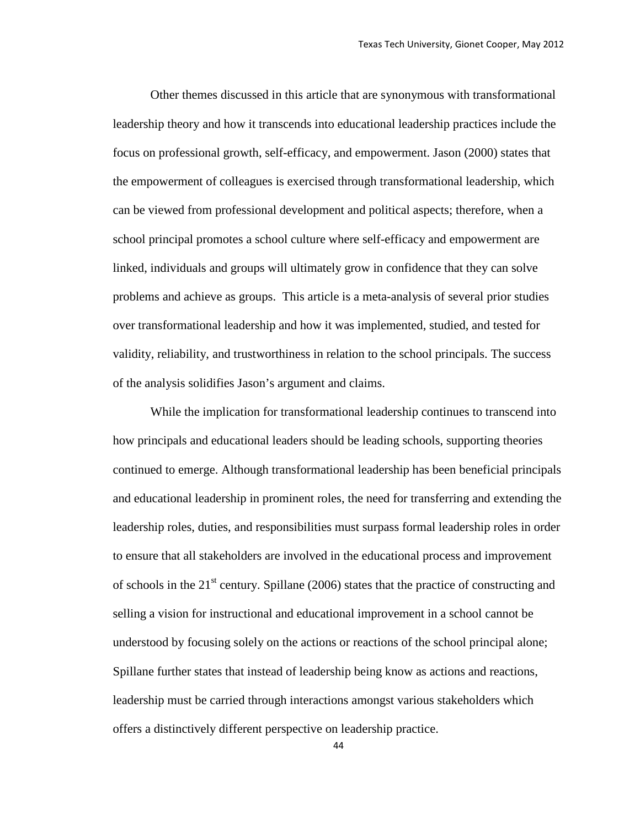Other themes discussed in this article that are synonymous with transformational leadership theory and how it transcends into educational leadership practices include the focus on professional growth, self-efficacy, and empowerment. Jason (2000) states that the empowerment of colleagues is exercised through transformational leadership, which can be viewed from professional development and political aspects; therefore, when a school principal promotes a school culture where self-efficacy and empowerment are linked, individuals and groups will ultimately grow in confidence that they can solve problems and achieve as groups. This article is a meta-analysis of several prior studies over transformational leadership and how it was implemented, studied, and tested for validity, reliability, and trustworthiness in relation to the school principals. The success of the analysis solidifies Jason's argument and claims.

While the implication for transformational leadership continues to transcend into how principals and educational leaders should be leading schools, supporting theories continued to emerge. Although transformational leadership has been beneficial principals and educational leadership in prominent roles, the need for transferring and extending the leadership roles, duties, and responsibilities must surpass formal leadership roles in order to ensure that all stakeholders are involved in the educational process and improvement of schools in the  $21<sup>st</sup>$  century. Spillane (2006) states that the practice of constructing and selling a vision for instructional and educational improvement in a school cannot be understood by focusing solely on the actions or reactions of the school principal alone; Spillane further states that instead of leadership being know as actions and reactions, leadership must be carried through interactions amongst various stakeholders which offers a distinctively different perspective on leadership practice.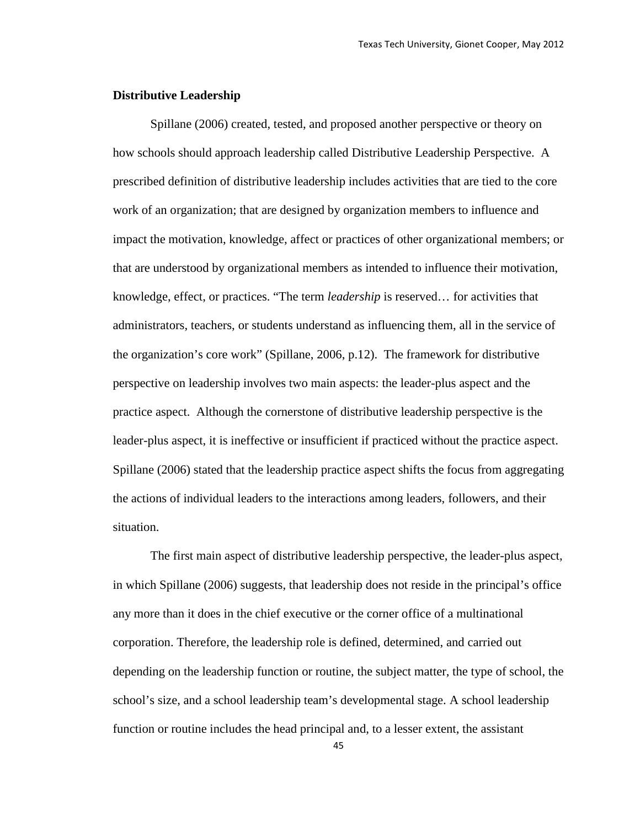# **Distributive Leadership**

Spillane (2006) created, tested, and proposed another perspective or theory on how schools should approach leadership called Distributive Leadership Perspective. A prescribed definition of distributive leadership includes activities that are tied to the core work of an organization; that are designed by organization members to influence and impact the motivation, knowledge, affect or practices of other organizational members; or that are understood by organizational members as intended to influence their motivation, knowledge, effect, or practices. "The term *leadership* is reserved… for activities that administrators, teachers, or students understand as influencing them, all in the service of the organization's core work" (Spillane, 2006, p.12). The framework for distributive perspective on leadership involves two main aspects: the leader-plus aspect and the practice aspect. Although the cornerstone of distributive leadership perspective is the leader-plus aspect, it is ineffective or insufficient if practiced without the practice aspect. Spillane (2006) stated that the leadership practice aspect shifts the focus from aggregating the actions of individual leaders to the interactions among leaders, followers, and their situation.

The first main aspect of distributive leadership perspective, the leader-plus aspect, in which Spillane (2006) suggests, that leadership does not reside in the principal's office any more than it does in the chief executive or the corner office of a multinational corporation. Therefore, the leadership role is defined, determined, and carried out depending on the leadership function or routine, the subject matter, the type of school, the school's size, and a school leadership team's developmental stage. A school leadership function or routine includes the head principal and, to a lesser extent, the assistant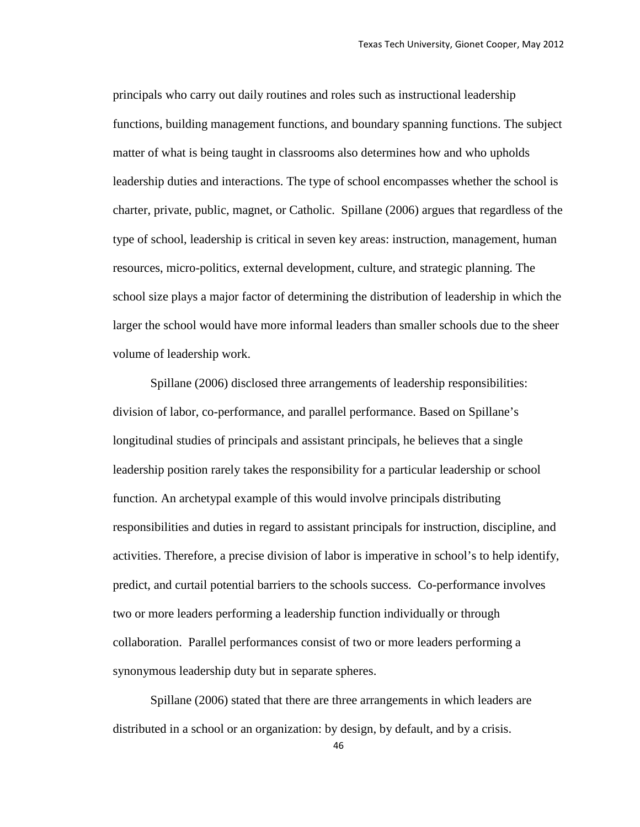principals who carry out daily routines and roles such as instructional leadership functions, building management functions, and boundary spanning functions. The subject matter of what is being taught in classrooms also determines how and who upholds leadership duties and interactions. The type of school encompasses whether the school is charter, private, public, magnet, or Catholic. Spillane (2006) argues that regardless of the type of school, leadership is critical in seven key areas: instruction, management, human resources, micro-politics, external development, culture, and strategic planning. The school size plays a major factor of determining the distribution of leadership in which the larger the school would have more informal leaders than smaller schools due to the sheer volume of leadership work.

Spillane (2006) disclosed three arrangements of leadership responsibilities: division of labor, co-performance, and parallel performance. Based on Spillane's longitudinal studies of principals and assistant principals, he believes that a single leadership position rarely takes the responsibility for a particular leadership or school function. An archetypal example of this would involve principals distributing responsibilities and duties in regard to assistant principals for instruction, discipline, and activities. Therefore, a precise division of labor is imperative in school's to help identify, predict, and curtail potential barriers to the schools success. Co-performance involves two or more leaders performing a leadership function individually or through collaboration. Parallel performances consist of two or more leaders performing a synonymous leadership duty but in separate spheres.

Spillane (2006) stated that there are three arrangements in which leaders are distributed in a school or an organization: by design, by default, and by a crisis.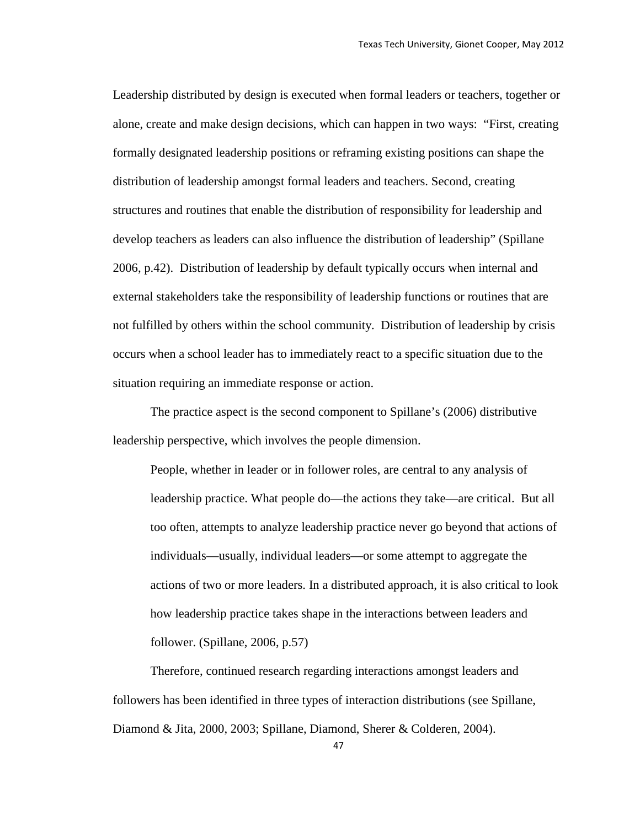Leadership distributed by design is executed when formal leaders or teachers, together or alone, create and make design decisions, which can happen in two ways: "First, creating formally designated leadership positions or reframing existing positions can shape the distribution of leadership amongst formal leaders and teachers. Second, creating structures and routines that enable the distribution of responsibility for leadership and develop teachers as leaders can also influence the distribution of leadership" (Spillane 2006, p.42). Distribution of leadership by default typically occurs when internal and external stakeholders take the responsibility of leadership functions or routines that are not fulfilled by others within the school community. Distribution of leadership by crisis occurs when a school leader has to immediately react to a specific situation due to the situation requiring an immediate response or action.

The practice aspect is the second component to Spillane's (2006) distributive leadership perspective, which involves the people dimension.

People, whether in leader or in follower roles, are central to any analysis of leadership practice. What people do—the actions they take—are critical. But all too often, attempts to analyze leadership practice never go beyond that actions of individuals—usually, individual leaders—or some attempt to aggregate the actions of two or more leaders. In a distributed approach, it is also critical to look how leadership practice takes shape in the interactions between leaders and follower. (Spillane, 2006, p.57)

Therefore, continued research regarding interactions amongst leaders and followers has been identified in three types of interaction distributions (see Spillane, Diamond & Jita, 2000, 2003; Spillane, Diamond, Sherer & Colderen, 2004).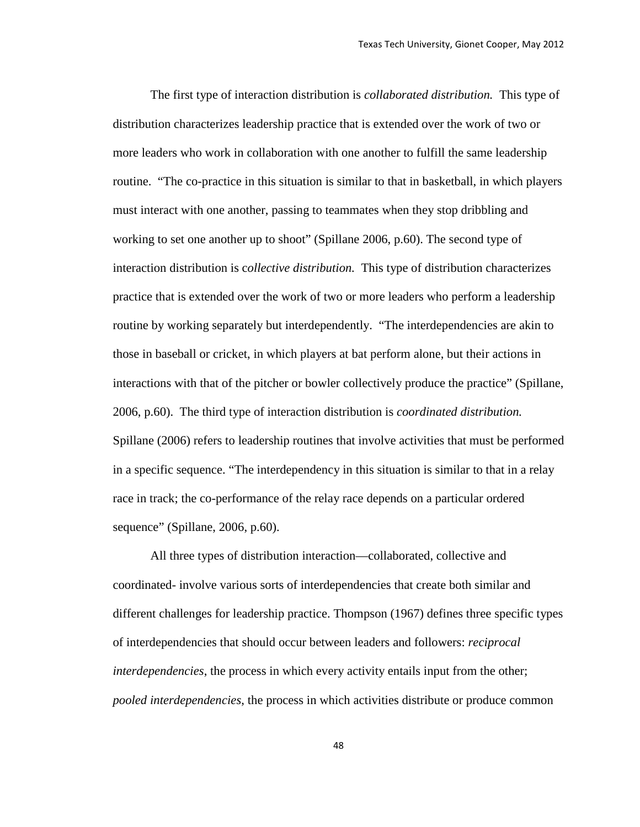The first type of interaction distribution is *collaborated distribution.* This type of distribution characterizes leadership practice that is extended over the work of two or more leaders who work in collaboration with one another to fulfill the same leadership routine. "The co-practice in this situation is similar to that in basketball, in which players must interact with one another, passing to teammates when they stop dribbling and working to set one another up to shoot" (Spillane 2006, p.60). The second type of interaction distribution is c*ollective distribution.* This type of distribution characterizes practice that is extended over the work of two or more leaders who perform a leadership routine by working separately but interdependently. "The interdependencies are akin to those in baseball or cricket, in which players at bat perform alone, but their actions in interactions with that of the pitcher or bowler collectively produce the practice" (Spillane, 2006, p.60). The third type of interaction distribution is *coordinated distribution.* Spillane (2006) refers to leadership routines that involve activities that must be performed in a specific sequence. "The interdependency in this situation is similar to that in a relay race in track; the co-performance of the relay race depends on a particular ordered sequence" (Spillane, 2006, p.60).

All three types of distribution interaction—collaborated, collective and coordinated- involve various sorts of interdependencies that create both similar and different challenges for leadership practice. Thompson (1967) defines three specific types of interdependencies that should occur between leaders and followers: *reciprocal interdependencies*, the process in which every activity entails input from the other; *pooled interdependencies*, the process in which activities distribute or produce common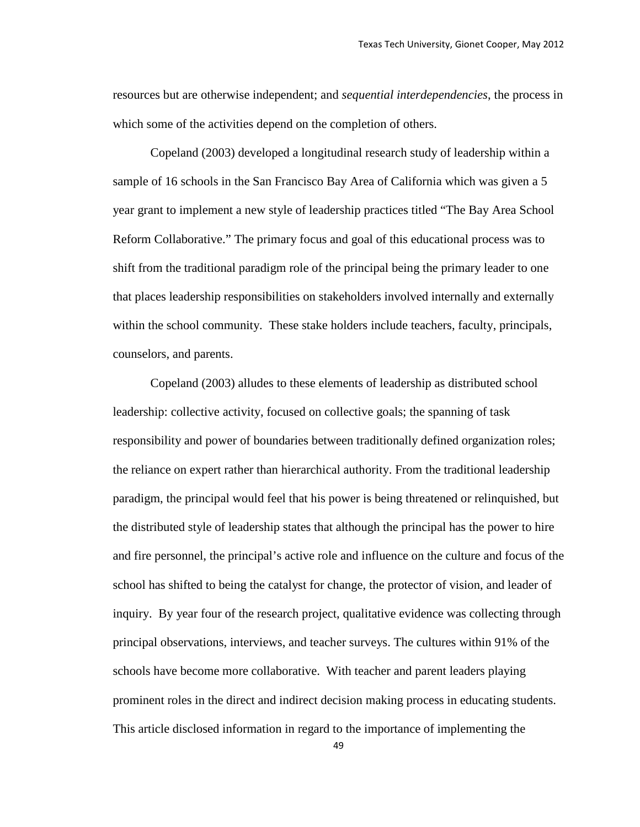resources but are otherwise independent; and *sequential interdependencies*, the process in which some of the activities depend on the completion of others.

Copeland (2003) developed a longitudinal research study of leadership within a sample of 16 schools in the San Francisco Bay Area of California which was given a 5 year grant to implement a new style of leadership practices titled "The Bay Area School Reform Collaborative." The primary focus and goal of this educational process was to shift from the traditional paradigm role of the principal being the primary leader to one that places leadership responsibilities on stakeholders involved internally and externally within the school community. These stake holders include teachers, faculty, principals, counselors, and parents.

Copeland (2003) alludes to these elements of leadership as distributed school leadership: collective activity, focused on collective goals; the spanning of task responsibility and power of boundaries between traditionally defined organization roles; the reliance on expert rather than hierarchical authority. From the traditional leadership paradigm, the principal would feel that his power is being threatened or relinquished, but the distributed style of leadership states that although the principal has the power to hire and fire personnel, the principal's active role and influence on the culture and focus of the school has shifted to being the catalyst for change, the protector of vision, and leader of inquiry. By year four of the research project, qualitative evidence was collecting through principal observations, interviews, and teacher surveys. The cultures within 91% of the schools have become more collaborative. With teacher and parent leaders playing prominent roles in the direct and indirect decision making process in educating students. This article disclosed information in regard to the importance of implementing the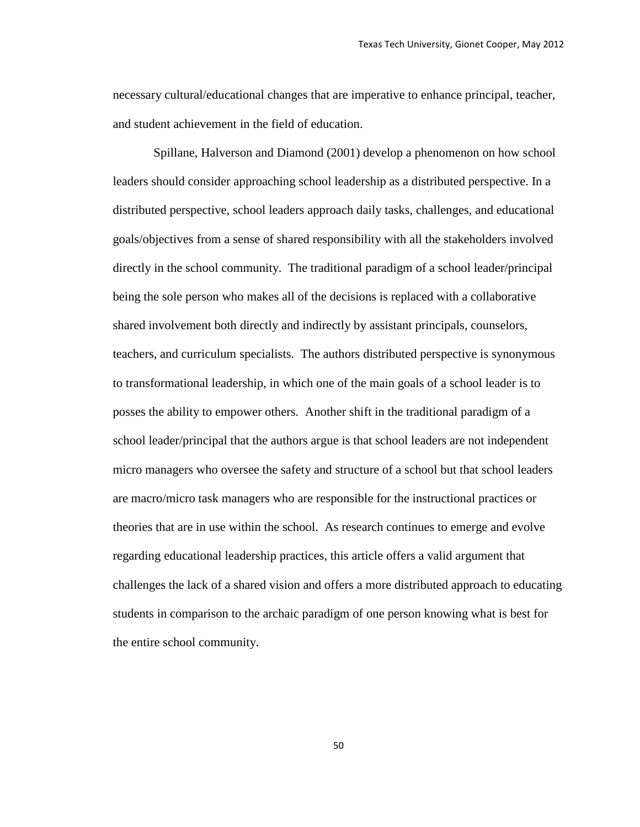necessary cultural/educational changes that are imperative to enhance principal, teacher, and student achievement in the field of education.

Spillane, Halverson and Diamond (2001) develop a phenomenon on how school leaders should consider approaching school leadership as a distributed perspective. In a distributed perspective, school leaders approach daily tasks, challenges, and educational goals/objectives from a sense of shared responsibility with all the stakeholders involved directly in the school community. The traditional paradigm of a school leader/principal being the sole person who makes all of the decisions is replaced with a collaborative shared involvement both directly and indirectly by assistant principals, counselors, teachers, and curriculum specialists. The authors distributed perspective is synonymous to transformational leadership, in which one of the main goals of a school leader is to posses the ability to empower others. Another shift in the traditional paradigm of a school leader/principal that the authors argue is that school leaders are not independent micro managers who oversee the safety and structure of a school but that school leaders are macro/micro task managers who are responsible for the instructional practices or theories that are in use within the school. As research continues to emerge and evolve regarding educational leadership practices, this article offers a valid argument that challenges the lack of a shared vision and offers a more distributed approach to educating students in comparison to the archaic paradigm of one person knowing what is best for the entire school community.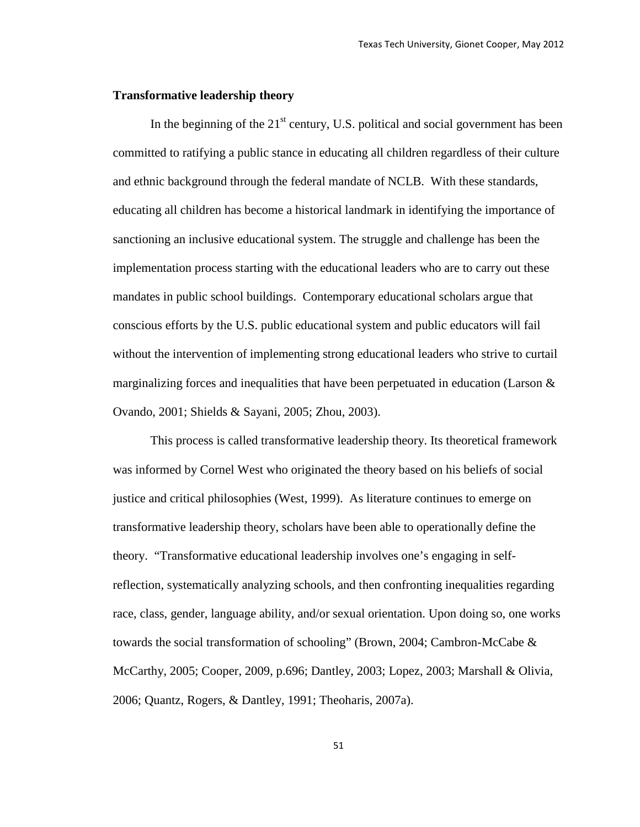#### **Transformative leadership theory**

In the beginning of the  $21<sup>st</sup>$  century, U.S. political and social government has been committed to ratifying a public stance in educating all children regardless of their culture and ethnic background through the federal mandate of NCLB. With these standards, educating all children has become a historical landmark in identifying the importance of sanctioning an inclusive educational system. The struggle and challenge has been the implementation process starting with the educational leaders who are to carry out these mandates in public school buildings. Contemporary educational scholars argue that conscious efforts by the U.S. public educational system and public educators will fail without the intervention of implementing strong educational leaders who strive to curtail marginalizing forces and inequalities that have been perpetuated in education (Larson  $\&$ Ovando, 2001; Shields & Sayani, 2005; Zhou, 2003).

This process is called transformative leadership theory. Its theoretical framework was informed by Cornel West who originated the theory based on his beliefs of social justice and critical philosophies (West, 1999). As literature continues to emerge on transformative leadership theory, scholars have been able to operationally define the theory. "Transformative educational leadership involves one's engaging in selfreflection, systematically analyzing schools, and then confronting inequalities regarding race, class, gender, language ability, and/or sexual orientation. Upon doing so, one works towards the social transformation of schooling" (Brown, 2004; Cambron-McCabe & McCarthy, 2005; Cooper, 2009, p.696; Dantley, 2003; Lopez, 2003; Marshall & Olivia, 2006; Quantz, Rogers, & Dantley, 1991; Theoharis, 2007a).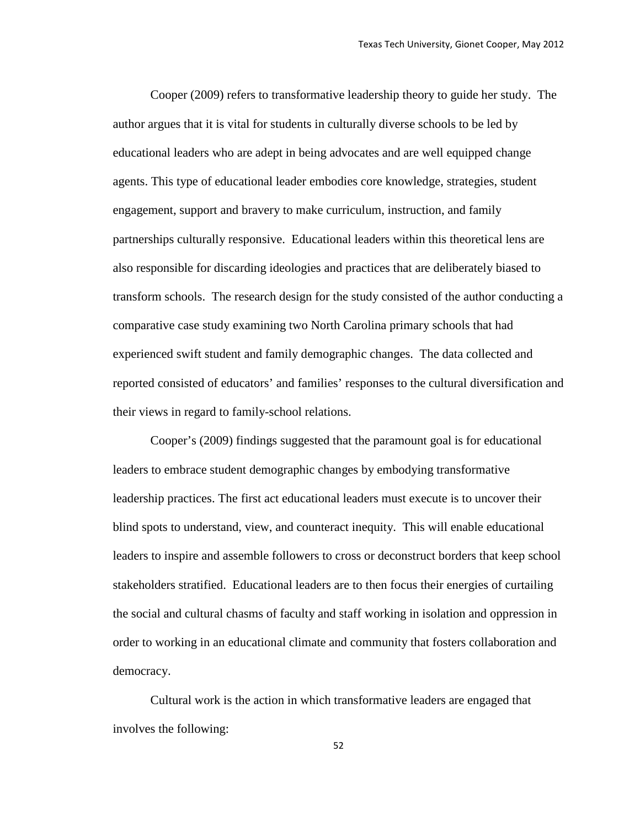Cooper (2009) refers to transformative leadership theory to guide her study. The author argues that it is vital for students in culturally diverse schools to be led by educational leaders who are adept in being advocates and are well equipped change agents. This type of educational leader embodies core knowledge, strategies, student engagement, support and bravery to make curriculum, instruction, and family partnerships culturally responsive. Educational leaders within this theoretical lens are also responsible for discarding ideologies and practices that are deliberately biased to transform schools. The research design for the study consisted of the author conducting a comparative case study examining two North Carolina primary schools that had experienced swift student and family demographic changes. The data collected and reported consisted of educators' and families' responses to the cultural diversification and their views in regard to family-school relations.

Cooper's (2009) findings suggested that the paramount goal is for educational leaders to embrace student demographic changes by embodying transformative leadership practices. The first act educational leaders must execute is to uncover their blind spots to understand, view, and counteract inequity. This will enable educational leaders to inspire and assemble followers to cross or deconstruct borders that keep school stakeholders stratified. Educational leaders are to then focus their energies of curtailing the social and cultural chasms of faculty and staff working in isolation and oppression in order to working in an educational climate and community that fosters collaboration and democracy.

Cultural work is the action in which transformative leaders are engaged that involves the following: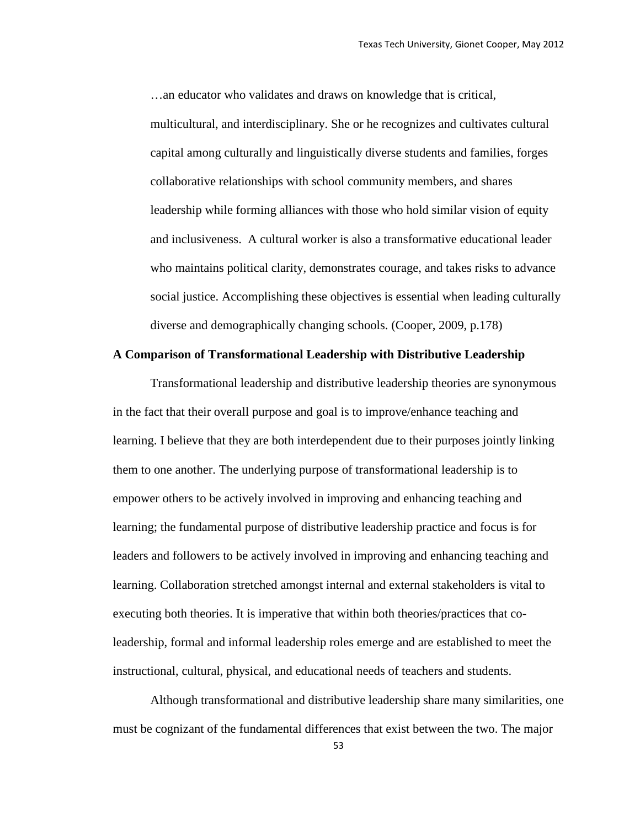…an educator who validates and draws on knowledge that is critical, multicultural, and interdisciplinary. She or he recognizes and cultivates cultural capital among culturally and linguistically diverse students and families, forges collaborative relationships with school community members, and shares leadership while forming alliances with those who hold similar vision of equity and inclusiveness. A cultural worker is also a transformative educational leader who maintains political clarity, demonstrates courage, and takes risks to advance social justice. Accomplishing these objectives is essential when leading culturally diverse and demographically changing schools. (Cooper, 2009, p.178)

## **A Comparison of Transformational Leadership with Distributive Leadership**

Transformational leadership and distributive leadership theories are synonymous in the fact that their overall purpose and goal is to improve/enhance teaching and learning. I believe that they are both interdependent due to their purposes jointly linking them to one another. The underlying purpose of transformational leadership is to empower others to be actively involved in improving and enhancing teaching and learning; the fundamental purpose of distributive leadership practice and focus is for leaders and followers to be actively involved in improving and enhancing teaching and learning. Collaboration stretched amongst internal and external stakeholders is vital to executing both theories. It is imperative that within both theories/practices that coleadership, formal and informal leadership roles emerge and are established to meet the instructional, cultural, physical, and educational needs of teachers and students.

Although transformational and distributive leadership share many similarities, one must be cognizant of the fundamental differences that exist between the two. The major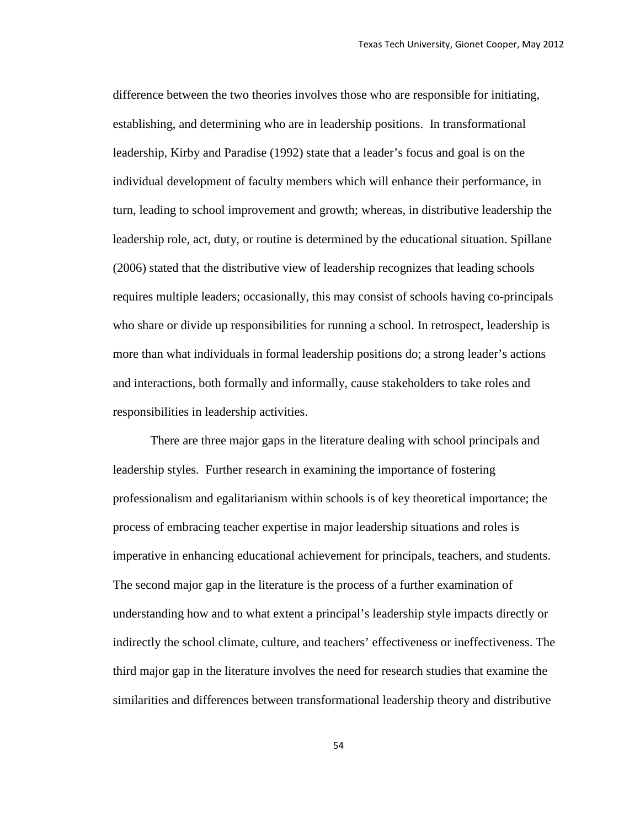difference between the two theories involves those who are responsible for initiating, establishing, and determining who are in leadership positions. In transformational leadership, Kirby and Paradise (1992) state that a leader's focus and goal is on the individual development of faculty members which will enhance their performance, in turn, leading to school improvement and growth; whereas, in distributive leadership the leadership role, act, duty, or routine is determined by the educational situation. Spillane (2006) stated that the distributive view of leadership recognizes that leading schools requires multiple leaders; occasionally, this may consist of schools having co-principals who share or divide up responsibilities for running a school. In retrospect, leadership is more than what individuals in formal leadership positions do; a strong leader's actions and interactions, both formally and informally, cause stakeholders to take roles and responsibilities in leadership activities.

There are three major gaps in the literature dealing with school principals and leadership styles. Further research in examining the importance of fostering professionalism and egalitarianism within schools is of key theoretical importance; the process of embracing teacher expertise in major leadership situations and roles is imperative in enhancing educational achievement for principals, teachers, and students. The second major gap in the literature is the process of a further examination of understanding how and to what extent a principal's leadership style impacts directly or indirectly the school climate, culture, and teachers' effectiveness or ineffectiveness. The third major gap in the literature involves the need for research studies that examine the similarities and differences between transformational leadership theory and distributive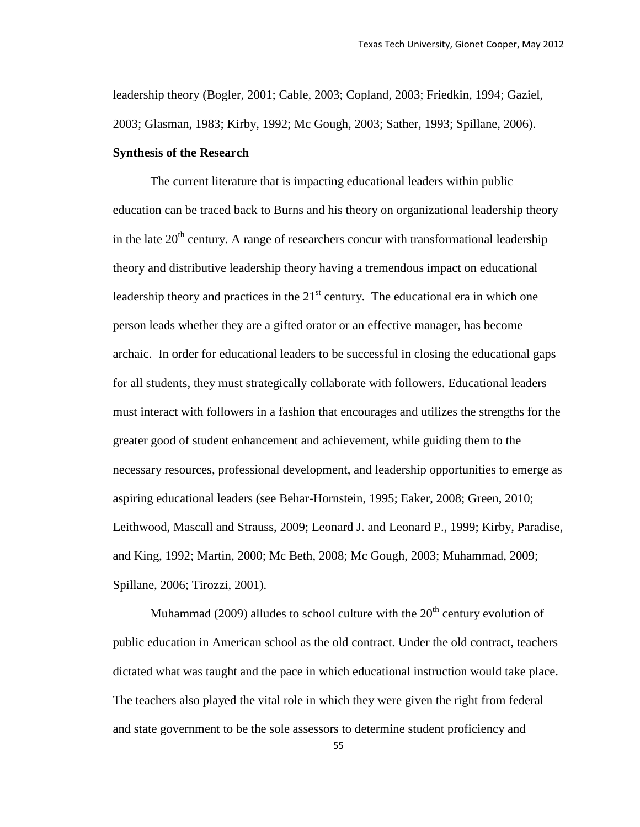leadership theory (Bogler, 2001; Cable, 2003; Copland, 2003; Friedkin, 1994; Gaziel, 2003; Glasman, 1983; Kirby, 1992; Mc Gough, 2003; Sather, 1993; Spillane, 2006).

#### **Synthesis of the Research**

The current literature that is impacting educational leaders within public education can be traced back to Burns and his theory on organizational leadership theory in the late  $20<sup>th</sup>$  century. A range of researchers concur with transformational leadership theory and distributive leadership theory having a tremendous impact on educational leadership theory and practices in the  $21<sup>st</sup>$  century. The educational era in which one person leads whether they are a gifted orator or an effective manager, has become archaic. In order for educational leaders to be successful in closing the educational gaps for all students, they must strategically collaborate with followers. Educational leaders must interact with followers in a fashion that encourages and utilizes the strengths for the greater good of student enhancement and achievement, while guiding them to the necessary resources, professional development, and leadership opportunities to emerge as aspiring educational leaders (see Behar-Hornstein, 1995; Eaker, 2008; Green, 2010; Leithwood, Mascall and Strauss, 2009; Leonard J. and Leonard P., 1999; Kirby, Paradise, and King, 1992; Martin, 2000; Mc Beth, 2008; Mc Gough, 2003; Muhammad, 2009; Spillane, 2006; Tirozzi, 2001).

Muhammad (2009) alludes to school culture with the  $20<sup>th</sup>$  century evolution of public education in American school as the old contract. Under the old contract, teachers dictated what was taught and the pace in which educational instruction would take place. The teachers also played the vital role in which they were given the right from federal and state government to be the sole assessors to determine student proficiency and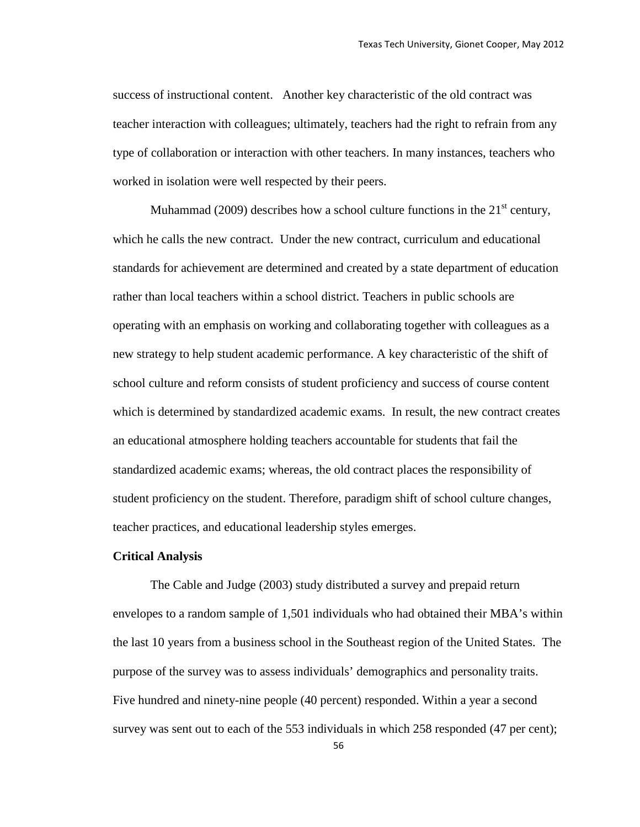success of instructional content. Another key characteristic of the old contract was teacher interaction with colleagues; ultimately, teachers had the right to refrain from any type of collaboration or interaction with other teachers. In many instances, teachers who worked in isolation were well respected by their peers.

Muhammad (2009) describes how a school culture functions in the  $21<sup>st</sup>$  century, which he calls the new contract. Under the new contract, curriculum and educational standards for achievement are determined and created by a state department of education rather than local teachers within a school district. Teachers in public schools are operating with an emphasis on working and collaborating together with colleagues as a new strategy to help student academic performance. A key characteristic of the shift of school culture and reform consists of student proficiency and success of course content which is determined by standardized academic exams. In result, the new contract creates an educational atmosphere holding teachers accountable for students that fail the standardized academic exams; whereas, the old contract places the responsibility of student proficiency on the student. Therefore, paradigm shift of school culture changes, teacher practices, and educational leadership styles emerges.

## **Critical Analysis**

The Cable and Judge (2003) study distributed a survey and prepaid return envelopes to a random sample of 1,501 individuals who had obtained their MBA's within the last 10 years from a business school in the Southeast region of the United States. The purpose of the survey was to assess individuals' demographics and personality traits. Five hundred and ninety-nine people (40 percent) responded. Within a year a second survey was sent out to each of the 553 individuals in which 258 responded (47 per cent);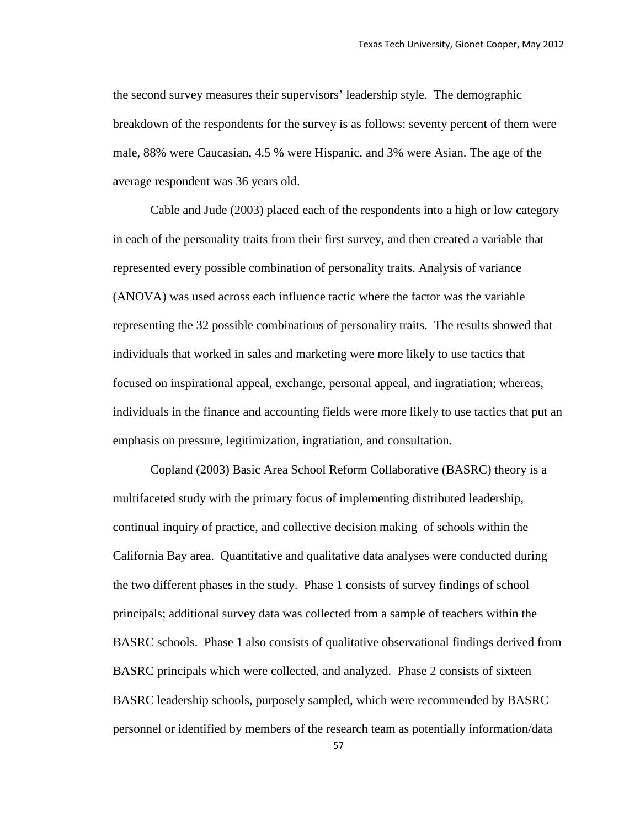the second survey measures their supervisors' leadership style. The demographic breakdown of the respondents for the survey is as follows: seventy percent of them were male, 88% were Caucasian, 4.5 % were Hispanic, and 3% were Asian. The age of the average respondent was 36 years old.

Cable and Jude (2003) placed each of the respondents into a high or low category in each of the personality traits from their first survey, and then created a variable that represented every possible combination of personality traits. Analysis of variance (ANOVA) was used across each influence tactic where the factor was the variable representing the 32 possible combinations of personality traits. The results showed that individuals that worked in sales and marketing were more likely to use tactics that focused on inspirational appeal, exchange, personal appeal, and ingratiation; whereas, individuals in the finance and accounting fields were more likely to use tactics that put an emphasis on pressure, legitimization, ingratiation, and consultation.

Copland (2003) Basic Area School Reform Collaborative (BASRC) theory is a multifaceted study with the primary focus of implementing distributed leadership, continual inquiry of practice, and collective decision making of schools within the California Bay area. Quantitative and qualitative data analyses were conducted during the two different phases in the study. Phase 1 consists of survey findings of school principals; additional survey data was collected from a sample of teachers within the BASRC schools. Phase 1 also consists of qualitative observational findings derived from BASRC principals which were collected, and analyzed. Phase 2 consists of sixteen BASRC leadership schools, purposely sampled, which were recommended by BASRC personnel or identified by members of the research team as potentially information/data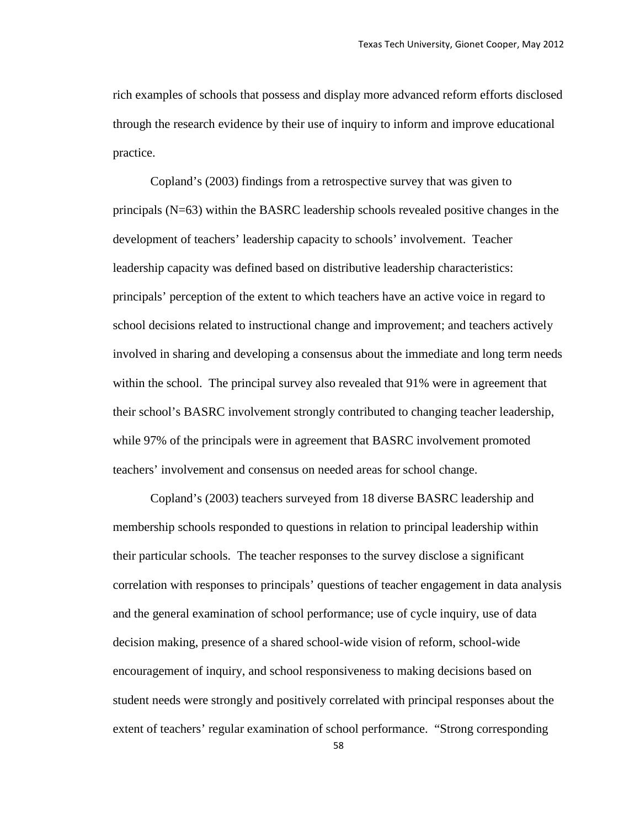rich examples of schools that possess and display more advanced reform efforts disclosed through the research evidence by their use of inquiry to inform and improve educational practice.

Copland's (2003) findings from a retrospective survey that was given to principals (N=63) within the BASRC leadership schools revealed positive changes in the development of teachers' leadership capacity to schools' involvement. Teacher leadership capacity was defined based on distributive leadership characteristics: principals' perception of the extent to which teachers have an active voice in regard to school decisions related to instructional change and improvement; and teachers actively involved in sharing and developing a consensus about the immediate and long term needs within the school. The principal survey also revealed that 91% were in agreement that their school's BASRC involvement strongly contributed to changing teacher leadership, while 97% of the principals were in agreement that BASRC involvement promoted teachers' involvement and consensus on needed areas for school change.

Copland's (2003) teachers surveyed from 18 diverse BASRC leadership and membership schools responded to questions in relation to principal leadership within their particular schools. The teacher responses to the survey disclose a significant correlation with responses to principals' questions of teacher engagement in data analysis and the general examination of school performance; use of cycle inquiry, use of data decision making, presence of a shared school-wide vision of reform, school-wide encouragement of inquiry, and school responsiveness to making decisions based on student needs were strongly and positively correlated with principal responses about the extent of teachers' regular examination of school performance. "Strong corresponding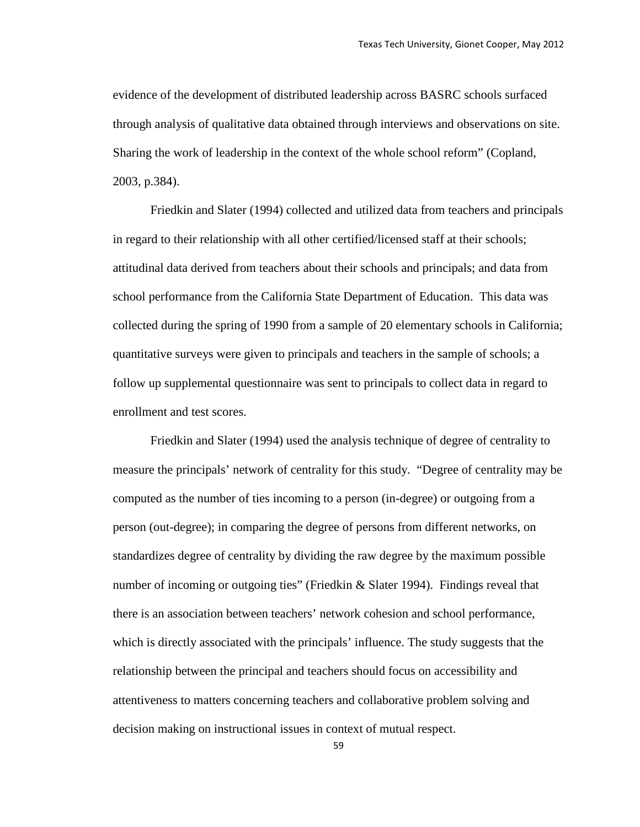evidence of the development of distributed leadership across BASRC schools surfaced through analysis of qualitative data obtained through interviews and observations on site. Sharing the work of leadership in the context of the whole school reform" (Copland, 2003, p.384).

Friedkin and Slater (1994) collected and utilized data from teachers and principals in regard to their relationship with all other certified/licensed staff at their schools; attitudinal data derived from teachers about their schools and principals; and data from school performance from the California State Department of Education. This data was collected during the spring of 1990 from a sample of 20 elementary schools in California; quantitative surveys were given to principals and teachers in the sample of schools; a follow up supplemental questionnaire was sent to principals to collect data in regard to enrollment and test scores.

Friedkin and Slater (1994) used the analysis technique of degree of centrality to measure the principals' network of centrality for this study. "Degree of centrality may be computed as the number of ties incoming to a person (in-degree) or outgoing from a person (out-degree); in comparing the degree of persons from different networks, on standardizes degree of centrality by dividing the raw degree by the maximum possible number of incoming or outgoing ties" (Friedkin & Slater 1994). Findings reveal that there is an association between teachers' network cohesion and school performance, which is directly associated with the principals' influence. The study suggests that the relationship between the principal and teachers should focus on accessibility and attentiveness to matters concerning teachers and collaborative problem solving and decision making on instructional issues in context of mutual respect.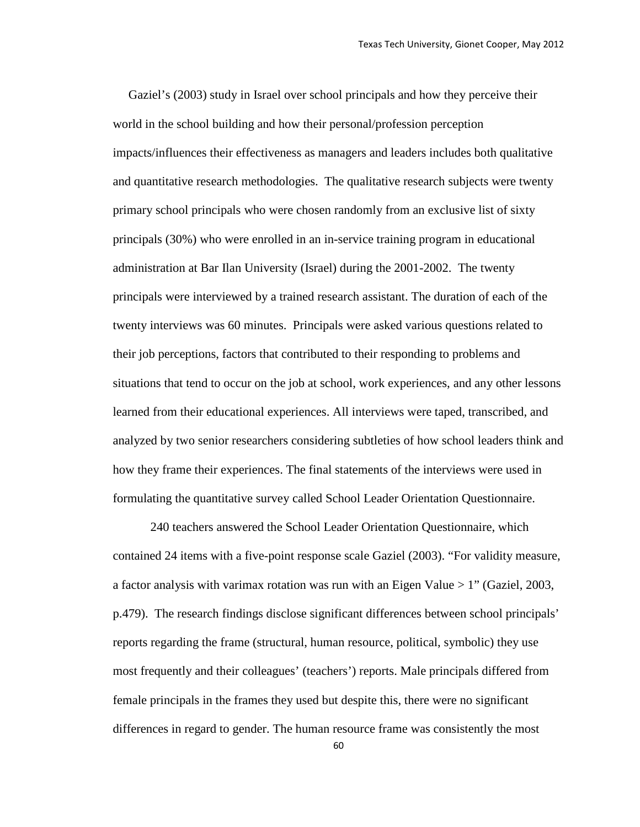Gaziel's (2003) study in Israel over school principals and how they perceive their world in the school building and how their personal/profession perception impacts/influences their effectiveness as managers and leaders includes both qualitative and quantitative research methodologies. The qualitative research subjects were twenty primary school principals who were chosen randomly from an exclusive list of sixty principals (30%) who were enrolled in an in-service training program in educational administration at Bar Ilan University (Israel) during the 2001-2002. The twenty principals were interviewed by a trained research assistant. The duration of each of the twenty interviews was 60 minutes. Principals were asked various questions related to their job perceptions, factors that contributed to their responding to problems and situations that tend to occur on the job at school, work experiences, and any other lessons learned from their educational experiences. All interviews were taped, transcribed, and analyzed by two senior researchers considering subtleties of how school leaders think and how they frame their experiences. The final statements of the interviews were used in formulating the quantitative survey called School Leader Orientation Questionnaire.

240 teachers answered the School Leader Orientation Questionnaire, which contained 24 items with a five-point response scale Gaziel (2003). "For validity measure, a factor analysis with varimax rotation was run with an Eigen Value  $> 1$ " (Gaziel, 2003, p.479). The research findings disclose significant differences between school principals' reports regarding the frame (structural, human resource, political, symbolic) they use most frequently and their colleagues' (teachers') reports. Male principals differed from female principals in the frames they used but despite this, there were no significant differences in regard to gender. The human resource frame was consistently the most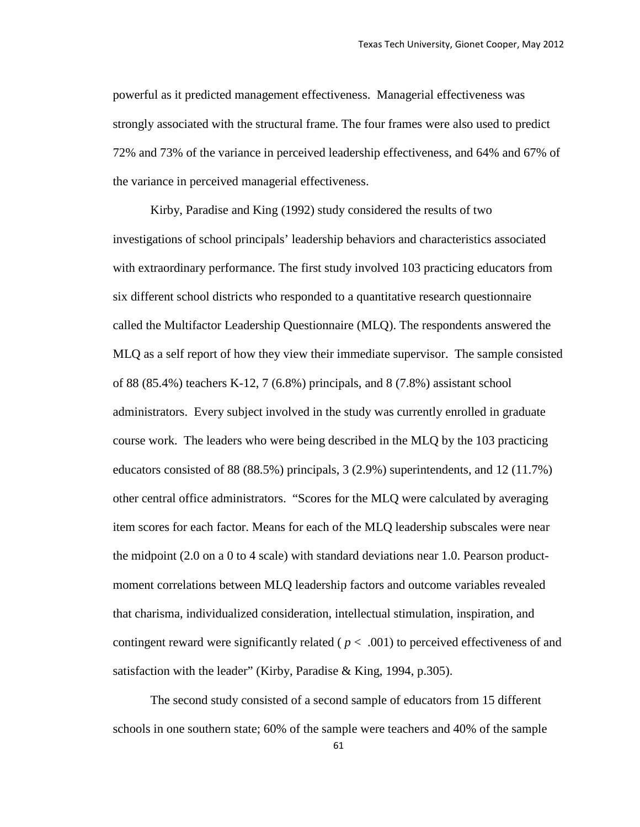powerful as it predicted management effectiveness. Managerial effectiveness was strongly associated with the structural frame. The four frames were also used to predict 72% and 73% of the variance in perceived leadership effectiveness, and 64% and 67% of the variance in perceived managerial effectiveness.

Kirby, Paradise and King (1992) study considered the results of two investigations of school principals' leadership behaviors and characteristics associated with extraordinary performance. The first study involved 103 practicing educators from six different school districts who responded to a quantitative research questionnaire called the Multifactor Leadership Questionnaire (MLQ). The respondents answered the MLQ as a self report of how they view their immediate supervisor. The sample consisted of 88 (85.4%) teachers K-12, 7 (6.8%) principals, and 8 (7.8%) assistant school administrators. Every subject involved in the study was currently enrolled in graduate course work. The leaders who were being described in the MLQ by the 103 practicing educators consisted of 88 (88.5%) principals, 3 (2.9%) superintendents, and 12 (11.7%) other central office administrators. "Scores for the MLQ were calculated by averaging item scores for each factor. Means for each of the MLQ leadership subscales were near the midpoint (2.0 on a 0 to 4 scale) with standard deviations near 1.0. Pearson productmoment correlations between MLQ leadership factors and outcome variables revealed that charisma, individualized consideration, intellectual stimulation, inspiration, and contingent reward were significantly related ( $p < .001$ ) to perceived effectiveness of and satisfaction with the leader" (Kirby, Paradise & King, 1994, p.305).

The second study consisted of a second sample of educators from 15 different schools in one southern state; 60% of the sample were teachers and 40% of the sample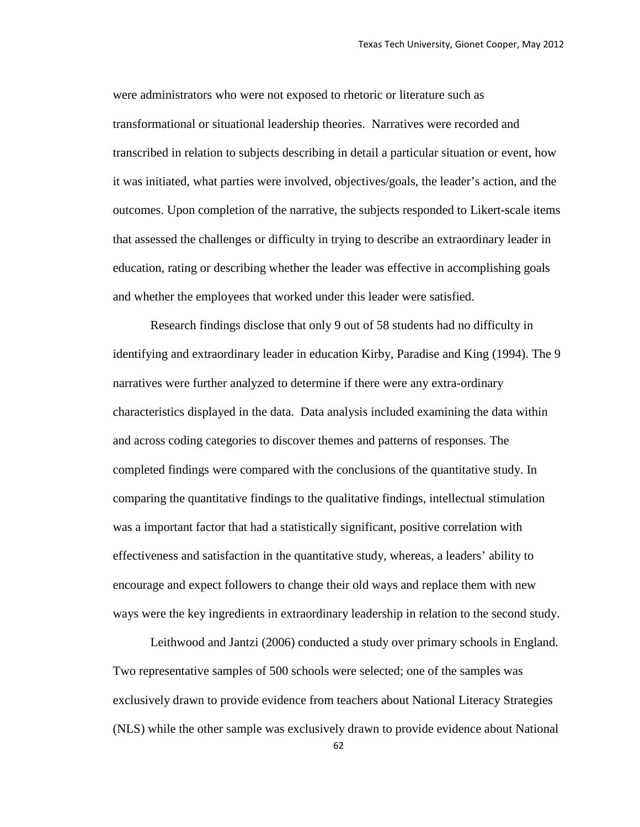were administrators who were not exposed to rhetoric or literature such as transformational or situational leadership theories. Narratives were recorded and transcribed in relation to subjects describing in detail a particular situation or event, how it was initiated, what parties were involved, objectives/goals, the leader's action, and the outcomes. Upon completion of the narrative, the subjects responded to Likert-scale items that assessed the challenges or difficulty in trying to describe an extraordinary leader in education, rating or describing whether the leader was effective in accomplishing goals and whether the employees that worked under this leader were satisfied.

Research findings disclose that only 9 out of 58 students had no difficulty in identifying and extraordinary leader in education Kirby, Paradise and King (1994). The 9 narratives were further analyzed to determine if there were any extra-ordinary characteristics displayed in the data. Data analysis included examining the data within and across coding categories to discover themes and patterns of responses. The completed findings were compared with the conclusions of the quantitative study. In comparing the quantitative findings to the qualitative findings, intellectual stimulation was a important factor that had a statistically significant, positive correlation with effectiveness and satisfaction in the quantitative study, whereas, a leaders' ability to encourage and expect followers to change their old ways and replace them with new ways were the key ingredients in extraordinary leadership in relation to the second study.

Leithwood and Jantzi (2006) conducted a study over primary schools in England. Two representative samples of 500 schools were selected; one of the samples was exclusively drawn to provide evidence from teachers about National Literacy Strategies (NLS) while the other sample was exclusively drawn to provide evidence about National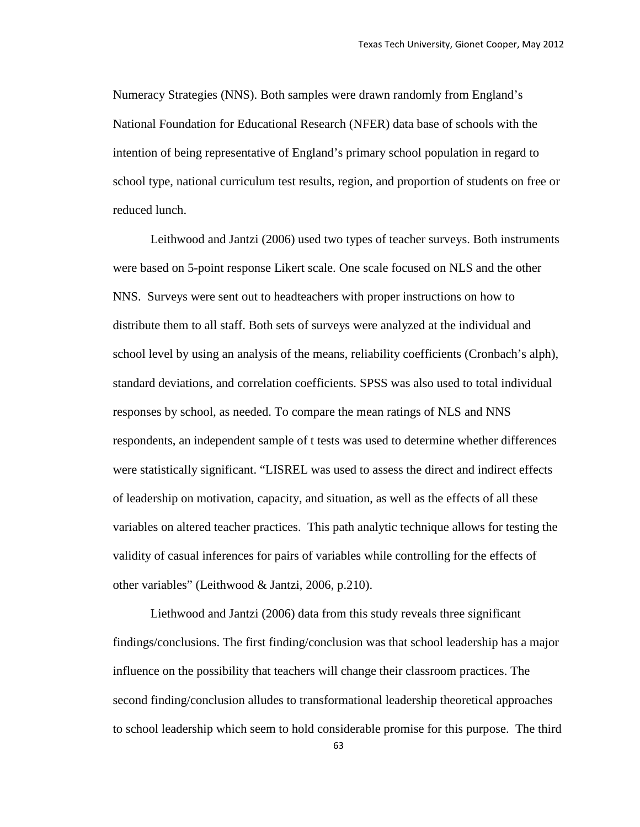Numeracy Strategies (NNS). Both samples were drawn randomly from England's National Foundation for Educational Research (NFER) data base of schools with the intention of being representative of England's primary school population in regard to school type, national curriculum test results, region, and proportion of students on free or reduced lunch.

Leithwood and Jantzi (2006) used two types of teacher surveys. Both instruments were based on 5-point response Likert scale. One scale focused on NLS and the other NNS. Surveys were sent out to headteachers with proper instructions on how to distribute them to all staff. Both sets of surveys were analyzed at the individual and school level by using an analysis of the means, reliability coefficients (Cronbach's alph), standard deviations, and correlation coefficients. SPSS was also used to total individual responses by school, as needed. To compare the mean ratings of NLS and NNS respondents, an independent sample of t tests was used to determine whether differences were statistically significant. "LISREL was used to assess the direct and indirect effects of leadership on motivation, capacity, and situation, as well as the effects of all these variables on altered teacher practices. This path analytic technique allows for testing the validity of casual inferences for pairs of variables while controlling for the effects of other variables" (Leithwood & Jantzi, 2006, p.210).

Liethwood and Jantzi (2006) data from this study reveals three significant findings/conclusions. The first finding/conclusion was that school leadership has a major influence on the possibility that teachers will change their classroom practices. The second finding/conclusion alludes to transformational leadership theoretical approaches to school leadership which seem to hold considerable promise for this purpose. The third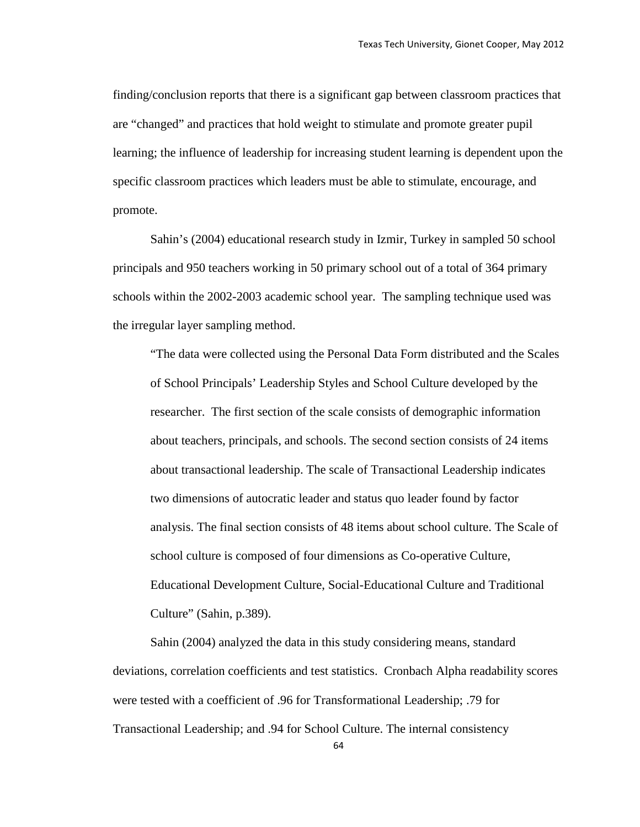finding/conclusion reports that there is a significant gap between classroom practices that are "changed" and practices that hold weight to stimulate and promote greater pupil learning; the influence of leadership for increasing student learning is dependent upon the specific classroom practices which leaders must be able to stimulate, encourage, and promote.

Sahin's (2004) educational research study in Izmir, Turkey in sampled 50 school principals and 950 teachers working in 50 primary school out of a total of 364 primary schools within the 2002-2003 academic school year. The sampling technique used was the irregular layer sampling method.

"The data were collected using the Personal Data Form distributed and the Scales of School Principals' Leadership Styles and School Culture developed by the researcher. The first section of the scale consists of demographic information about teachers, principals, and schools. The second section consists of 24 items about transactional leadership. The scale of Transactional Leadership indicates two dimensions of autocratic leader and status quo leader found by factor analysis. The final section consists of 48 items about school culture. The Scale of school culture is composed of four dimensions as Co-operative Culture, Educational Development Culture, Social-Educational Culture and Traditional Culture" (Sahin, p.389).

Sahin (2004) analyzed the data in this study considering means, standard deviations, correlation coefficients and test statistics. Cronbach Alpha readability scores were tested with a coefficient of .96 for Transformational Leadership; .79 for Transactional Leadership; and .94 for School Culture. The internal consistency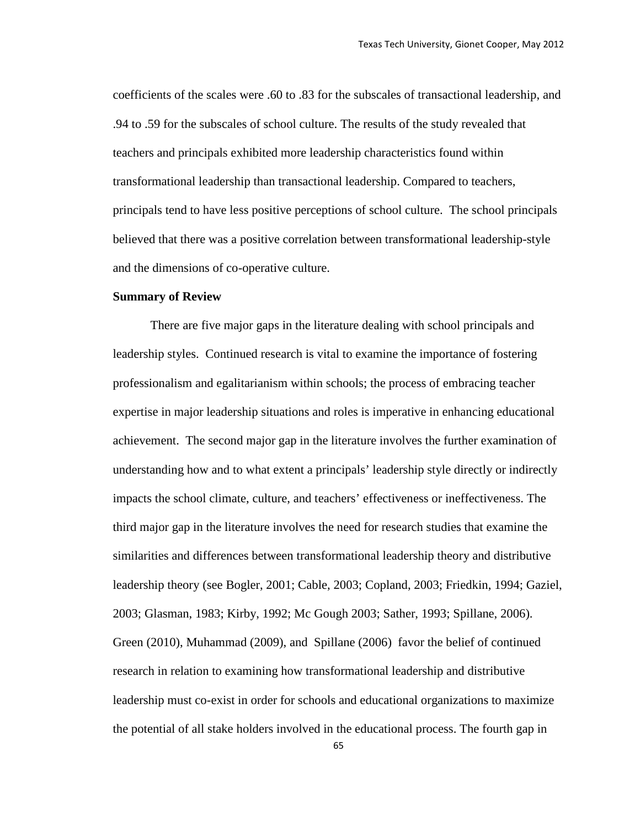coefficients of the scales were .60 to .83 for the subscales of transactional leadership, and .94 to .59 for the subscales of school culture. The results of the study revealed that teachers and principals exhibited more leadership characteristics found within transformational leadership than transactional leadership. Compared to teachers, principals tend to have less positive perceptions of school culture. The school principals believed that there was a positive correlation between transformational leadership-style and the dimensions of co-operative culture.

#### **Summary of Review**

There are five major gaps in the literature dealing with school principals and leadership styles. Continued research is vital to examine the importance of fostering professionalism and egalitarianism within schools; the process of embracing teacher expertise in major leadership situations and roles is imperative in enhancing educational achievement. The second major gap in the literature involves the further examination of understanding how and to what extent a principals' leadership style directly or indirectly impacts the school climate, culture, and teachers' effectiveness or ineffectiveness. The third major gap in the literature involves the need for research studies that examine the similarities and differences between transformational leadership theory and distributive leadership theory (see Bogler, 2001; Cable, 2003; Copland, 2003; Friedkin, 1994; Gaziel, 2003; Glasman, 1983; Kirby, 1992; Mc Gough 2003; Sather, 1993; Spillane, 2006). Green (2010), Muhammad (2009), and Spillane (2006) favor the belief of continued research in relation to examining how transformational leadership and distributive leadership must co-exist in order for schools and educational organizations to maximize the potential of all stake holders involved in the educational process. The fourth gap in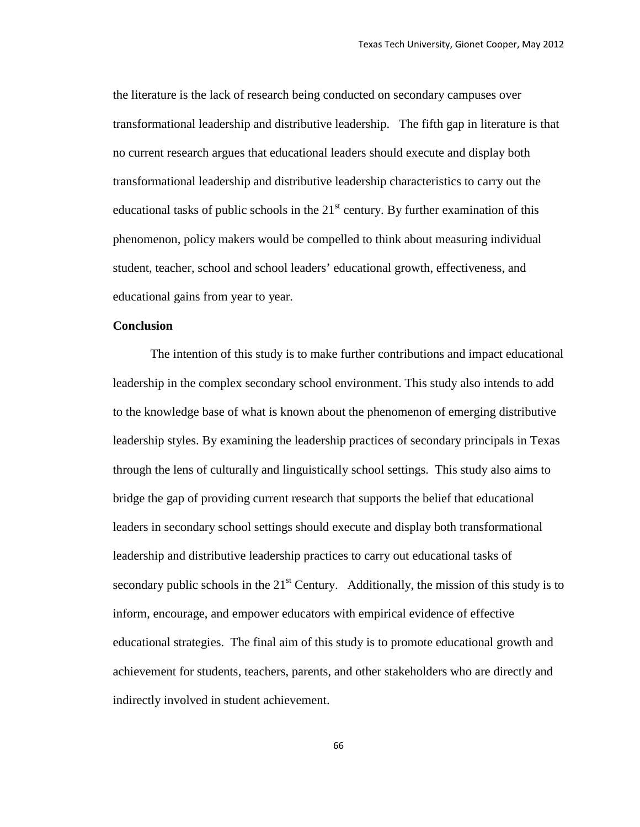the literature is the lack of research being conducted on secondary campuses over transformational leadership and distributive leadership. The fifth gap in literature is that no current research argues that educational leaders should execute and display both transformational leadership and distributive leadership characteristics to carry out the educational tasks of public schools in the  $21<sup>st</sup>$  century. By further examination of this phenomenon, policy makers would be compelled to think about measuring individual student, teacher, school and school leaders' educational growth, effectiveness, and educational gains from year to year.

#### **Conclusion**

The intention of this study is to make further contributions and impact educational leadership in the complex secondary school environment. This study also intends to add to the knowledge base of what is known about the phenomenon of emerging distributive leadership styles. By examining the leadership practices of secondary principals in Texas through the lens of culturally and linguistically school settings. This study also aims to bridge the gap of providing current research that supports the belief that educational leaders in secondary school settings should execute and display both transformational leadership and distributive leadership practices to carry out educational tasks of secondary public schools in the  $21<sup>st</sup>$  Century. Additionally, the mission of this study is to inform, encourage, and empower educators with empirical evidence of effective educational strategies. The final aim of this study is to promote educational growth and achievement for students, teachers, parents, and other stakeholders who are directly and indirectly involved in student achievement.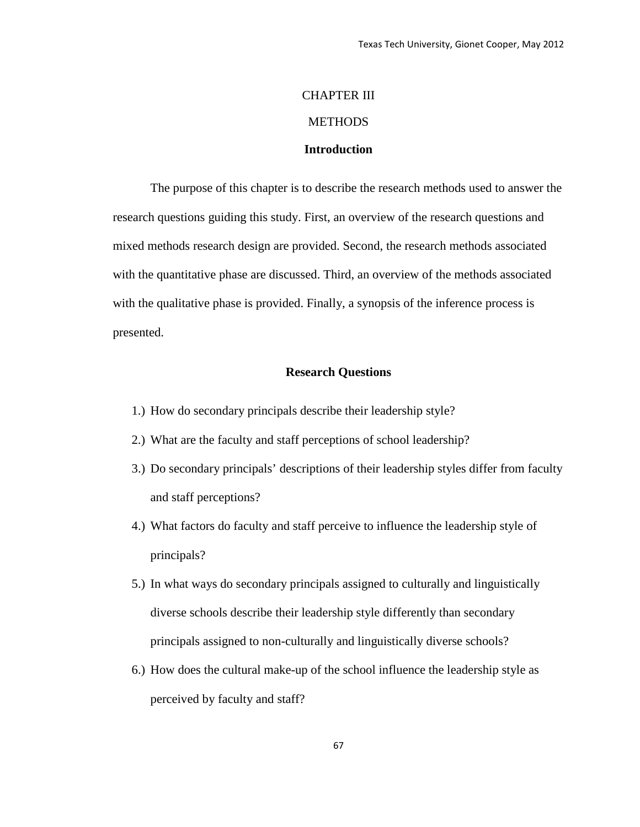# CHAPTER III **METHODS Introduction**

The purpose of this chapter is to describe the research methods used to answer the research questions guiding this study. First, an overview of the research questions and mixed methods research design are provided. Second, the research methods associated with the quantitative phase are discussed. Third, an overview of the methods associated with the qualitative phase is provided. Finally, a synopsis of the inference process is presented.

#### **Research Questions**

- 1.) How do secondary principals describe their leadership style?
- 2.) What are the faculty and staff perceptions of school leadership?
- 3.) Do secondary principals' descriptions of their leadership styles differ from faculty and staff perceptions?
- 4.) What factors do faculty and staff perceive to influence the leadership style of principals?
- 5.) In what ways do secondary principals assigned to culturally and linguistically diverse schools describe their leadership style differently than secondary principals assigned to non-culturally and linguistically diverse schools?
- 6.) How does the cultural make-up of the school influence the leadership style as perceived by faculty and staff?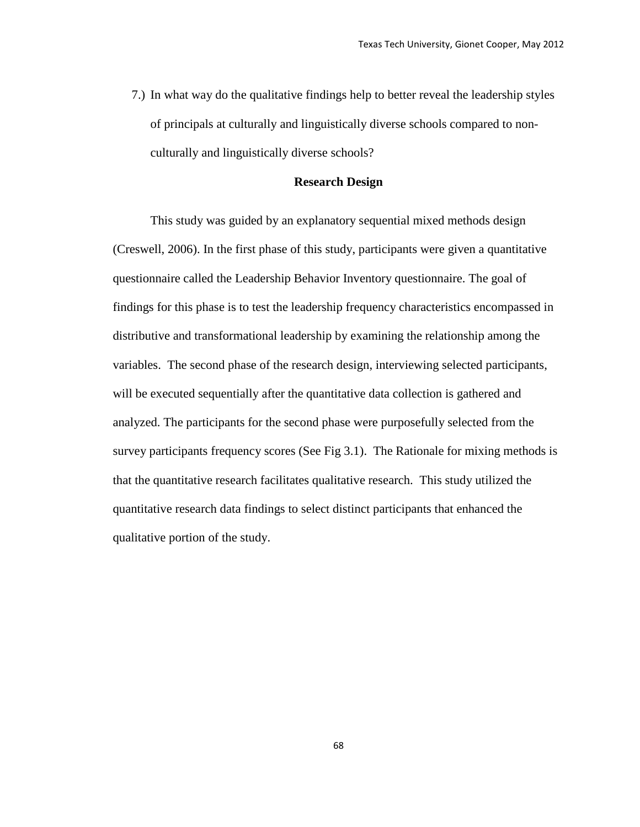7.) In what way do the qualitative findings help to better reveal the leadership styles of principals at culturally and linguistically diverse schools compared to nonculturally and linguistically diverse schools?

#### **Research Design**

This study was guided by an explanatory sequential mixed methods design (Creswell, 2006). In the first phase of this study, participants were given a quantitative questionnaire called the Leadership Behavior Inventory questionnaire. The goal of findings for this phase is to test the leadership frequency characteristics encompassed in distributive and transformational leadership by examining the relationship among the variables. The second phase of the research design, interviewing selected participants, will be executed sequentially after the quantitative data collection is gathered and analyzed. The participants for the second phase were purposefully selected from the survey participants frequency scores (See Fig 3.1). The Rationale for mixing methods is that the quantitative research facilitates qualitative research. This study utilized the quantitative research data findings to select distinct participants that enhanced the qualitative portion of the study.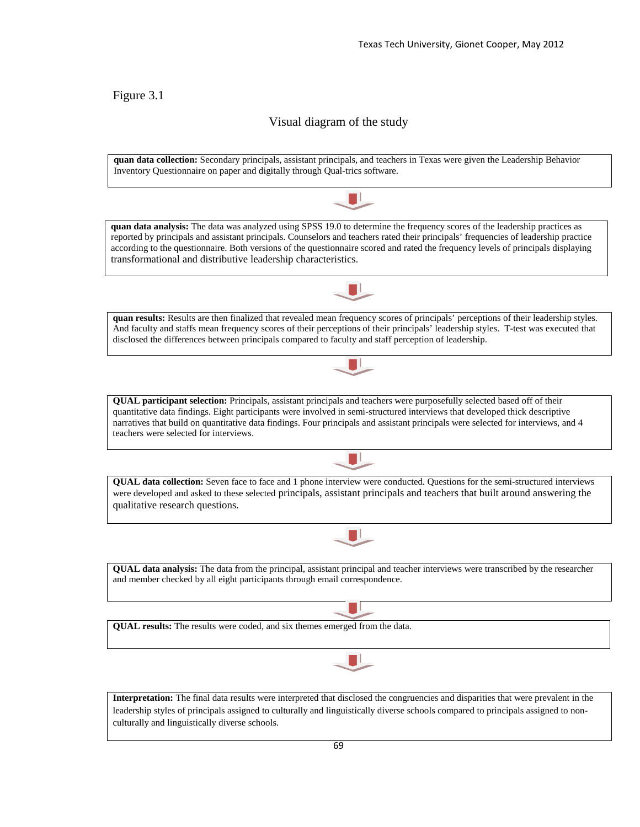### Figure 3.1

### Visual diagram of the study

**quan data collection:** Secondary principals, assistant principals, and teachers in Texas were given the Leadership Behavior Inventory Questionnaire on paper and digitally through Qual-trics software.



**quan data analysis:** The data was analyzed using SPSS 19.0 to determine the frequency scores of the leadership practices as reported by principals and assistant principals. Counselors and teachers rated their principals' frequencies of leadership practice according to the questionnaire. Both versions of the questionnaire scored and rated the frequency levels of principals displaying transformational and distributive leadership characteristics.



**quan results:** Results are then finalized that revealed mean frequency scores of principals' perceptions of their leadership styles. And faculty and staffs mean frequency scores of their perceptions of their principals' leadership styles. T-test was executed that disclosed the differences between principals compared to faculty and staff perception of leadership.



**QUAL data collection:** Seven face to face and 1 phone interview were conducted. Questions for the semi-structured interviews were developed and asked to these selected principals, assistant principals and teachers that built around answering the qualitative research questions.



**QUAL data analysis:** The data from the principal, assistant principal and teacher interviews were transcribed by the researcher and member checked by all eight participants through email correspondence.

**QUAL results:** The results were coded, and six themes emerged from the data.



**Interpretation:** The final data results were interpreted that disclosed the congruencies and disparities that were prevalent in the leadership styles of principals assigned to culturally and linguistically diverse schools compared to principals assigned to nonculturally and linguistically diverse schools.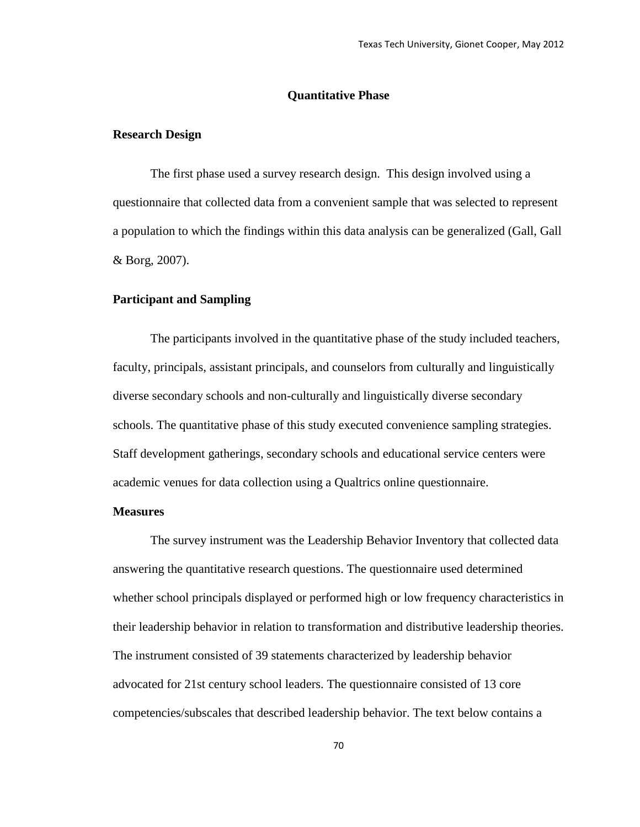#### **Quantitative Phase**

#### **Research Design**

The first phase used a survey research design. This design involved using a questionnaire that collected data from a convenient sample that was selected to represent a population to which the findings within this data analysis can be generalized (Gall, Gall & Borg, 2007).

#### **Participant and Sampling**

The participants involved in the quantitative phase of the study included teachers, faculty, principals, assistant principals, and counselors from culturally and linguistically diverse secondary schools and non-culturally and linguistically diverse secondary schools. The quantitative phase of this study executed convenience sampling strategies. Staff development gatherings, secondary schools and educational service centers were academic venues for data collection using a Qualtrics online questionnaire.

#### **Measures**

The survey instrument was the Leadership Behavior Inventory that collected data answering the quantitative research questions. The questionnaire used determined whether school principals displayed or performed high or low frequency characteristics in their leadership behavior in relation to transformation and distributive leadership theories. The instrument consisted of 39 statements characterized by leadership behavior advocated for 21st century school leaders. The questionnaire consisted of 13 core competencies/subscales that described leadership behavior. The text below contains a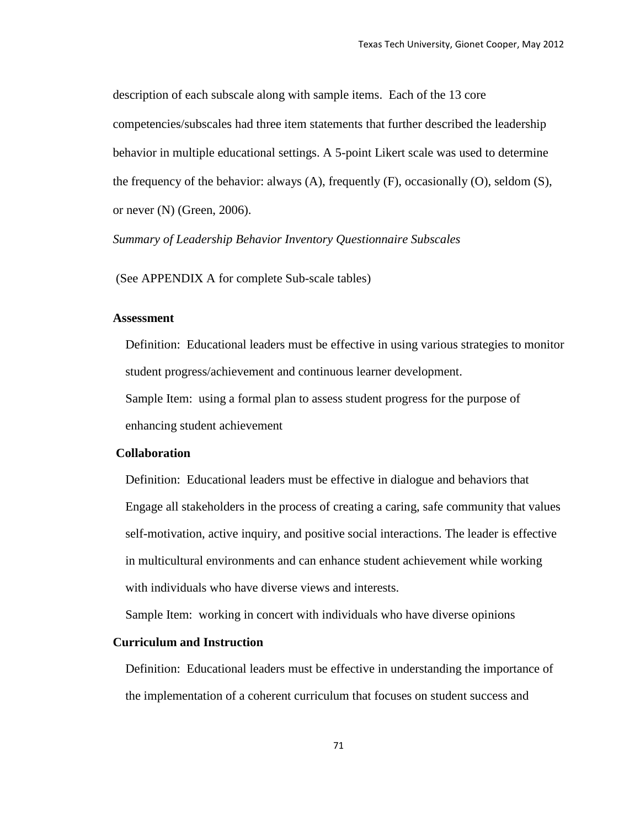description of each subscale along with sample items. Each of the 13 core competencies/subscales had three item statements that further described the leadership behavior in multiple educational settings. A 5-point Likert scale was used to determine the frequency of the behavior: always (A), frequently (F), occasionally (O), seldom (S), or never (N) (Green, 2006).

*Summary of Leadership Behavior Inventory Questionnaire Subscales*

(See APPENDIX A for complete Sub-scale tables)

#### **Assessment**

 Definition: Educational leaders must be effective in using various strategies to monitor student progress/achievement and continuous learner development. Sample Item: using a formal plan to assess student progress for the purpose of

enhancing student achievement

### **Collaboration**

 Definition: Educational leaders must be effective in dialogue and behaviors that Engage all stakeholders in the process of creating a caring, safe community that values self-motivation, active inquiry, and positive social interactions. The leader is effective in multicultural environments and can enhance student achievement while working with individuals who have diverse views and interests.

Sample Item: working in concert with individuals who have diverse opinions

#### **Curriculum and Instruction**

Definition: Educational leaders must be effective in understanding the importance of the implementation of a coherent curriculum that focuses on student success and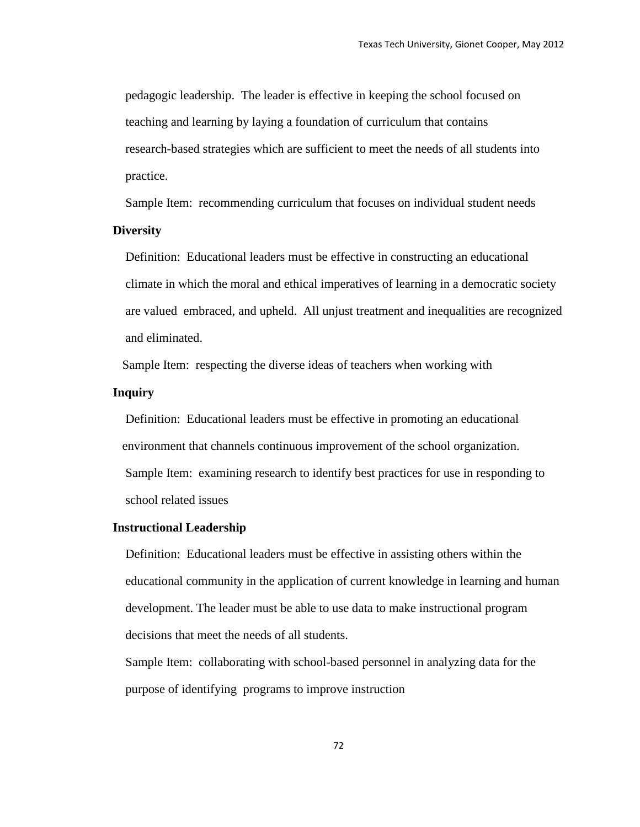pedagogic leadership. The leader is effective in keeping the school focused on teaching and learning by laying a foundation of curriculum that contains research-based strategies which are sufficient to meet the needs of all students into practice.

Sample Item: recommending curriculum that focuses on individual student needs

#### **Diversity**

 Definition: Educational leaders must be effective in constructing an educational climate in which the moral and ethical imperatives of learning in a democratic society are valued embraced, and upheld. All unjust treatment and inequalities are recognized and eliminated.

Sample Item: respecting the diverse ideas of teachers when working with

#### **Inquiry**

Definition: Educational leaders must be effective in promoting an educational environment that channels continuous improvement of the school organization. Sample Item: examining research to identify best practices for use in responding to school related issues

#### **Instructional Leadership**

 Definition: Educational leaders must be effective in assisting others within the educational community in the application of current knowledge in learning and human development. The leader must be able to use data to make instructional program decisions that meet the needs of all students.

 Sample Item: collaborating with school-based personnel in analyzing data for the purpose of identifying programs to improve instruction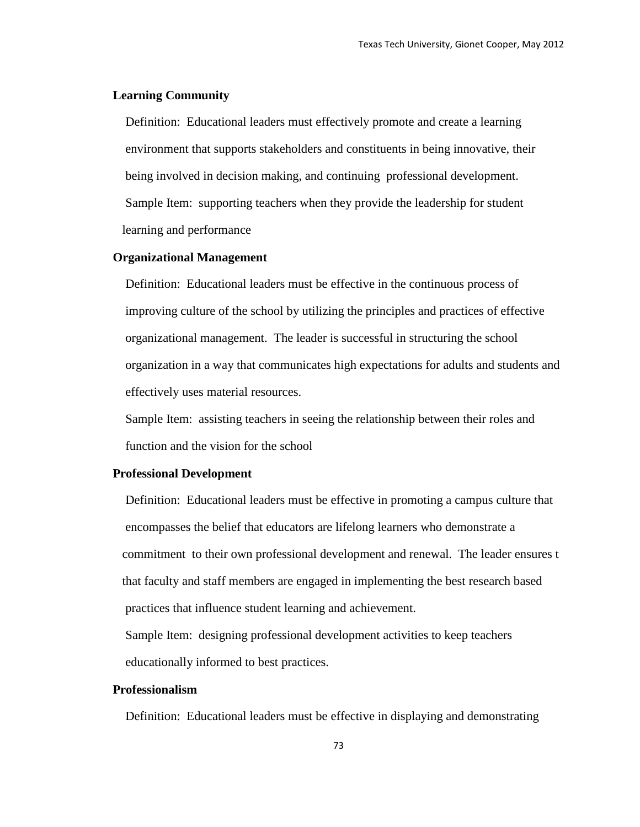#### **Learning Community**

 Definition: Educational leaders must effectively promote and create a learning environment that supports stakeholders and constituents in being innovative, their being involved in decision making, and continuing professional development. Sample Item: supporting teachers when they provide the leadership for student learning and performance

#### **Organizational Management**

 Definition: Educational leaders must be effective in the continuous process of improving culture of the school by utilizing the principles and practices of effective organizational management. The leader is successful in structuring the school organization in a way that communicates high expectations for adults and students and effectively uses material resources.

 Sample Item: assisting teachers in seeing the relationship between their roles and function and the vision for the school

#### **Professional Development**

 Definition: Educational leaders must be effective in promoting a campus culture that encompasses the belief that educators are lifelong learners who demonstrate a commitment to their own professional development and renewal. The leader ensures t that faculty and staff members are engaged in implementing the best research based practices that influence student learning and achievement.

 Sample Item: designing professional development activities to keep teachers educationally informed to best practices.

#### **Professionalism**

Definition: Educational leaders must be effective in displaying and demonstrating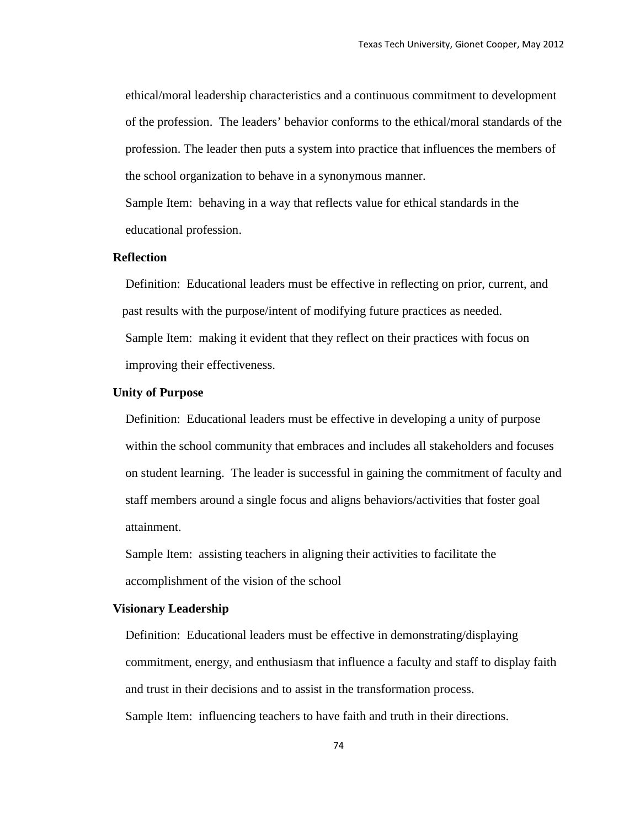ethical/moral leadership characteristics and a continuous commitment to development of the profession. The leaders' behavior conforms to the ethical/moral standards of the profession. The leader then puts a system into practice that influences the members of the school organization to behave in a synonymous manner.

 Sample Item: behaving in a way that reflects value for ethical standards in the educational profession.

#### **Reflection**

 Definition: Educational leaders must be effective in reflecting on prior, current, and past results with the purpose/intent of modifying future practices as needed. Sample Item: making it evident that they reflect on their practices with focus on improving their effectiveness.

#### **Unity of Purpose**

 Definition: Educational leaders must be effective in developing a unity of purpose within the school community that embraces and includes all stakeholders and focuses on student learning. The leader is successful in gaining the commitment of faculty and staff members around a single focus and aligns behaviors/activities that foster goal attainment.

 Sample Item: assisting teachers in aligning their activities to facilitate the accomplishment of the vision of the school

#### **Visionary Leadership**

 Definition: Educational leaders must be effective in demonstrating/displaying commitment, energy, and enthusiasm that influence a faculty and staff to display faith and trust in their decisions and to assist in the transformation process. Sample Item: influencing teachers to have faith and truth in their directions.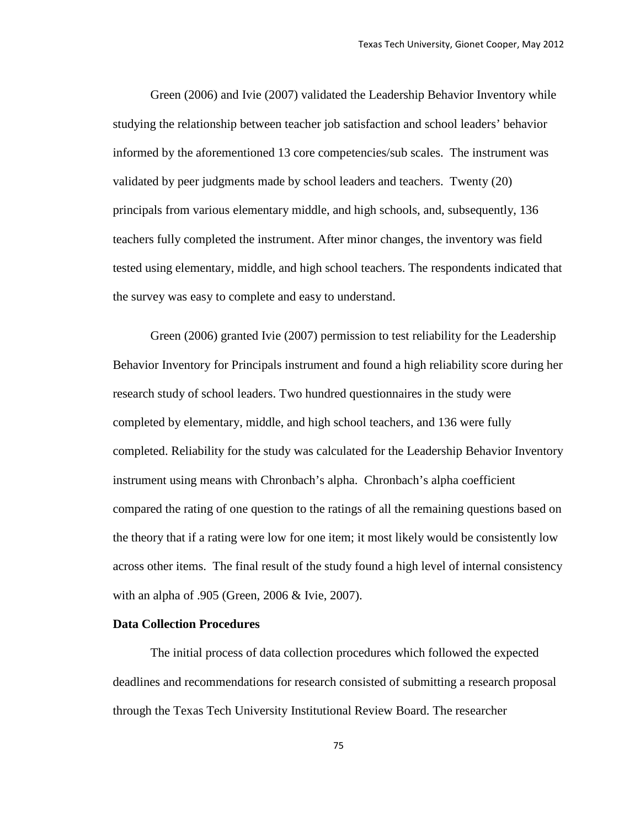Green (2006) and Ivie (2007) validated the Leadership Behavior Inventory while studying the relationship between teacher job satisfaction and school leaders' behavior informed by the aforementioned 13 core competencies/sub scales. The instrument was validated by peer judgments made by school leaders and teachers. Twenty (20) principals from various elementary middle, and high schools, and, subsequently, 136 teachers fully completed the instrument. After minor changes, the inventory was field tested using elementary, middle, and high school teachers. The respondents indicated that the survey was easy to complete and easy to understand.

Green (2006) granted Ivie (2007) permission to test reliability for the Leadership Behavior Inventory for Principals instrument and found a high reliability score during her research study of school leaders. Two hundred questionnaires in the study were completed by elementary, middle, and high school teachers, and 136 were fully completed. Reliability for the study was calculated for the Leadership Behavior Inventory instrument using means with Chronbach's alpha. Chronbach's alpha coefficient compared the rating of one question to the ratings of all the remaining questions based on the theory that if a rating were low for one item; it most likely would be consistently low across other items. The final result of the study found a high level of internal consistency with an alpha of .905 (Green, 2006 & Ivie, 2007).

#### **Data Collection Procedures**

The initial process of data collection procedures which followed the expected deadlines and recommendations for research consisted of submitting a research proposal through the Texas Tech University Institutional Review Board. The researcher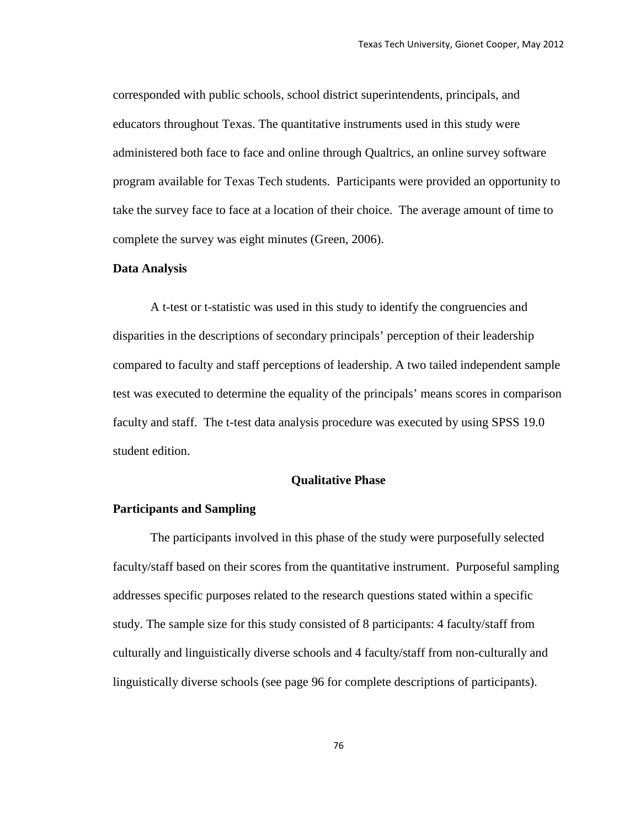corresponded with public schools, school district superintendents, principals, and educators throughout Texas. The quantitative instruments used in this study were administered both face to face and online through Qualtrics, an online survey software program available for Texas Tech students. Participants were provided an opportunity to take the survey face to face at a location of their choice. The average amount of time to complete the survey was eight minutes (Green, 2006).

#### **Data Analysis**

A t-test or t-statistic was used in this study to identify the congruencies and disparities in the descriptions of secondary principals' perception of their leadership compared to faculty and staff perceptions of leadership. A two tailed independent sample test was executed to determine the equality of the principals' means scores in comparison faculty and staff. The t-test data analysis procedure was executed by using SPSS 19.0 student edition.

#### **Qualitative Phase**

#### **Participants and Sampling**

The participants involved in this phase of the study were purposefully selected faculty/staff based on their scores from the quantitative instrument. Purposeful sampling addresses specific purposes related to the research questions stated within a specific study. The sample size for this study consisted of 8 participants: 4 faculty/staff from culturally and linguistically diverse schools and 4 faculty/staff from non-culturally and linguistically diverse schools (see page 96 for complete descriptions of participants).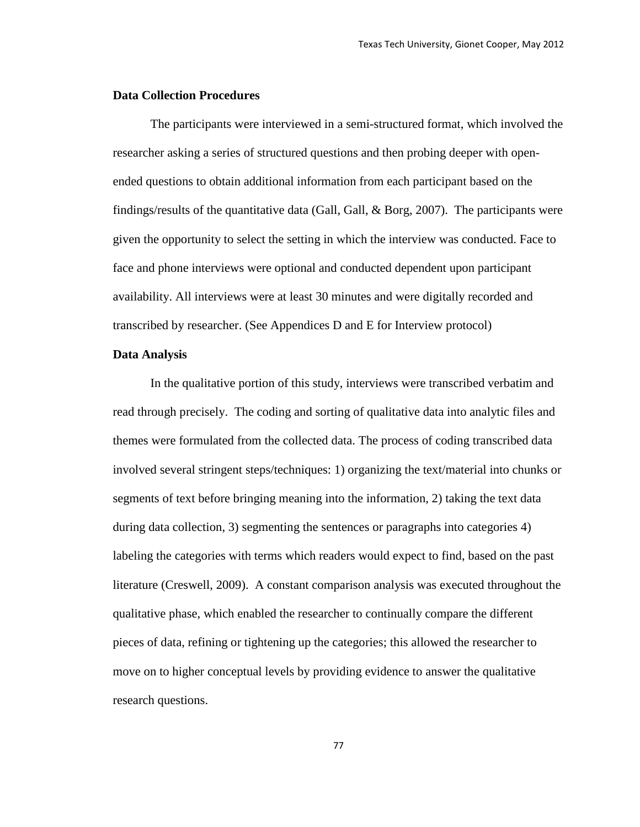#### **Data Collection Procedures**

The participants were interviewed in a semi-structured format, which involved the researcher asking a series of structured questions and then probing deeper with openended questions to obtain additional information from each participant based on the findings/results of the quantitative data (Gall, Gall, & Borg, 2007). The participants were given the opportunity to select the setting in which the interview was conducted. Face to face and phone interviews were optional and conducted dependent upon participant availability. All interviews were at least 30 minutes and were digitally recorded and transcribed by researcher. (See Appendices D and E for Interview protocol)

#### **Data Analysis**

In the qualitative portion of this study, interviews were transcribed verbatim and read through precisely. The coding and sorting of qualitative data into analytic files and themes were formulated from the collected data. The process of coding transcribed data involved several stringent steps/techniques: 1) organizing the text/material into chunks or segments of text before bringing meaning into the information, 2) taking the text data during data collection, 3) segmenting the sentences or paragraphs into categories 4) labeling the categories with terms which readers would expect to find, based on the past literature (Creswell, 2009). A constant comparison analysis was executed throughout the qualitative phase, which enabled the researcher to continually compare the different pieces of data, refining or tightening up the categories; this allowed the researcher to move on to higher conceptual levels by providing evidence to answer the qualitative research questions.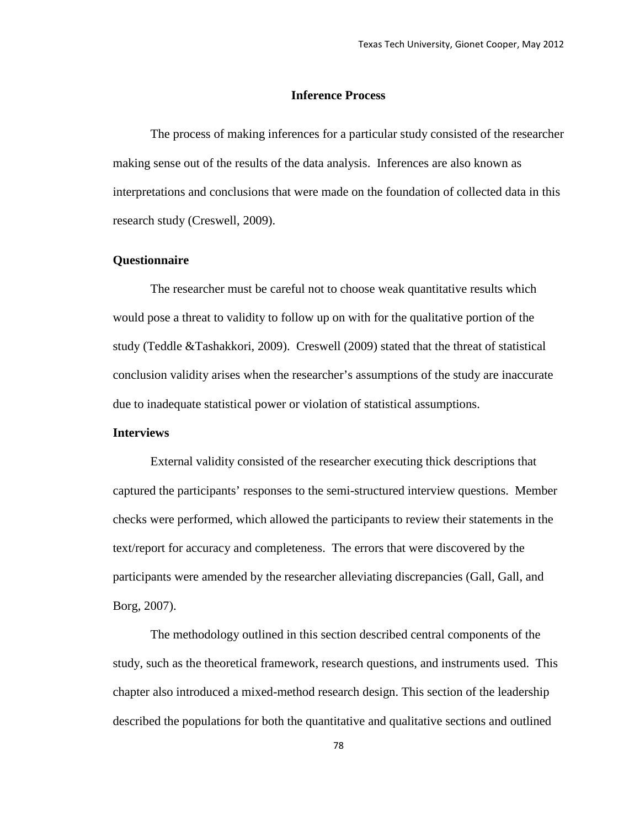#### **Inference Process**

The process of making inferences for a particular study consisted of the researcher making sense out of the results of the data analysis. Inferences are also known as interpretations and conclusions that were made on the foundation of collected data in this research study (Creswell, 2009).

#### **Questionnaire**

The researcher must be careful not to choose weak quantitative results which would pose a threat to validity to follow up on with for the qualitative portion of the study (Teddle &Tashakkori, 2009). Creswell (2009) stated that the threat of statistical conclusion validity arises when the researcher's assumptions of the study are inaccurate due to inadequate statistical power or violation of statistical assumptions.

#### **Interviews**

External validity consisted of the researcher executing thick descriptions that captured the participants' responses to the semi-structured interview questions. Member checks were performed, which allowed the participants to review their statements in the text/report for accuracy and completeness. The errors that were discovered by the participants were amended by the researcher alleviating discrepancies (Gall, Gall, and Borg, 2007).

The methodology outlined in this section described central components of the study, such as the theoretical framework, research questions, and instruments used. This chapter also introduced a mixed-method research design. This section of the leadership described the populations for both the quantitative and qualitative sections and outlined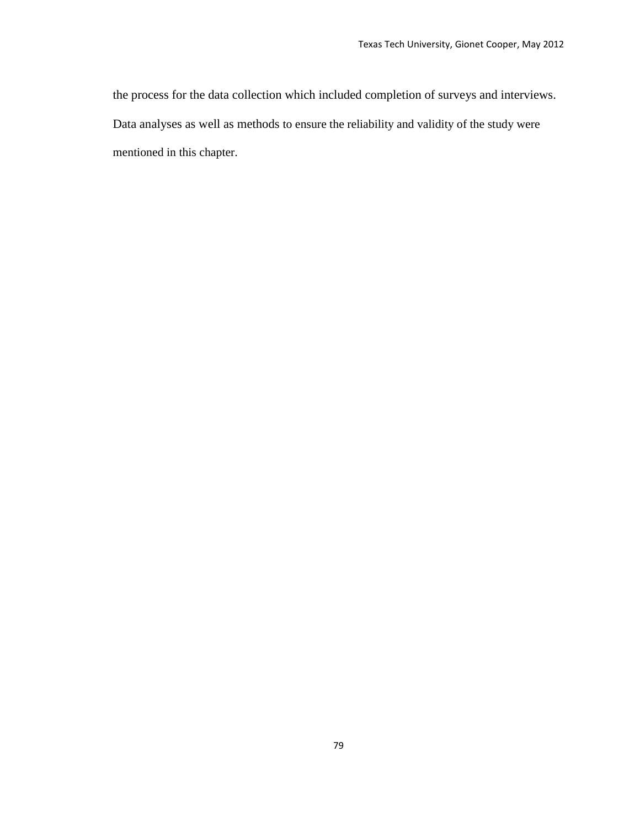the process for the data collection which included completion of surveys and interviews. Data analyses as well as methods to ensure the reliability and validity of the study were mentioned in this chapter.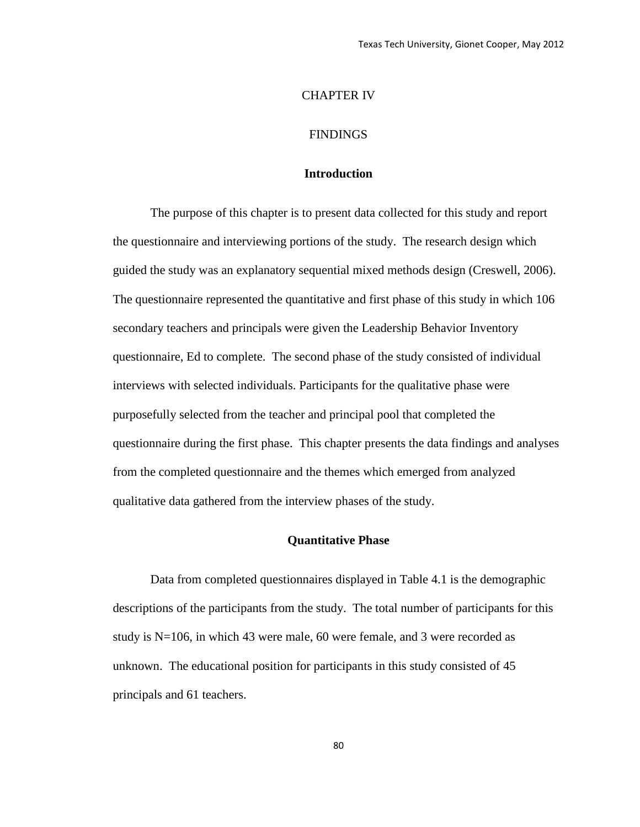#### CHAPTER IV

#### FINDINGS

#### **Introduction**

The purpose of this chapter is to present data collected for this study and report the questionnaire and interviewing portions of the study. The research design which guided the study was an explanatory sequential mixed methods design (Creswell, 2006). The questionnaire represented the quantitative and first phase of this study in which 106 secondary teachers and principals were given the Leadership Behavior Inventory questionnaire, Ed to complete. The second phase of the study consisted of individual interviews with selected individuals. Participants for the qualitative phase were purposefully selected from the teacher and principal pool that completed the questionnaire during the first phase. This chapter presents the data findings and analyses from the completed questionnaire and the themes which emerged from analyzed qualitative data gathered from the interview phases of the study.

#### **Quantitative Phase**

Data from completed questionnaires displayed in Table 4.1 is the demographic descriptions of the participants from the study. The total number of participants for this study is N=106, in which 43 were male, 60 were female, and 3 were recorded as unknown. The educational position for participants in this study consisted of 45 principals and 61 teachers.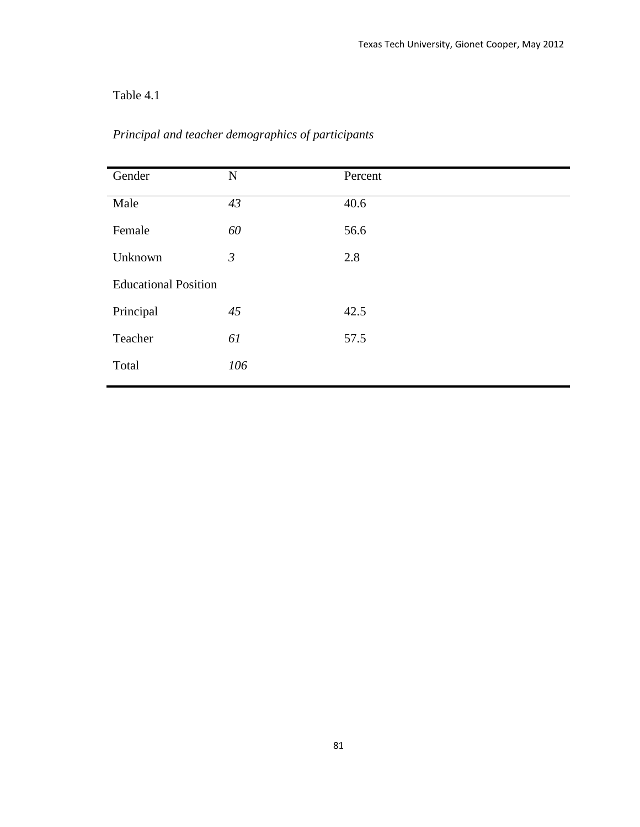## Table 4.1

| Gender                      | $\mathbf N$    | Percent |
|-----------------------------|----------------|---------|
| Male                        | 43             | 40.6    |
| Female                      | 60             | 56.6    |
| Unknown                     | $\mathfrak{Z}$ | 2.8     |
| <b>Educational Position</b> |                |         |
| Principal                   | 45             | 42.5    |
| Teacher                     | 61             | 57.5    |
| Total                       | 106            |         |
|                             |                |         |

## *Principal and teacher demographics of participants*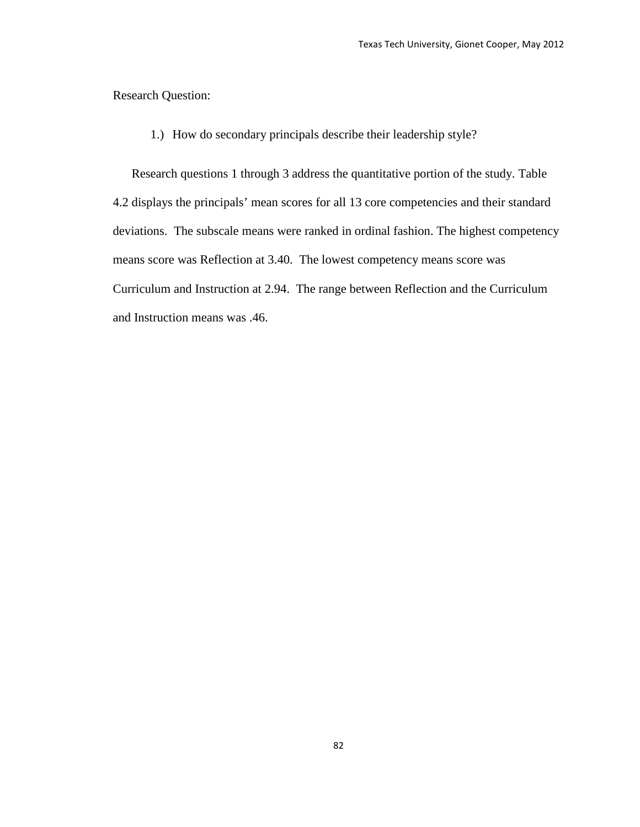Research Question:

1.) How do secondary principals describe their leadership style?

Research questions 1 through 3 address the quantitative portion of the study. Table 4.2 displays the principals' mean scores for all 13 core competencies and their standard deviations. The subscale means were ranked in ordinal fashion. The highest competency means score was Reflection at 3.40. The lowest competency means score was Curriculum and Instruction at 2.94. The range between Reflection and the Curriculum and Instruction means was .46.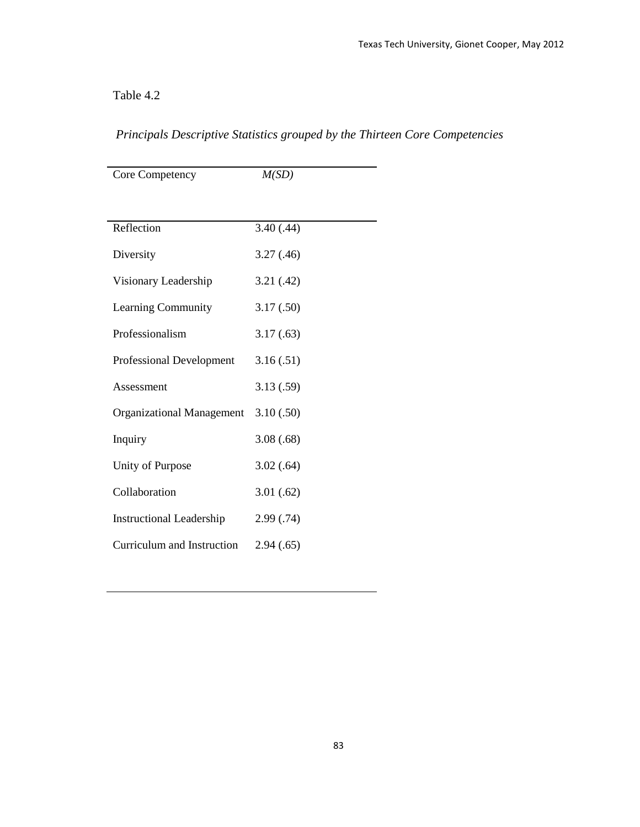## Table 4.2

| Core Competency                 | M(SD)      |
|---------------------------------|------------|
|                                 |            |
|                                 |            |
| Reflection                      | 3.40(.44)  |
| Diversity                       | 3.27(0.46) |
| Visionary Leadership            | 3.21(.42)  |
| Learning Community              | 3.17(.50)  |
| Professionalism                 | 3.17(.63)  |
| Professional Development        | 3.16(.51)  |
| Assessment                      | 3.13(.59)  |
| Organizational Management       | 3.10(.50)  |
| Inquiry                         | 3.08(.68)  |
| Unity of Purpose                | 3.02(.64)  |
| Collaboration                   | 3.01(.62)  |
| <b>Instructional Leadership</b> | 2.99(0.74) |
| Curriculum and Instruction      | 2.94(.65)  |

## *Principals Descriptive Statistics grouped by the Thirteen Core Competencies*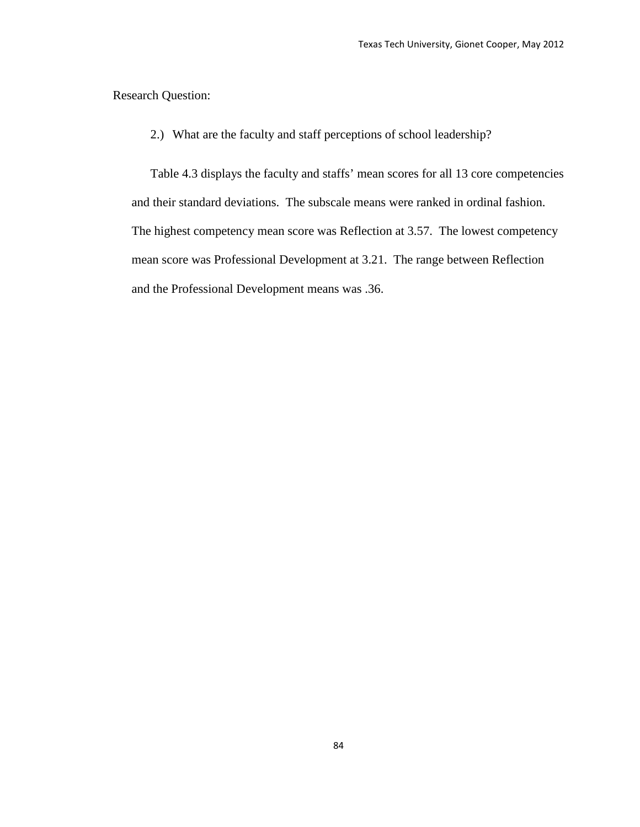Research Question:

2.) What are the faculty and staff perceptions of school leadership?

Table 4.3 displays the faculty and staffs' mean scores for all 13 core competencies and their standard deviations. The subscale means were ranked in ordinal fashion. The highest competency mean score was Reflection at 3.57. The lowest competency mean score was Professional Development at 3.21. The range between Reflection and the Professional Development means was .36.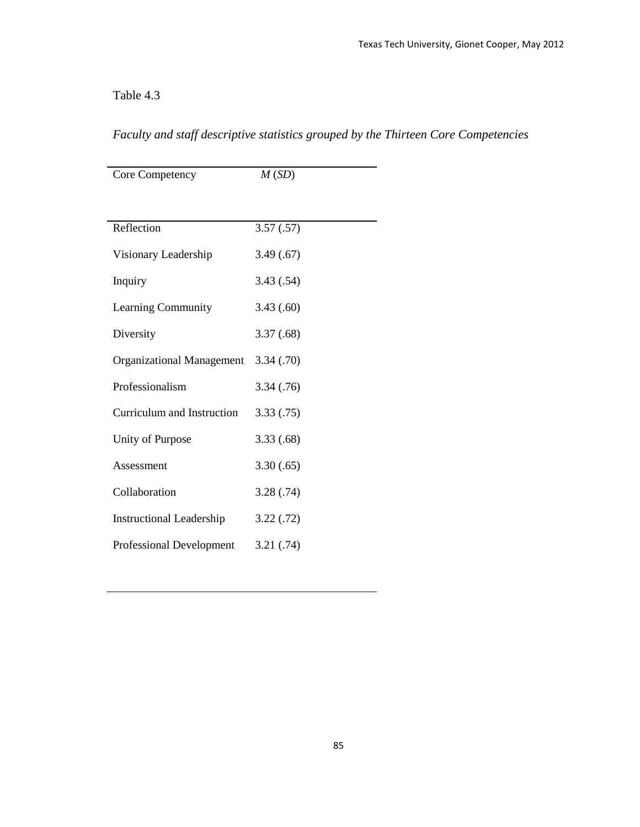## Table 4.3

| Core Competency                 | M(SD)      |  |
|---------------------------------|------------|--|
|                                 |            |  |
| Reflection                      | 3.57(.57)  |  |
| Visionary Leadership            | 3.49(.67)  |  |
| Inquiry                         | 3.43(.54)  |  |
| Learning Community              | 3.43(.60)  |  |
| Diversity                       | 3.37(.68)  |  |
| Organizational Management       | 3.34(0.70) |  |
| Professionalism                 | 3.34(.76)  |  |
| Curriculum and Instruction      | 3.33(0.75) |  |
| Unity of Purpose                | 3.33(.68)  |  |
| Assessment                      | 3.30(.65)  |  |
| Collaboration                   | 3.28(.74)  |  |
| <b>Instructional Leadership</b> | 3.22(.72)  |  |
| <b>Professional Development</b> | 3.21(.74)  |  |

*Faculty and staff descriptive statistics grouped by the Thirteen Core Competencies*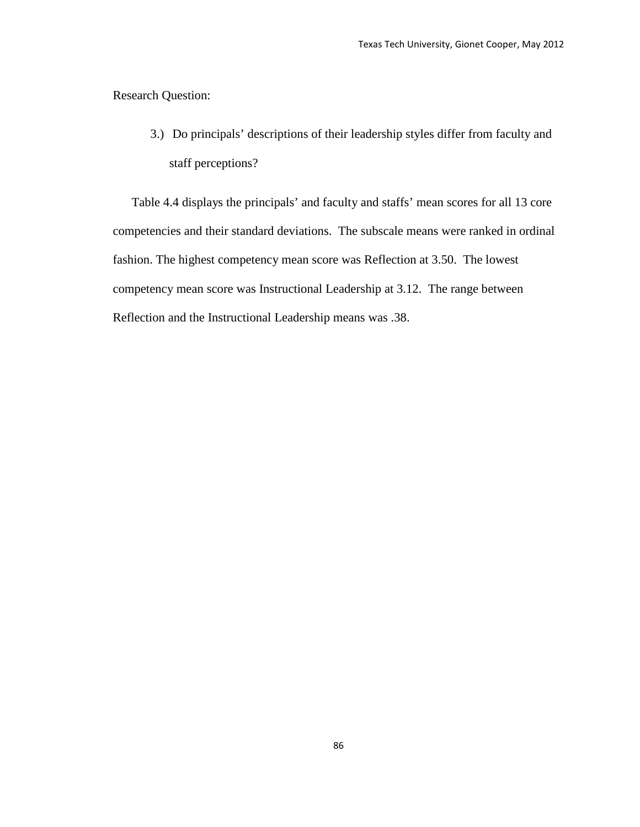Research Question:

3.) Do principals' descriptions of their leadership styles differ from faculty and staff perceptions?

Table 4.4 displays the principals' and faculty and staffs' mean scores for all 13 core competencies and their standard deviations. The subscale means were ranked in ordinal fashion. The highest competency mean score was Reflection at 3.50. The lowest competency mean score was Instructional Leadership at 3.12. The range between Reflection and the Instructional Leadership means was .38.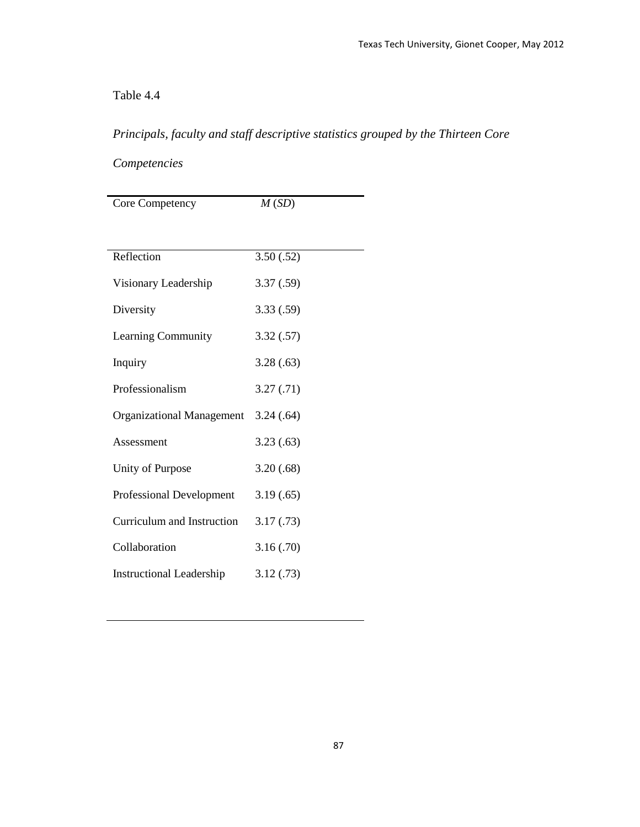## Table 4.4

## *Principals, faculty and staff descriptive statistics grouped by the Thirteen Core*

## *Competencies*

| Core Competency                  | M(SD)      |  |
|----------------------------------|------------|--|
|                                  |            |  |
| Reflection                       | 3.50(.52)  |  |
| Visionary Leadership             | 3.37(.59)  |  |
| Diversity                        | 3.33(.59)  |  |
| Learning Community               | 3.32(.57)  |  |
| Inquiry                          | 3.28(.63)  |  |
| Professionalism                  | 3.27(0.71) |  |
| <b>Organizational Management</b> | 3.24(.64)  |  |
| Assessment                       | 3.23(.63)  |  |
| Unity of Purpose                 | 3.20(.68)  |  |
| Professional Development         | 3.19(.65)  |  |
| Curriculum and Instruction       | 3.17(0.73) |  |
| Collaboration                    | 3.16(.70)  |  |
| <b>Instructional Leadership</b>  | 3.12(0.73) |  |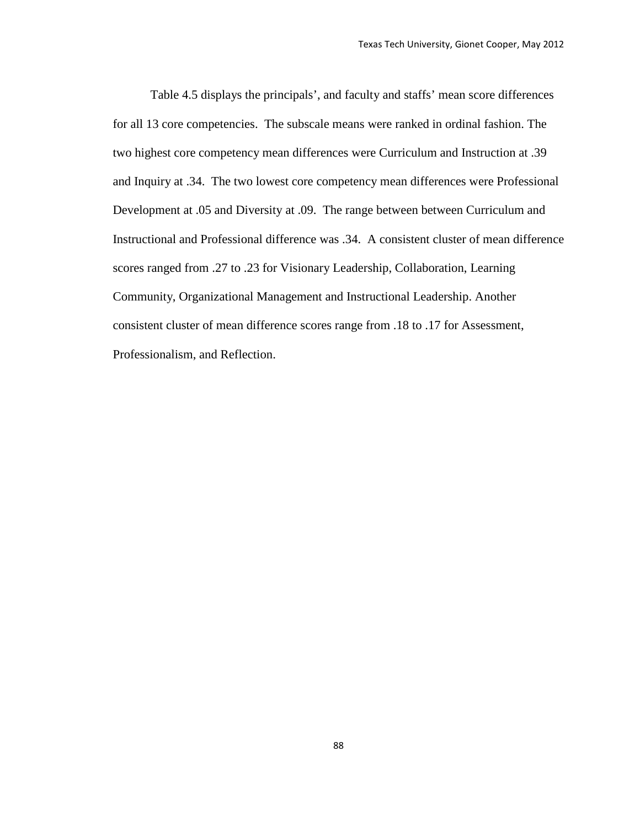Table 4.5 displays the principals', and faculty and staffs' mean score differences for all 13 core competencies. The subscale means were ranked in ordinal fashion. The two highest core competency mean differences were Curriculum and Instruction at .39 and Inquiry at .34. The two lowest core competency mean differences were Professional Development at .05 and Diversity at .09. The range between between Curriculum and Instructional and Professional difference was .34. A consistent cluster of mean difference scores ranged from .27 to .23 for Visionary Leadership, Collaboration, Learning Community, Organizational Management and Instructional Leadership. Another consistent cluster of mean difference scores range from .18 to .17 for Assessment, Professionalism, and Reflection.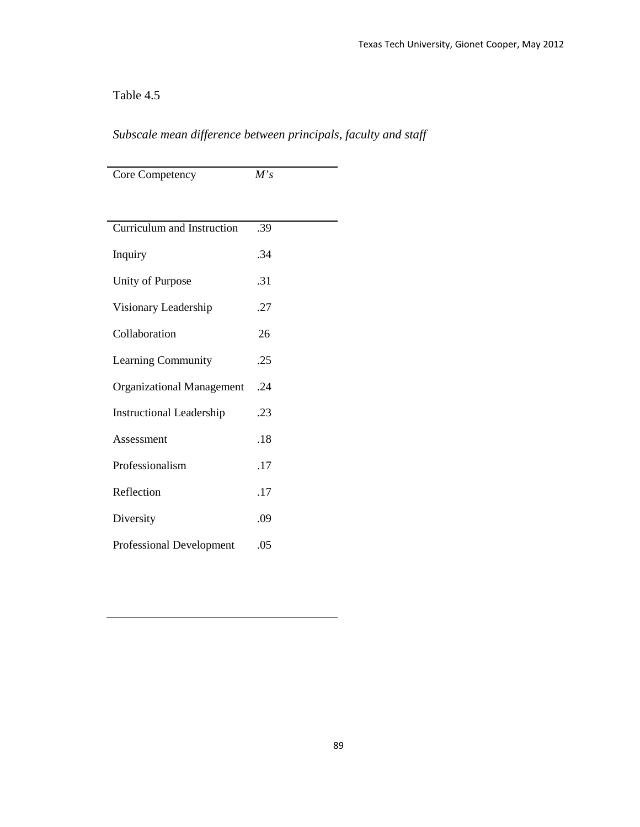## Table 4.5

## *Subscale mean difference between principals, faculty and staff*

| Core Competency                  | M's |
|----------------------------------|-----|
|                                  |     |
| Curriculum and Instruction       | .39 |
| Inquiry                          | .34 |
| Unity of Purpose                 | .31 |
| Visionary Leadership             | .27 |
| Collaboration                    | 26  |
| Learning Community               | .25 |
| <b>Organizational Management</b> | .24 |
| <b>Instructional Leadership</b>  | .23 |
| Assessment                       | .18 |
| Professionalism                  | .17 |
| Reflection                       | .17 |
| Diversity                        | .09 |
| <b>Professional Development</b>  | .05 |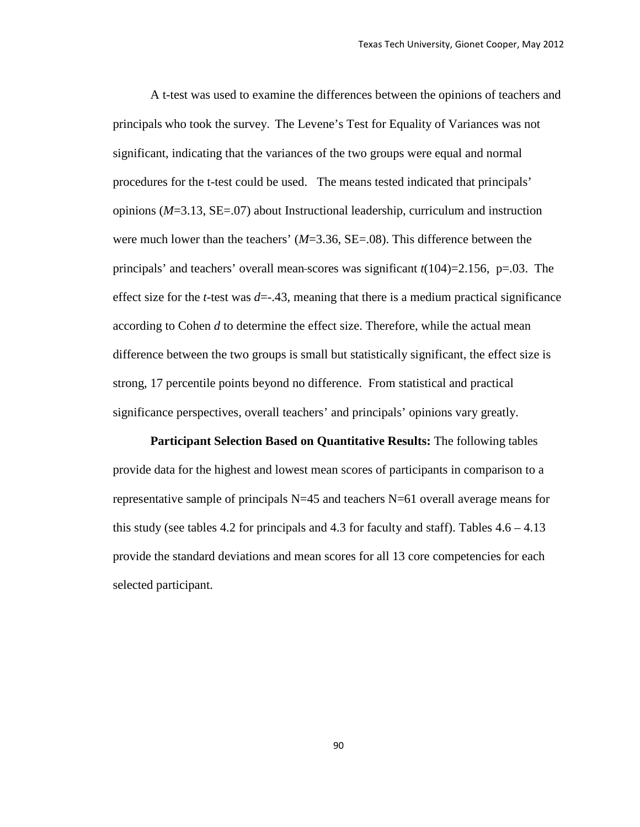A t-test was used to examine the differences between the opinions of teachers and principals who took the survey. The Levene's Test for Equality of Variances was not significant, indicating that the variances of the two groups were equal and normal procedures for the t-test could be used. The means tested indicated that principals' opinions (*M*=3.13, SE=.07) about Instructional leadership, curriculum and instruction were much lower than the teachers' (*M*=3.36, SE=.08). This difference between the principals' and teachers' overall mean scores was significant *t*(104)=2.156, p=.03. The effect size for the *t*-test was  $d=-.43$ , meaning that there is a medium practical significance according to Cohen *d* to determine the effect size. Therefore, while the actual mean difference between the two groups is small but statistically significant, the effect size is strong, 17 percentile points beyond no difference. From statistical and practical significance perspectives, overall teachers' and principals' opinions vary greatly.

**Participant Selection Based on Quantitative Results:** The following tables provide data for the highest and lowest mean scores of participants in comparison to a representative sample of principals N=45 and teachers N=61 overall average means for this study (see tables 4.2 for principals and 4.3 for faculty and staff). Tables  $4.6 - 4.13$ provide the standard deviations and mean scores for all 13 core competencies for each selected participant.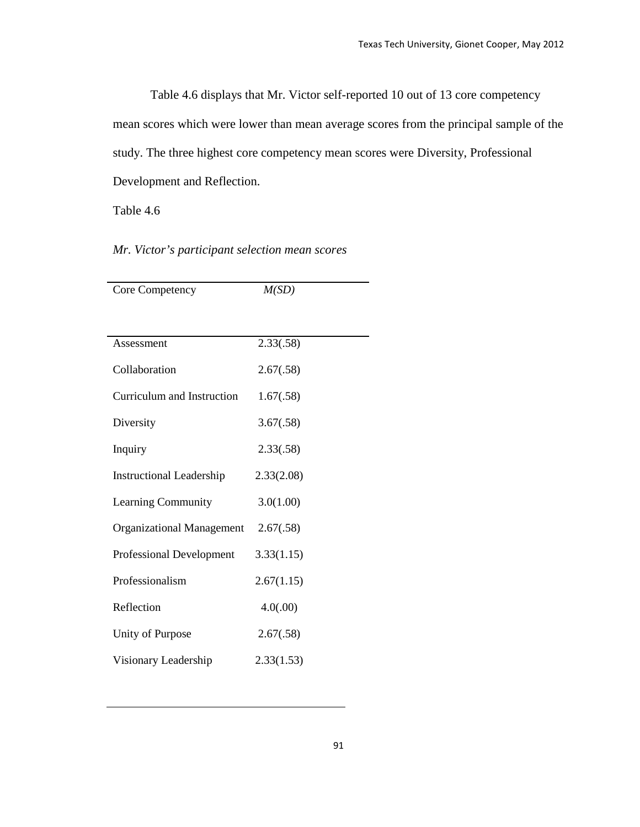Table 4.6 displays that Mr. Victor self-reported 10 out of 13 core competency mean scores which were lower than mean average scores from the principal sample of the study. The three highest core competency mean scores were Diversity, Professional Development and Reflection.

Table 4.6

*Mr. Victor's participant selection mean scores*

| Core Competency                  | M(SD)      |  |
|----------------------------------|------------|--|
|                                  |            |  |
| Assessment                       | 2.33(.58)  |  |
| Collaboration                    | 2.67(.58)  |  |
| Curriculum and Instruction       | 1.67(.58)  |  |
| Diversity                        | 3.67(.58)  |  |
| Inquiry                          | 2.33(.58)  |  |
| <b>Instructional Leadership</b>  | 2.33(2.08) |  |
| Learning Community               | 3.0(1.00)  |  |
| <b>Organizational Management</b> | 2.67(.58)  |  |
| <b>Professional Development</b>  | 3.33(1.15) |  |
| Professionalism                  | 2.67(1.15) |  |
| Reflection                       | 4.0(.00)   |  |
| Unity of Purpose                 | 2.67(.58)  |  |
| Visionary Leadership             | 2.33(1.53) |  |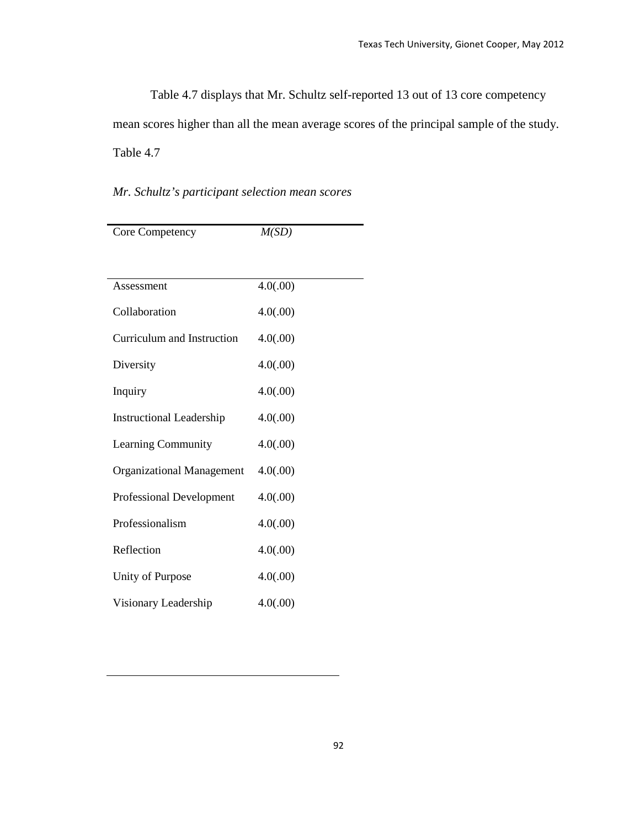Table 4.7 displays that Mr. Schultz self-reported 13 out of 13 core competency mean scores higher than all the mean average scores of the principal sample of the study. Table 4.7

## *Mr. Schultz's participant selection mean scores*

| Core Competency                  | M(SD)    |
|----------------------------------|----------|
|                                  |          |
| Assessment                       | 4.0(.00) |
| Collaboration                    | 4.0(.00) |
| Curriculum and Instruction       | 4.0(.00) |
| Diversity                        | 4.0(.00) |
| Inquiry                          | 4.0(.00) |
| <b>Instructional Leadership</b>  | 4.0(.00) |
| <b>Learning Community</b>        | 4.0(.00) |
| <b>Organizational Management</b> | 4.0(.00) |
| <b>Professional Development</b>  | 4.0(.00) |
| Professionalism                  | 4.0(.00) |
| Reflection                       | 4.0(.00) |
| Unity of Purpose                 | 4.0(.00) |
| Visionary Leadership             | 4.0(.00) |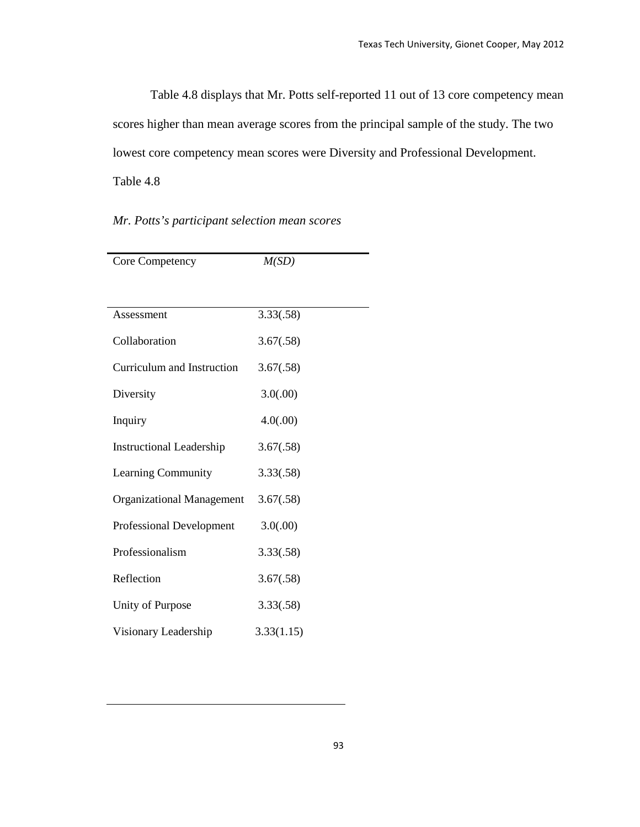Table 4.8 displays that Mr. Potts self-reported 11 out of 13 core competency mean scores higher than mean average scores from the principal sample of the study. The two lowest core competency mean scores were Diversity and Professional Development. Table 4.8

### *Mr. Potts's participant selection mean scores*

| Core Competency                  | M(SD)      |  |
|----------------------------------|------------|--|
|                                  |            |  |
| Assessment                       | 3.33(.58)  |  |
| Collaboration                    | 3.67(.58)  |  |
| Curriculum and Instruction       | 3.67(.58)  |  |
| Diversity                        | 3.0(.00)   |  |
| Inquiry                          | 4.0(.00)   |  |
| <b>Instructional Leadership</b>  | 3.67(.58)  |  |
| Learning Community               | 3.33(.58)  |  |
| <b>Organizational Management</b> | 3.67(.58)  |  |
| <b>Professional Development</b>  | 3.0(.00)   |  |
| Professionalism                  | 3.33(.58)  |  |
| Reflection                       | 3.67(.58)  |  |
| Unity of Purpose                 | 3.33(.58)  |  |
| Visionary Leadership             | 3.33(1.15) |  |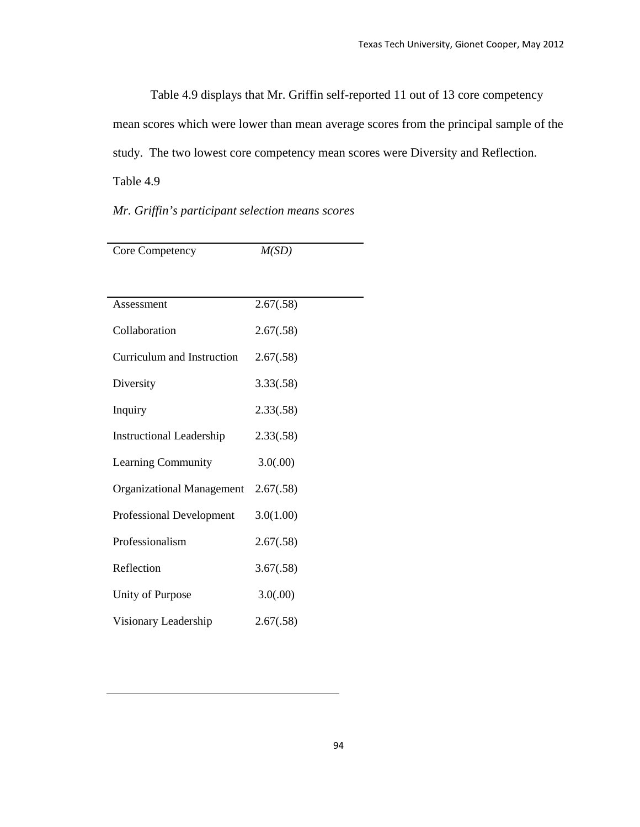Table 4.9 displays that Mr. Griffin self-reported 11 out of 13 core competency mean scores which were lower than mean average scores from the principal sample of the study. The two lowest core competency mean scores were Diversity and Reflection. Table 4.9

### *Mr. Griffin's participant selection means scores*

| Core Competency                  | M(SD)     |  |  |
|----------------------------------|-----------|--|--|
|                                  |           |  |  |
| Assessment                       | 2.67(.58) |  |  |
|                                  |           |  |  |
| Collaboration                    | 2.67(.58) |  |  |
| Curriculum and Instruction       | 2.67(.58) |  |  |
| Diversity                        | 3.33(.58) |  |  |
| Inquiry                          | 2.33(.58) |  |  |
| <b>Instructional Leadership</b>  | 2.33(.58) |  |  |
| Learning Community               | 3.0(.00)  |  |  |
| <b>Organizational Management</b> | 2.67(.58) |  |  |
| <b>Professional Development</b>  | 3.0(1.00) |  |  |
| Professionalism                  | 2.67(.58) |  |  |
| Reflection                       | 3.67(.58) |  |  |
| Unity of Purpose                 | 3.0(.00)  |  |  |
| Visionary Leadership             | 2.67(.58) |  |  |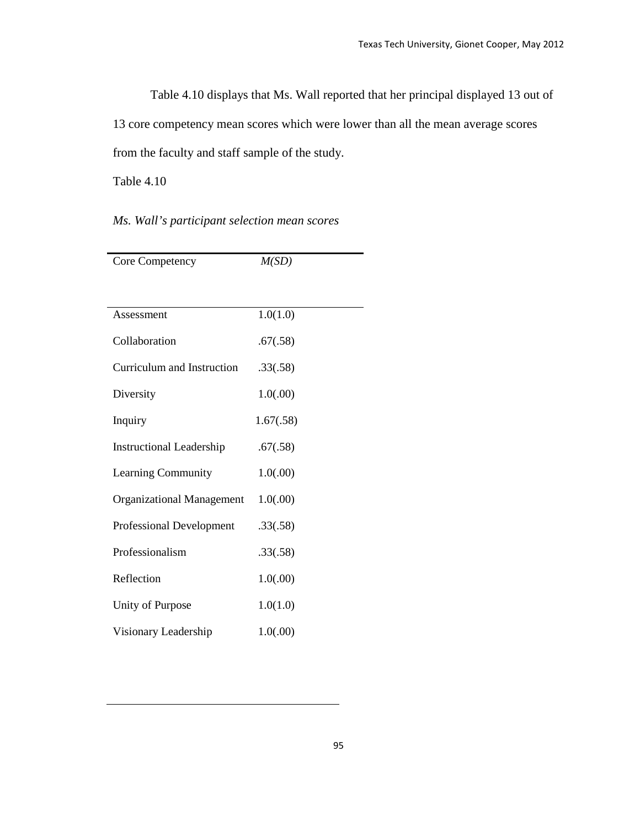Table 4.10 displays that Ms. Wall reported that her principal displayed 13 out of 13 core competency mean scores which were lower than all the mean average scores from the faculty and staff sample of the study.

Table 4.10

### *Ms. Wall's participant selection mean scores*

| Core Competency                  | M(SD)     |  |
|----------------------------------|-----------|--|
|                                  |           |  |
| Assessment                       | 1.0(1.0)  |  |
| Collaboration                    | .67(.58)  |  |
| Curriculum and Instruction       | .33(.58)  |  |
| Diversity                        | 1.0(0.00) |  |
| Inquiry                          | 1.67(.58) |  |
| <b>Instructional Leadership</b>  | .67(.58)  |  |
| <b>Learning Community</b>        | 1.0(.00)  |  |
| <b>Organizational Management</b> | 1.0(0.00) |  |
| <b>Professional Development</b>  | .33(.58)  |  |
| Professionalism                  | .33(.58)  |  |
| Reflection                       | 1.0(0.00) |  |
| Unity of Purpose                 | 1.0(1.0)  |  |
| Visionary Leadership             | 1.0(0.00) |  |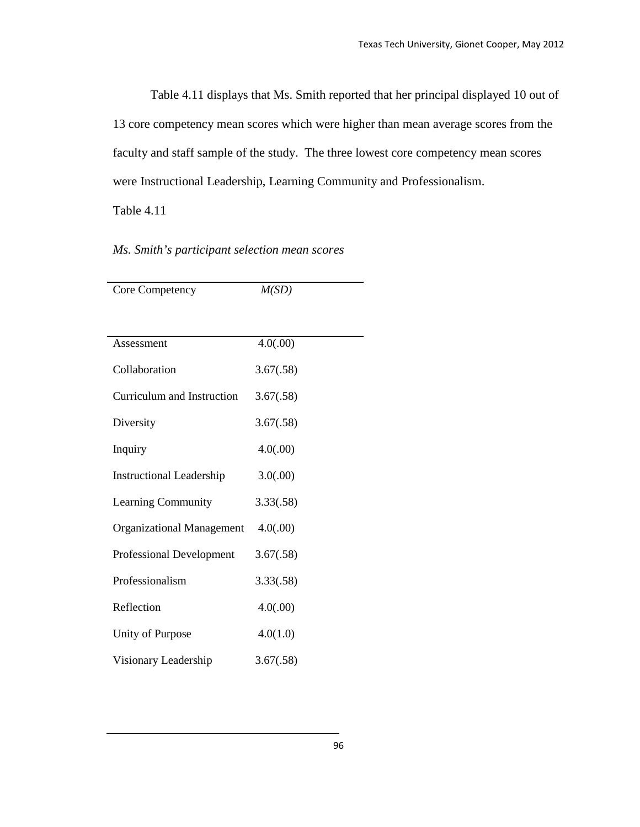Table 4.11 displays that Ms. Smith reported that her principal displayed 10 out of 13 core competency mean scores which were higher than mean average scores from the faculty and staff sample of the study. The three lowest core competency mean scores were Instructional Leadership, Learning Community and Professionalism.

Table 4.11

|  |  |  |  | Ms. Smith's participant selection mean scores |
|--|--|--|--|-----------------------------------------------|
|--|--|--|--|-----------------------------------------------|

| <b>Core Competency</b>           | M(SD)     |  |  |
|----------------------------------|-----------|--|--|
|                                  |           |  |  |
| Assessment                       | 4.0(.00)  |  |  |
| Collaboration                    | 3.67(.58) |  |  |
| Curriculum and Instruction       | 3.67(.58) |  |  |
| Diversity                        | 3.67(.58) |  |  |
| Inquiry                          | 4.0(.00)  |  |  |
| <b>Instructional Leadership</b>  | 3.0(.00)  |  |  |
| Learning Community               | 3.33(.58) |  |  |
| <b>Organizational Management</b> | 4.0(.00)  |  |  |
| Professional Development         | 3.67(.58) |  |  |
| Professionalism                  | 3.33(.58) |  |  |
| Reflection                       | 4.0(.00)  |  |  |
| Unity of Purpose                 | 4.0(1.0)  |  |  |
| Visionary Leadership             | 3.67(.58) |  |  |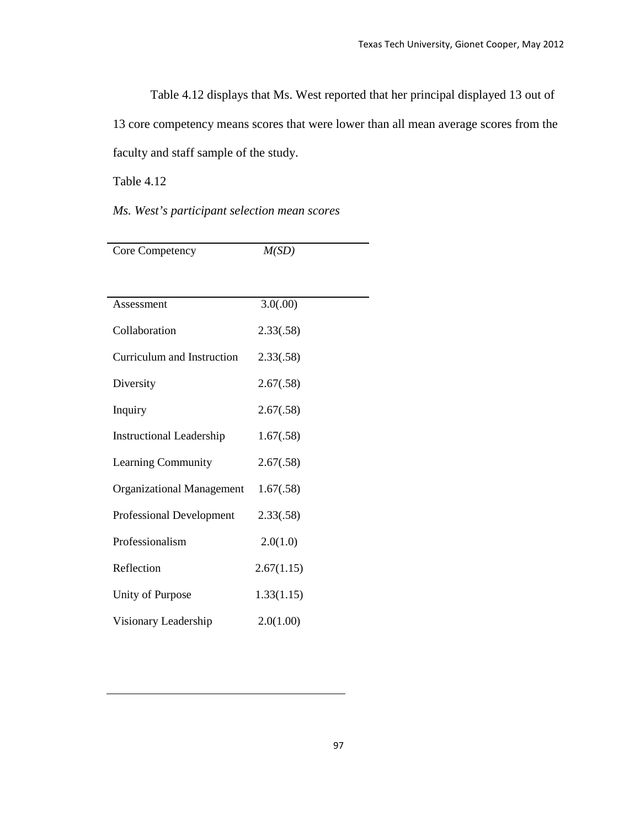Table 4.12 displays that Ms. West reported that her principal displayed 13 out of 13 core competency means scores that were lower than all mean average scores from the faculty and staff sample of the study.

Table 4.12

*Ms. West's participant selection mean scores*

| Core Competency                  | M(SD)      |  |
|----------------------------------|------------|--|
|                                  |            |  |
| Assessment                       | 3.0(.00)   |  |
| Collaboration                    | 2.33(.58)  |  |
| Curriculum and Instruction       | 2.33(.58)  |  |
| Diversity                        | 2.67(.58)  |  |
| Inquiry                          | 2.67(.58)  |  |
| <b>Instructional Leadership</b>  | 1.67(.58)  |  |
| Learning Community               | 2.67(.58)  |  |
| <b>Organizational Management</b> | 1.67(.58)  |  |
| <b>Professional Development</b>  | 2.33(.58)  |  |
| Professionalism                  | 2.0(1.0)   |  |
| Reflection                       | 2.67(1.15) |  |
| Unity of Purpose                 | 1.33(1.15) |  |
| Visionary Leadership             | 2.0(1.00)  |  |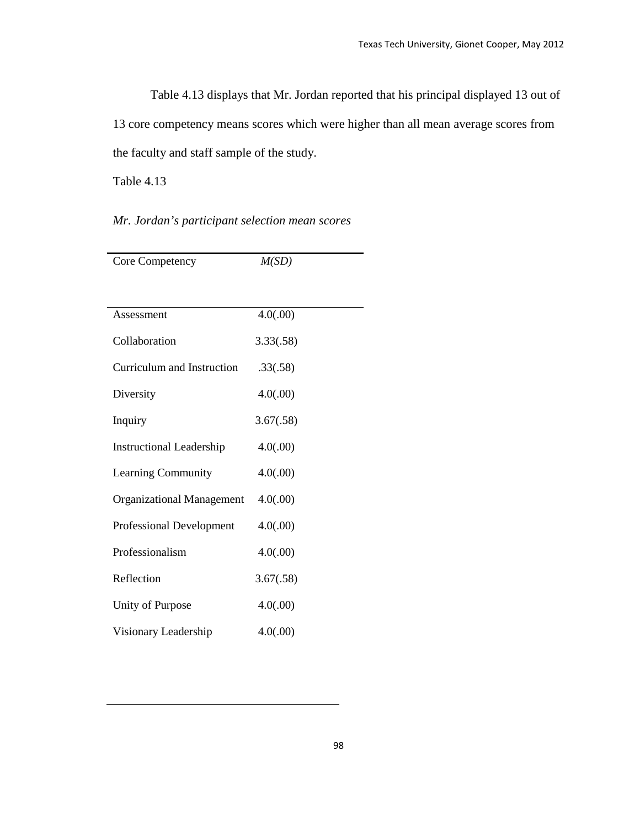Table 4.13 displays that Mr. Jordan reported that his principal displayed 13 out of 13 core competency means scores which were higher than all mean average scores from the faculty and staff sample of the study.

Table 4.13

*Mr. Jordan's participant selection mean scores* 

| Core Competency                  | M(SD)     |  |
|----------------------------------|-----------|--|
|                                  |           |  |
| Assessment                       | 4.0(.00)  |  |
| Collaboration                    | 3.33(.58) |  |
| Curriculum and Instruction       | .33(.58)  |  |
| Diversity                        | 4.0(.00)  |  |
| Inquiry                          | 3.67(.58) |  |
| <b>Instructional Leadership</b>  | 4.0(.00)  |  |
| Learning Community               | 4.0(.00)  |  |
| <b>Organizational Management</b> | 4.0(.00)  |  |
| <b>Professional Development</b>  | 4.0(.00)  |  |
| Professionalism                  | 4.0(.00)  |  |
| Reflection                       | 3.67(.58) |  |
| Unity of Purpose                 | 4.0(.00)  |  |
| Visionary Leadership             | 4.0(.00)  |  |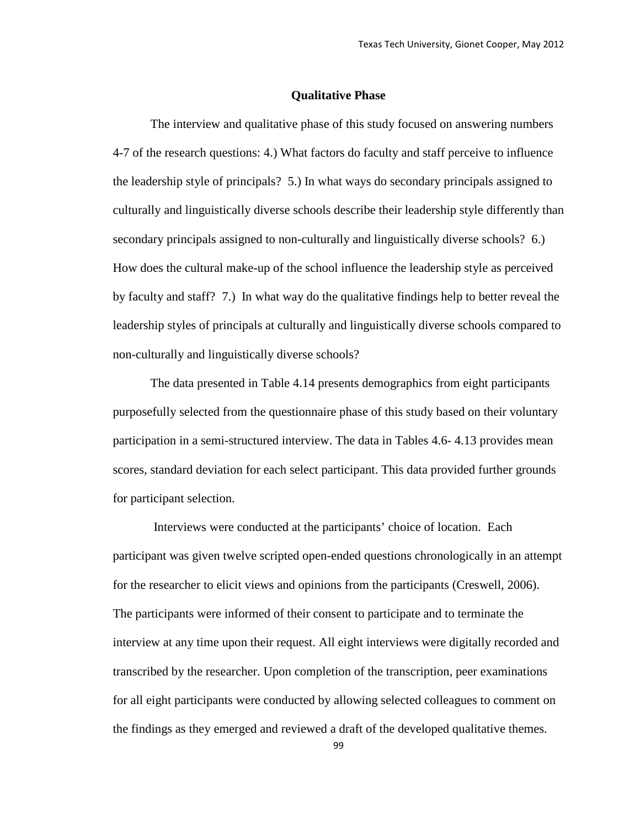#### **Qualitative Phase**

The interview and qualitative phase of this study focused on answering numbers 4-7 of the research questions: 4.) What factors do faculty and staff perceive to influence the leadership style of principals? 5.) In what ways do secondary principals assigned to culturally and linguistically diverse schools describe their leadership style differently than secondary principals assigned to non-culturally and linguistically diverse schools? 6.) How does the cultural make-up of the school influence the leadership style as perceived by faculty and staff? 7.) In what way do the qualitative findings help to better reveal the leadership styles of principals at culturally and linguistically diverse schools compared to non-culturally and linguistically diverse schools?

The data presented in Table 4.14 presents demographics from eight participants purposefully selected from the questionnaire phase of this study based on their voluntary participation in a semi-structured interview. The data in Tables 4.6- 4.13 provides mean scores, standard deviation for each select participant. This data provided further grounds for participant selection.

Interviews were conducted at the participants' choice of location. Each participant was given twelve scripted open-ended questions chronologically in an attempt for the researcher to elicit views and opinions from the participants (Creswell, 2006). The participants were informed of their consent to participate and to terminate the interview at any time upon their request. All eight interviews were digitally recorded and transcribed by the researcher. Upon completion of the transcription, peer examinations for all eight participants were conducted by allowing selected colleagues to comment on the findings as they emerged and reviewed a draft of the developed qualitative themes.

99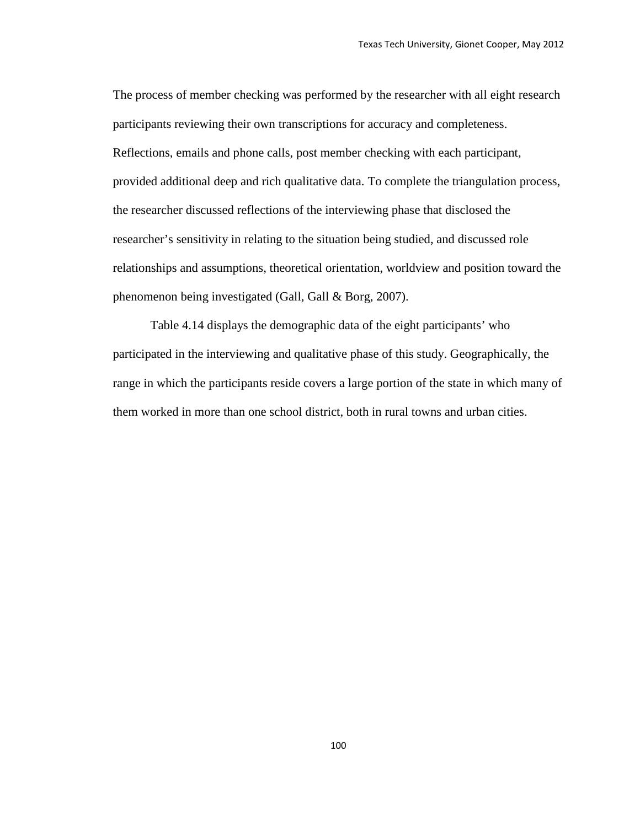The process of member checking was performed by the researcher with all eight research participants reviewing their own transcriptions for accuracy and completeness. Reflections, emails and phone calls, post member checking with each participant, provided additional deep and rich qualitative data. To complete the triangulation process, the researcher discussed reflections of the interviewing phase that disclosed the researcher's sensitivity in relating to the situation being studied, and discussed role relationships and assumptions, theoretical orientation, worldview and position toward the phenomenon being investigated (Gall, Gall & Borg, 2007).

Table 4.14 displays the demographic data of the eight participants' who participated in the interviewing and qualitative phase of this study. Geographically, the range in which the participants reside covers a large portion of the state in which many of them worked in more than one school district, both in rural towns and urban cities.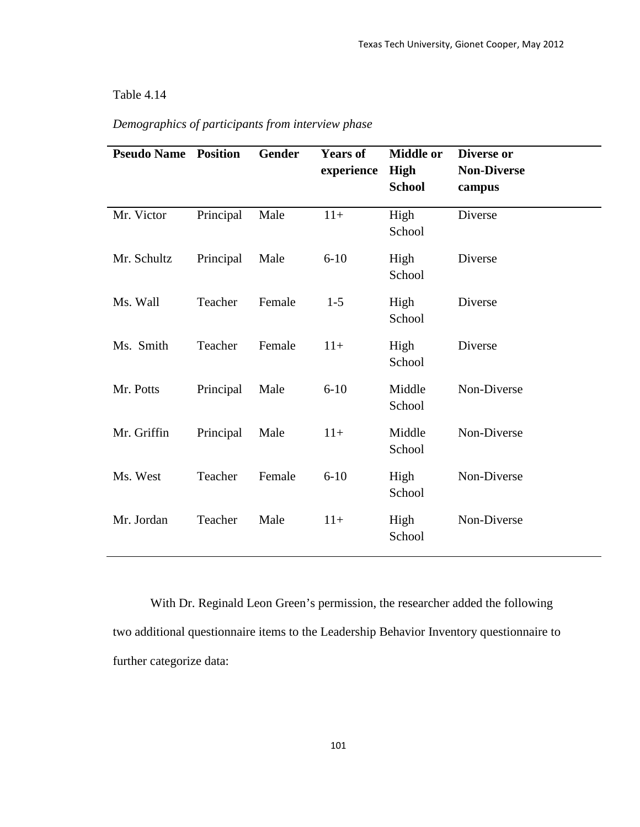## Table 4.14

| <b>Pseudo Name</b> | <b>Position</b> | <b>Gender</b> | <b>Years of</b><br>experience | <b>Middle or</b><br><b>High</b><br><b>School</b> | Diverse or<br><b>Non-Diverse</b><br>campus |
|--------------------|-----------------|---------------|-------------------------------|--------------------------------------------------|--------------------------------------------|
| Mr. Victor         | Principal       | Male          | $11+$                         | High<br>School                                   | Diverse                                    |
| Mr. Schultz        | Principal       | Male          | $6 - 10$                      | High<br>School                                   | Diverse                                    |
| Ms. Wall           | Teacher         | Female        | $1 - 5$                       | High<br>School                                   | Diverse                                    |
| Ms. Smith          | Teacher         | Female        | $11+$                         | High<br>School                                   | Diverse                                    |
| Mr. Potts          | Principal       | Male          | $6 - 10$                      | Middle<br>School                                 | Non-Diverse                                |
| Mr. Griffin        | Principal       | Male          | $11+$                         | Middle<br>School                                 | Non-Diverse                                |
| Ms. West           | Teacher         | Female        | $6 - 10$                      | High<br>School                                   | Non-Diverse                                |
| Mr. Jordan         | Teacher         | Male          | $11+$                         | High<br>School                                   | Non-Diverse                                |

## *Demographics of participants from interview phase*

With Dr. Reginald Leon Green's permission, the researcher added the following two additional questionnaire items to the Leadership Behavior Inventory questionnaire to further categorize data: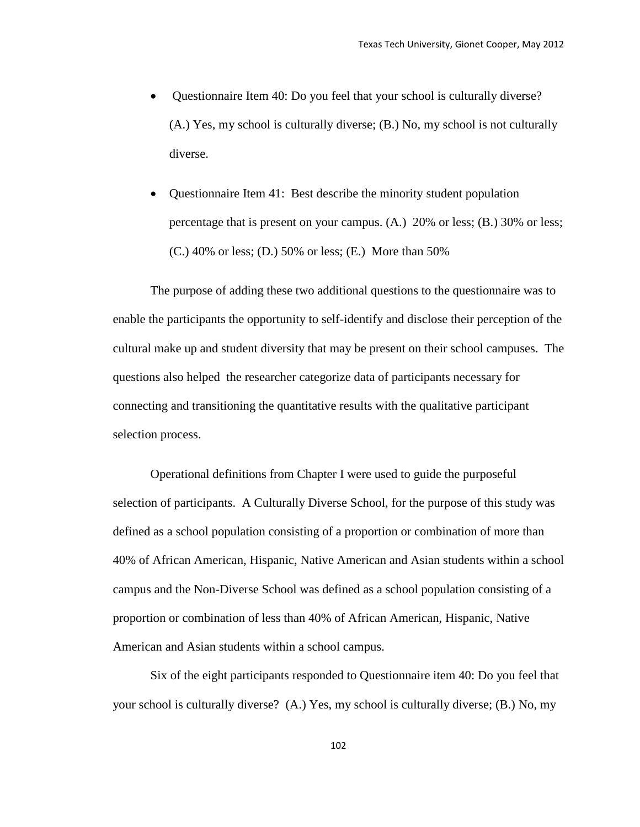- Questionnaire Item 40: Do you feel that your school is culturally diverse? (A.) Yes, my school is culturally diverse; (B.) No, my school is not culturally diverse.
- Questionnaire Item 41: Best describe the minority student population percentage that is present on your campus. (A.) 20% or less; (B.) 30% or less; (C.) 40% or less; (D.) 50% or less; (E.) More than 50%

The purpose of adding these two additional questions to the questionnaire was to enable the participants the opportunity to self-identify and disclose their perception of the cultural make up and student diversity that may be present on their school campuses. The questions also helped the researcher categorize data of participants necessary for connecting and transitioning the quantitative results with the qualitative participant selection process.

Operational definitions from Chapter I were used to guide the purposeful selection of participants. A Culturally Diverse School, for the purpose of this study was defined as a school population consisting of a proportion or combination of more than 40% of African American, Hispanic, Native American and Asian students within a school campus and the Non-Diverse School was defined as a school population consisting of a proportion or combination of less than 40% of African American, Hispanic, Native American and Asian students within a school campus.

Six of the eight participants responded to Questionnaire item 40: Do you feel that your school is culturally diverse? (A.) Yes, my school is culturally diverse; (B.) No, my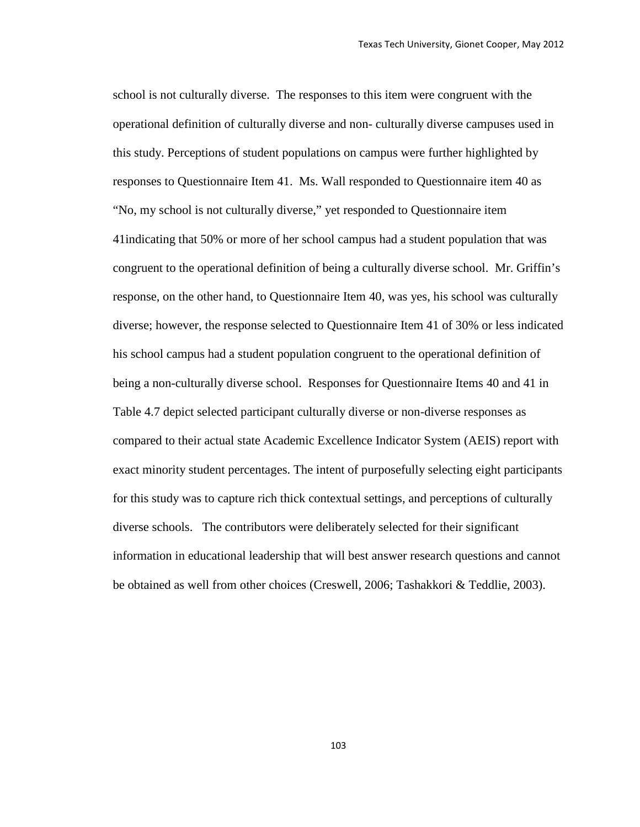school is not culturally diverse. The responses to this item were congruent with the operational definition of culturally diverse and non- culturally diverse campuses used in this study. Perceptions of student populations on campus were further highlighted by responses to Questionnaire Item 41. Ms. Wall responded to Questionnaire item 40 as "No, my school is not culturally diverse," yet responded to Questionnaire item 41indicating that 50% or more of her school campus had a student population that was congruent to the operational definition of being a culturally diverse school. Mr. Griffin's response, on the other hand, to Questionnaire Item 40, was yes, his school was culturally diverse; however, the response selected to Questionnaire Item 41 of 30% or less indicated his school campus had a student population congruent to the operational definition of being a non-culturally diverse school. Responses for Questionnaire Items 40 and 41 in Table 4.7 depict selected participant culturally diverse or non-diverse responses as compared to their actual state Academic Excellence Indicator System (AEIS) report with exact minority student percentages. The intent of purposefully selecting eight participants for this study was to capture rich thick contextual settings, and perceptions of culturally diverse schools. The contributors were deliberately selected for their significant information in educational leadership that will best answer research questions and cannot be obtained as well from other choices (Creswell, 2006; Tashakkori & Teddlie, 2003).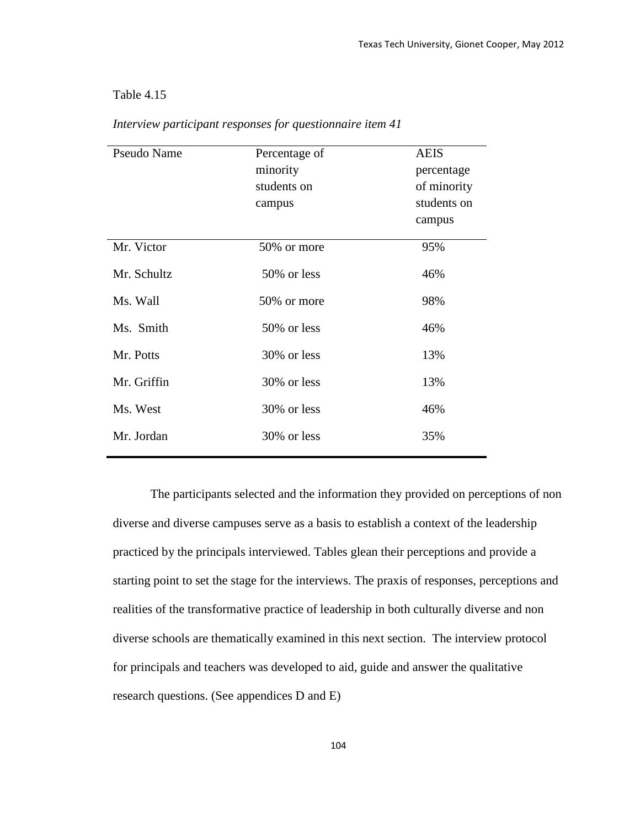## Table 4.15

| <b>Pseudo Name</b> | Percentage of<br>minority<br>students on<br>campus | <b>AEIS</b><br>percentage<br>of minority<br>students on<br>campus |
|--------------------|----------------------------------------------------|-------------------------------------------------------------------|
| Mr. Victor         | 50% or more                                        | 95%                                                               |
| Mr. Schultz        | 50% or less                                        | 46%                                                               |
| Ms. Wall           | 50% or more                                        | 98%                                                               |
| Ms. Smith          | 50% or less                                        | 46%                                                               |
| Mr. Potts          | 30% or less                                        | 13%                                                               |
| Mr. Griffin        | 30% or less                                        | 13%                                                               |
| Ms. West           | 30% or less                                        | 46%                                                               |
| Mr. Jordan         | 30% or less                                        | 35%                                                               |

*Interview participant responses for questionnaire item 41*

The participants selected and the information they provided on perceptions of non diverse and diverse campuses serve as a basis to establish a context of the leadership practiced by the principals interviewed. Tables glean their perceptions and provide a starting point to set the stage for the interviews. The praxis of responses, perceptions and realities of the transformative practice of leadership in both culturally diverse and non diverse schools are thematically examined in this next section. The interview protocol for principals and teachers was developed to aid, guide and answer the qualitative research questions. (See appendices D and E)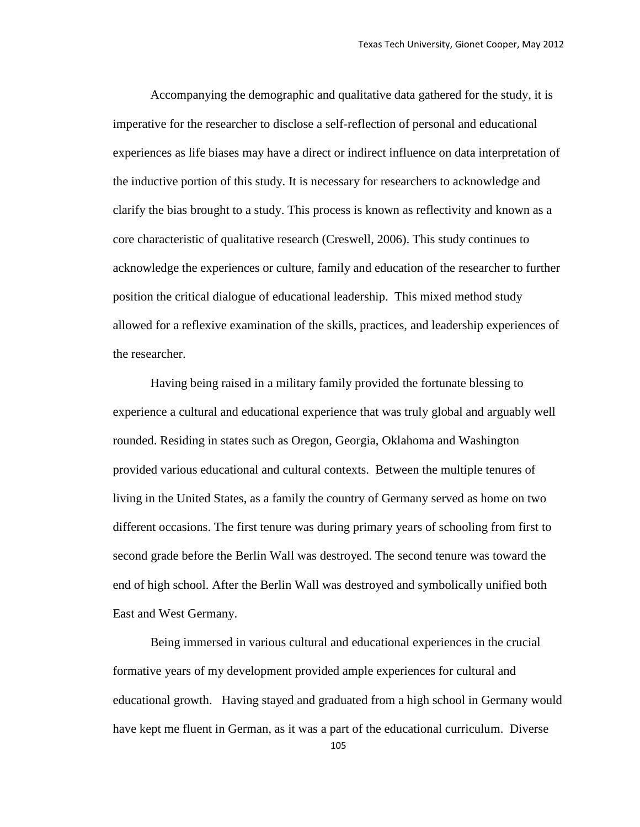Accompanying the demographic and qualitative data gathered for the study, it is imperative for the researcher to disclose a self-reflection of personal and educational experiences as life biases may have a direct or indirect influence on data interpretation of the inductive portion of this study. It is necessary for researchers to acknowledge and clarify the bias brought to a study. This process is known as reflectivity and known as a core characteristic of qualitative research (Creswell, 2006). This study continues to acknowledge the experiences or culture, family and education of the researcher to further position the critical dialogue of educational leadership. This mixed method study allowed for a reflexive examination of the skills, practices, and leadership experiences of the researcher.

Having being raised in a military family provided the fortunate blessing to experience a cultural and educational experience that was truly global and arguably well rounded. Residing in states such as Oregon, Georgia, Oklahoma and Washington provided various educational and cultural contexts. Between the multiple tenures of living in the United States, as a family the country of Germany served as home on two different occasions. The first tenure was during primary years of schooling from first to second grade before the Berlin Wall was destroyed. The second tenure was toward the end of high school. After the Berlin Wall was destroyed and symbolically unified both East and West Germany.

Being immersed in various cultural and educational experiences in the crucial formative years of my development provided ample experiences for cultural and educational growth. Having stayed and graduated from a high school in Germany would have kept me fluent in German, as it was a part of the educational curriculum. Diverse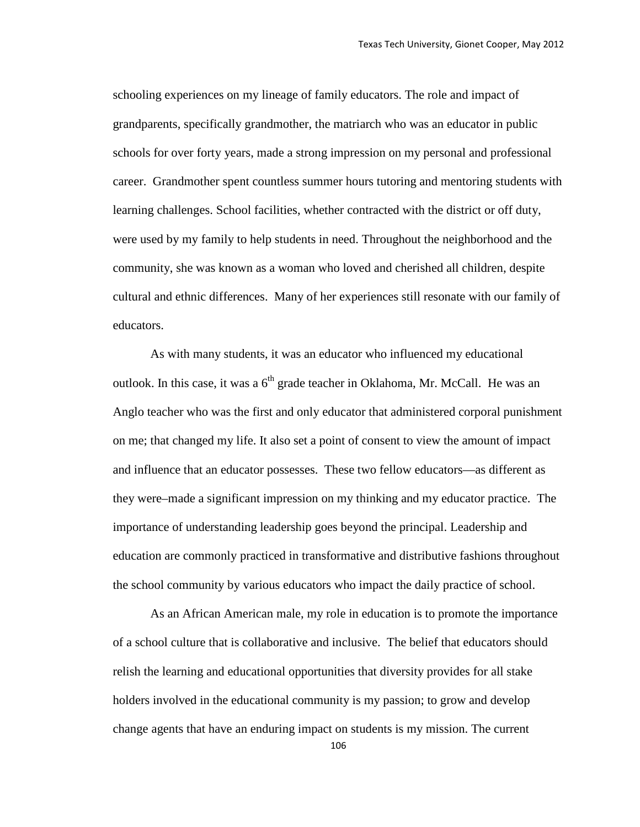schooling experiences on my lineage of family educators. The role and impact of grandparents, specifically grandmother, the matriarch who was an educator in public schools for over forty years, made a strong impression on my personal and professional career. Grandmother spent countless summer hours tutoring and mentoring students with learning challenges. School facilities, whether contracted with the district or off duty, were used by my family to help students in need. Throughout the neighborhood and the community, she was known as a woman who loved and cherished all children, despite cultural and ethnic differences. Many of her experiences still resonate with our family of educators.

As with many students, it was an educator who influenced my educational outlook. In this case, it was a  $6<sup>th</sup>$  grade teacher in Oklahoma, Mr. McCall. He was an Anglo teacher who was the first and only educator that administered corporal punishment on me; that changed my life. It also set a point of consent to view the amount of impact and influence that an educator possesses. These two fellow educators—as different as they were–made a significant impression on my thinking and my educator practice. The importance of understanding leadership goes beyond the principal. Leadership and education are commonly practiced in transformative and distributive fashions throughout the school community by various educators who impact the daily practice of school.

As an African American male, my role in education is to promote the importance of a school culture that is collaborative and inclusive. The belief that educators should relish the learning and educational opportunities that diversity provides for all stake holders involved in the educational community is my passion; to grow and develop change agents that have an enduring impact on students is my mission. The current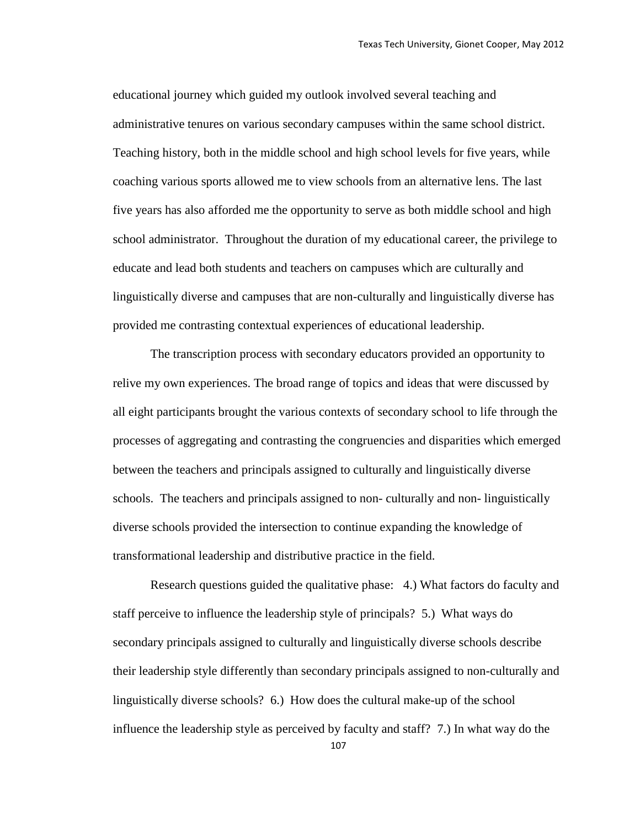educational journey which guided my outlook involved several teaching and administrative tenures on various secondary campuses within the same school district. Teaching history, both in the middle school and high school levels for five years, while coaching various sports allowed me to view schools from an alternative lens. The last five years has also afforded me the opportunity to serve as both middle school and high school administrator. Throughout the duration of my educational career, the privilege to educate and lead both students and teachers on campuses which are culturally and linguistically diverse and campuses that are non-culturally and linguistically diverse has provided me contrasting contextual experiences of educational leadership.

The transcription process with secondary educators provided an opportunity to relive my own experiences. The broad range of topics and ideas that were discussed by all eight participants brought the various contexts of secondary school to life through the processes of aggregating and contrasting the congruencies and disparities which emerged between the teachers and principals assigned to culturally and linguistically diverse schools. The teachers and principals assigned to non- culturally and non- linguistically diverse schools provided the intersection to continue expanding the knowledge of transformational leadership and distributive practice in the field.

Research questions guided the qualitative phase: 4.) What factors do faculty and staff perceive to influence the leadership style of principals? 5.) What ways do secondary principals assigned to culturally and linguistically diverse schools describe their leadership style differently than secondary principals assigned to non-culturally and linguistically diverse schools? 6.) How does the cultural make-up of the school influence the leadership style as perceived by faculty and staff? 7.) In what way do the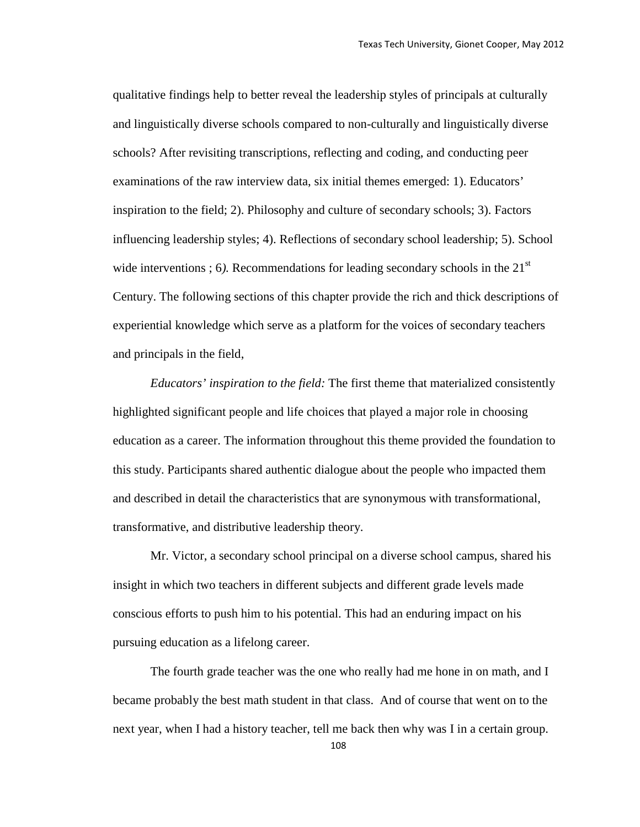qualitative findings help to better reveal the leadership styles of principals at culturally and linguistically diverse schools compared to non-culturally and linguistically diverse schools? After revisiting transcriptions, reflecting and coding, and conducting peer examinations of the raw interview data, six initial themes emerged: 1). Educators' inspiration to the field; 2). Philosophy and culture of secondary schools; 3). Factors influencing leadership styles; 4). Reflections of secondary school leadership; 5). School wide interventions ; 6). Recommendations for leading secondary schools in the  $21<sup>st</sup>$ Century. The following sections of this chapter provide the rich and thick descriptions of experiential knowledge which serve as a platform for the voices of secondary teachers and principals in the field,

*Educators' inspiration to the field:* The first theme that materialized consistently highlighted significant people and life choices that played a major role in choosing education as a career. The information throughout this theme provided the foundation to this study. Participants shared authentic dialogue about the people who impacted them and described in detail the characteristics that are synonymous with transformational, transformative, and distributive leadership theory.

Mr. Victor, a secondary school principal on a diverse school campus, shared his insight in which two teachers in different subjects and different grade levels made conscious efforts to push him to his potential. This had an enduring impact on his pursuing education as a lifelong career.

The fourth grade teacher was the one who really had me hone in on math, and I became probably the best math student in that class. And of course that went on to the next year, when I had a history teacher, tell me back then why was I in a certain group.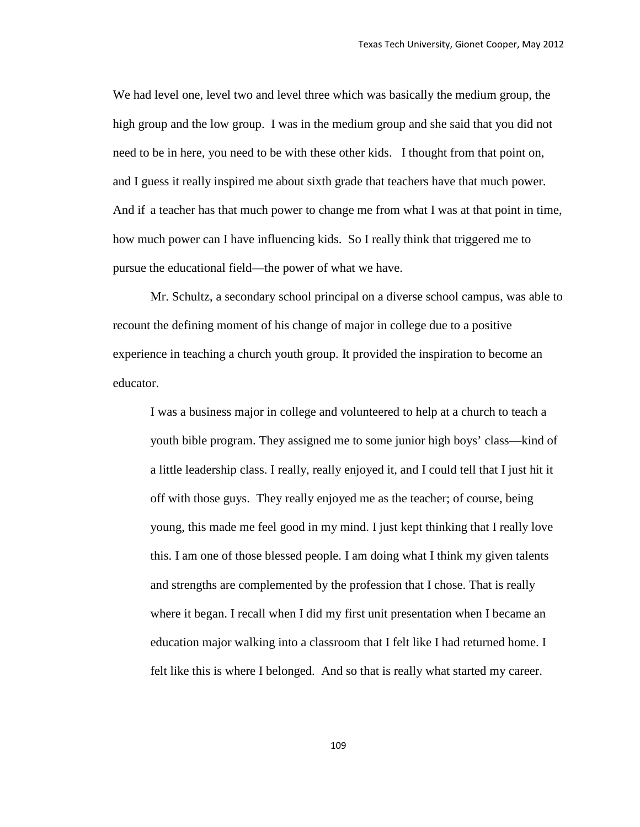We had level one, level two and level three which was basically the medium group, the high group and the low group. I was in the medium group and she said that you did not need to be in here, you need to be with these other kids. I thought from that point on, and I guess it really inspired me about sixth grade that teachers have that much power. And if a teacher has that much power to change me from what I was at that point in time, how much power can I have influencing kids. So I really think that triggered me to pursue the educational field—the power of what we have.

Mr. Schultz, a secondary school principal on a diverse school campus, was able to recount the defining moment of his change of major in college due to a positive experience in teaching a church youth group. It provided the inspiration to become an educator.

I was a business major in college and volunteered to help at a church to teach a youth bible program. They assigned me to some junior high boys' class—kind of a little leadership class. I really, really enjoyed it, and I could tell that I just hit it off with those guys. They really enjoyed me as the teacher; of course, being young, this made me feel good in my mind. I just kept thinking that I really love this. I am one of those blessed people. I am doing what I think my given talents and strengths are complemented by the profession that I chose. That is really where it began. I recall when I did my first unit presentation when I became an education major walking into a classroom that I felt like I had returned home. I felt like this is where I belonged. And so that is really what started my career.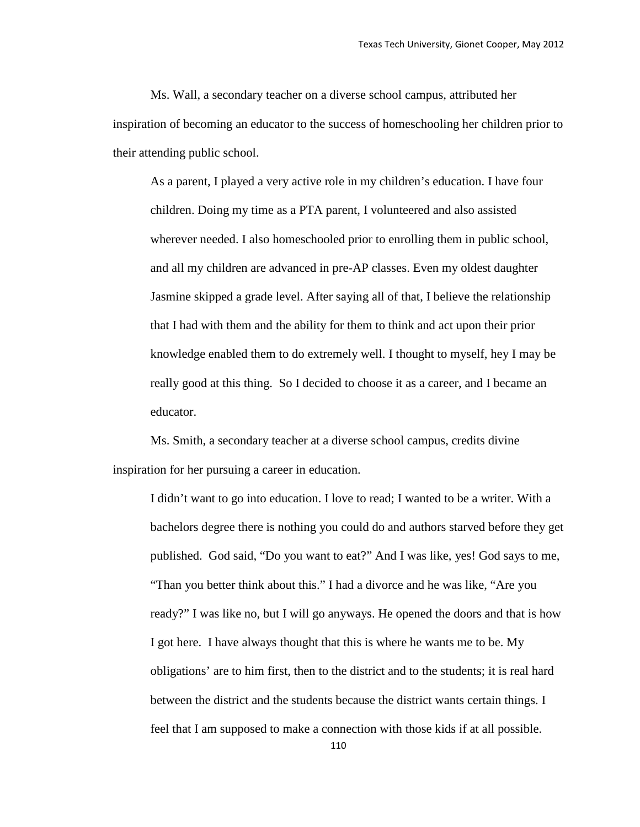Ms. Wall, a secondary teacher on a diverse school campus, attributed her inspiration of becoming an educator to the success of homeschooling her children prior to their attending public school.

As a parent, I played a very active role in my children's education. I have four children. Doing my time as a PTA parent, I volunteered and also assisted wherever needed. I also homeschooled prior to enrolling them in public school, and all my children are advanced in pre-AP classes. Even my oldest daughter Jasmine skipped a grade level. After saying all of that, I believe the relationship that I had with them and the ability for them to think and act upon their prior knowledge enabled them to do extremely well. I thought to myself, hey I may be really good at this thing. So I decided to choose it as a career, and I became an educator.

Ms. Smith, a secondary teacher at a diverse school campus, credits divine inspiration for her pursuing a career in education.

I didn't want to go into education. I love to read; I wanted to be a writer. With a bachelors degree there is nothing you could do and authors starved before they get published. God said, "Do you want to eat?" And I was like, yes! God says to me, "Than you better think about this." I had a divorce and he was like, "Are you ready?" I was like no, but I will go anyways. He opened the doors and that is how I got here. I have always thought that this is where he wants me to be. My obligations' are to him first, then to the district and to the students; it is real hard between the district and the students because the district wants certain things. I feel that I am supposed to make a connection with those kids if at all possible.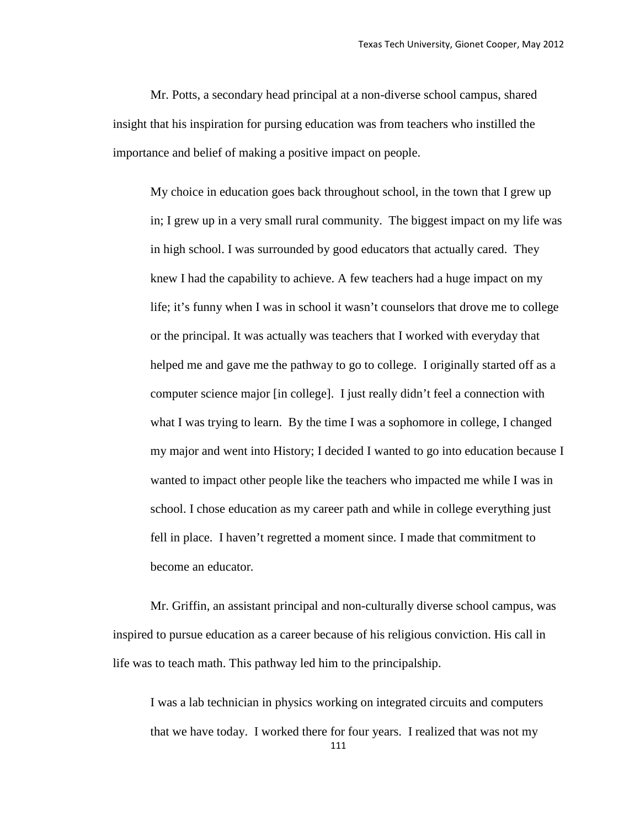Mr. Potts, a secondary head principal at a non-diverse school campus, shared insight that his inspiration for pursing education was from teachers who instilled the importance and belief of making a positive impact on people.

My choice in education goes back throughout school, in the town that I grew up in; I grew up in a very small rural community. The biggest impact on my life was in high school. I was surrounded by good educators that actually cared. They knew I had the capability to achieve. A few teachers had a huge impact on my life; it's funny when I was in school it wasn't counselors that drove me to college or the principal. It was actually was teachers that I worked with everyday that helped me and gave me the pathway to go to college. I originally started off as a computer science major [in college]. I just really didn't feel a connection with what I was trying to learn. By the time I was a sophomore in college, I changed my major and went into History; I decided I wanted to go into education because I wanted to impact other people like the teachers who impacted me while I was in school. I chose education as my career path and while in college everything just fell in place. I haven't regretted a moment since. I made that commitment to become an educator*.*

Mr. Griffin, an assistant principal and non-culturally diverse school campus, was inspired to pursue education as a career because of his religious conviction. His call in life was to teach math. This pathway led him to the principalship.

111 I was a lab technician in physics working on integrated circuits and computers that we have today. I worked there for four years. I realized that was not my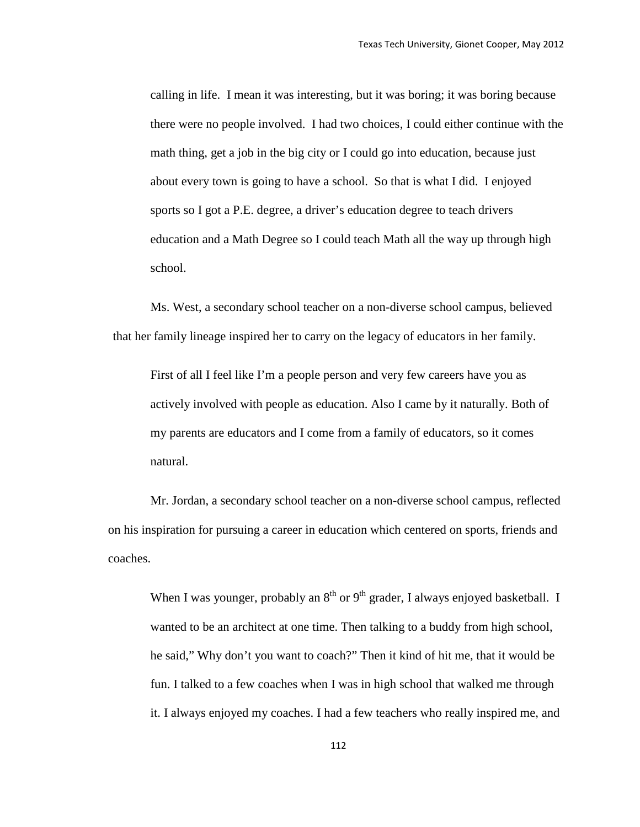calling in life. I mean it was interesting, but it was boring; it was boring because there were no people involved. I had two choices, I could either continue with the math thing, get a job in the big city or I could go into education, because just about every town is going to have a school. So that is what I did. I enjoyed sports so I got a P.E. degree, a driver's education degree to teach drivers education and a Math Degree so I could teach Math all the way up through high school.

Ms. West, a secondary school teacher on a non-diverse school campus, believed that her family lineage inspired her to carry on the legacy of educators in her family.

First of all I feel like I'm a people person and very few careers have you as actively involved with people as education. Also I came by it naturally. Both of my parents are educators and I come from a family of educators, so it comes natural.

Mr. Jordan, a secondary school teacher on a non-diverse school campus, reflected on his inspiration for pursuing a career in education which centered on sports, friends and coaches.

When I was younger, probably an  $8<sup>th</sup>$  or  $9<sup>th</sup>$  grader, I always enjoyed basketball. I wanted to be an architect at one time. Then talking to a buddy from high school, he said," Why don't you want to coach?" Then it kind of hit me, that it would be fun. I talked to a few coaches when I was in high school that walked me through it. I always enjoyed my coaches. I had a few teachers who really inspired me, and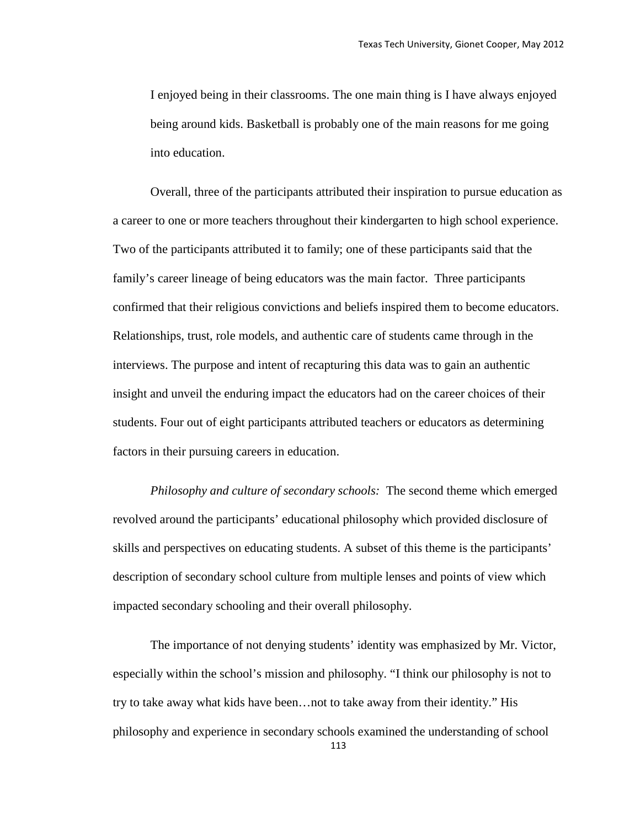I enjoyed being in their classrooms. The one main thing is I have always enjoyed being around kids. Basketball is probably one of the main reasons for me going into education.

Overall, three of the participants attributed their inspiration to pursue education as a career to one or more teachers throughout their kindergarten to high school experience. Two of the participants attributed it to family; one of these participants said that the family's career lineage of being educators was the main factor. Three participants confirmed that their religious convictions and beliefs inspired them to become educators. Relationships, trust, role models, and authentic care of students came through in the interviews. The purpose and intent of recapturing this data was to gain an authentic insight and unveil the enduring impact the educators had on the career choices of their students. Four out of eight participants attributed teachers or educators as determining factors in their pursuing careers in education.

*Philosophy and culture of secondary schools:* The second theme which emerged revolved around the participants' educational philosophy which provided disclosure of skills and perspectives on educating students. A subset of this theme is the participants' description of secondary school culture from multiple lenses and points of view which impacted secondary schooling and their overall philosophy.

The importance of not denying students' identity was emphasized by Mr. Victor, especially within the school's mission and philosophy. "I think our philosophy is not to try to take away what kids have been…not to take away from their identity." His philosophy and experience in secondary schools examined the understanding of school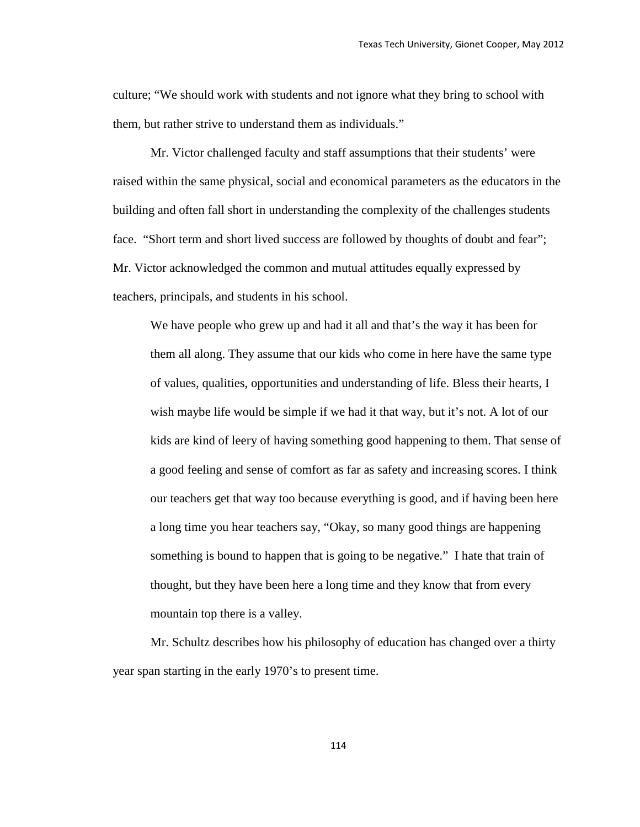culture; "We should work with students and not ignore what they bring to school with them, but rather strive to understand them as individuals."

Mr. Victor challenged faculty and staff assumptions that their students' were raised within the same physical, social and economical parameters as the educators in the building and often fall short in understanding the complexity of the challenges students face. "Short term and short lived success are followed by thoughts of doubt and fear"; Mr. Victor acknowledged the common and mutual attitudes equally expressed by teachers, principals, and students in his school.

We have people who grew up and had it all and that's the way it has been for them all along. They assume that our kids who come in here have the same type of values, qualities, opportunities and understanding of life. Bless their hearts, I wish maybe life would be simple if we had it that way, but it's not. A lot of our kids are kind of leery of having something good happening to them. That sense of a good feeling and sense of comfort as far as safety and increasing scores. I think our teachers get that way too because everything is good, and if having been here a long time you hear teachers say, "Okay, so many good things are happening something is bound to happen that is going to be negative." I hate that train of thought, but they have been here a long time and they know that from every mountain top there is a valley.

Mr. Schultz describes how his philosophy of education has changed over a thirty year span starting in the early 1970's to present time.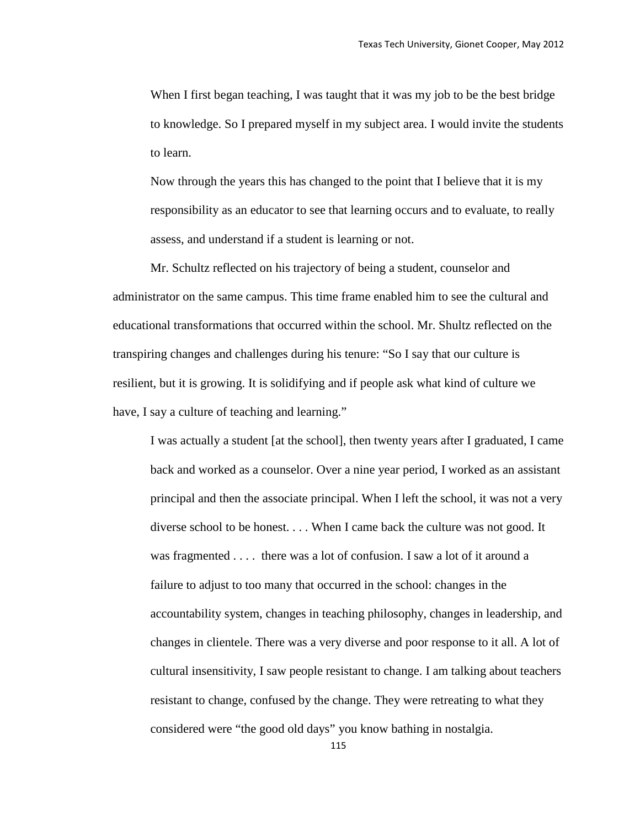When I first began teaching, I was taught that it was my job to be the best bridge to knowledge. So I prepared myself in my subject area. I would invite the students to learn.

Now through the years this has changed to the point that I believe that it is my responsibility as an educator to see that learning occurs and to evaluate, to really assess, and understand if a student is learning or not.

Mr. Schultz reflected on his trajectory of being a student, counselor and administrator on the same campus. This time frame enabled him to see the cultural and educational transformations that occurred within the school. Mr. Shultz reflected on the transpiring changes and challenges during his tenure: "So I say that our culture is resilient, but it is growing. It is solidifying and if people ask what kind of culture we have, I say a culture of teaching and learning."

I was actually a student [at the school], then twenty years after I graduated, I came back and worked as a counselor. Over a nine year period, I worked as an assistant principal and then the associate principal. When I left the school, it was not a very diverse school to be honest. . . . When I came back the culture was not good. It was fragmented . . . . there was a lot of confusion. I saw a lot of it around a failure to adjust to too many that occurred in the school: changes in the accountability system, changes in teaching philosophy, changes in leadership, and changes in clientele. There was a very diverse and poor response to it all. A lot of cultural insensitivity, I saw people resistant to change. I am talking about teachers resistant to change, confused by the change. They were retreating to what they considered were "the good old days" you know bathing in nostalgia.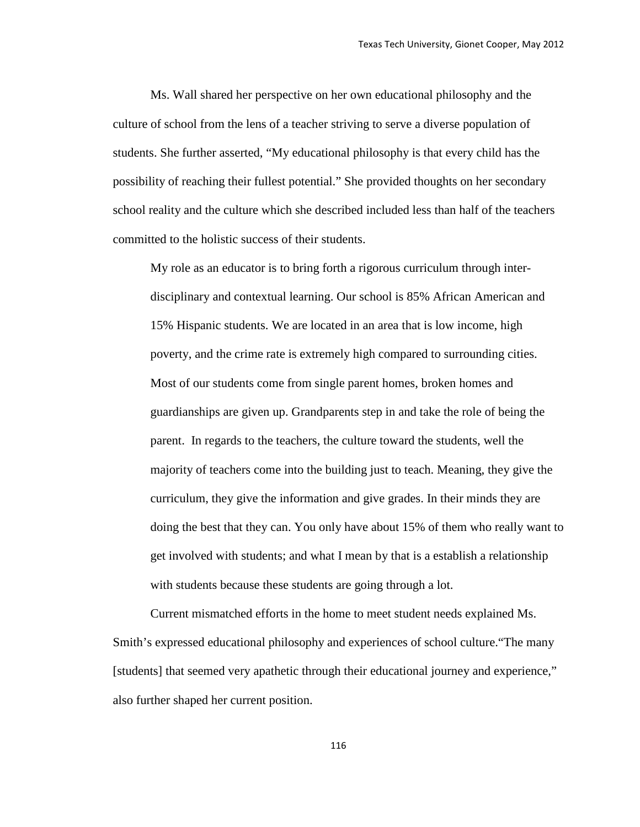Ms. Wall shared her perspective on her own educational philosophy and the culture of school from the lens of a teacher striving to serve a diverse population of students. She further asserted, "My educational philosophy is that every child has the possibility of reaching their fullest potential." She provided thoughts on her secondary school reality and the culture which she described included less than half of the teachers committed to the holistic success of their students.

My role as an educator is to bring forth a rigorous curriculum through interdisciplinary and contextual learning. Our school is 85% African American and 15% Hispanic students. We are located in an area that is low income, high poverty, and the crime rate is extremely high compared to surrounding cities. Most of our students come from single parent homes, broken homes and guardianships are given up. Grandparents step in and take the role of being the parent. In regards to the teachers, the culture toward the students, well the majority of teachers come into the building just to teach. Meaning, they give the curriculum, they give the information and give grades. In their minds they are doing the best that they can. You only have about 15% of them who really want to get involved with students; and what I mean by that is a establish a relationship with students because these students are going through a lot.

Current mismatched efforts in the home to meet student needs explained Ms. Smith's expressed educational philosophy and experiences of school culture."The many [students] that seemed very apathetic through their educational journey and experience," also further shaped her current position.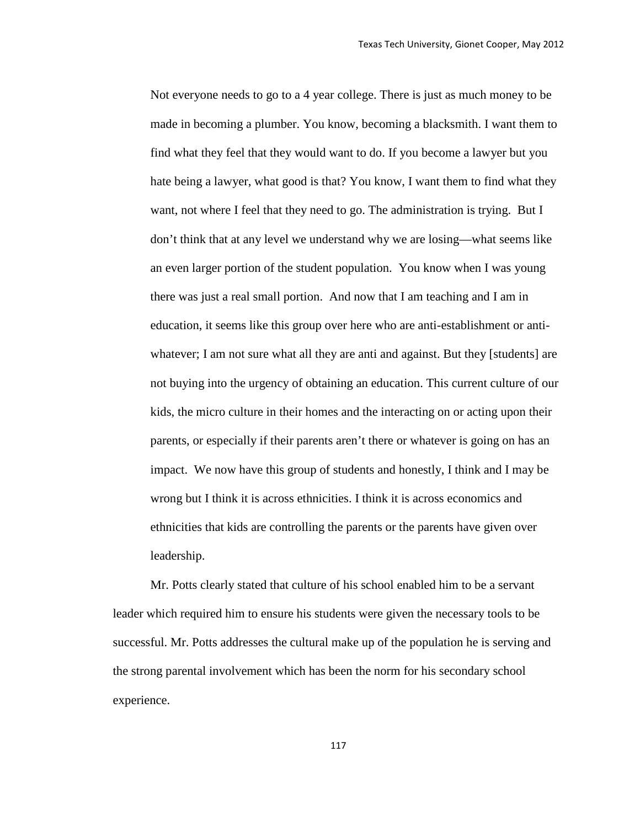Not everyone needs to go to a 4 year college. There is just as much money to be made in becoming a plumber. You know, becoming a blacksmith. I want them to find what they feel that they would want to do. If you become a lawyer but you hate being a lawyer, what good is that? You know, I want them to find what they want, not where I feel that they need to go. The administration is trying. But I don't think that at any level we understand why we are losing—what seems like an even larger portion of the student population. You know when I was young there was just a real small portion. And now that I am teaching and I am in education, it seems like this group over here who are anti-establishment or antiwhatever; I am not sure what all they are anti and against. But they [students] are not buying into the urgency of obtaining an education. This current culture of our kids, the micro culture in their homes and the interacting on or acting upon their parents, or especially if their parents aren't there or whatever is going on has an impact. We now have this group of students and honestly, I think and I may be wrong but I think it is across ethnicities. I think it is across economics and ethnicities that kids are controlling the parents or the parents have given over leadership.

Mr. Potts clearly stated that culture of his school enabled him to be a servant leader which required him to ensure his students were given the necessary tools to be successful. Mr. Potts addresses the cultural make up of the population he is serving and the strong parental involvement which has been the norm for his secondary school experience.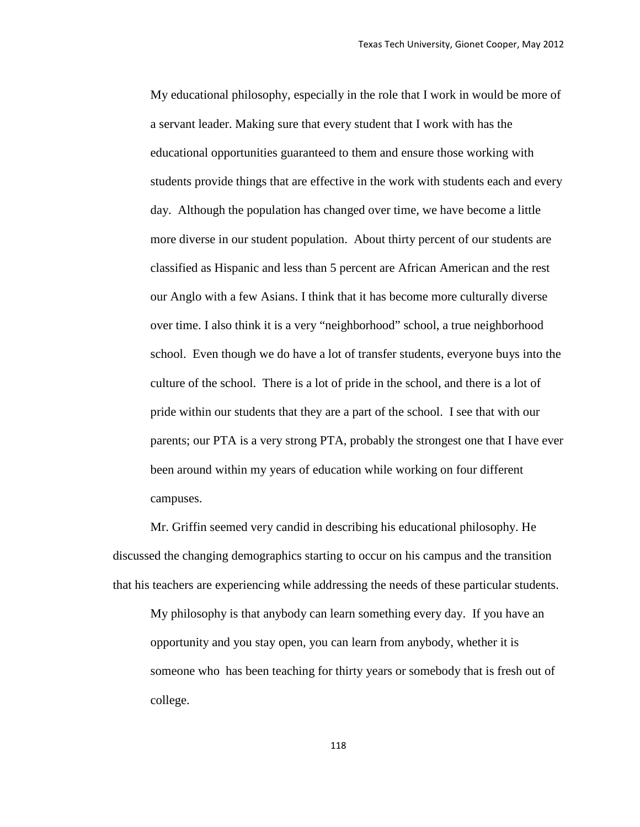My educational philosophy, especially in the role that I work in would be more of a servant leader. Making sure that every student that I work with has the educational opportunities guaranteed to them and ensure those working with students provide things that are effective in the work with students each and every day. Although the population has changed over time, we have become a little more diverse in our student population. About thirty percent of our students are classified as Hispanic and less than 5 percent are African American and the rest our Anglo with a few Asians. I think that it has become more culturally diverse over time. I also think it is a very "neighborhood" school, a true neighborhood school. Even though we do have a lot of transfer students, everyone buys into the culture of the school. There is a lot of pride in the school, and there is a lot of pride within our students that they are a part of the school. I see that with our parents; our PTA is a very strong PTA, probably the strongest one that I have ever been around within my years of education while working on four different campuses.

Mr. Griffin seemed very candid in describing his educational philosophy. He discussed the changing demographics starting to occur on his campus and the transition that his teachers are experiencing while addressing the needs of these particular students.

My philosophy is that anybody can learn something every day. If you have an opportunity and you stay open, you can learn from anybody, whether it is someone who has been teaching for thirty years or somebody that is fresh out of college.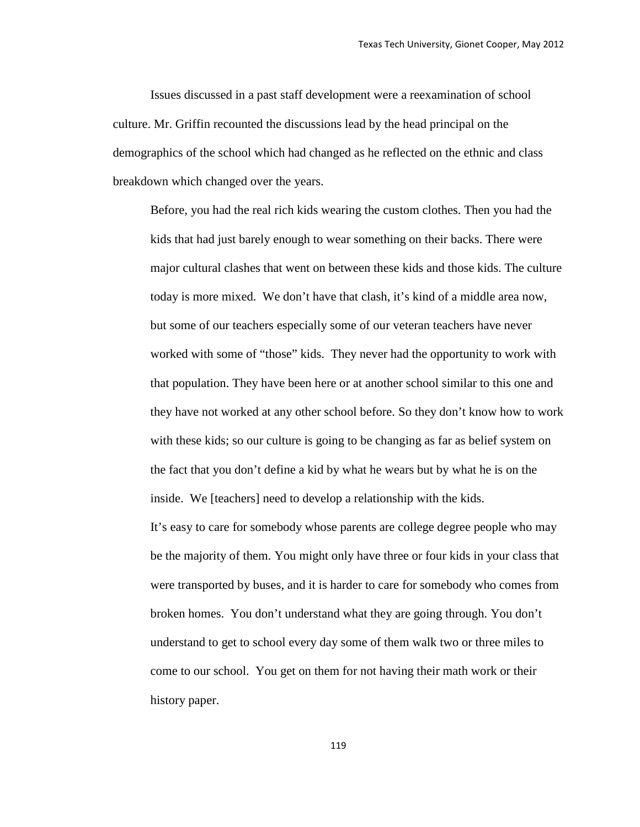Issues discussed in a past staff development were a reexamination of school culture. Mr. Griffin recounted the discussions lead by the head principal on the demographics of the school which had changed as he reflected on the ethnic and class breakdown which changed over the years.

Before, you had the real rich kids wearing the custom clothes. Then you had the kids that had just barely enough to wear something on their backs. There were major cultural clashes that went on between these kids and those kids. The culture today is more mixed. We don't have that clash, it's kind of a middle area now, but some of our teachers especially some of our veteran teachers have never worked with some of "those" kids. They never had the opportunity to work with that population. They have been here or at another school similar to this one and they have not worked at any other school before. So they don't know how to work with these kids; so our culture is going to be changing as far as belief system on the fact that you don't define a kid by what he wears but by what he is on the inside. We [teachers] need to develop a relationship with the kids.

It's easy to care for somebody whose parents are college degree people who may be the majority of them. You might only have three or four kids in your class that were transported by buses, and it is harder to care for somebody who comes from broken homes. You don't understand what they are going through. You don't understand to get to school every day some of them walk two or three miles to come to our school. You get on them for not having their math work or their history paper.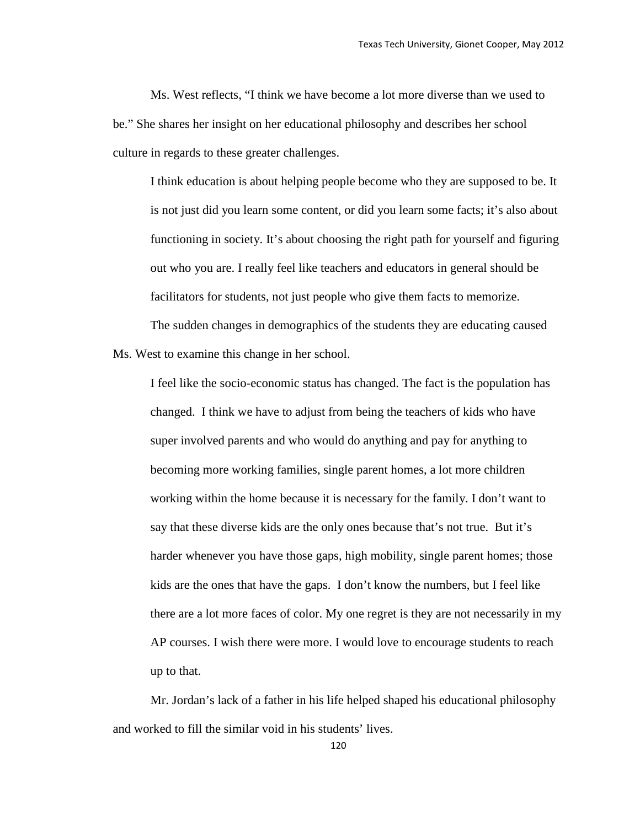Ms. West reflects, "I think we have become a lot more diverse than we used to be." She shares her insight on her educational philosophy and describes her school culture in regards to these greater challenges.

I think education is about helping people become who they are supposed to be. It is not just did you learn some content, or did you learn some facts; it's also about functioning in society. It's about choosing the right path for yourself and figuring out who you are. I really feel like teachers and educators in general should be facilitators for students, not just people who give them facts to memorize.

The sudden changes in demographics of the students they are educating caused Ms. West to examine this change in her school.

I feel like the socio-economic status has changed. The fact is the population has changed. I think we have to adjust from being the teachers of kids who have super involved parents and who would do anything and pay for anything to becoming more working families, single parent homes, a lot more children working within the home because it is necessary for the family. I don't want to say that these diverse kids are the only ones because that's not true. But it's harder whenever you have those gaps, high mobility, single parent homes; those kids are the ones that have the gaps. I don't know the numbers, but I feel like there are a lot more faces of color. My one regret is they are not necessarily in my AP courses. I wish there were more. I would love to encourage students to reach up to that.

Mr. Jordan's lack of a father in his life helped shaped his educational philosophy and worked to fill the similar void in his students' lives.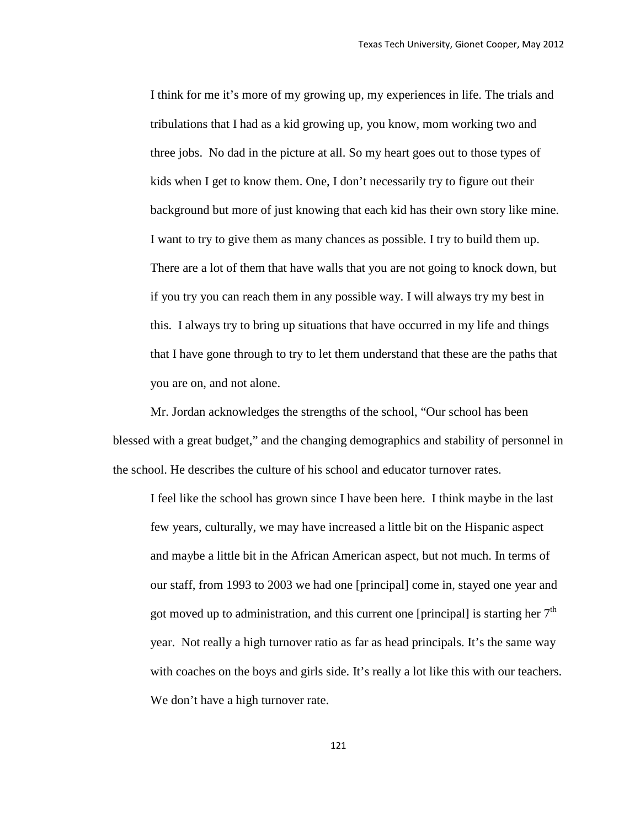I think for me it's more of my growing up, my experiences in life. The trials and tribulations that I had as a kid growing up, you know, mom working two and three jobs. No dad in the picture at all. So my heart goes out to those types of kids when I get to know them. One, I don't necessarily try to figure out their background but more of just knowing that each kid has their own story like mine. I want to try to give them as many chances as possible. I try to build them up. There are a lot of them that have walls that you are not going to knock down, but if you try you can reach them in any possible way. I will always try my best in this. I always try to bring up situations that have occurred in my life and things that I have gone through to try to let them understand that these are the paths that you are on, and not alone.

Mr. Jordan acknowledges the strengths of the school, "Our school has been blessed with a great budget," and the changing demographics and stability of personnel in the school. He describes the culture of his school and educator turnover rates.

I feel like the school has grown since I have been here. I think maybe in the last few years, culturally, we may have increased a little bit on the Hispanic aspect and maybe a little bit in the African American aspect, but not much. In terms of our staff, from 1993 to 2003 we had one [principal] come in, stayed one year and got moved up to administration, and this current one [principal] is starting her  $7<sup>th</sup>$ year. Not really a high turnover ratio as far as head principals. It's the same way with coaches on the boys and girls side. It's really a lot like this with our teachers. We don't have a high turnover rate.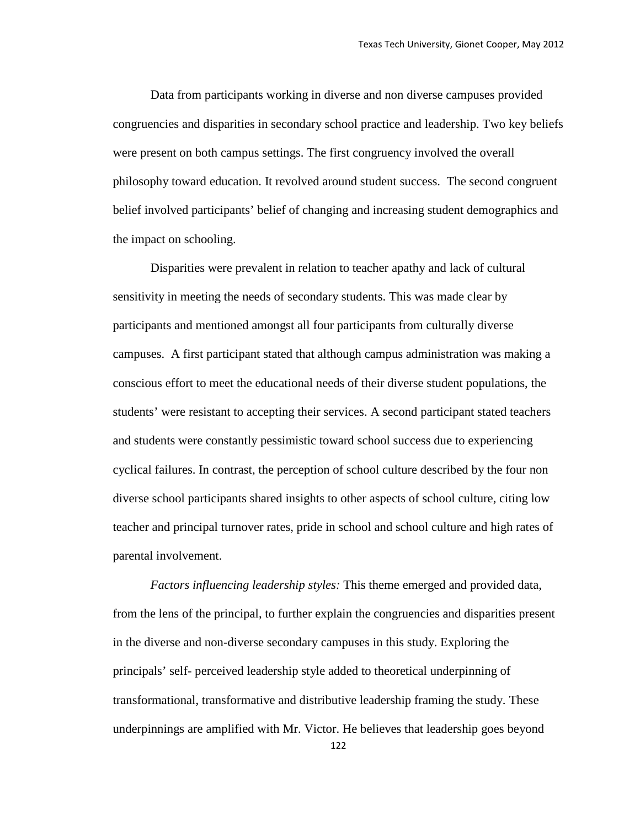Data from participants working in diverse and non diverse campuses provided congruencies and disparities in secondary school practice and leadership. Two key beliefs were present on both campus settings. The first congruency involved the overall philosophy toward education. It revolved around student success. The second congruent belief involved participants' belief of changing and increasing student demographics and the impact on schooling.

Disparities were prevalent in relation to teacher apathy and lack of cultural sensitivity in meeting the needs of secondary students. This was made clear by participants and mentioned amongst all four participants from culturally diverse campuses. A first participant stated that although campus administration was making a conscious effort to meet the educational needs of their diverse student populations, the students' were resistant to accepting their services. A second participant stated teachers and students were constantly pessimistic toward school success due to experiencing cyclical failures. In contrast, the perception of school culture described by the four non diverse school participants shared insights to other aspects of school culture, citing low teacher and principal turnover rates, pride in school and school culture and high rates of parental involvement.

*Factors influencing leadership styles:* This theme emerged and provided data, from the lens of the principal, to further explain the congruencies and disparities present in the diverse and non-diverse secondary campuses in this study. Exploring the principals' self- perceived leadership style added to theoretical underpinning of transformational, transformative and distributive leadership framing the study. These underpinnings are amplified with Mr. Victor. He believes that leadership goes beyond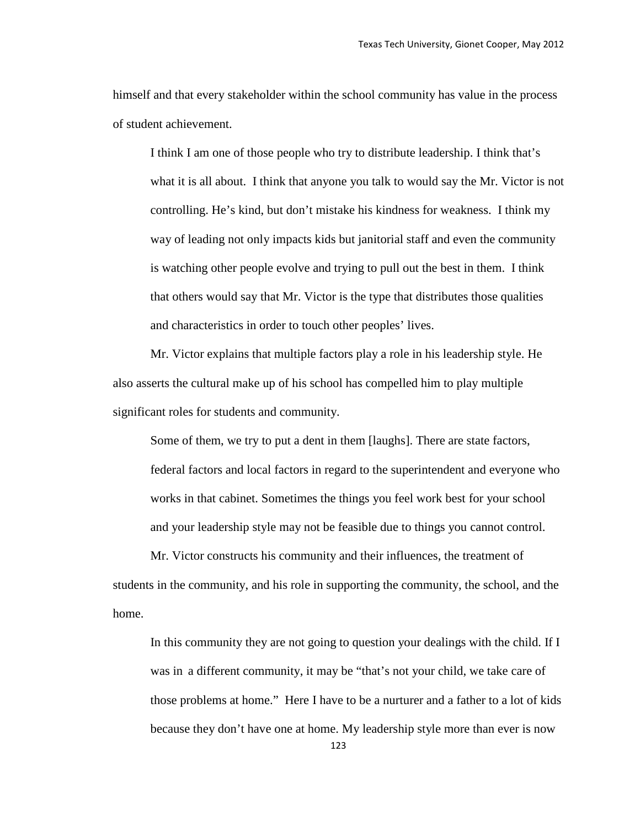himself and that every stakeholder within the school community has value in the process of student achievement.

I think I am one of those people who try to distribute leadership. I think that's what it is all about. I think that anyone you talk to would say the Mr. Victor is not controlling. He's kind, but don't mistake his kindness for weakness. I think my way of leading not only impacts kids but janitorial staff and even the community is watching other people evolve and trying to pull out the best in them. I think that others would say that Mr. Victor is the type that distributes those qualities and characteristics in order to touch other peoples' lives.

Mr. Victor explains that multiple factors play a role in his leadership style. He also asserts the cultural make up of his school has compelled him to play multiple significant roles for students and community.

Some of them, we try to put a dent in them [laughs]. There are state factors, federal factors and local factors in regard to the superintendent and everyone who works in that cabinet. Sometimes the things you feel work best for your school and your leadership style may not be feasible due to things you cannot control.

Mr. Victor constructs his community and their influences, the treatment of students in the community, and his role in supporting the community, the school, and the home.

In this community they are not going to question your dealings with the child. If I was in a different community, it may be "that's not your child, we take care of those problems at home." Here I have to be a nurturer and a father to a lot of kids because they don't have one at home. My leadership style more than ever is now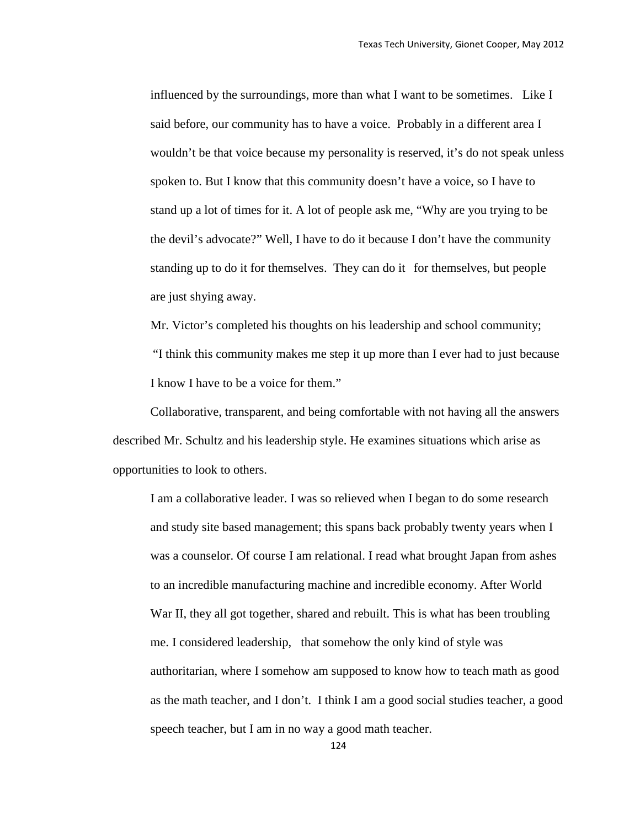influenced by the surroundings, more than what I want to be sometimes. Like I said before, our community has to have a voice. Probably in a different area I wouldn't be that voice because my personality is reserved, it's do not speak unless spoken to. But I know that this community doesn't have a voice, so I have to stand up a lot of times for it. A lot of people ask me, "Why are you trying to be the devil's advocate?" Well, I have to do it because I don't have the community standing up to do it for themselves. They can do it for themselves, but people are just shying away.

Mr. Victor's completed his thoughts on his leadership and school community; "I think this community makes me step it up more than I ever had to just because I know I have to be a voice for them."

Collaborative, transparent, and being comfortable with not having all the answers described Mr. Schultz and his leadership style. He examines situations which arise as opportunities to look to others.

I am a collaborative leader. I was so relieved when I began to do some research and study site based management; this spans back probably twenty years when I was a counselor. Of course I am relational. I read what brought Japan from ashes to an incredible manufacturing machine and incredible economy. After World War II, they all got together, shared and rebuilt. This is what has been troubling me. I considered leadership, that somehow the only kind of style was authoritarian, where I somehow am supposed to know how to teach math as good as the math teacher, and I don't. I think I am a good social studies teacher, a good speech teacher, but I am in no way a good math teacher.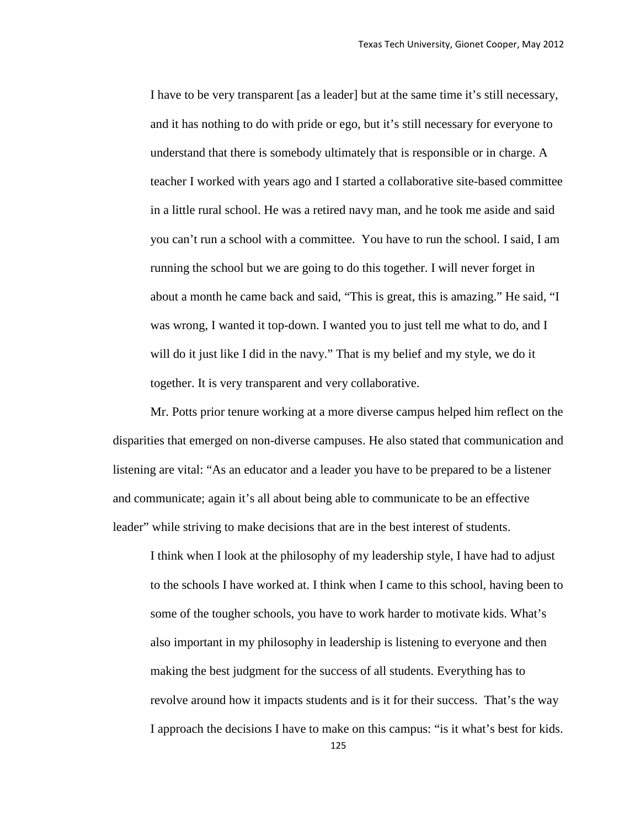I have to be very transparent [as a leader] but at the same time it's still necessary, and it has nothing to do with pride or ego, but it's still necessary for everyone to understand that there is somebody ultimately that is responsible or in charge. A teacher I worked with years ago and I started a collaborative site-based committee in a little rural school. He was a retired navy man, and he took me aside and said you can't run a school with a committee. You have to run the school. I said, I am running the school but we are going to do this together. I will never forget in about a month he came back and said, "This is great, this is amazing." He said, "I was wrong, I wanted it top-down. I wanted you to just tell me what to do, and I will do it just like I did in the navy." That is my belief and my style, we do it together. It is very transparent and very collaborative.

Mr. Potts prior tenure working at a more diverse campus helped him reflect on the disparities that emerged on non-diverse campuses. He also stated that communication and listening are vital: "As an educator and a leader you have to be prepared to be a listener and communicate; again it's all about being able to communicate to be an effective leader" while striving to make decisions that are in the best interest of students.

I think when I look at the philosophy of my leadership style, I have had to adjust to the schools I have worked at. I think when I came to this school, having been to some of the tougher schools, you have to work harder to motivate kids. What's also important in my philosophy in leadership is listening to everyone and then making the best judgment for the success of all students. Everything has to revolve around how it impacts students and is it for their success. That's the way I approach the decisions I have to make on this campus: "is it what's best for kids.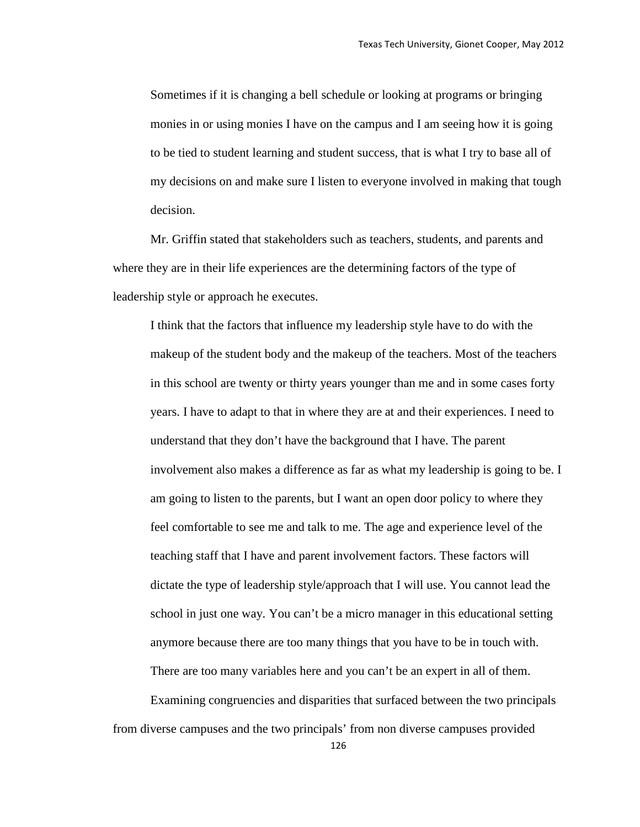Sometimes if it is changing a bell schedule or looking at programs or bringing monies in or using monies I have on the campus and I am seeing how it is going to be tied to student learning and student success, that is what I try to base all of my decisions on and make sure I listen to everyone involved in making that tough decision.

Mr. Griffin stated that stakeholders such as teachers, students, and parents and where they are in their life experiences are the determining factors of the type of leadership style or approach he executes.

I think that the factors that influence my leadership style have to do with the makeup of the student body and the makeup of the teachers. Most of the teachers in this school are twenty or thirty years younger than me and in some cases forty years. I have to adapt to that in where they are at and their experiences. I need to understand that they don't have the background that I have. The parent involvement also makes a difference as far as what my leadership is going to be. I am going to listen to the parents, but I want an open door policy to where they feel comfortable to see me and talk to me. The age and experience level of the teaching staff that I have and parent involvement factors. These factors will dictate the type of leadership style/approach that I will use. You cannot lead the school in just one way. You can't be a micro manager in this educational setting anymore because there are too many things that you have to be in touch with. There are too many variables here and you can't be an expert in all of them.

Examining congruencies and disparities that surfaced between the two principals from diverse campuses and the two principals' from non diverse campuses provided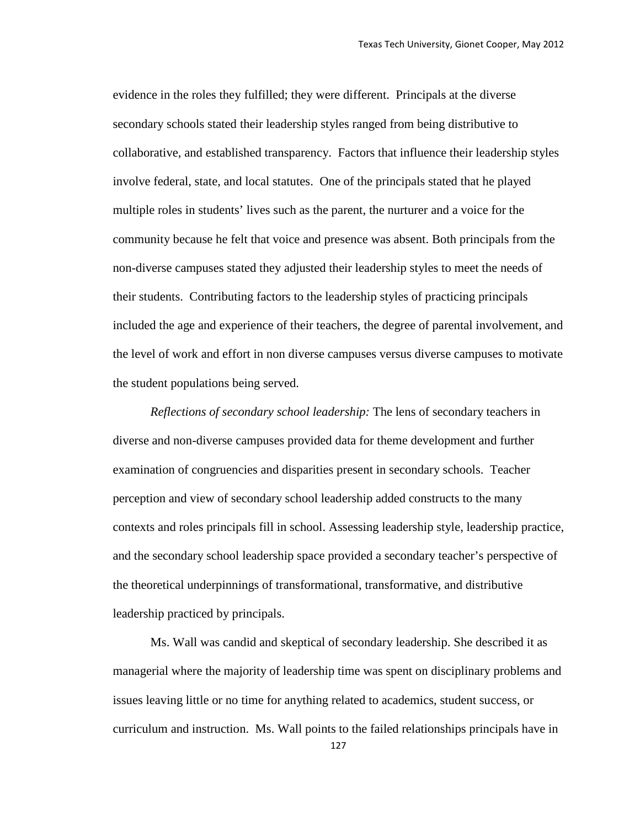evidence in the roles they fulfilled; they were different. Principals at the diverse secondary schools stated their leadership styles ranged from being distributive to collaborative, and established transparency. Factors that influence their leadership styles involve federal, state, and local statutes. One of the principals stated that he played multiple roles in students' lives such as the parent, the nurturer and a voice for the community because he felt that voice and presence was absent. Both principals from the non-diverse campuses stated they adjusted their leadership styles to meet the needs of their students. Contributing factors to the leadership styles of practicing principals included the age and experience of their teachers, the degree of parental involvement, and the level of work and effort in non diverse campuses versus diverse campuses to motivate the student populations being served.

*Reflections of secondary school leadership:* The lens of secondary teachers in diverse and non-diverse campuses provided data for theme development and further examination of congruencies and disparities present in secondary schools. Teacher perception and view of secondary school leadership added constructs to the many contexts and roles principals fill in school. Assessing leadership style, leadership practice, and the secondary school leadership space provided a secondary teacher's perspective of the theoretical underpinnings of transformational, transformative, and distributive leadership practiced by principals.

Ms. Wall was candid and skeptical of secondary leadership. She described it as managerial where the majority of leadership time was spent on disciplinary problems and issues leaving little or no time for anything related to academics, student success, or curriculum and instruction. Ms. Wall points to the failed relationships principals have in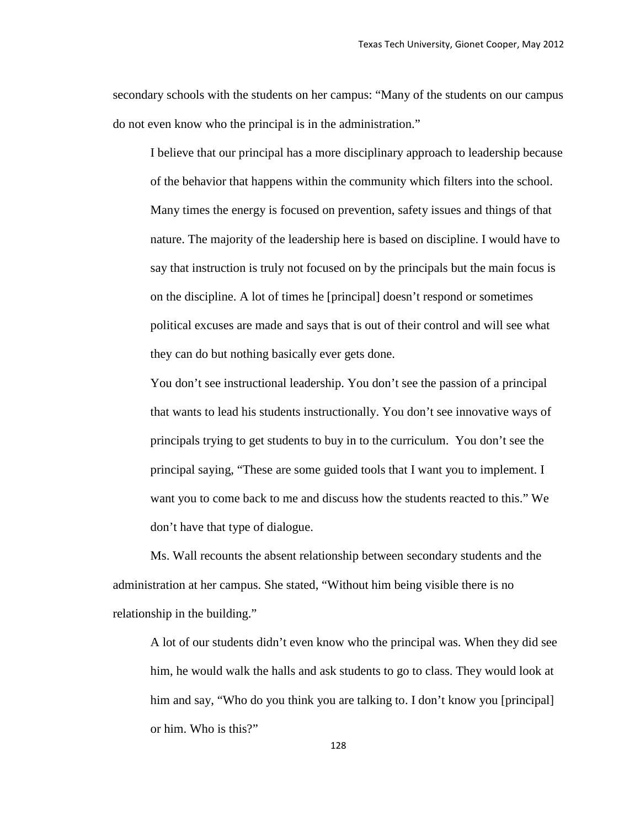secondary schools with the students on her campus: "Many of the students on our campus do not even know who the principal is in the administration."

I believe that our principal has a more disciplinary approach to leadership because of the behavior that happens within the community which filters into the school. Many times the energy is focused on prevention, safety issues and things of that nature. The majority of the leadership here is based on discipline. I would have to say that instruction is truly not focused on by the principals but the main focus is on the discipline. A lot of times he [principal] doesn't respond or sometimes political excuses are made and says that is out of their control and will see what they can do but nothing basically ever gets done.

You don't see instructional leadership. You don't see the passion of a principal that wants to lead his students instructionally. You don't see innovative ways of principals trying to get students to buy in to the curriculum. You don't see the principal saying, "These are some guided tools that I want you to implement. I want you to come back to me and discuss how the students reacted to this." We don't have that type of dialogue.

Ms. Wall recounts the absent relationship between secondary students and the administration at her campus. She stated, "Without him being visible there is no relationship in the building."

A lot of our students didn't even know who the principal was. When they did see him, he would walk the halls and ask students to go to class. They would look at him and say, "Who do you think you are talking to. I don't know you [principal] or him. Who is this?"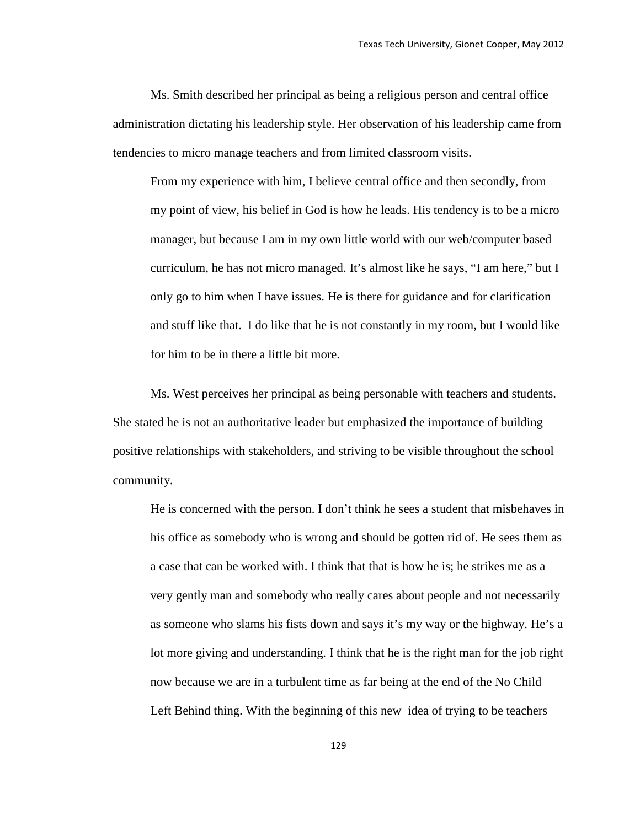Ms. Smith described her principal as being a religious person and central office administration dictating his leadership style. Her observation of his leadership came from tendencies to micro manage teachers and from limited classroom visits.

From my experience with him, I believe central office and then secondly, from my point of view, his belief in God is how he leads. His tendency is to be a micro manager, but because I am in my own little world with our web/computer based curriculum, he has not micro managed. It's almost like he says, "I am here," but I only go to him when I have issues. He is there for guidance and for clarification and stuff like that. I do like that he is not constantly in my room, but I would like for him to be in there a little bit more.

Ms. West perceives her principal as being personable with teachers and students. She stated he is not an authoritative leader but emphasized the importance of building positive relationships with stakeholders, and striving to be visible throughout the school community.

He is concerned with the person. I don't think he sees a student that misbehaves in his office as somebody who is wrong and should be gotten rid of. He sees them as a case that can be worked with. I think that that is how he is; he strikes me as a very gently man and somebody who really cares about people and not necessarily as someone who slams his fists down and says it's my way or the highway. He's a lot more giving and understanding. I think that he is the right man for the job right now because we are in a turbulent time as far being at the end of the No Child Left Behind thing. With the beginning of this new idea of trying to be teachers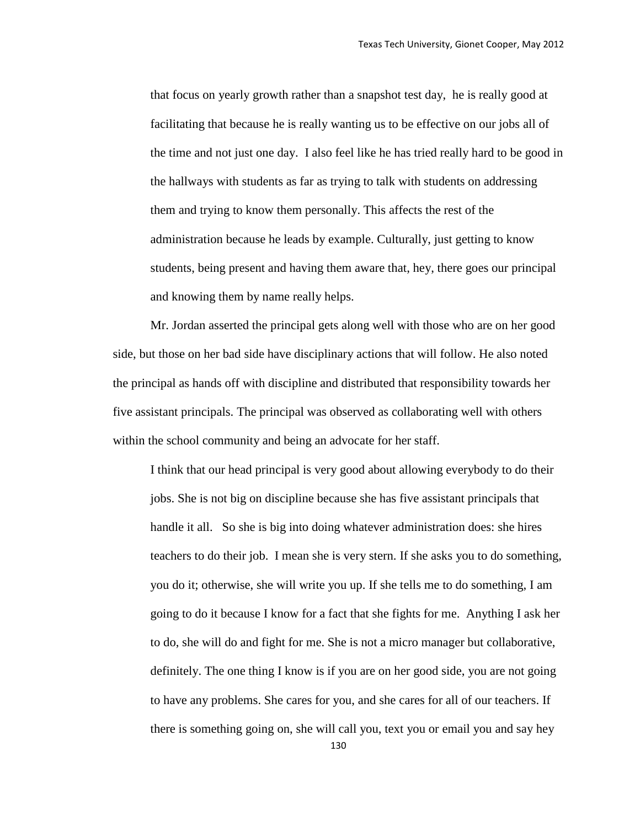that focus on yearly growth rather than a snapshot test day, he is really good at facilitating that because he is really wanting us to be effective on our jobs all of the time and not just one day. I also feel like he has tried really hard to be good in the hallways with students as far as trying to talk with students on addressing them and trying to know them personally. This affects the rest of the administration because he leads by example. Culturally, just getting to know students, being present and having them aware that, hey, there goes our principal and knowing them by name really helps.

Mr. Jordan asserted the principal gets along well with those who are on her good side, but those on her bad side have disciplinary actions that will follow. He also noted the principal as hands off with discipline and distributed that responsibility towards her five assistant principals. The principal was observed as collaborating well with others within the school community and being an advocate for her staff.

I think that our head principal is very good about allowing everybody to do their jobs. She is not big on discipline because she has five assistant principals that handle it all. So she is big into doing whatever administration does: she hires teachers to do their job. I mean she is very stern. If she asks you to do something, you do it; otherwise, she will write you up. If she tells me to do something, I am going to do it because I know for a fact that she fights for me. Anything I ask her to do, she will do and fight for me. She is not a micro manager but collaborative, definitely. The one thing I know is if you are on her good side, you are not going to have any problems. She cares for you, and she cares for all of our teachers. If there is something going on, she will call you, text you or email you and say hey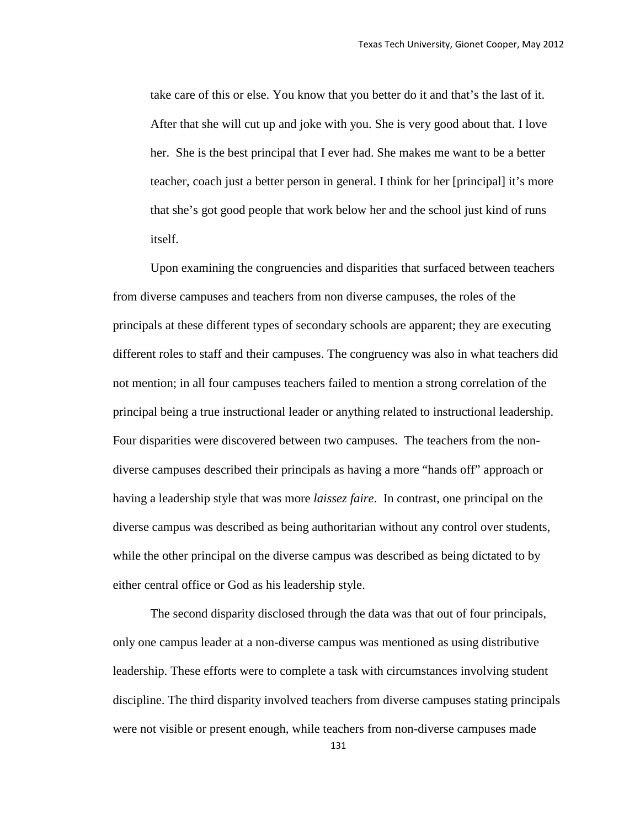take care of this or else. You know that you better do it and that's the last of it. After that she will cut up and joke with you. She is very good about that. I love her. She is the best principal that I ever had. She makes me want to be a better teacher, coach just a better person in general. I think for her [principal] it's more that she's got good people that work below her and the school just kind of runs itself.

Upon examining the congruencies and disparities that surfaced between teachers from diverse campuses and teachers from non diverse campuses, the roles of the principals at these different types of secondary schools are apparent; they are executing different roles to staff and their campuses. The congruency was also in what teachers did not mention; in all four campuses teachers failed to mention a strong correlation of the principal being a true instructional leader or anything related to instructional leadership. Four disparities were discovered between two campuses. The teachers from the nondiverse campuses described their principals as having a more "hands off" approach or having a leadership style that was more *laissez faire*. In contrast, one principal on the diverse campus was described as being authoritarian without any control over students, while the other principal on the diverse campus was described as being dictated to by either central office or God as his leadership style.

The second disparity disclosed through the data was that out of four principals, only one campus leader at a non-diverse campus was mentioned as using distributive leadership. These efforts were to complete a task with circumstances involving student discipline. The third disparity involved teachers from diverse campuses stating principals were not visible or present enough, while teachers from non-diverse campuses made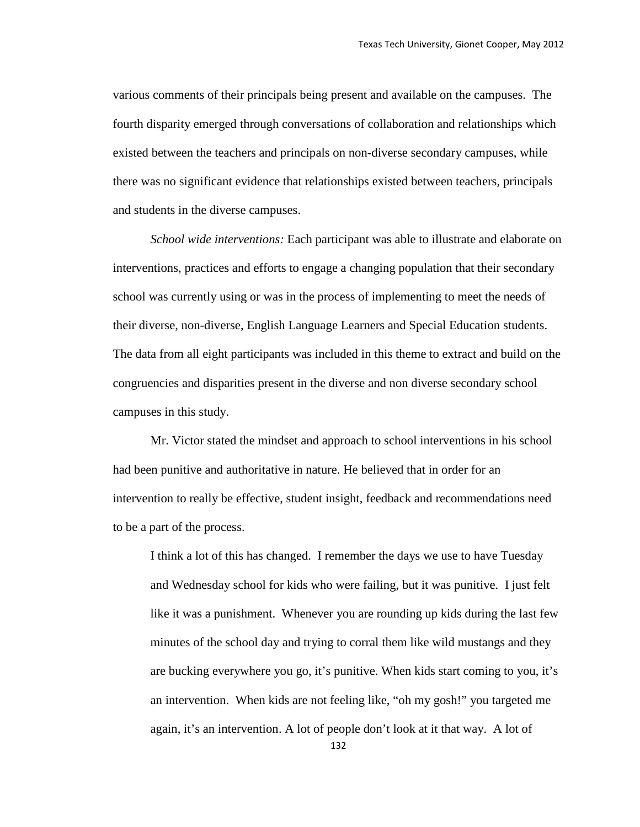various comments of their principals being present and available on the campuses. The fourth disparity emerged through conversations of collaboration and relationships which existed between the teachers and principals on non-diverse secondary campuses, while there was no significant evidence that relationships existed between teachers, principals and students in the diverse campuses.

*School wide interventions:* Each participant was able to illustrate and elaborate on interventions, practices and efforts to engage a changing population that their secondary school was currently using or was in the process of implementing to meet the needs of their diverse, non-diverse, English Language Learners and Special Education students. The data from all eight participants was included in this theme to extract and build on the congruencies and disparities present in the diverse and non diverse secondary school campuses in this study.

Mr. Victor stated the mindset and approach to school interventions in his school had been punitive and authoritative in nature. He believed that in order for an intervention to really be effective, student insight, feedback and recommendations need to be a part of the process.

I think a lot of this has changed. I remember the days we use to have Tuesday and Wednesday school for kids who were failing, but it was punitive. I just felt like it was a punishment. Whenever you are rounding up kids during the last few minutes of the school day and trying to corral them like wild mustangs and they are bucking everywhere you go, it's punitive. When kids start coming to you, it's an intervention. When kids are not feeling like, "oh my gosh!" you targeted me again, it's an intervention. A lot of people don't look at it that way. A lot of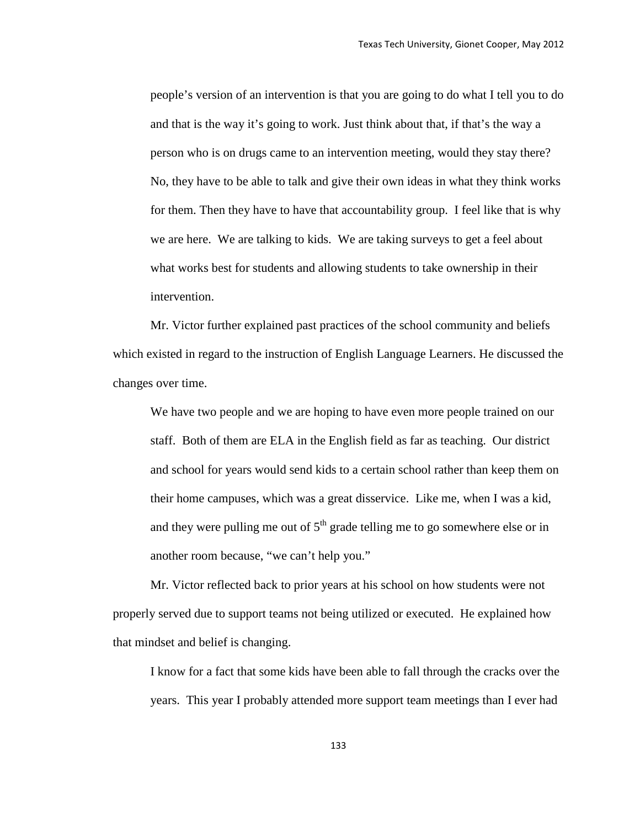people's version of an intervention is that you are going to do what I tell you to do and that is the way it's going to work. Just think about that, if that's the way a person who is on drugs came to an intervention meeting, would they stay there? No, they have to be able to talk and give their own ideas in what they think works for them. Then they have to have that accountability group. I feel like that is why we are here. We are talking to kids. We are taking surveys to get a feel about what works best for students and allowing students to take ownership in their intervention.

Mr. Victor further explained past practices of the school community and beliefs which existed in regard to the instruction of English Language Learners. He discussed the changes over time.

We have two people and we are hoping to have even more people trained on our staff. Both of them are ELA in the English field as far as teaching. Our district and school for years would send kids to a certain school rather than keep them on their home campuses, which was a great disservice. Like me, when I was a kid, and they were pulling me out of  $5<sup>th</sup>$  grade telling me to go somewhere else or in another room because, "we can't help you."

Mr. Victor reflected back to prior years at his school on how students were not properly served due to support teams not being utilized or executed. He explained how that mindset and belief is changing.

I know for a fact that some kids have been able to fall through the cracks over the years. This year I probably attended more support team meetings than I ever had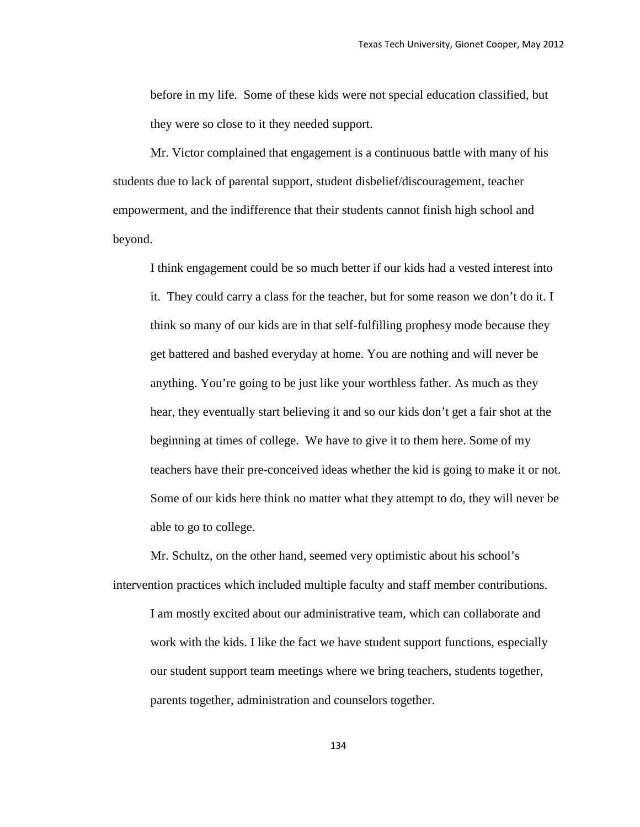before in my life. Some of these kids were not special education classified, but they were so close to it they needed support.

Mr. Victor complained that engagement is a continuous battle with many of his students due to lack of parental support, student disbelief/discouragement, teacher empowerment, and the indifference that their students cannot finish high school and beyond.

I think engagement could be so much better if our kids had a vested interest into it. They could carry a class for the teacher, but for some reason we don't do it. I think so many of our kids are in that self-fulfilling prophesy mode because they get battered and bashed everyday at home. You are nothing and will never be anything. You're going to be just like your worthless father. As much as they hear, they eventually start believing it and so our kids don't get a fair shot at the beginning at times of college. We have to give it to them here. Some of my teachers have their pre-conceived ideas whether the kid is going to make it or not. Some of our kids here think no matter what they attempt to do, they will never be able to go to college.

Mr. Schultz, on the other hand, seemed very optimistic about his school's intervention practices which included multiple faculty and staff member contributions. I am mostly excited about our administrative team, which can collaborate and work with the kids. I like the fact we have student support functions, especially our student support team meetings where we bring teachers, students together, parents together, administration and counselors together.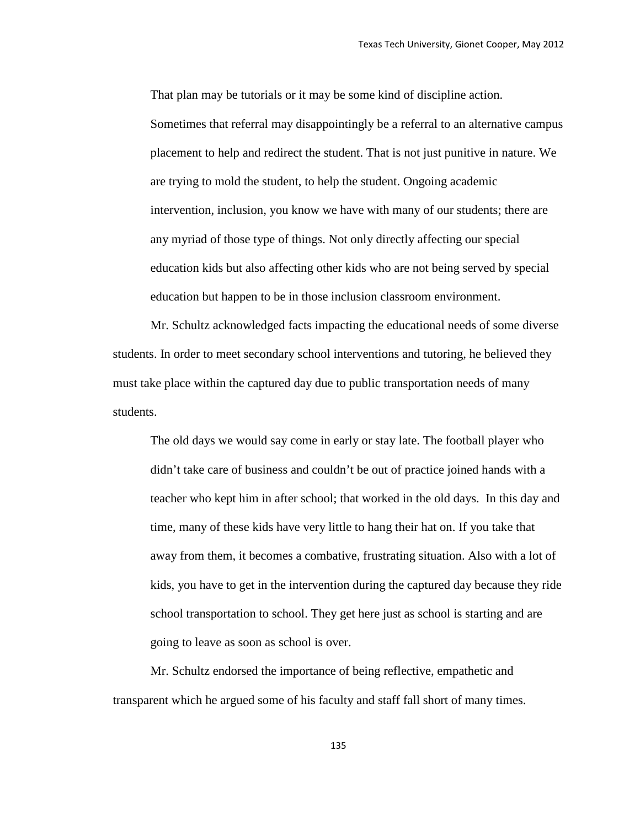That plan may be tutorials or it may be some kind of discipline action. Sometimes that referral may disappointingly be a referral to an alternative campus placement to help and redirect the student. That is not just punitive in nature. We are trying to mold the student, to help the student. Ongoing academic intervention, inclusion, you know we have with many of our students; there are any myriad of those type of things. Not only directly affecting our special education kids but also affecting other kids who are not being served by special education but happen to be in those inclusion classroom environment.

Mr. Schultz acknowledged facts impacting the educational needs of some diverse students. In order to meet secondary school interventions and tutoring, he believed they must take place within the captured day due to public transportation needs of many students.

The old days we would say come in early or stay late. The football player who didn't take care of business and couldn't be out of practice joined hands with a teacher who kept him in after school; that worked in the old days. In this day and time, many of these kids have very little to hang their hat on. If you take that away from them, it becomes a combative, frustrating situation. Also with a lot of kids, you have to get in the intervention during the captured day because they ride school transportation to school. They get here just as school is starting and are going to leave as soon as school is over.

Mr. Schultz endorsed the importance of being reflective, empathetic and transparent which he argued some of his faculty and staff fall short of many times.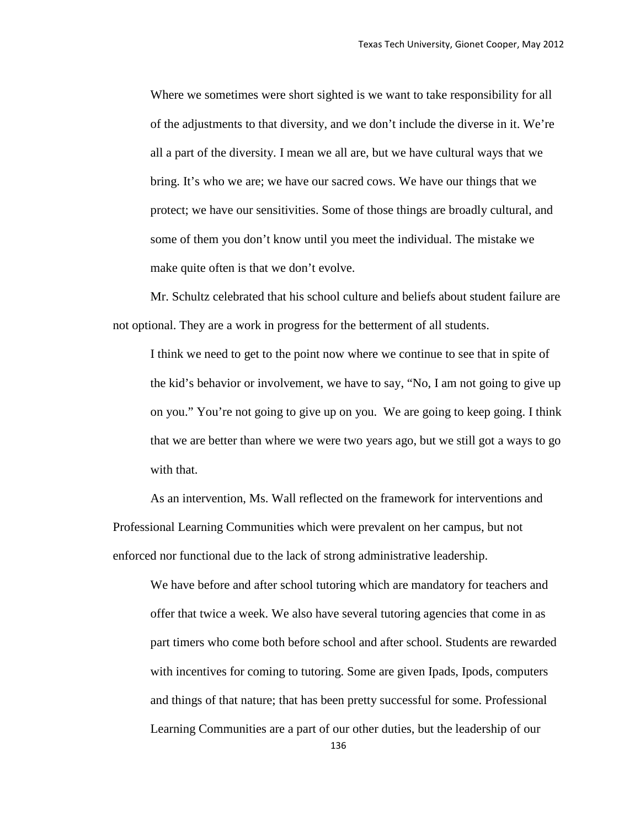Where we sometimes were short sighted is we want to take responsibility for all of the adjustments to that diversity, and we don't include the diverse in it. We're all a part of the diversity. I mean we all are, but we have cultural ways that we bring. It's who we are; we have our sacred cows. We have our things that we protect; we have our sensitivities. Some of those things are broadly cultural, and some of them you don't know until you meet the individual. The mistake we make quite often is that we don't evolve.

Mr. Schultz celebrated that his school culture and beliefs about student failure are not optional. They are a work in progress for the betterment of all students.

I think we need to get to the point now where we continue to see that in spite of the kid's behavior or involvement, we have to say, "No, I am not going to give up on you." You're not going to give up on you. We are going to keep going. I think that we are better than where we were two years ago, but we still got a ways to go with that.

As an intervention, Ms. Wall reflected on the framework for interventions and Professional Learning Communities which were prevalent on her campus, but not enforced nor functional due to the lack of strong administrative leadership.

We have before and after school tutoring which are mandatory for teachers and offer that twice a week. We also have several tutoring agencies that come in as part timers who come both before school and after school. Students are rewarded with incentives for coming to tutoring. Some are given Ipads, Ipods, computers and things of that nature; that has been pretty successful for some. Professional Learning Communities are a part of our other duties, but the leadership of our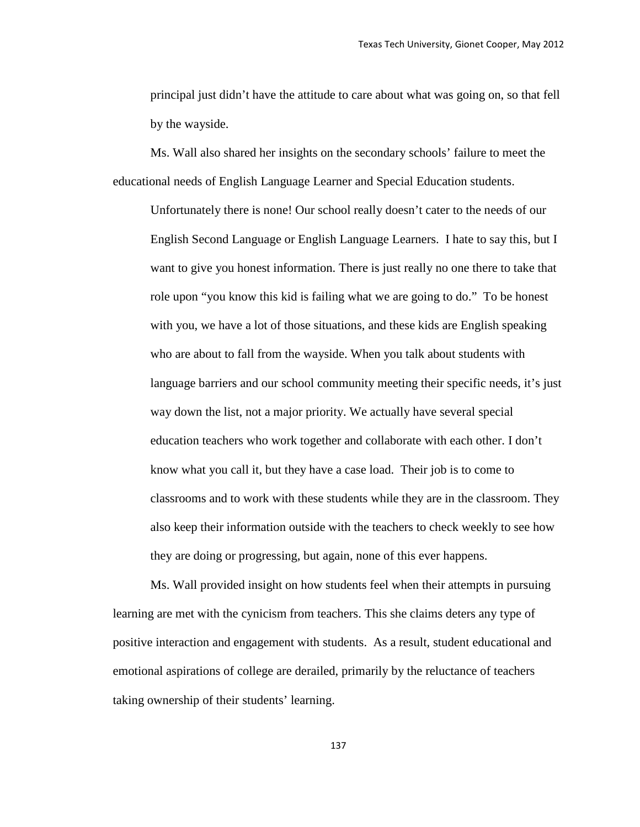principal just didn't have the attitude to care about what was going on, so that fell by the wayside.

Ms. Wall also shared her insights on the secondary schools' failure to meet the educational needs of English Language Learner and Special Education students.

Unfortunately there is none! Our school really doesn't cater to the needs of our English Second Language or English Language Learners. I hate to say this, but I want to give you honest information. There is just really no one there to take that role upon "you know this kid is failing what we are going to do." To be honest with you, we have a lot of those situations, and these kids are English speaking who are about to fall from the wayside. When you talk about students with language barriers and our school community meeting their specific needs, it's just way down the list, not a major priority. We actually have several special education teachers who work together and collaborate with each other. I don't know what you call it, but they have a case load. Their job is to come to classrooms and to work with these students while they are in the classroom. They also keep their information outside with the teachers to check weekly to see how they are doing or progressing, but again, none of this ever happens.

Ms. Wall provided insight on how students feel when their attempts in pursuing learning are met with the cynicism from teachers. This she claims deters any type of positive interaction and engagement with students. As a result, student educational and emotional aspirations of college are derailed, primarily by the reluctance of teachers taking ownership of their students' learning.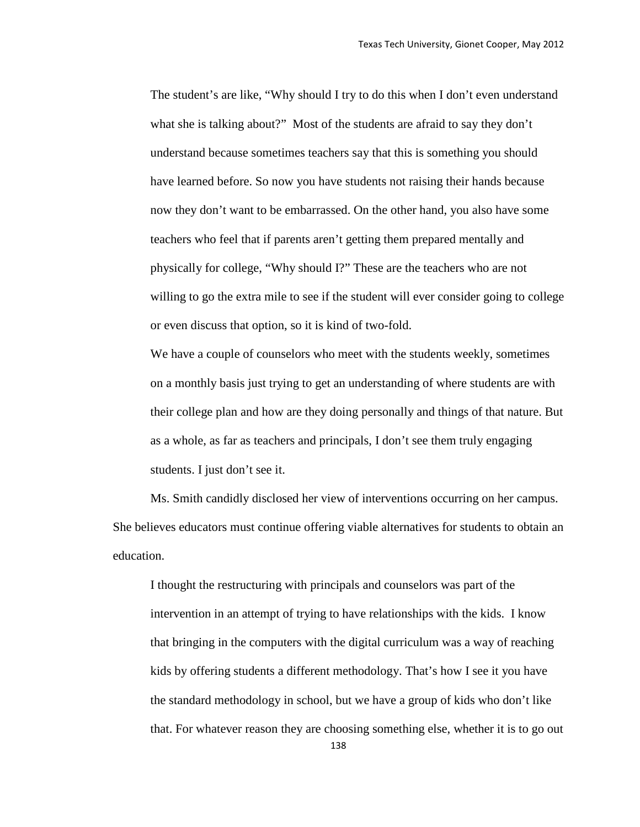The student's are like, "Why should I try to do this when I don't even understand what she is talking about?" Most of the students are afraid to say they don't understand because sometimes teachers say that this is something you should have learned before. So now you have students not raising their hands because now they don't want to be embarrassed. On the other hand, you also have some teachers who feel that if parents aren't getting them prepared mentally and physically for college, "Why should I?" These are the teachers who are not willing to go the extra mile to see if the student will ever consider going to college or even discuss that option, so it is kind of two-fold.

We have a couple of counselors who meet with the students weekly, sometimes on a monthly basis just trying to get an understanding of where students are with their college plan and how are they doing personally and things of that nature. But as a whole, as far as teachers and principals, I don't see them truly engaging students. I just don't see it.

Ms. Smith candidly disclosed her view of interventions occurring on her campus. She believes educators must continue offering viable alternatives for students to obtain an education.

I thought the restructuring with principals and counselors was part of the intervention in an attempt of trying to have relationships with the kids. I know that bringing in the computers with the digital curriculum was a way of reaching kids by offering students a different methodology. That's how I see it you have the standard methodology in school, but we have a group of kids who don't like that. For whatever reason they are choosing something else, whether it is to go out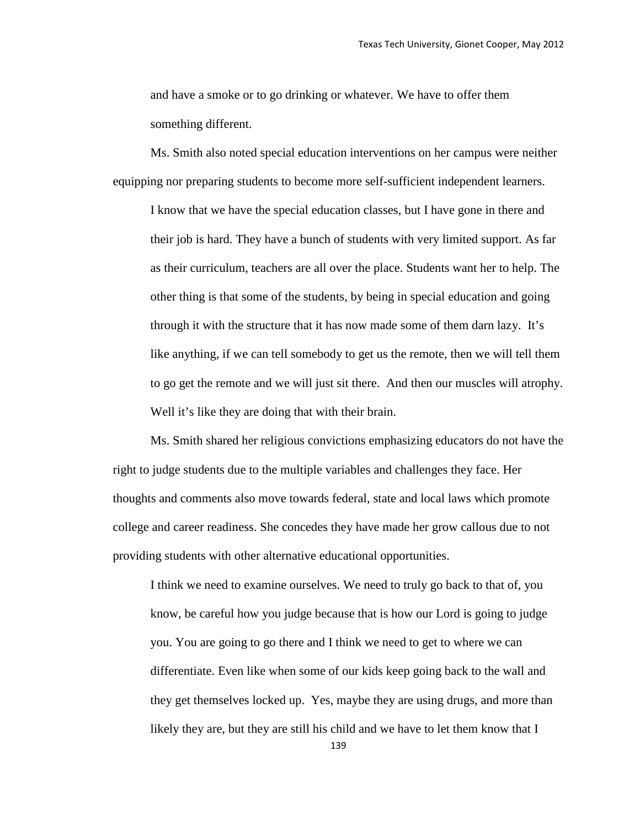and have a smoke or to go drinking or whatever. We have to offer them something different.

 Ms. Smith also noted special education interventions on her campus were neither equipping nor preparing students to become more self-sufficient independent learners.

I know that we have the special education classes, but I have gone in there and their job is hard. They have a bunch of students with very limited support. As far as their curriculum, teachers are all over the place. Students want her to help. The other thing is that some of the students, by being in special education and going through it with the structure that it has now made some of them darn lazy. It's like anything, if we can tell somebody to get us the remote, then we will tell them to go get the remote and we will just sit there. And then our muscles will atrophy. Well it's like they are doing that with their brain.

 Ms. Smith shared her religious convictions emphasizing educators do not have the right to judge students due to the multiple variables and challenges they face. Her thoughts and comments also move towards federal, state and local laws which promote college and career readiness. She concedes they have made her grow callous due to not providing students with other alternative educational opportunities.

I think we need to examine ourselves. We need to truly go back to that of, you know, be careful how you judge because that is how our Lord is going to judge you. You are going to go there and I think we need to get to where we can differentiate. Even like when some of our kids keep going back to the wall and they get themselves locked up. Yes, maybe they are using drugs, and more than likely they are, but they are still his child and we have to let them know that I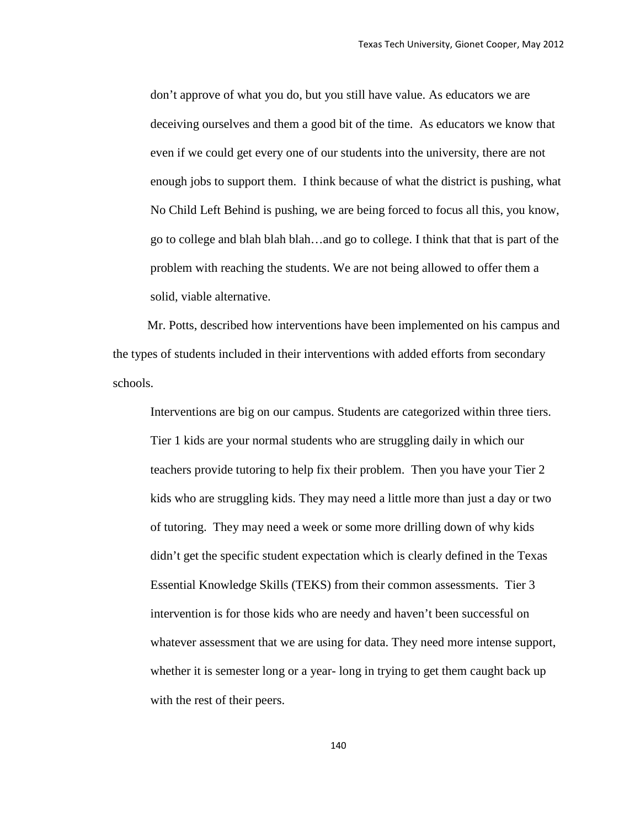don't approve of what you do, but you still have value. As educators we are deceiving ourselves and them a good bit of the time. As educators we know that even if we could get every one of our students into the university, there are not enough jobs to support them. I think because of what the district is pushing, what No Child Left Behind is pushing, we are being forced to focus all this, you know, go to college and blah blah blah…and go to college. I think that that is part of the problem with reaching the students. We are not being allowed to offer them a solid, viable alternative.

 Mr. Potts, described how interventions have been implemented on his campus and the types of students included in their interventions with added efforts from secondary schools.

Interventions are big on our campus. Students are categorized within three tiers. Tier 1 kids are your normal students who are struggling daily in which our teachers provide tutoring to help fix their problem. Then you have your Tier 2 kids who are struggling kids. They may need a little more than just a day or two of tutoring. They may need a week or some more drilling down of why kids didn't get the specific student expectation which is clearly defined in the Texas Essential Knowledge Skills (TEKS) from their common assessments. Tier 3 intervention is for those kids who are needy and haven't been successful on whatever assessment that we are using for data. They need more intense support, whether it is semester long or a year- long in trying to get them caught back up with the rest of their peers.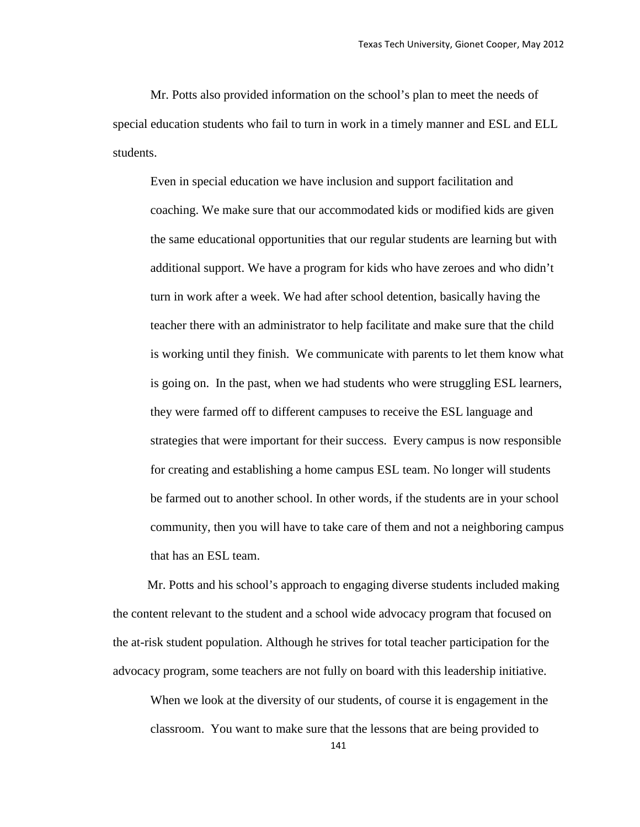Mr. Potts also provided information on the school's plan to meet the needs of special education students who fail to turn in work in a timely manner and ESL and ELL students.

Even in special education we have inclusion and support facilitation and coaching. We make sure that our accommodated kids or modified kids are given the same educational opportunities that our regular students are learning but with additional support. We have a program for kids who have zeroes and who didn't turn in work after a week. We had after school detention, basically having the teacher there with an administrator to help facilitate and make sure that the child is working until they finish. We communicate with parents to let them know what is going on. In the past, when we had students who were struggling ESL learners, they were farmed off to different campuses to receive the ESL language and strategies that were important for their success. Every campus is now responsible for creating and establishing a home campus ESL team. No longer will students be farmed out to another school. In other words, if the students are in your school community, then you will have to take care of them and not a neighboring campus that has an ESL team.

 Mr. Potts and his school's approach to engaging diverse students included making the content relevant to the student and a school wide advocacy program that focused on the at-risk student population. Although he strives for total teacher participation for the advocacy program, some teachers are not fully on board with this leadership initiative.

When we look at the diversity of our students, of course it is engagement in the classroom. You want to make sure that the lessons that are being provided to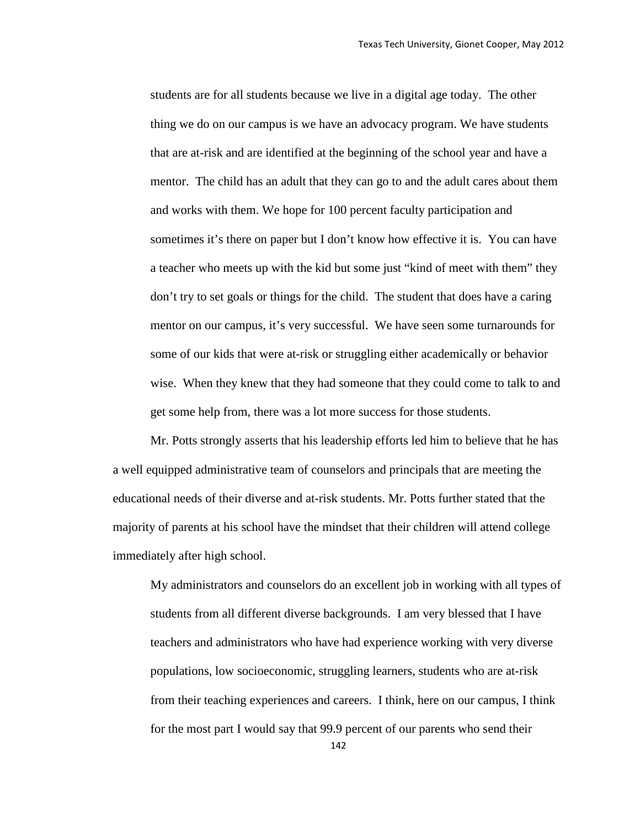students are for all students because we live in a digital age today. The other thing we do on our campus is we have an advocacy program. We have students that are at-risk and are identified at the beginning of the school year and have a mentor. The child has an adult that they can go to and the adult cares about them and works with them. We hope for 100 percent faculty participation and sometimes it's there on paper but I don't know how effective it is. You can have a teacher who meets up with the kid but some just "kind of meet with them" they don't try to set goals or things for the child. The student that does have a caring mentor on our campus, it's very successful. We have seen some turnarounds for some of our kids that were at-risk or struggling either academically or behavior wise. When they knew that they had someone that they could come to talk to and get some help from, there was a lot more success for those students.

Mr. Potts strongly asserts that his leadership efforts led him to believe that he has a well equipped administrative team of counselors and principals that are meeting the educational needs of their diverse and at-risk students. Mr. Potts further stated that the majority of parents at his school have the mindset that their children will attend college immediately after high school.

My administrators and counselors do an excellent job in working with all types of students from all different diverse backgrounds. I am very blessed that I have teachers and administrators who have had experience working with very diverse populations, low socioeconomic, struggling learners, students who are at-risk from their teaching experiences and careers. I think, here on our campus, I think for the most part I would say that 99.9 percent of our parents who send their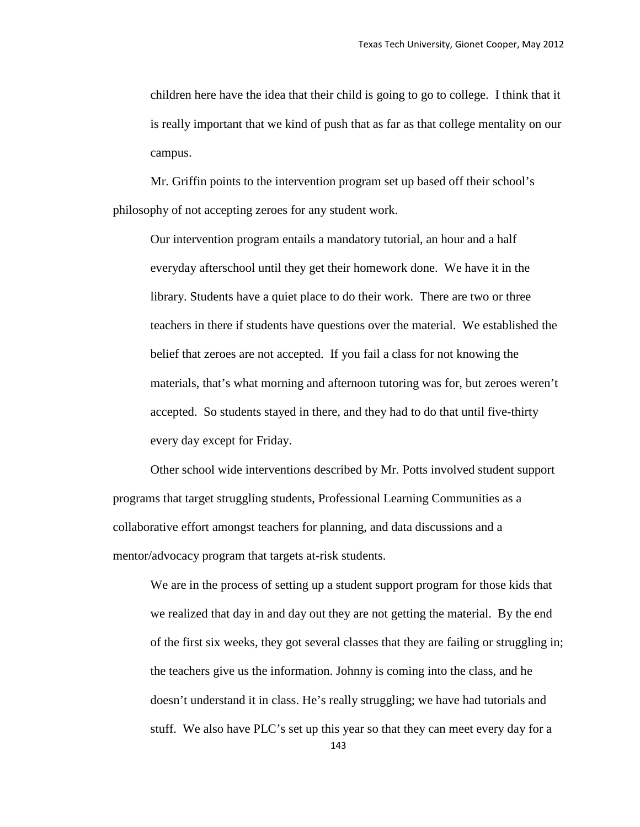children here have the idea that their child is going to go to college. I think that it is really important that we kind of push that as far as that college mentality on our campus.

Mr. Griffin points to the intervention program set up based off their school's philosophy of not accepting zeroes for any student work.

Our intervention program entails a mandatory tutorial, an hour and a half everyday afterschool until they get their homework done. We have it in the library. Students have a quiet place to do their work. There are two or three teachers in there if students have questions over the material. We established the belief that zeroes are not accepted. If you fail a class for not knowing the materials, that's what morning and afternoon tutoring was for, but zeroes weren't accepted. So students stayed in there, and they had to do that until five-thirty every day except for Friday.

Other school wide interventions described by Mr. Potts involved student support programs that target struggling students, Professional Learning Communities as a collaborative effort amongst teachers for planning, and data discussions and a mentor/advocacy program that targets at-risk students.

We are in the process of setting up a student support program for those kids that we realized that day in and day out they are not getting the material. By the end of the first six weeks, they got several classes that they are failing or struggling in; the teachers give us the information. Johnny is coming into the class, and he doesn't understand it in class. He's really struggling; we have had tutorials and stuff. We also have PLC's set up this year so that they can meet every day for a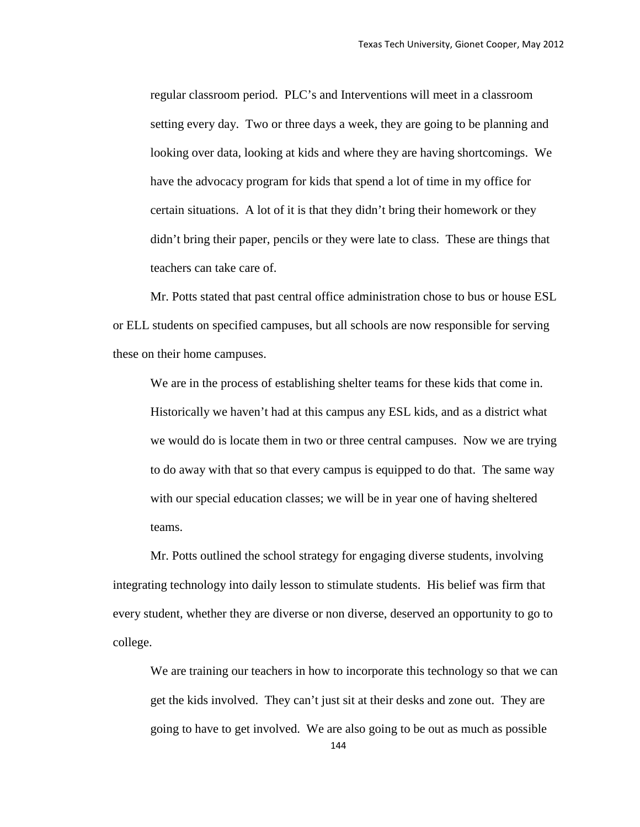regular classroom period. PLC's and Interventions will meet in a classroom setting every day. Two or three days a week, they are going to be planning and looking over data, looking at kids and where they are having shortcomings. We have the advocacy program for kids that spend a lot of time in my office for certain situations. A lot of it is that they didn't bring their homework or they didn't bring their paper, pencils or they were late to class. These are things that teachers can take care of.

Mr. Potts stated that past central office administration chose to bus or house ESL or ELL students on specified campuses, but all schools are now responsible for serving these on their home campuses.

We are in the process of establishing shelter teams for these kids that come in. Historically we haven't had at this campus any ESL kids, and as a district what we would do is locate them in two or three central campuses. Now we are trying to do away with that so that every campus is equipped to do that. The same way with our special education classes; we will be in year one of having sheltered teams.

Mr. Potts outlined the school strategy for engaging diverse students, involving integrating technology into daily lesson to stimulate students. His belief was firm that every student, whether they are diverse or non diverse, deserved an opportunity to go to college.

We are training our teachers in how to incorporate this technology so that we can get the kids involved. They can't just sit at their desks and zone out. They are going to have to get involved. We are also going to be out as much as possible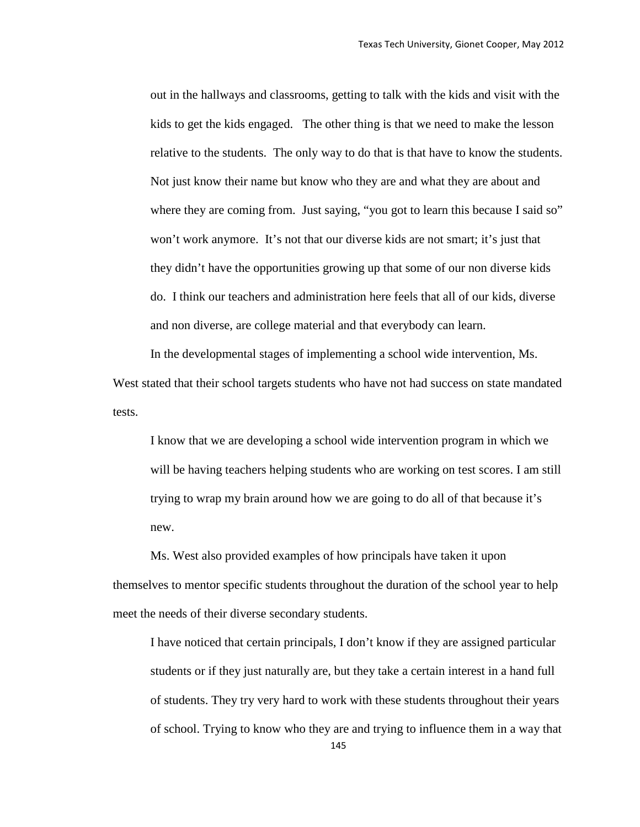out in the hallways and classrooms, getting to talk with the kids and visit with the kids to get the kids engaged. The other thing is that we need to make the lesson relative to the students. The only way to do that is that have to know the students. Not just know their name but know who they are and what they are about and where they are coming from. Just saying, "you got to learn this because I said so" won't work anymore. It's not that our diverse kids are not smart; it's just that they didn't have the opportunities growing up that some of our non diverse kids do. I think our teachers and administration here feels that all of our kids, diverse and non diverse, are college material and that everybody can learn.

In the developmental stages of implementing a school wide intervention, Ms. West stated that their school targets students who have not had success on state mandated tests.

I know that we are developing a school wide intervention program in which we will be having teachers helping students who are working on test scores. I am still trying to wrap my brain around how we are going to do all of that because it's new.

Ms. West also provided examples of how principals have taken it upon themselves to mentor specific students throughout the duration of the school year to help meet the needs of their diverse secondary students.

I have noticed that certain principals, I don't know if they are assigned particular students or if they just naturally are, but they take a certain interest in a hand full of students. They try very hard to work with these students throughout their years of school. Trying to know who they are and trying to influence them in a way that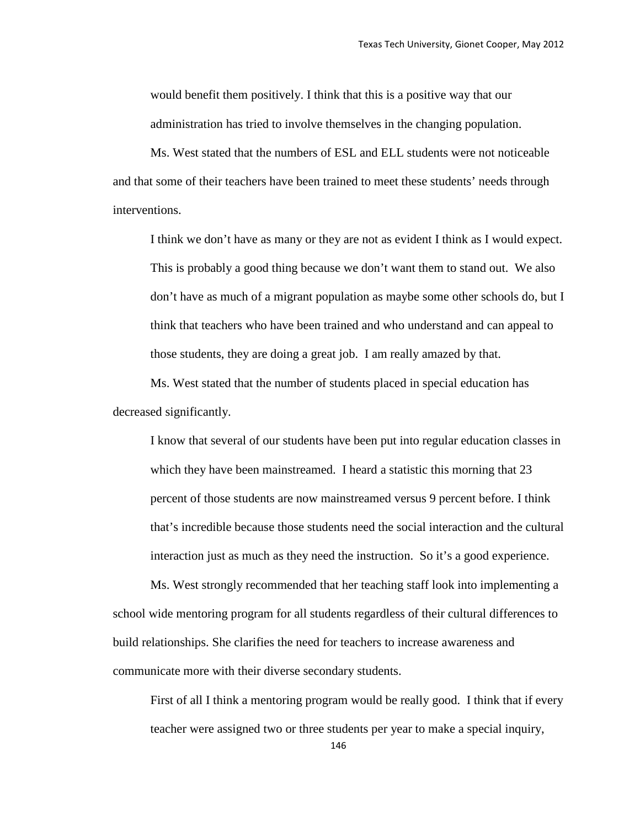would benefit them positively. I think that this is a positive way that our administration has tried to involve themselves in the changing population.

Ms. West stated that the numbers of ESL and ELL students were not noticeable and that some of their teachers have been trained to meet these students' needs through interventions.

I think we don't have as many or they are not as evident I think as I would expect. This is probably a good thing because we don't want them to stand out. We also don't have as much of a migrant population as maybe some other schools do, but I think that teachers who have been trained and who understand and can appeal to those students, they are doing a great job. I am really amazed by that.

Ms. West stated that the number of students placed in special education has decreased significantly.

I know that several of our students have been put into regular education classes in which they have been mainstreamed. I heard a statistic this morning that 23 percent of those students are now mainstreamed versus 9 percent before. I think that's incredible because those students need the social interaction and the cultural interaction just as much as they need the instruction. So it's a good experience.

Ms. West strongly recommended that her teaching staff look into implementing a school wide mentoring program for all students regardless of their cultural differences to build relationships. She clarifies the need for teachers to increase awareness and communicate more with their diverse secondary students.

First of all I think a mentoring program would be really good. I think that if every teacher were assigned two or three students per year to make a special inquiry,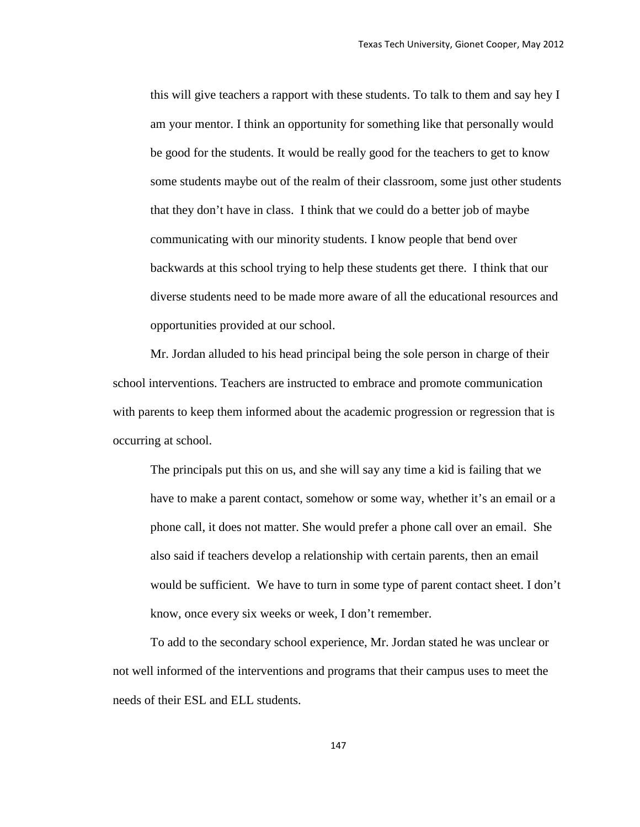this will give teachers a rapport with these students. To talk to them and say hey I am your mentor. I think an opportunity for something like that personally would be good for the students. It would be really good for the teachers to get to know some students maybe out of the realm of their classroom, some just other students that they don't have in class. I think that we could do a better job of maybe communicating with our minority students. I know people that bend over backwards at this school trying to help these students get there. I think that our diverse students need to be made more aware of all the educational resources and opportunities provided at our school.

Mr. Jordan alluded to his head principal being the sole person in charge of their school interventions. Teachers are instructed to embrace and promote communication with parents to keep them informed about the academic progression or regression that is occurring at school.

The principals put this on us, and she will say any time a kid is failing that we have to make a parent contact, somehow or some way, whether it's an email or a phone call, it does not matter. She would prefer a phone call over an email. She also said if teachers develop a relationship with certain parents, then an email would be sufficient. We have to turn in some type of parent contact sheet. I don't know, once every six weeks or week, I don't remember.

To add to the secondary school experience, Mr. Jordan stated he was unclear or not well informed of the interventions and programs that their campus uses to meet the needs of their ESL and ELL students.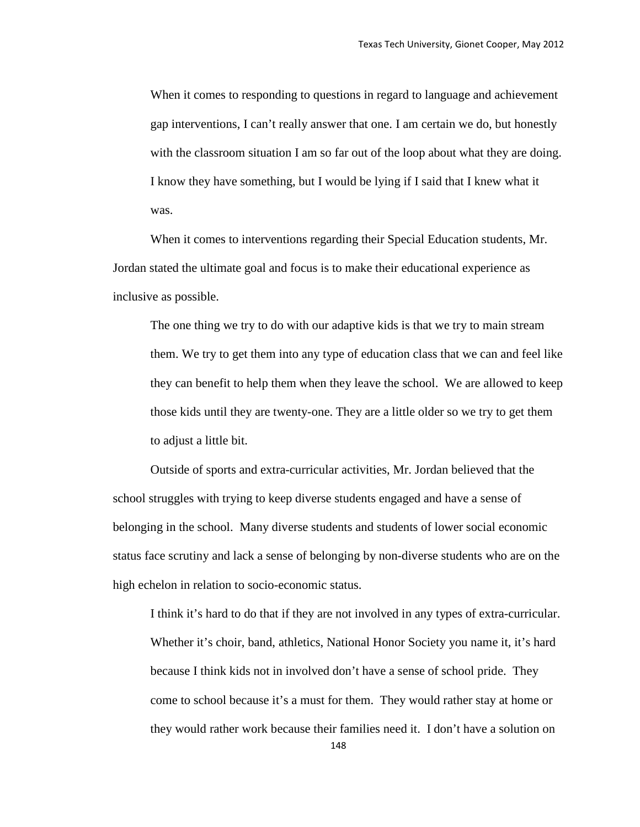When it comes to responding to questions in regard to language and achievement gap interventions, I can't really answer that one. I am certain we do, but honestly with the classroom situation I am so far out of the loop about what they are doing. I know they have something, but I would be lying if I said that I knew what it was.

When it comes to interventions regarding their Special Education students, Mr. Jordan stated the ultimate goal and focus is to make their educational experience as inclusive as possible.

The one thing we try to do with our adaptive kids is that we try to main stream them. We try to get them into any type of education class that we can and feel like they can benefit to help them when they leave the school. We are allowed to keep those kids until they are twenty-one. They are a little older so we try to get them to adjust a little bit.

Outside of sports and extra-curricular activities, Mr. Jordan believed that the school struggles with trying to keep diverse students engaged and have a sense of belonging in the school. Many diverse students and students of lower social economic status face scrutiny and lack a sense of belonging by non-diverse students who are on the high echelon in relation to socio-economic status.

I think it's hard to do that if they are not involved in any types of extra-curricular. Whether it's choir, band, athletics, National Honor Society you name it, it's hard because I think kids not in involved don't have a sense of school pride. They come to school because it's a must for them. They would rather stay at home or they would rather work because their families need it. I don't have a solution on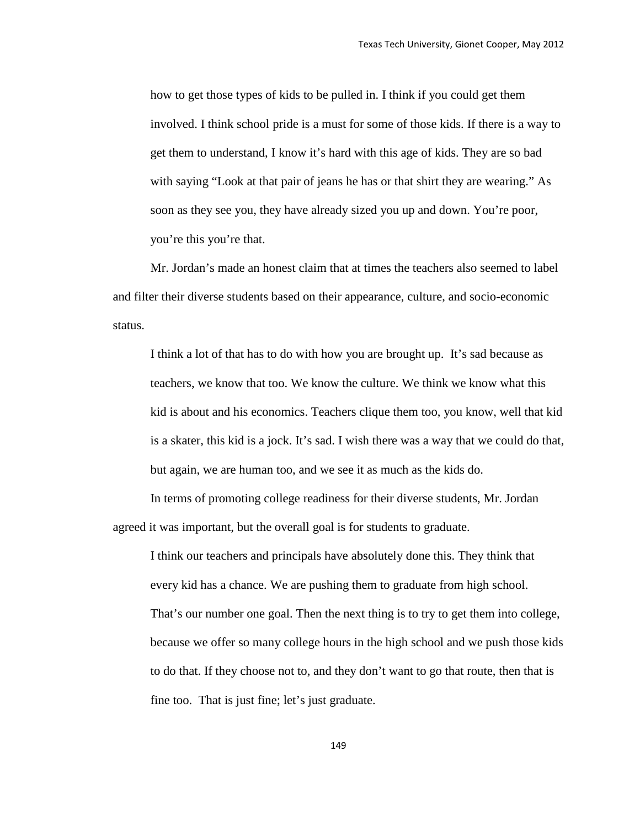how to get those types of kids to be pulled in. I think if you could get them involved. I think school pride is a must for some of those kids. If there is a way to get them to understand, I know it's hard with this age of kids. They are so bad with saying "Look at that pair of jeans he has or that shirt they are wearing." As soon as they see you, they have already sized you up and down. You're poor, you're this you're that.

Mr. Jordan's made an honest claim that at times the teachers also seemed to label and filter their diverse students based on their appearance, culture, and socio-economic status.

I think a lot of that has to do with how you are brought up. It's sad because as teachers, we know that too. We know the culture. We think we know what this kid is about and his economics. Teachers clique them too, you know, well that kid is a skater, this kid is a jock. It's sad. I wish there was a way that we could do that, but again, we are human too, and we see it as much as the kids do.

In terms of promoting college readiness for their diverse students, Mr. Jordan agreed it was important, but the overall goal is for students to graduate.

I think our teachers and principals have absolutely done this. They think that every kid has a chance. We are pushing them to graduate from high school. That's our number one goal. Then the next thing is to try to get them into college, because we offer so many college hours in the high school and we push those kids to do that. If they choose not to, and they don't want to go that route, then that is fine too. That is just fine; let's just graduate.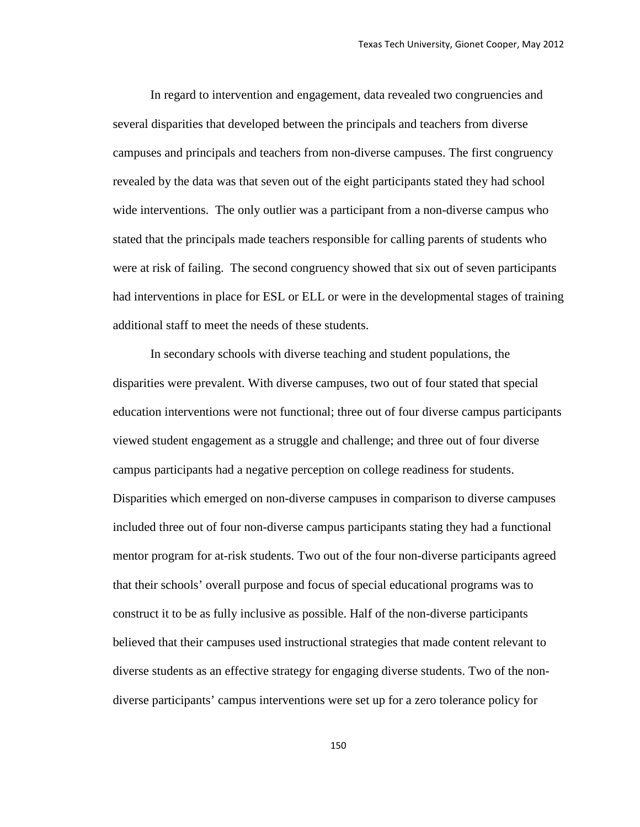In regard to intervention and engagement, data revealed two congruencies and several disparities that developed between the principals and teachers from diverse campuses and principals and teachers from non-diverse campuses. The first congruency revealed by the data was that seven out of the eight participants stated they had school wide interventions. The only outlier was a participant from a non-diverse campus who stated that the principals made teachers responsible for calling parents of students who were at risk of failing. The second congruency showed that six out of seven participants had interventions in place for ESL or ELL or were in the developmental stages of training additional staff to meet the needs of these students.

In secondary schools with diverse teaching and student populations, the disparities were prevalent. With diverse campuses, two out of four stated that special education interventions were not functional; three out of four diverse campus participants viewed student engagement as a struggle and challenge; and three out of four diverse campus participants had a negative perception on college readiness for students. Disparities which emerged on non-diverse campuses in comparison to diverse campuses included three out of four non-diverse campus participants stating they had a functional mentor program for at-risk students. Two out of the four non-diverse participants agreed that their schools' overall purpose and focus of special educational programs was to construct it to be as fully inclusive as possible. Half of the non-diverse participants believed that their campuses used instructional strategies that made content relevant to diverse students as an effective strategy for engaging diverse students. Two of the nondiverse participants' campus interventions were set up for a zero tolerance policy for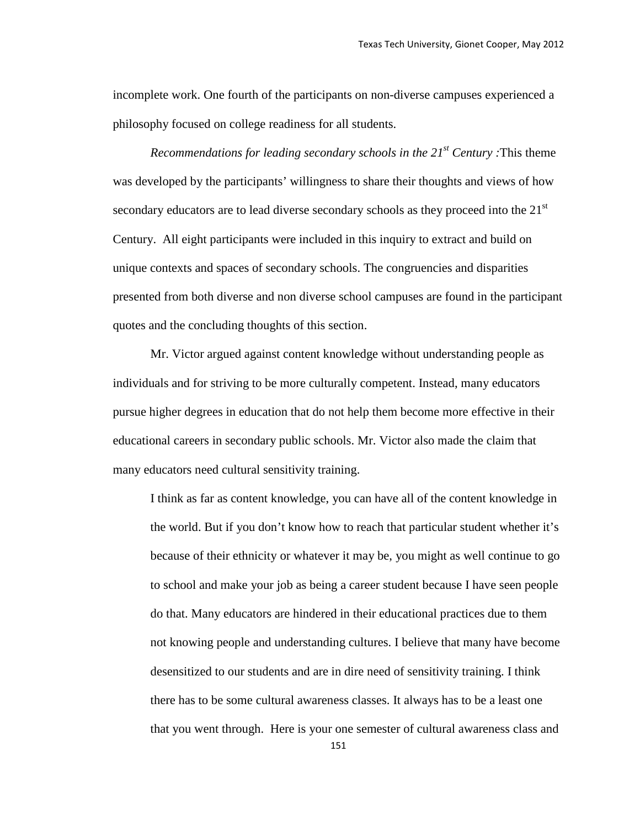incomplete work. One fourth of the participants on non-diverse campuses experienced a philosophy focused on college readiness for all students.

*Recommendations for leading secondary schools in the 21st Century :*This theme was developed by the participants' willingness to share their thoughts and views of how secondary educators are to lead diverse secondary schools as they proceed into the  $21<sup>st</sup>$ Century. All eight participants were included in this inquiry to extract and build on unique contexts and spaces of secondary schools. The congruencies and disparities presented from both diverse and non diverse school campuses are found in the participant quotes and the concluding thoughts of this section.

Mr. Victor argued against content knowledge without understanding people as individuals and for striving to be more culturally competent. Instead, many educators pursue higher degrees in education that do not help them become more effective in their educational careers in secondary public schools. Mr. Victor also made the claim that many educators need cultural sensitivity training.

I think as far as content knowledge, you can have all of the content knowledge in the world. But if you don't know how to reach that particular student whether it's because of their ethnicity or whatever it may be, you might as well continue to go to school and make your job as being a career student because I have seen people do that. Many educators are hindered in their educational practices due to them not knowing people and understanding cultures. I believe that many have become desensitized to our students and are in dire need of sensitivity training. I think there has to be some cultural awareness classes. It always has to be a least one that you went through. Here is your one semester of cultural awareness class and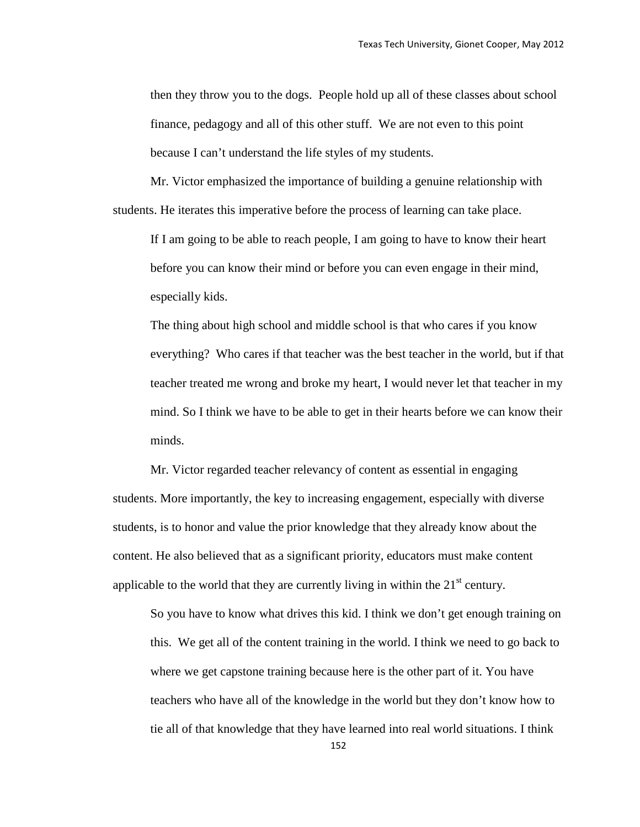then they throw you to the dogs. People hold up all of these classes about school finance, pedagogy and all of this other stuff. We are not even to this point because I can't understand the life styles of my students.

Mr. Victor emphasized the importance of building a genuine relationship with students. He iterates this imperative before the process of learning can take place.

If I am going to be able to reach people, I am going to have to know their heart before you can know their mind or before you can even engage in their mind, especially kids.

The thing about high school and middle school is that who cares if you know everything? Who cares if that teacher was the best teacher in the world, but if that teacher treated me wrong and broke my heart, I would never let that teacher in my mind. So I think we have to be able to get in their hearts before we can know their minds.

Mr. Victor regarded teacher relevancy of content as essential in engaging students. More importantly, the key to increasing engagement, especially with diverse students, is to honor and value the prior knowledge that they already know about the content. He also believed that as a significant priority, educators must make content applicable to the world that they are currently living in within the  $21<sup>st</sup>$  century.

So you have to know what drives this kid. I think we don't get enough training on this. We get all of the content training in the world. I think we need to go back to where we get capstone training because here is the other part of it. You have teachers who have all of the knowledge in the world but they don't know how to tie all of that knowledge that they have learned into real world situations. I think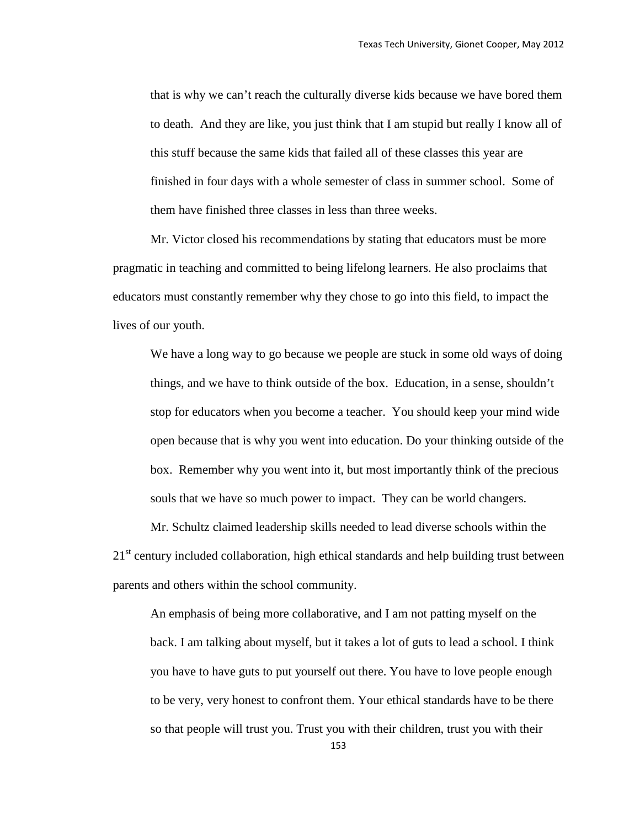that is why we can't reach the culturally diverse kids because we have bored them to death. And they are like, you just think that I am stupid but really I know all of this stuff because the same kids that failed all of these classes this year are finished in four days with a whole semester of class in summer school. Some of them have finished three classes in less than three weeks.

Mr. Victor closed his recommendations by stating that educators must be more pragmatic in teaching and committed to being lifelong learners. He also proclaims that educators must constantly remember why they chose to go into this field, to impact the lives of our youth.

We have a long way to go because we people are stuck in some old ways of doing things, and we have to think outside of the box. Education, in a sense, shouldn't stop for educators when you become a teacher. You should keep your mind wide open because that is why you went into education. Do your thinking outside of the box. Remember why you went into it, but most importantly think of the precious souls that we have so much power to impact. They can be world changers.

Mr. Schultz claimed leadership skills needed to lead diverse schools within the 21<sup>st</sup> century included collaboration, high ethical standards and help building trust between parents and others within the school community.

An emphasis of being more collaborative, and I am not patting myself on the back. I am talking about myself, but it takes a lot of guts to lead a school. I think you have to have guts to put yourself out there. You have to love people enough to be very, very honest to confront them. Your ethical standards have to be there so that people will trust you. Trust you with their children, trust you with their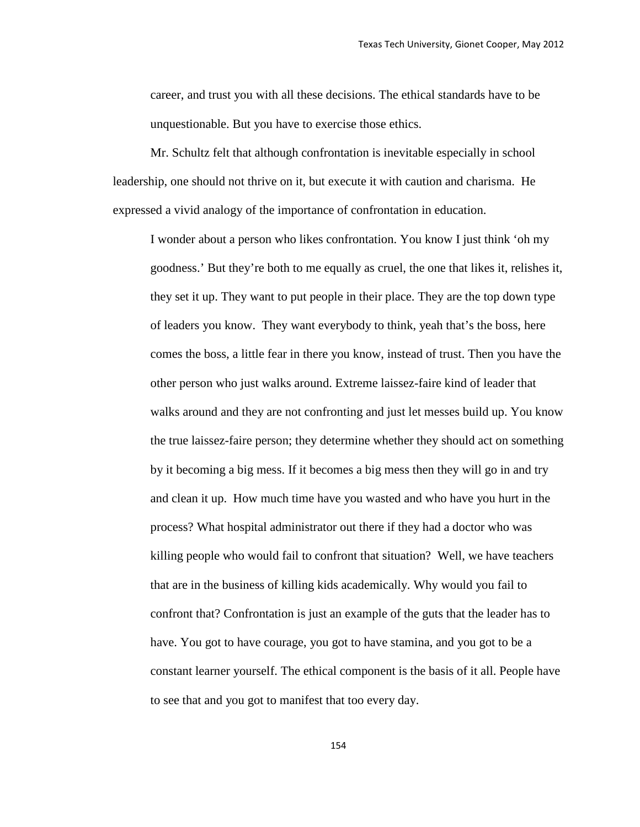career, and trust you with all these decisions. The ethical standards have to be unquestionable. But you have to exercise those ethics.

Mr. Schultz felt that although confrontation is inevitable especially in school leadership, one should not thrive on it, but execute it with caution and charisma. He expressed a vivid analogy of the importance of confrontation in education.

I wonder about a person who likes confrontation. You know I just think 'oh my goodness.' But they're both to me equally as cruel, the one that likes it, relishes it, they set it up. They want to put people in their place. They are the top down type of leaders you know. They want everybody to think, yeah that's the boss, here comes the boss, a little fear in there you know, instead of trust. Then you have the other person who just walks around. Extreme laissez-faire kind of leader that walks around and they are not confronting and just let messes build up. You know the true laissez-faire person; they determine whether they should act on something by it becoming a big mess. If it becomes a big mess then they will go in and try and clean it up. How much time have you wasted and who have you hurt in the process? What hospital administrator out there if they had a doctor who was killing people who would fail to confront that situation? Well, we have teachers that are in the business of killing kids academically. Why would you fail to confront that? Confrontation is just an example of the guts that the leader has to have. You got to have courage, you got to have stamina, and you got to be a constant learner yourself. The ethical component is the basis of it all. People have to see that and you got to manifest that too every day.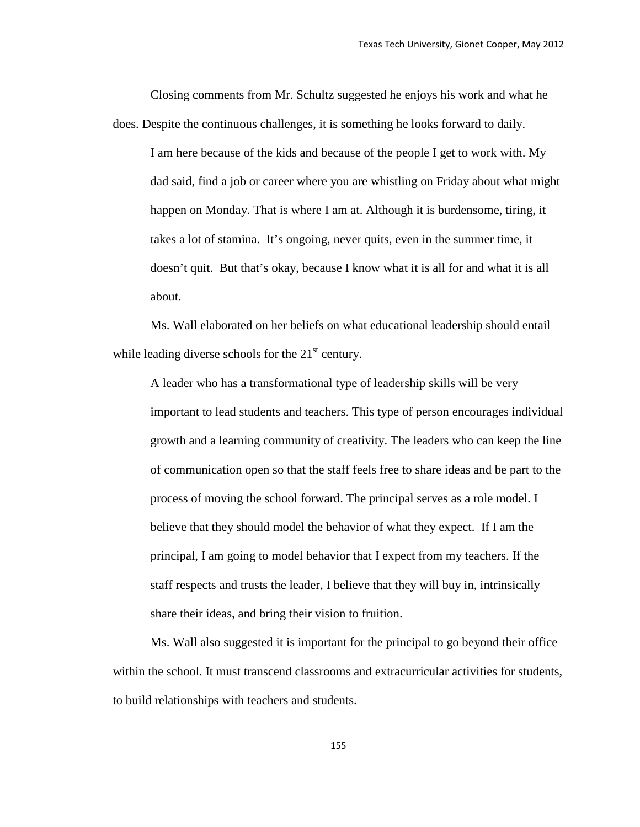Closing comments from Mr. Schultz suggested he enjoys his work and what he does. Despite the continuous challenges, it is something he looks forward to daily.

I am here because of the kids and because of the people I get to work with. My dad said, find a job or career where you are whistling on Friday about what might happen on Monday. That is where I am at. Although it is burdensome, tiring, it takes a lot of stamina. It's ongoing, never quits, even in the summer time, it doesn't quit. But that's okay, because I know what it is all for and what it is all about.

Ms. Wall elaborated on her beliefs on what educational leadership should entail while leading diverse schools for the  $21<sup>st</sup>$  century.

A leader who has a transformational type of leadership skills will be very important to lead students and teachers. This type of person encourages individual growth and a learning community of creativity. The leaders who can keep the line of communication open so that the staff feels free to share ideas and be part to the process of moving the school forward. The principal serves as a role model. I believe that they should model the behavior of what they expect. If I am the principal, I am going to model behavior that I expect from my teachers. If the staff respects and trusts the leader, I believe that they will buy in, intrinsically share their ideas, and bring their vision to fruition.

Ms. Wall also suggested it is important for the principal to go beyond their office within the school. It must transcend classrooms and extracurricular activities for students, to build relationships with teachers and students.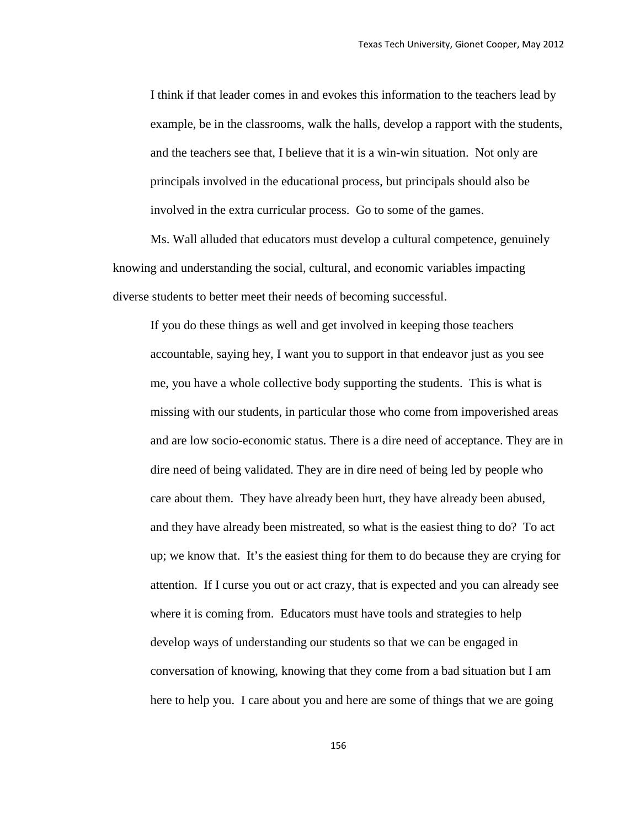I think if that leader comes in and evokes this information to the teachers lead by example, be in the classrooms, walk the halls, develop a rapport with the students, and the teachers see that, I believe that it is a win-win situation. Not only are principals involved in the educational process, but principals should also be involved in the extra curricular process. Go to some of the games.

Ms. Wall alluded that educators must develop a cultural competence, genuinely knowing and understanding the social, cultural, and economic variables impacting diverse students to better meet their needs of becoming successful.

If you do these things as well and get involved in keeping those teachers accountable, saying hey, I want you to support in that endeavor just as you see me, you have a whole collective body supporting the students. This is what is missing with our students, in particular those who come from impoverished areas and are low socio-economic status. There is a dire need of acceptance. They are in dire need of being validated. They are in dire need of being led by people who care about them. They have already been hurt, they have already been abused, and they have already been mistreated, so what is the easiest thing to do? To act up; we know that. It's the easiest thing for them to do because they are crying for attention. If I curse you out or act crazy, that is expected and you can already see where it is coming from. Educators must have tools and strategies to help develop ways of understanding our students so that we can be engaged in conversation of knowing, knowing that they come from a bad situation but I am here to help you. I care about you and here are some of things that we are going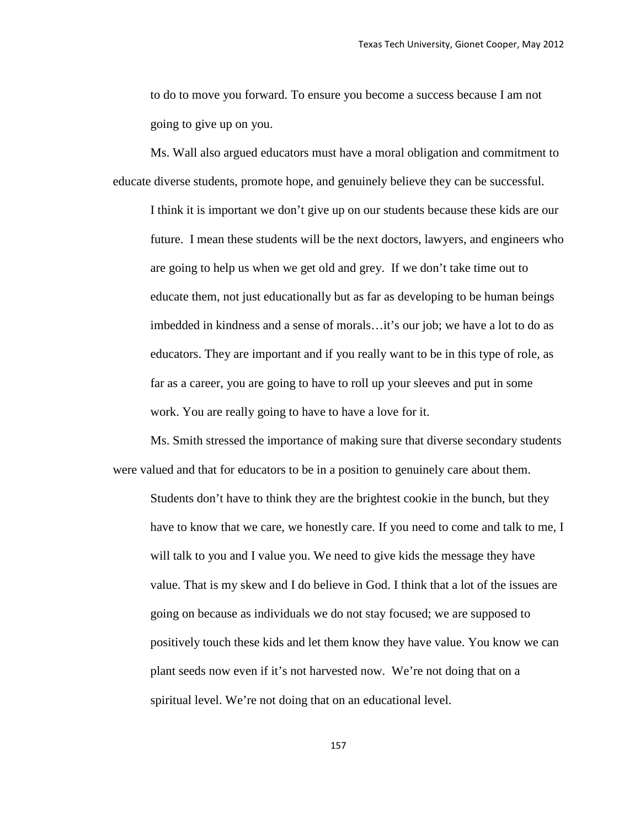to do to move you forward. To ensure you become a success because I am not going to give up on you.

Ms. Wall also argued educators must have a moral obligation and commitment to educate diverse students, promote hope, and genuinely believe they can be successful.

I think it is important we don't give up on our students because these kids are our future. I mean these students will be the next doctors, lawyers, and engineers who are going to help us when we get old and grey. If we don't take time out to educate them, not just educationally but as far as developing to be human beings imbedded in kindness and a sense of morals…it's our job; we have a lot to do as educators. They are important and if you really want to be in this type of role, as far as a career, you are going to have to roll up your sleeves and put in some work. You are really going to have to have a love for it.

Ms. Smith stressed the importance of making sure that diverse secondary students were valued and that for educators to be in a position to genuinely care about them.

Students don't have to think they are the brightest cookie in the bunch, but they have to know that we care, we honestly care. If you need to come and talk to me, I will talk to you and I value you. We need to give kids the message they have value. That is my skew and I do believe in God. I think that a lot of the issues are going on because as individuals we do not stay focused; we are supposed to positively touch these kids and let them know they have value. You know we can plant seeds now even if it's not harvested now. We're not doing that on a spiritual level. We're not doing that on an educational level.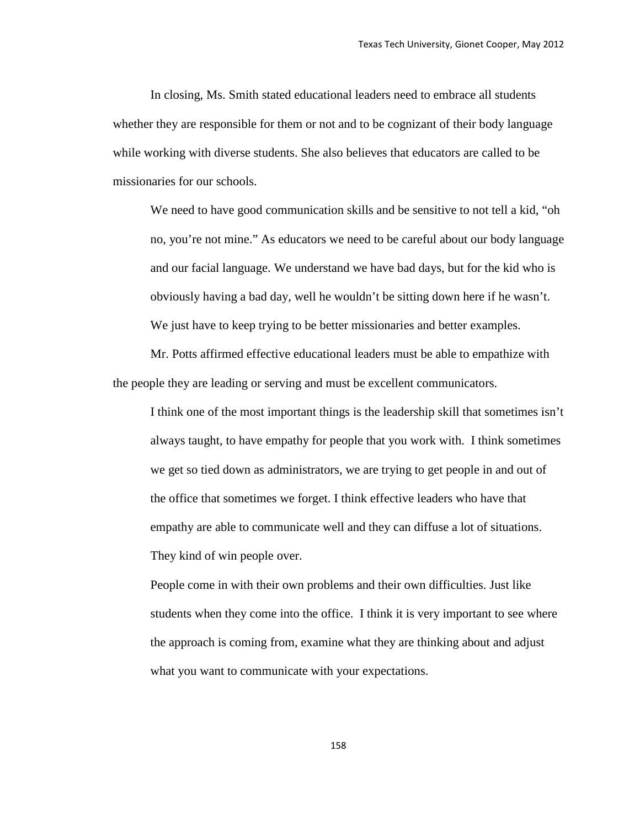In closing, Ms. Smith stated educational leaders need to embrace all students whether they are responsible for them or not and to be cognizant of their body language while working with diverse students. She also believes that educators are called to be missionaries for our schools.

We need to have good communication skills and be sensitive to not tell a kid, "oh no, you're not mine." As educators we need to be careful about our body language and our facial language. We understand we have bad days, but for the kid who is obviously having a bad day, well he wouldn't be sitting down here if he wasn't. We just have to keep trying to be better missionaries and better examples.

Mr. Potts affirmed effective educational leaders must be able to empathize with the people they are leading or serving and must be excellent communicators.

I think one of the most important things is the leadership skill that sometimes isn't always taught, to have empathy for people that you work with. I think sometimes we get so tied down as administrators, we are trying to get people in and out of the office that sometimes we forget. I think effective leaders who have that empathy are able to communicate well and they can diffuse a lot of situations. They kind of win people over.

People come in with their own problems and their own difficulties. Just like students when they come into the office. I think it is very important to see where the approach is coming from, examine what they are thinking about and adjust what you want to communicate with your expectations.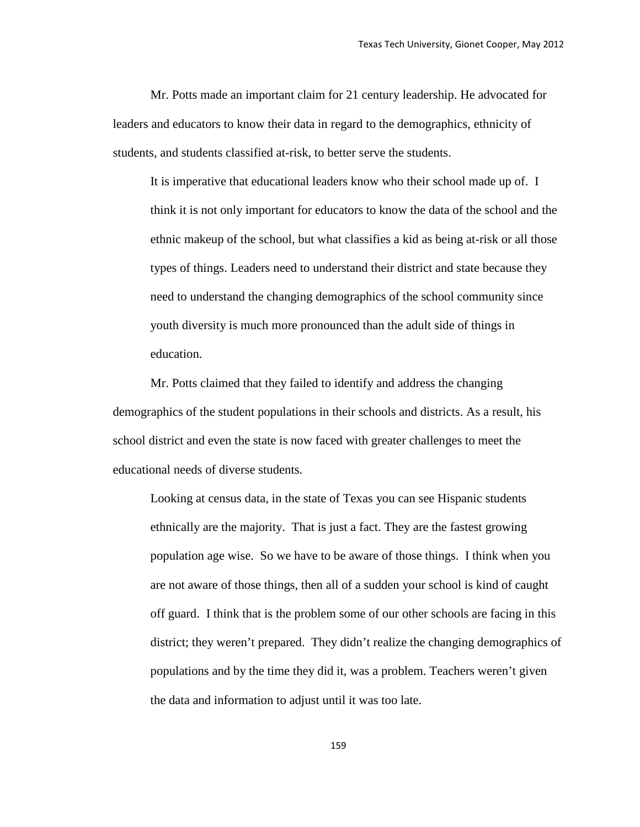Mr. Potts made an important claim for 21 century leadership. He advocated for leaders and educators to know their data in regard to the demographics, ethnicity of students, and students classified at-risk, to better serve the students.

It is imperative that educational leaders know who their school made up of. I think it is not only important for educators to know the data of the school and the ethnic makeup of the school, but what classifies a kid as being at-risk or all those types of things. Leaders need to understand their district and state because they need to understand the changing demographics of the school community since youth diversity is much more pronounced than the adult side of things in education.

Mr. Potts claimed that they failed to identify and address the changing demographics of the student populations in their schools and districts. As a result, his school district and even the state is now faced with greater challenges to meet the educational needs of diverse students.

Looking at census data, in the state of Texas you can see Hispanic students ethnically are the majority. That is just a fact. They are the fastest growing population age wise. So we have to be aware of those things. I think when you are not aware of those things, then all of a sudden your school is kind of caught off guard. I think that is the problem some of our other schools are facing in this district; they weren't prepared. They didn't realize the changing demographics of populations and by the time they did it, was a problem. Teachers weren't given the data and information to adjust until it was too late.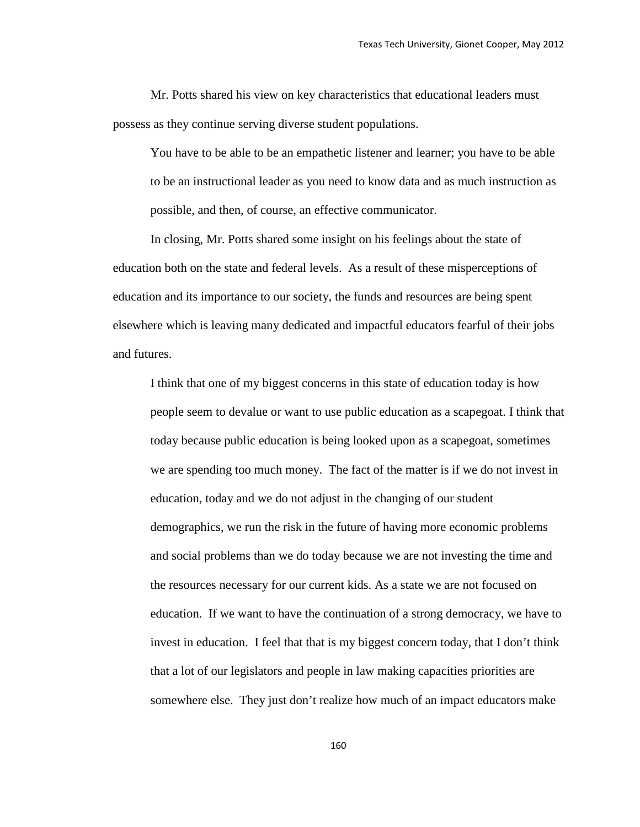Mr. Potts shared his view on key characteristics that educational leaders must possess as they continue serving diverse student populations.

You have to be able to be an empathetic listener and learner; you have to be able to be an instructional leader as you need to know data and as much instruction as possible, and then, of course, an effective communicator.

In closing, Mr. Potts shared some insight on his feelings about the state of education both on the state and federal levels. As a result of these misperceptions of education and its importance to our society, the funds and resources are being spent elsewhere which is leaving many dedicated and impactful educators fearful of their jobs and futures.

I think that one of my biggest concerns in this state of education today is how people seem to devalue or want to use public education as a scapegoat. I think that today because public education is being looked upon as a scapegoat, sometimes we are spending too much money. The fact of the matter is if we do not invest in education, today and we do not adjust in the changing of our student demographics, we run the risk in the future of having more economic problems and social problems than we do today because we are not investing the time and the resources necessary for our current kids. As a state we are not focused on education. If we want to have the continuation of a strong democracy, we have to invest in education. I feel that that is my biggest concern today, that I don't think that a lot of our legislators and people in law making capacities priorities are somewhere else. They just don't realize how much of an impact educators make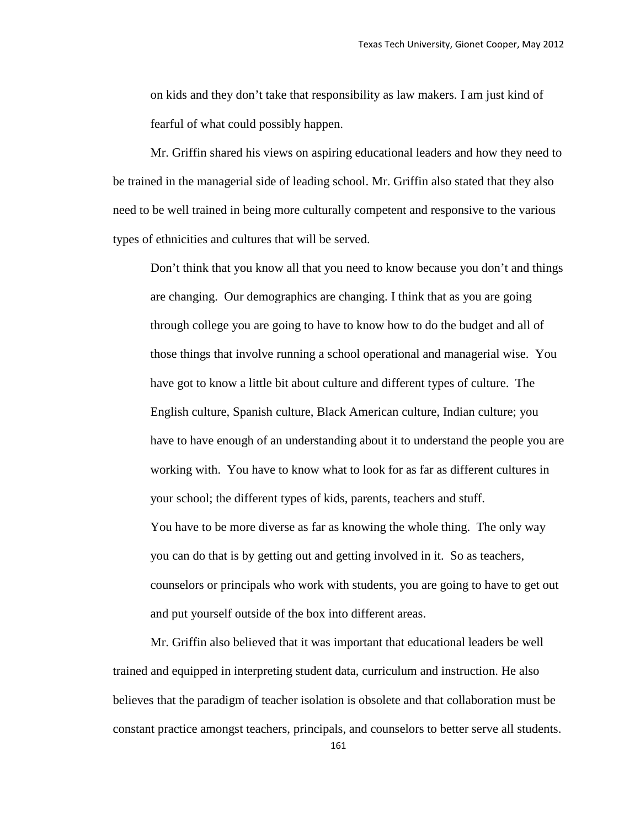on kids and they don't take that responsibility as law makers. I am just kind of fearful of what could possibly happen.

Mr. Griffin shared his views on aspiring educational leaders and how they need to be trained in the managerial side of leading school. Mr. Griffin also stated that they also need to be well trained in being more culturally competent and responsive to the various types of ethnicities and cultures that will be served.

Don't think that you know all that you need to know because you don't and things are changing. Our demographics are changing. I think that as you are going through college you are going to have to know how to do the budget and all of those things that involve running a school operational and managerial wise. You have got to know a little bit about culture and different types of culture. The English culture, Spanish culture, Black American culture, Indian culture; you have to have enough of an understanding about it to understand the people you are working with. You have to know what to look for as far as different cultures in your school; the different types of kids, parents, teachers and stuff. You have to be more diverse as far as knowing the whole thing. The only way you can do that is by getting out and getting involved in it. So as teachers, counselors or principals who work with students, you are going to have to get out and put yourself outside of the box into different areas.

Mr. Griffin also believed that it was important that educational leaders be well trained and equipped in interpreting student data, curriculum and instruction. He also believes that the paradigm of teacher isolation is obsolete and that collaboration must be constant practice amongst teachers, principals, and counselors to better serve all students.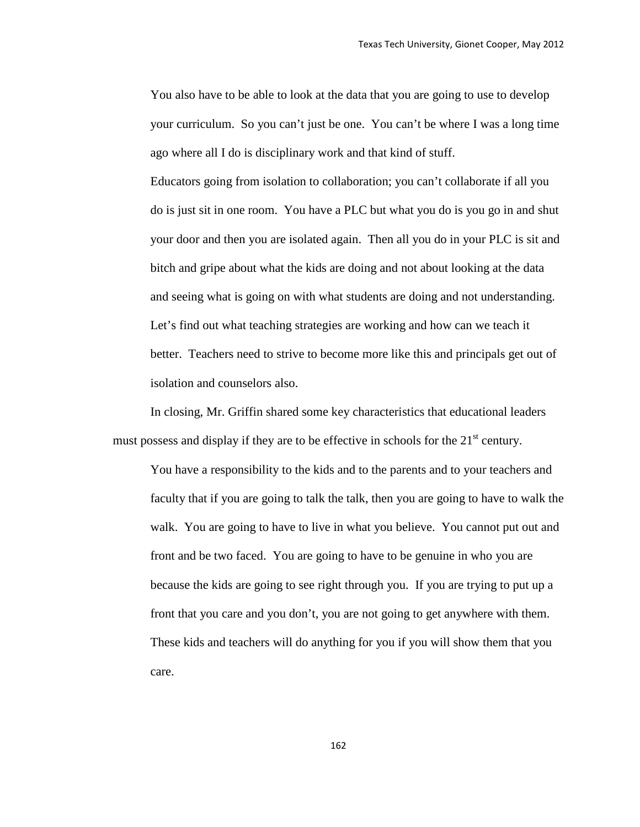You also have to be able to look at the data that you are going to use to develop your curriculum. So you can't just be one. You can't be where I was a long time ago where all I do is disciplinary work and that kind of stuff.

Educators going from isolation to collaboration; you can't collaborate if all you do is just sit in one room. You have a PLC but what you do is you go in and shut your door and then you are isolated again. Then all you do in your PLC is sit and bitch and gripe about what the kids are doing and not about looking at the data and seeing what is going on with what students are doing and not understanding. Let's find out what teaching strategies are working and how can we teach it better. Teachers need to strive to become more like this and principals get out of isolation and counselors also.

In closing, Mr. Griffin shared some key characteristics that educational leaders must possess and display if they are to be effective in schools for the  $21<sup>st</sup>$  century.

You have a responsibility to the kids and to the parents and to your teachers and faculty that if you are going to talk the talk, then you are going to have to walk the walk. You are going to have to live in what you believe. You cannot put out and front and be two faced. You are going to have to be genuine in who you are because the kids are going to see right through you. If you are trying to put up a front that you care and you don't, you are not going to get anywhere with them. These kids and teachers will do anything for you if you will show them that you care.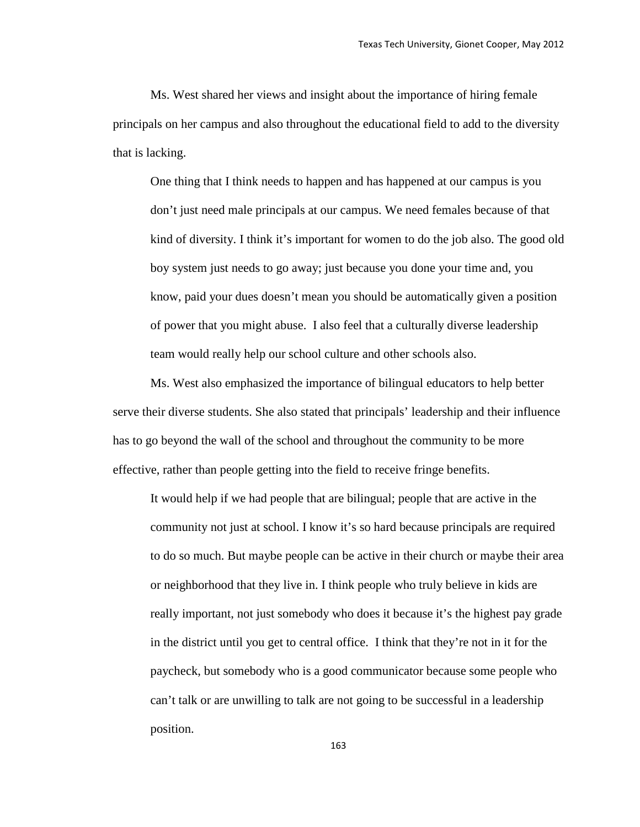Ms. West shared her views and insight about the importance of hiring female principals on her campus and also throughout the educational field to add to the diversity that is lacking.

One thing that I think needs to happen and has happened at our campus is you don't just need male principals at our campus. We need females because of that kind of diversity. I think it's important for women to do the job also. The good old boy system just needs to go away; just because you done your time and, you know, paid your dues doesn't mean you should be automatically given a position of power that you might abuse. I also feel that a culturally diverse leadership team would really help our school culture and other schools also.

Ms. West also emphasized the importance of bilingual educators to help better serve their diverse students. She also stated that principals' leadership and their influence has to go beyond the wall of the school and throughout the community to be more effective, rather than people getting into the field to receive fringe benefits.

It would help if we had people that are bilingual; people that are active in the community not just at school. I know it's so hard because principals are required to do so much. But maybe people can be active in their church or maybe their area or neighborhood that they live in. I think people who truly believe in kids are really important, not just somebody who does it because it's the highest pay grade in the district until you get to central office. I think that they're not in it for the paycheck, but somebody who is a good communicator because some people who can't talk or are unwilling to talk are not going to be successful in a leadership position.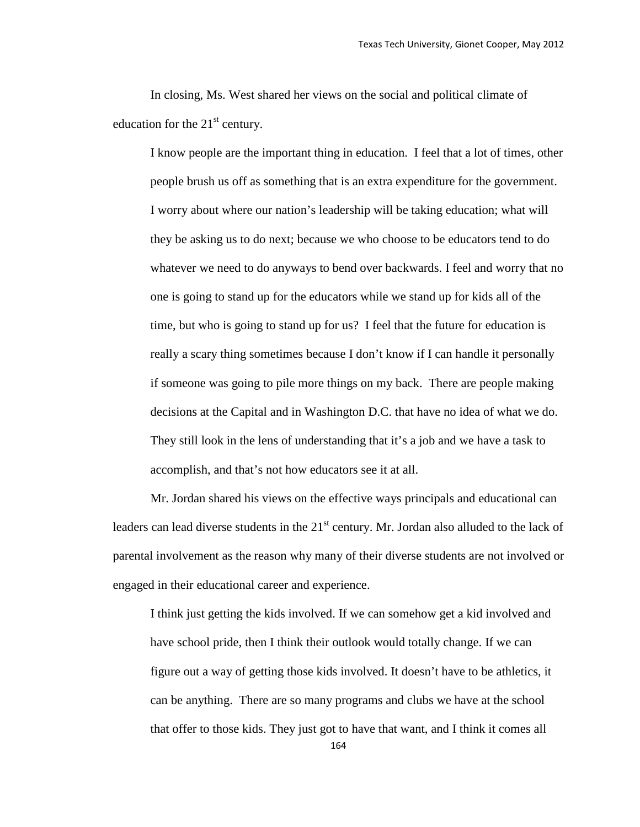In closing, Ms. West shared her views on the social and political climate of education for the  $21<sup>st</sup>$  century.

I know people are the important thing in education. I feel that a lot of times, other people brush us off as something that is an extra expenditure for the government. I worry about where our nation's leadership will be taking education; what will they be asking us to do next; because we who choose to be educators tend to do whatever we need to do anyways to bend over backwards. I feel and worry that no one is going to stand up for the educators while we stand up for kids all of the time, but who is going to stand up for us? I feel that the future for education is really a scary thing sometimes because I don't know if I can handle it personally if someone was going to pile more things on my back. There are people making decisions at the Capital and in Washington D.C. that have no idea of what we do. They still look in the lens of understanding that it's a job and we have a task to accomplish, and that's not how educators see it at all.

Mr. Jordan shared his views on the effective ways principals and educational can leaders can lead diverse students in the  $21<sup>st</sup>$  century. Mr. Jordan also alluded to the lack of parental involvement as the reason why many of their diverse students are not involved or engaged in their educational career and experience.

I think just getting the kids involved. If we can somehow get a kid involved and have school pride, then I think their outlook would totally change. If we can figure out a way of getting those kids involved. It doesn't have to be athletics, it can be anything. There are so many programs and clubs we have at the school that offer to those kids. They just got to have that want, and I think it comes all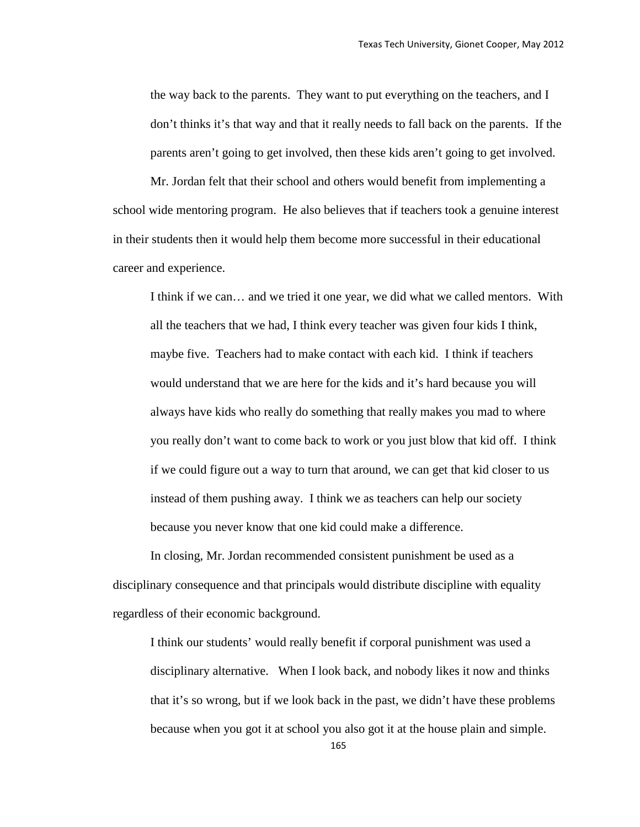the way back to the parents. They want to put everything on the teachers, and I don't thinks it's that way and that it really needs to fall back on the parents. If the parents aren't going to get involved, then these kids aren't going to get involved.

Mr. Jordan felt that their school and others would benefit from implementing a school wide mentoring program. He also believes that if teachers took a genuine interest in their students then it would help them become more successful in their educational career and experience.

I think if we can… and we tried it one year, we did what we called mentors. With all the teachers that we had, I think every teacher was given four kids I think, maybe five. Teachers had to make contact with each kid. I think if teachers would understand that we are here for the kids and it's hard because you will always have kids who really do something that really makes you mad to where you really don't want to come back to work or you just blow that kid off. I think if we could figure out a way to turn that around, we can get that kid closer to us instead of them pushing away. I think we as teachers can help our society because you never know that one kid could make a difference.

In closing, Mr. Jordan recommended consistent punishment be used as a disciplinary consequence and that principals would distribute discipline with equality regardless of their economic background.

I think our students' would really benefit if corporal punishment was used a disciplinary alternative. When I look back, and nobody likes it now and thinks that it's so wrong, but if we look back in the past, we didn't have these problems because when you got it at school you also got it at the house plain and simple.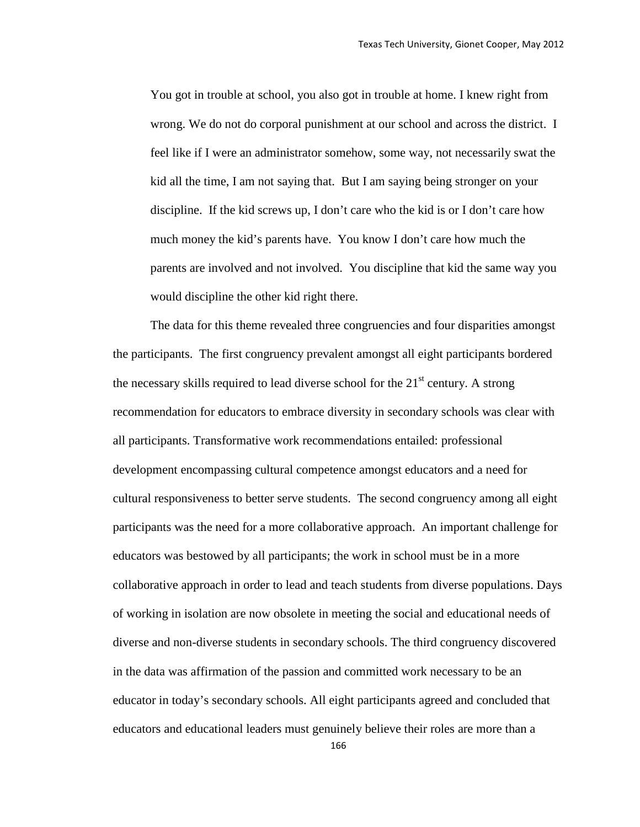You got in trouble at school, you also got in trouble at home. I knew right from wrong. We do not do corporal punishment at our school and across the district. I feel like if I were an administrator somehow, some way, not necessarily swat the kid all the time, I am not saying that. But I am saying being stronger on your discipline. If the kid screws up, I don't care who the kid is or I don't care how much money the kid's parents have. You know I don't care how much the parents are involved and not involved. You discipline that kid the same way you would discipline the other kid right there.

The data for this theme revealed three congruencies and four disparities amongst the participants. The first congruency prevalent amongst all eight participants bordered the necessary skills required to lead diverse school for the  $21<sup>st</sup>$  century. A strong recommendation for educators to embrace diversity in secondary schools was clear with all participants. Transformative work recommendations entailed: professional development encompassing cultural competence amongst educators and a need for cultural responsiveness to better serve students. The second congruency among all eight participants was the need for a more collaborative approach. An important challenge for educators was bestowed by all participants; the work in school must be in a more collaborative approach in order to lead and teach students from diverse populations. Days of working in isolation are now obsolete in meeting the social and educational needs of diverse and non-diverse students in secondary schools. The third congruency discovered in the data was affirmation of the passion and committed work necessary to be an educator in today's secondary schools. All eight participants agreed and concluded that educators and educational leaders must genuinely believe their roles are more than a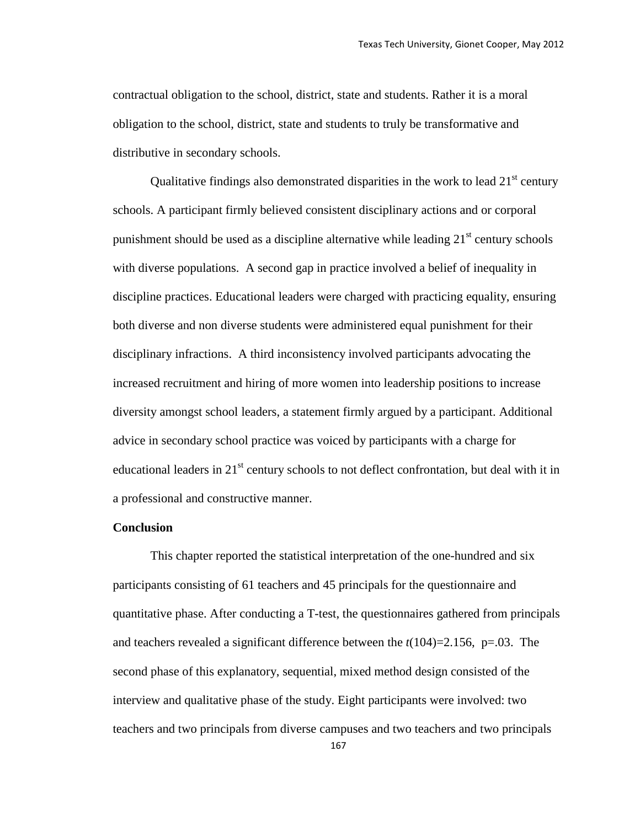contractual obligation to the school, district, state and students. Rather it is a moral obligation to the school, district, state and students to truly be transformative and distributive in secondary schools.

Qualitative findings also demonstrated disparities in the work to lead  $21<sup>st</sup>$  century schools. A participant firmly believed consistent disciplinary actions and or corporal punishment should be used as a discipline alternative while leading  $21<sup>st</sup>$  century schools with diverse populations. A second gap in practice involved a belief of inequality in discipline practices. Educational leaders were charged with practicing equality, ensuring both diverse and non diverse students were administered equal punishment for their disciplinary infractions. A third inconsistency involved participants advocating the increased recruitment and hiring of more women into leadership positions to increase diversity amongst school leaders, a statement firmly argued by a participant. Additional advice in secondary school practice was voiced by participants with a charge for educational leaders in  $21<sup>st</sup>$  century schools to not deflect confrontation, but deal with it in a professional and constructive manner.

## **Conclusion**

This chapter reported the statistical interpretation of the one-hundred and six participants consisting of 61 teachers and 45 principals for the questionnaire and quantitative phase. After conducting a T-test, the questionnaires gathered from principals and teachers revealed a significant difference between the *t*(104)=2.156, p=.03. The second phase of this explanatory, sequential, mixed method design consisted of the interview and qualitative phase of the study. Eight participants were involved: two teachers and two principals from diverse campuses and two teachers and two principals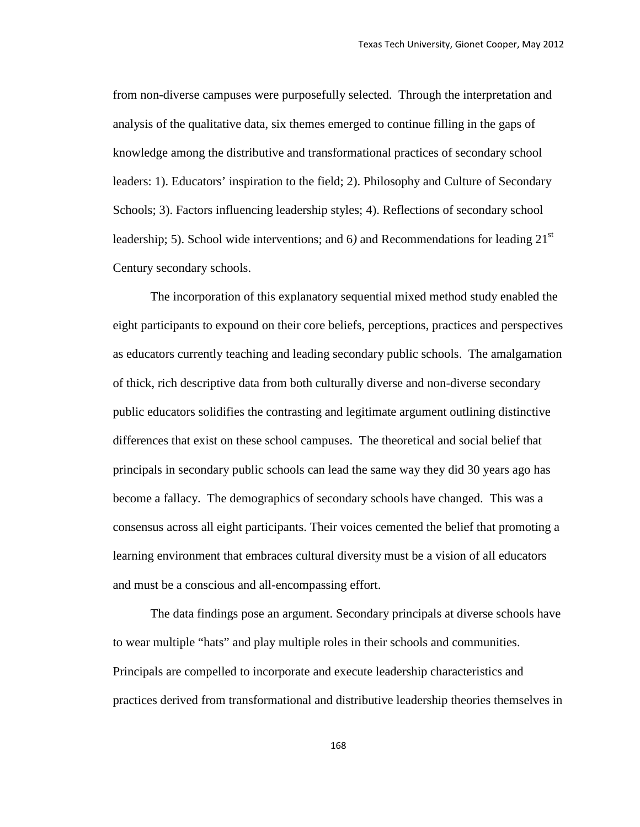from non-diverse campuses were purposefully selected. Through the interpretation and analysis of the qualitative data, six themes emerged to continue filling in the gaps of knowledge among the distributive and transformational practices of secondary school leaders: 1). Educators' inspiration to the field; 2). Philosophy and Culture of Secondary Schools; 3). Factors influencing leadership styles; 4). Reflections of secondary school leadership; 5). School wide interventions; and 6) and Recommendations for leading 21<sup>st</sup> Century secondary schools.

The incorporation of this explanatory sequential mixed method study enabled the eight participants to expound on their core beliefs, perceptions, practices and perspectives as educators currently teaching and leading secondary public schools. The amalgamation of thick, rich descriptive data from both culturally diverse and non-diverse secondary public educators solidifies the contrasting and legitimate argument outlining distinctive differences that exist on these school campuses. The theoretical and social belief that principals in secondary public schools can lead the same way they did 30 years ago has become a fallacy. The demographics of secondary schools have changed. This was a consensus across all eight participants. Their voices cemented the belief that promoting a learning environment that embraces cultural diversity must be a vision of all educators and must be a conscious and all-encompassing effort.

The data findings pose an argument. Secondary principals at diverse schools have to wear multiple "hats" and play multiple roles in their schools and communities. Principals are compelled to incorporate and execute leadership characteristics and practices derived from transformational and distributive leadership theories themselves in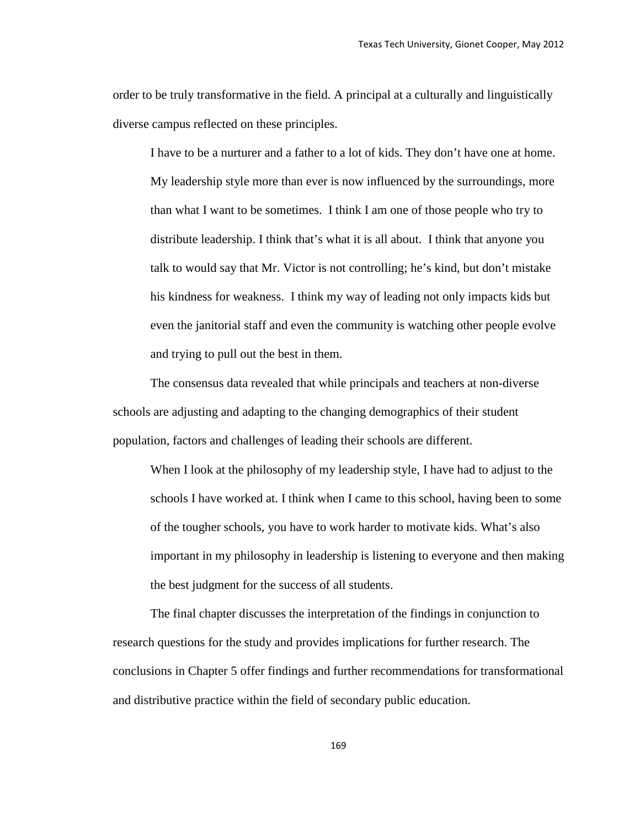order to be truly transformative in the field. A principal at a culturally and linguistically diverse campus reflected on these principles.

I have to be a nurturer and a father to a lot of kids. They don't have one at home. My leadership style more than ever is now influenced by the surroundings, more than what I want to be sometimes. I think I am one of those people who try to distribute leadership. I think that's what it is all about. I think that anyone you talk to would say that Mr. Victor is not controlling; he's kind, but don't mistake his kindness for weakness. I think my way of leading not only impacts kids but even the janitorial staff and even the community is watching other people evolve and trying to pull out the best in them.

The consensus data revealed that while principals and teachers at non-diverse schools are adjusting and adapting to the changing demographics of their student population, factors and challenges of leading their schools are different.

When I look at the philosophy of my leadership style, I have had to adjust to the schools I have worked at. I think when I came to this school, having been to some of the tougher schools, you have to work harder to motivate kids. What's also important in my philosophy in leadership is listening to everyone and then making the best judgment for the success of all students.

The final chapter discusses the interpretation of the findings in conjunction to research questions for the study and provides implications for further research. The conclusions in Chapter 5 offer findings and further recommendations for transformational and distributive practice within the field of secondary public education.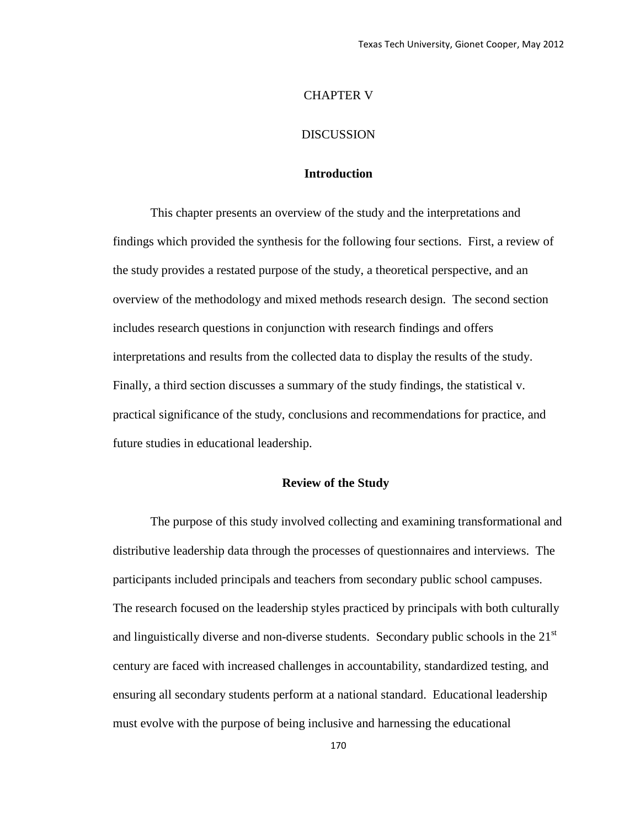# CHAPTER V

# DISCUSSION

# **Introduction**

This chapter presents an overview of the study and the interpretations and findings which provided the synthesis for the following four sections. First, a review of the study provides a restated purpose of the study, a theoretical perspective, and an overview of the methodology and mixed methods research design. The second section includes research questions in conjunction with research findings and offers interpretations and results from the collected data to display the results of the study. Finally, a third section discusses a summary of the study findings, the statistical v. practical significance of the study, conclusions and recommendations for practice, and future studies in educational leadership.

#### **Review of the Study**

The purpose of this study involved collecting and examining transformational and distributive leadership data through the processes of questionnaires and interviews. The participants included principals and teachers from secondary public school campuses. The research focused on the leadership styles practiced by principals with both culturally and linguistically diverse and non-diverse students. Secondary public schools in the  $21<sup>st</sup>$ century are faced with increased challenges in accountability, standardized testing, and ensuring all secondary students perform at a national standard. Educational leadership must evolve with the purpose of being inclusive and harnessing the educational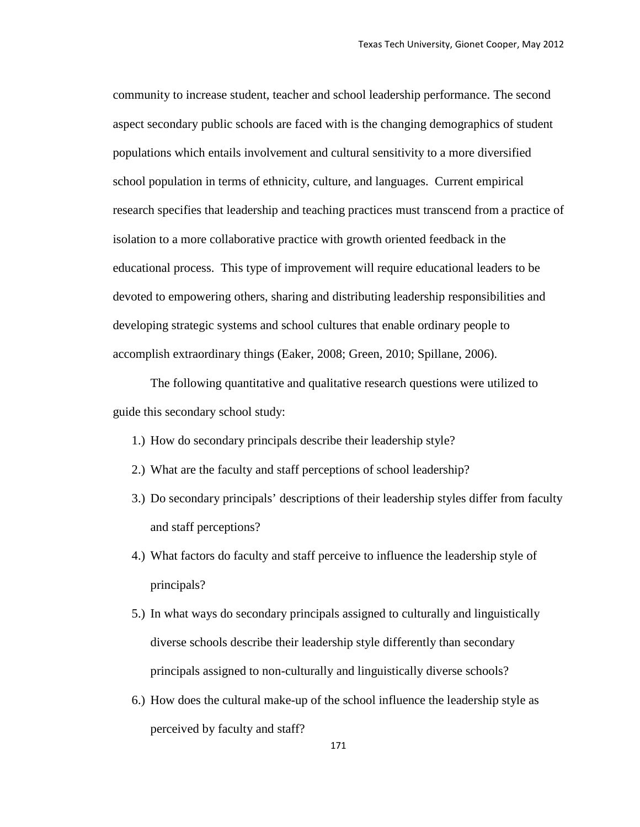community to increase student, teacher and school leadership performance. The second aspect secondary public schools are faced with is the changing demographics of student populations which entails involvement and cultural sensitivity to a more diversified school population in terms of ethnicity, culture, and languages. Current empirical research specifies that leadership and teaching practices must transcend from a practice of isolation to a more collaborative practice with growth oriented feedback in the educational process. This type of improvement will require educational leaders to be devoted to empowering others, sharing and distributing leadership responsibilities and developing strategic systems and school cultures that enable ordinary people to accomplish extraordinary things (Eaker, 2008; Green, 2010; Spillane, 2006).

The following quantitative and qualitative research questions were utilized to guide this secondary school study:

- 1.) How do secondary principals describe their leadership style?
- 2.) What are the faculty and staff perceptions of school leadership?
- 3.) Do secondary principals' descriptions of their leadership styles differ from faculty and staff perceptions?
- 4.) What factors do faculty and staff perceive to influence the leadership style of principals?
- 5.) In what ways do secondary principals assigned to culturally and linguistically diverse schools describe their leadership style differently than secondary principals assigned to non-culturally and linguistically diverse schools?
- 6.) How does the cultural make-up of the school influence the leadership style as perceived by faculty and staff?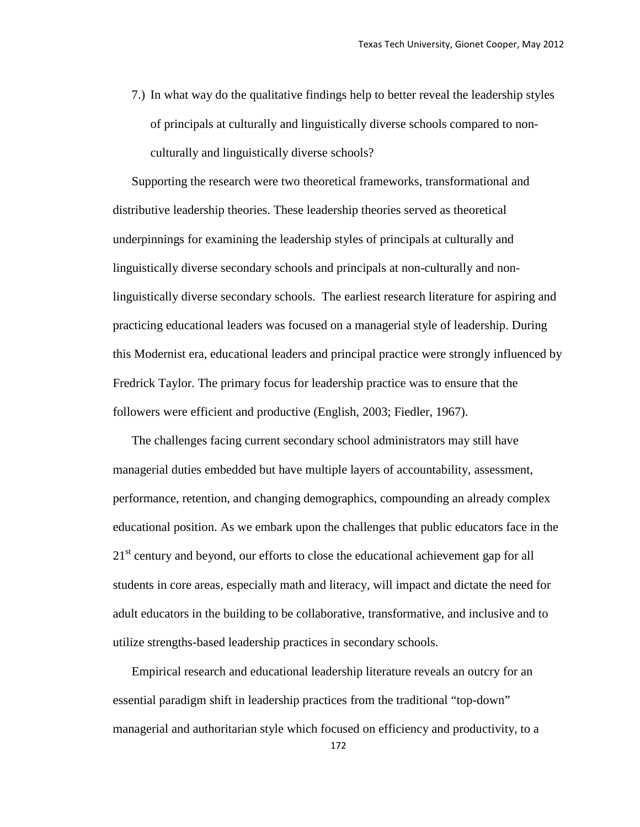7.) In what way do the qualitative findings help to better reveal the leadership styles of principals at culturally and linguistically diverse schools compared to nonculturally and linguistically diverse schools?

Supporting the research were two theoretical frameworks, transformational and distributive leadership theories. These leadership theories served as theoretical underpinnings for examining the leadership styles of principals at culturally and linguistically diverse secondary schools and principals at non-culturally and nonlinguistically diverse secondary schools. The earliest research literature for aspiring and practicing educational leaders was focused on a managerial style of leadership. During this Modernist era, educational leaders and principal practice were strongly influenced by Fredrick Taylor. The primary focus for leadership practice was to ensure that the followers were efficient and productive (English, 2003; Fiedler, 1967).

The challenges facing current secondary school administrators may still have managerial duties embedded but have multiple layers of accountability, assessment, performance, retention, and changing demographics, compounding an already complex educational position. As we embark upon the challenges that public educators face in the 21<sup>st</sup> century and beyond, our efforts to close the educational achievement gap for all students in core areas, especially math and literacy, will impact and dictate the need for adult educators in the building to be collaborative, transformative, and inclusive and to utilize strengths-based leadership practices in secondary schools.

Empirical research and educational leadership literature reveals an outcry for an essential paradigm shift in leadership practices from the traditional "top-down" managerial and authoritarian style which focused on efficiency and productivity, to a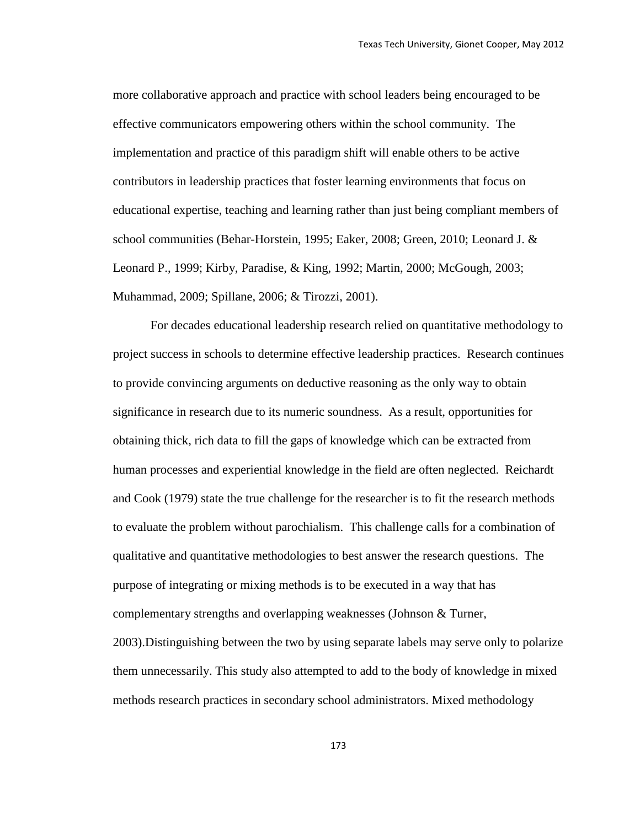more collaborative approach and practice with school leaders being encouraged to be effective communicators empowering others within the school community. The implementation and practice of this paradigm shift will enable others to be active contributors in leadership practices that foster learning environments that focus on educational expertise, teaching and learning rather than just being compliant members of school communities (Behar-Horstein, 1995; Eaker, 2008; Green, 2010; Leonard J. & Leonard P., 1999; Kirby, Paradise, & King, 1992; Martin, 2000; McGough, 2003; Muhammad, 2009; Spillane, 2006; & Tirozzi, 2001).

For decades educational leadership research relied on quantitative methodology to project success in schools to determine effective leadership practices. Research continues to provide convincing arguments on deductive reasoning as the only way to obtain significance in research due to its numeric soundness. As a result, opportunities for obtaining thick, rich data to fill the gaps of knowledge which can be extracted from human processes and experiential knowledge in the field are often neglected. Reichardt and Cook (1979) state the true challenge for the researcher is to fit the research methods to evaluate the problem without parochialism. This challenge calls for a combination of qualitative and quantitative methodologies to best answer the research questions. The purpose of integrating or mixing methods is to be executed in a way that has complementary strengths and overlapping weaknesses (Johnson & Turner, 2003).Distinguishing between the two by using separate labels may serve only to polarize them unnecessarily. This study also attempted to add to the body of knowledge in mixed methods research practices in secondary school administrators. Mixed methodology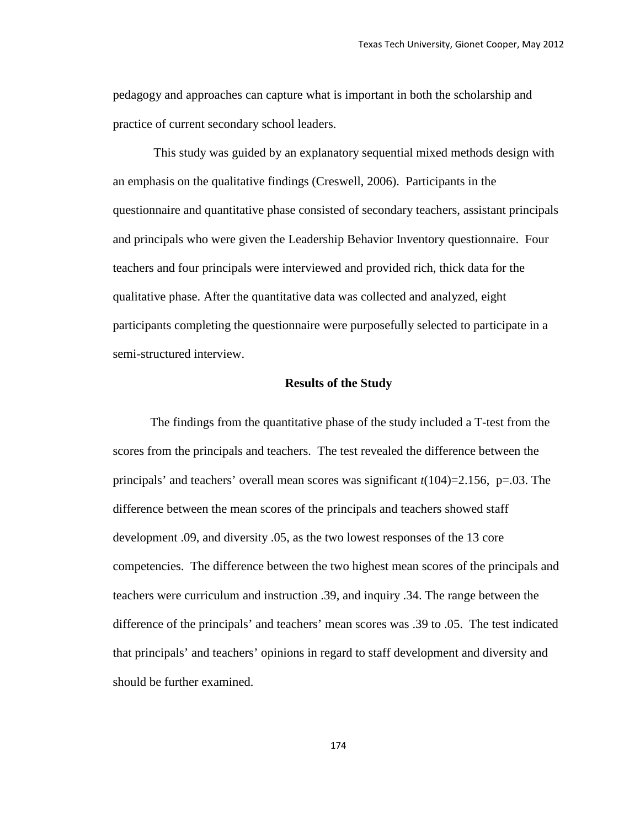pedagogy and approaches can capture what is important in both the scholarship and practice of current secondary school leaders.

This study was guided by an explanatory sequential mixed methods design with an emphasis on the qualitative findings (Creswell, 2006). Participants in the questionnaire and quantitative phase consisted of secondary teachers, assistant principals and principals who were given the Leadership Behavior Inventory questionnaire. Four teachers and four principals were interviewed and provided rich, thick data for the qualitative phase. After the quantitative data was collected and analyzed, eight participants completing the questionnaire were purposefully selected to participate in a semi-structured interview.

#### **Results of the Study**

The findings from the quantitative phase of the study included a T-test from the scores from the principals and teachers. The test revealed the difference between the principals' and teachers' overall mean scores was significant *t*(104)=2.156, p=.03. The difference between the mean scores of the principals and teachers showed staff development .09, and diversity .05, as the two lowest responses of the 13 core competencies. The difference between the two highest mean scores of the principals and teachers were curriculum and instruction .39, and inquiry .34. The range between the difference of the principals' and teachers' mean scores was .39 to .05. The test indicated that principals' and teachers' opinions in regard to staff development and diversity and should be further examined.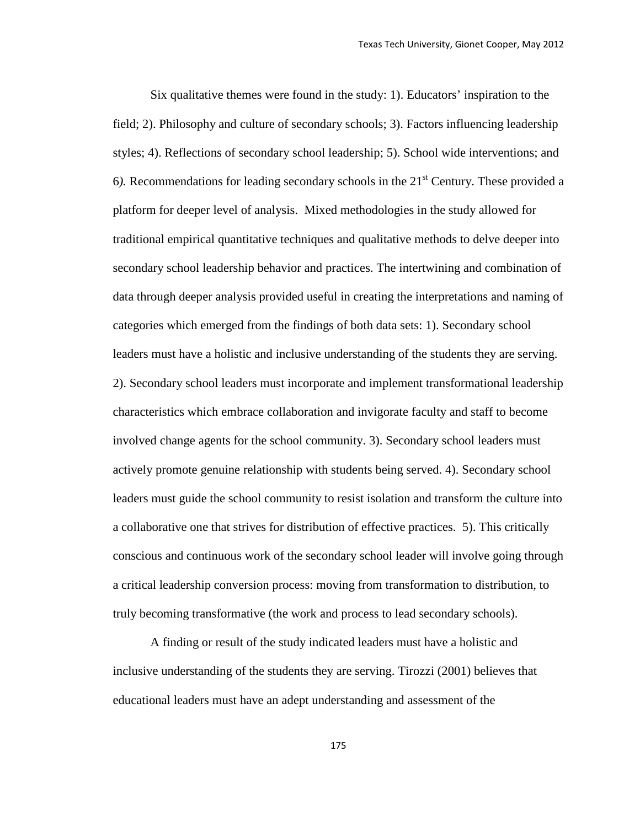Six qualitative themes were found in the study: 1). Educators' inspiration to the field; 2). Philosophy and culture of secondary schools; 3). Factors influencing leadership styles; 4). Reflections of secondary school leadership; 5). School wide interventions; and 6*).* Recommendations for leading secondary schools in the 21st Century. These provided a platform for deeper level of analysis. Mixed methodologies in the study allowed for traditional empirical quantitative techniques and qualitative methods to delve deeper into secondary school leadership behavior and practices. The intertwining and combination of data through deeper analysis provided useful in creating the interpretations and naming of categories which emerged from the findings of both data sets: 1). Secondary school leaders must have a holistic and inclusive understanding of the students they are serving. 2). Secondary school leaders must incorporate and implement transformational leadership characteristics which embrace collaboration and invigorate faculty and staff to become involved change agents for the school community. 3). Secondary school leaders must actively promote genuine relationship with students being served. 4). Secondary school leaders must guide the school community to resist isolation and transform the culture into a collaborative one that strives for distribution of effective practices. 5). This critically conscious and continuous work of the secondary school leader will involve going through a critical leadership conversion process: moving from transformation to distribution, to truly becoming transformative (the work and process to lead secondary schools).

A finding or result of the study indicated leaders must have a holistic and inclusive understanding of the students they are serving. Tirozzi (2001) believes that educational leaders must have an adept understanding and assessment of the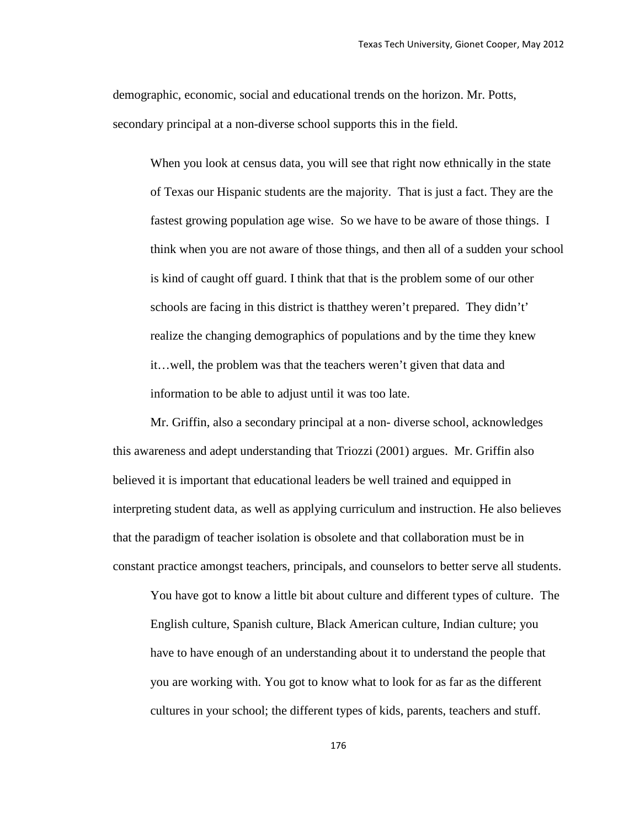demographic, economic, social and educational trends on the horizon. Mr. Potts, secondary principal at a non-diverse school supports this in the field.

When you look at census data, you will see that right now ethnically in the state of Texas our Hispanic students are the majority. That is just a fact. They are the fastest growing population age wise. So we have to be aware of those things. I think when you are not aware of those things, and then all of a sudden your school is kind of caught off guard. I think that that is the problem some of our other schools are facing in this district is thatthey weren't prepared. They didn't' realize the changing demographics of populations and by the time they knew it…well, the problem was that the teachers weren't given that data and information to be able to adjust until it was too late.

Mr. Griffin, also a secondary principal at a non- diverse school, acknowledges this awareness and adept understanding that Triozzi (2001) argues. Mr. Griffin also believed it is important that educational leaders be well trained and equipped in interpreting student data, as well as applying curriculum and instruction. He also believes that the paradigm of teacher isolation is obsolete and that collaboration must be in constant practice amongst teachers, principals, and counselors to better serve all students.

You have got to know a little bit about culture and different types of culture. The English culture, Spanish culture, Black American culture, Indian culture; you have to have enough of an understanding about it to understand the people that you are working with. You got to know what to look for as far as the different cultures in your school; the different types of kids, parents, teachers and stuff.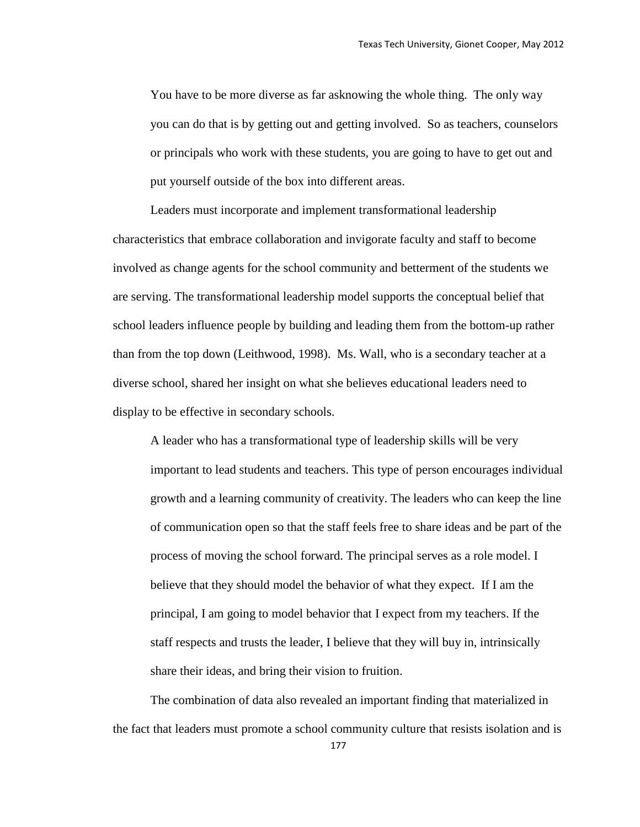You have to be more diverse as far asknowing the whole thing. The only way you can do that is by getting out and getting involved. So as teachers, counselors or principals who work with these students, you are going to have to get out and put yourself outside of the box into different areas.

Leaders must incorporate and implement transformational leadership characteristics that embrace collaboration and invigorate faculty and staff to become involved as change agents for the school community and betterment of the students we are serving. The transformational leadership model supports the conceptual belief that school leaders influence people by building and leading them from the bottom-up rather than from the top down (Leithwood, 1998). Ms. Wall, who is a secondary teacher at a diverse school, shared her insight on what she believes educational leaders need to display to be effective in secondary schools.

A leader who has a transformational type of leadership skills will be very important to lead students and teachers. This type of person encourages individual growth and a learning community of creativity. The leaders who can keep the line of communication open so that the staff feels free to share ideas and be part of the process of moving the school forward. The principal serves as a role model. I believe that they should model the behavior of what they expect. If I am the principal, I am going to model behavior that I expect from my teachers. If the staff respects and trusts the leader, I believe that they will buy in, intrinsically share their ideas, and bring their vision to fruition.

The combination of data also revealed an important finding that materialized in the fact that leaders must promote a school community culture that resists isolation and is

177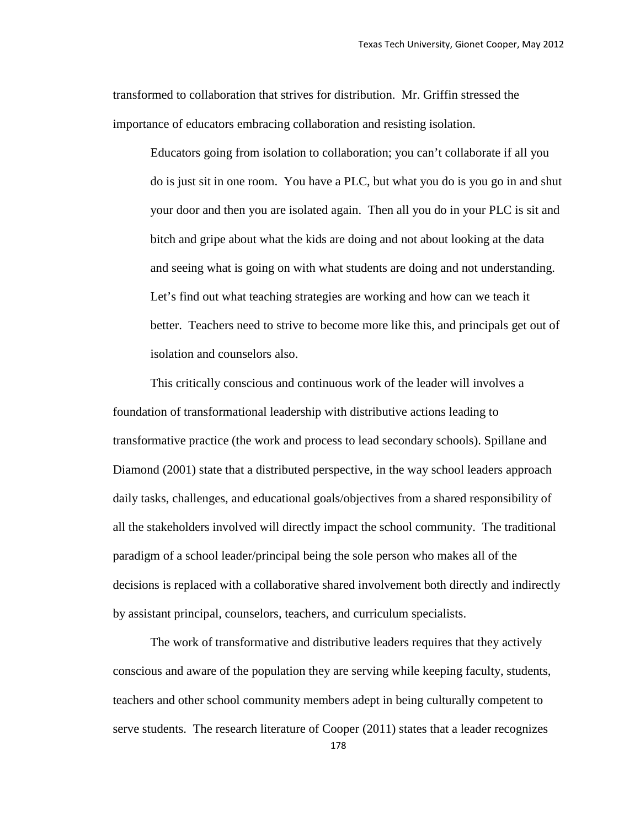transformed to collaboration that strives for distribution. Mr. Griffin stressed the importance of educators embracing collaboration and resisting isolation.

Educators going from isolation to collaboration; you can't collaborate if all you do is just sit in one room. You have a PLC, but what you do is you go in and shut your door and then you are isolated again. Then all you do in your PLC is sit and bitch and gripe about what the kids are doing and not about looking at the data and seeing what is going on with what students are doing and not understanding. Let's find out what teaching strategies are working and how can we teach it better. Teachers need to strive to become more like this, and principals get out of isolation and counselors also.

This critically conscious and continuous work of the leader will involves a foundation of transformational leadership with distributive actions leading to transformative practice (the work and process to lead secondary schools). Spillane and Diamond (2001) state that a distributed perspective, in the way school leaders approach daily tasks, challenges, and educational goals/objectives from a shared responsibility of all the stakeholders involved will directly impact the school community. The traditional paradigm of a school leader/principal being the sole person who makes all of the decisions is replaced with a collaborative shared involvement both directly and indirectly by assistant principal, counselors, teachers, and curriculum specialists.

The work of transformative and distributive leaders requires that they actively conscious and aware of the population they are serving while keeping faculty, students, teachers and other school community members adept in being culturally competent to serve students. The research literature of Cooper (2011) states that a leader recognizes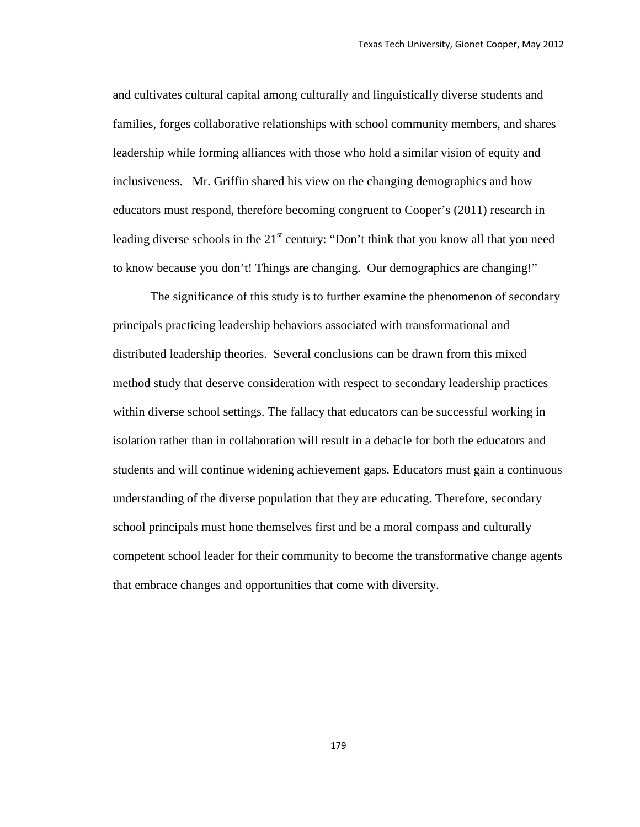and cultivates cultural capital among culturally and linguistically diverse students and families, forges collaborative relationships with school community members, and shares leadership while forming alliances with those who hold a similar vision of equity and inclusiveness. Mr. Griffin shared his view on the changing demographics and how educators must respond, therefore becoming congruent to Cooper's (2011) research in leading diverse schools in the  $21<sup>st</sup>$  century: "Don't think that you know all that you need to know because you don't! Things are changing. Our demographics are changing!"

The significance of this study is to further examine the phenomenon of secondary principals practicing leadership behaviors associated with transformational and distributed leadership theories. Several conclusions can be drawn from this mixed method study that deserve consideration with respect to secondary leadership practices within diverse school settings. The fallacy that educators can be successful working in isolation rather than in collaboration will result in a debacle for both the educators and students and will continue widening achievement gaps. Educators must gain a continuous understanding of the diverse population that they are educating. Therefore, secondary school principals must hone themselves first and be a moral compass and culturally competent school leader for their community to become the transformative change agents that embrace changes and opportunities that come with diversity.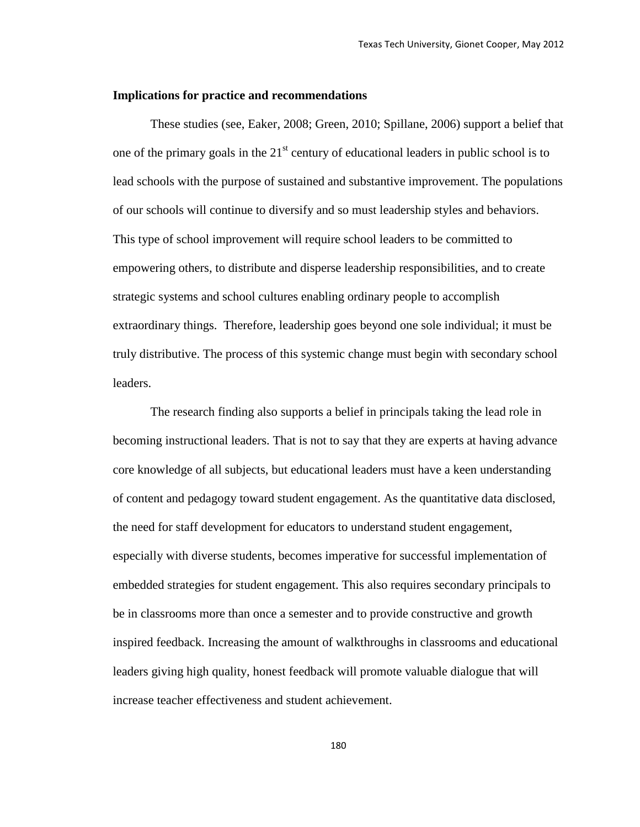#### **Implications for practice and recommendations**

These studies (see, Eaker, 2008; Green, 2010; Spillane, 2006) support a belief that one of the primary goals in the  $21<sup>st</sup>$  century of educational leaders in public school is to lead schools with the purpose of sustained and substantive improvement. The populations of our schools will continue to diversify and so must leadership styles and behaviors. This type of school improvement will require school leaders to be committed to empowering others, to distribute and disperse leadership responsibilities, and to create strategic systems and school cultures enabling ordinary people to accomplish extraordinary things. Therefore, leadership goes beyond one sole individual; it must be truly distributive. The process of this systemic change must begin with secondary school leaders.

The research finding also supports a belief in principals taking the lead role in becoming instructional leaders. That is not to say that they are experts at having advance core knowledge of all subjects, but educational leaders must have a keen understanding of content and pedagogy toward student engagement. As the quantitative data disclosed, the need for staff development for educators to understand student engagement, especially with diverse students, becomes imperative for successful implementation of embedded strategies for student engagement. This also requires secondary principals to be in classrooms more than once a semester and to provide constructive and growth inspired feedback. Increasing the amount of walkthroughs in classrooms and educational leaders giving high quality, honest feedback will promote valuable dialogue that will increase teacher effectiveness and student achievement.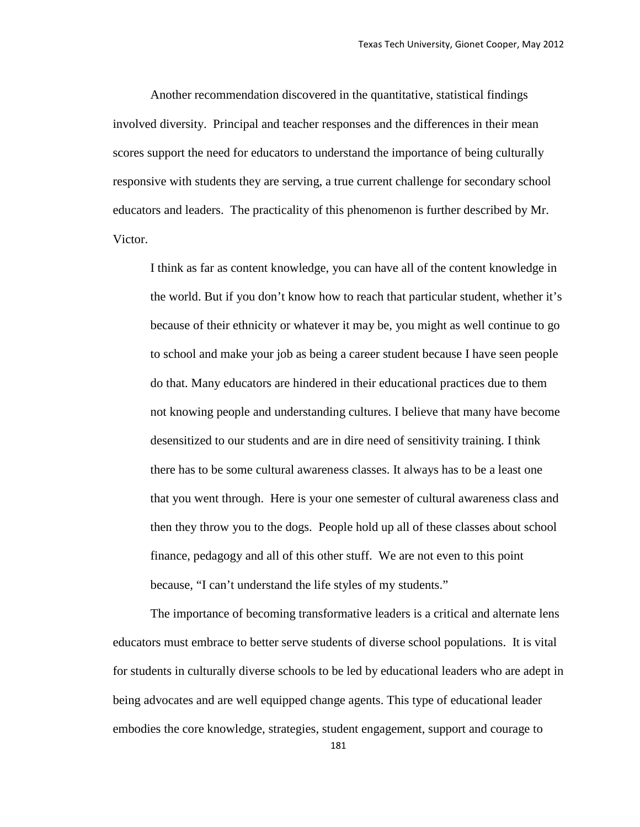Another recommendation discovered in the quantitative, statistical findings involved diversity. Principal and teacher responses and the differences in their mean scores support the need for educators to understand the importance of being culturally responsive with students they are serving, a true current challenge for secondary school educators and leaders. The practicality of this phenomenon is further described by Mr. Victor.

I think as far as content knowledge, you can have all of the content knowledge in the world. But if you don't know how to reach that particular student, whether it's because of their ethnicity or whatever it may be, you might as well continue to go to school and make your job as being a career student because I have seen people do that. Many educators are hindered in their educational practices due to them not knowing people and understanding cultures. I believe that many have become desensitized to our students and are in dire need of sensitivity training. I think there has to be some cultural awareness classes. It always has to be a least one that you went through. Here is your one semester of cultural awareness class and then they throw you to the dogs. People hold up all of these classes about school finance, pedagogy and all of this other stuff. We are not even to this point because, "I can't understand the life styles of my students."

The importance of becoming transformative leaders is a critical and alternate lens educators must embrace to better serve students of diverse school populations. It is vital for students in culturally diverse schools to be led by educational leaders who are adept in being advocates and are well equipped change agents. This type of educational leader embodies the core knowledge, strategies, student engagement, support and courage to

181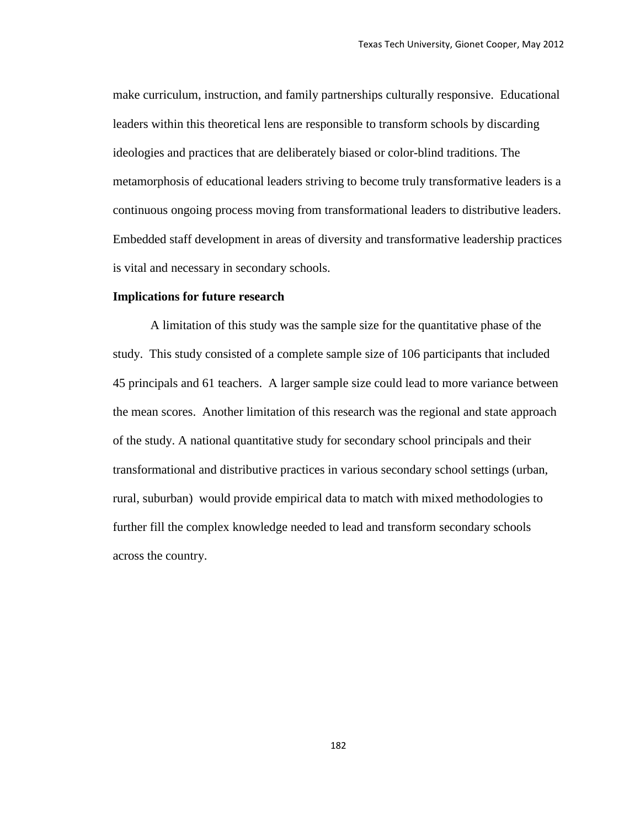make curriculum, instruction, and family partnerships culturally responsive. Educational leaders within this theoretical lens are responsible to transform schools by discarding ideologies and practices that are deliberately biased or color-blind traditions. The metamorphosis of educational leaders striving to become truly transformative leaders is a continuous ongoing process moving from transformational leaders to distributive leaders. Embedded staff development in areas of diversity and transformative leadership practices is vital and necessary in secondary schools.

#### **Implications for future research**

A limitation of this study was the sample size for the quantitative phase of the study. This study consisted of a complete sample size of 106 participants that included 45 principals and 61 teachers. A larger sample size could lead to more variance between the mean scores. Another limitation of this research was the regional and state approach of the study. A national quantitative study for secondary school principals and their transformational and distributive practices in various secondary school settings (urban, rural, suburban) would provide empirical data to match with mixed methodologies to further fill the complex knowledge needed to lead and transform secondary schools across the country.

182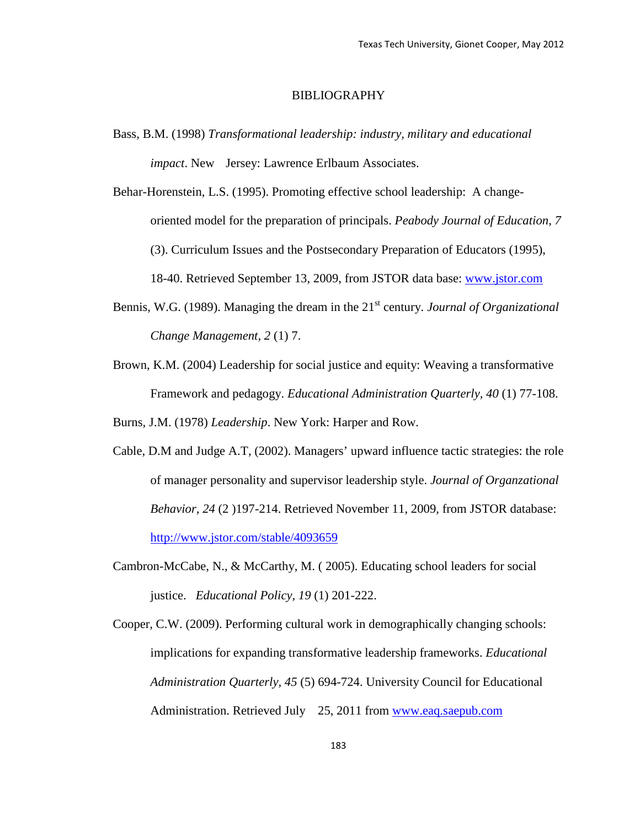#### BIBLIOGRAPHY

Bass, B.M. (1998) *Transformational leadership: industry, military and educational impact*. New Jersey: Lawrence Erlbaum Associates.

Behar-Horenstein, L.S. (1995). Promoting effective school leadership: A changeoriented model for the preparation of principals. *Peabody Journal of Education, 7*  (3). Curriculum Issues and the Postsecondary Preparation of Educators (1995), 18-40. Retrieved September 13, 2009, from JSTOR data base: [www.jstor.com](http://www.jstor.com/) 

- Bennis, W.G. (1989). Managing the dream in the 21<sup>st</sup> century. *Journal of Organizational Change Management, 2* (1) 7.
- Brown, K.M. (2004) Leadership for social justice and equity: Weaving a transformative Framework and pedagogy. *Educational Administration Quarterly, 40* (1) 77-108.

Burns, J.M. (1978) *Leadership*. New York: Harper and Row.

- Cable, D.M and Judge A.T, (2002). Managers' upward influence tactic strategies: the role of manager personality and supervisor leadership style. *Journal of Organzational Behavior, 24* (2 )197-214. Retrieved November 11, 2009, from JSTOR database: <http://www.jstor.com/stable/4093659>
- Cambron-McCabe, N., & McCarthy, M. ( 2005). Educating school leaders for social justice. *Educational Policy, 19* (1) 201-222.
- Cooper, C.W. (2009). Performing cultural work in demographically changing schools: implications for expanding transformative leadership frameworks. *Educational Administration Quarterly, 45* (5) 694-724. University Council for Educational Administration. Retrieved July 25, 2011 from www.eaq.saepub.com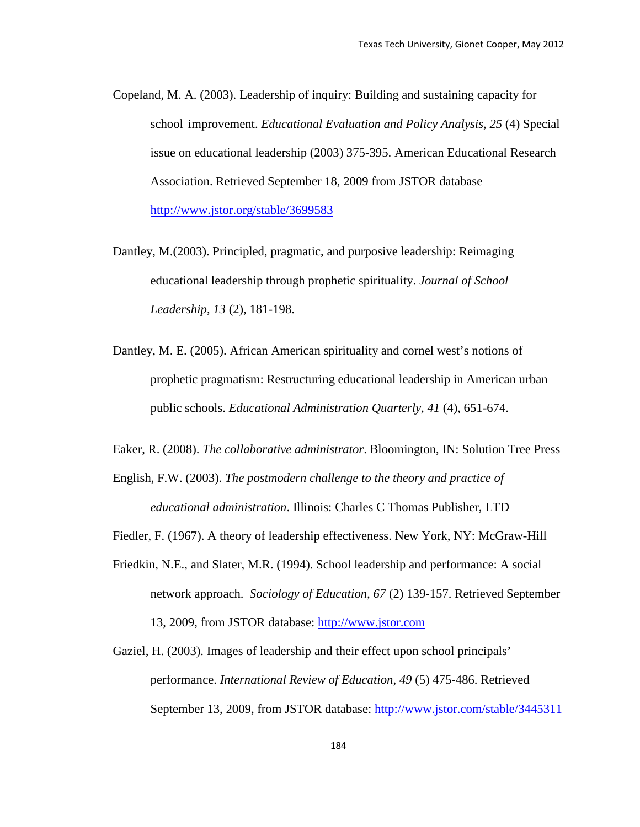- Copeland, M. A. (2003). Leadership of inquiry: Building and sustaining capacity for school improvement. *Educational Evaluation and Policy Analysis, 25* (4) Special issue on educational leadership (2003) 375-395. American Educational Research Association. Retrieved September 18, 2009 from JSTOR database <http://www.jstor.org/stable/3699583>
- Dantley, M.(2003). Principled, pragmatic, and purposive leadership: Reimaging educational leadership through prophetic spirituality. *Journal of School Leadership, 13* (2), 181-198.
- Dantley, M. E. (2005). African American spirituality and cornel west's notions of prophetic pragmatism: Restructuring educational leadership in American urban public schools. *Educational Administration Quarterly, 41* (4), 651-674.
- Eaker, R. (2008). *The collaborative administrator*. Bloomington, IN: Solution Tree Press
- English, F.W. (2003). *The postmodern challenge to the theory and practice of educational administration*. Illinois: Charles C Thomas Publisher, LTD
- Fiedler, F. (1967). A theory of leadership effectiveness. New York, NY: McGraw-Hill
- Friedkin, N.E., and Slater, M.R. (1994). School leadership and performance: A social network approach. *Sociology of Education, 67* (2) 139-157. Retrieved September 13, 2009, from JSTOR database: [http://www.jstor.com](http://www.jstor.com/)
- Gaziel, H. (2003). Images of leadership and their effect upon school principals' performance. *International Review of Education*, *49* (5) 475-486. Retrieved September 13, 2009, from JSTOR database:<http://www.jstor.com/stable/3445311>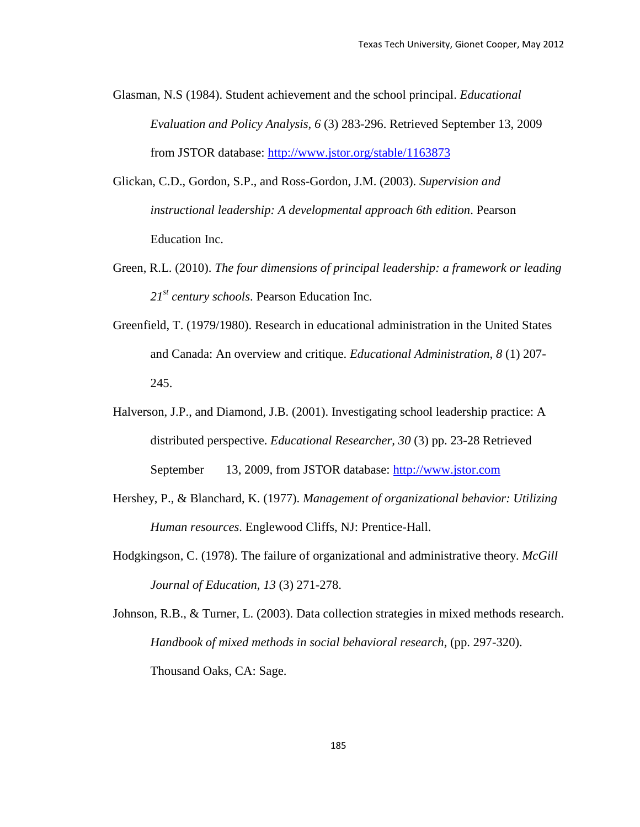- Glasman, N.S (1984). Student achievement and the school principal. *Educational Evaluation and Policy Analysis, 6* (3) 283-296. Retrieved September 13, 2009 from JSTOR database:<http://www.jstor.org/stable/1163873>
- Glickan, C.D., Gordon, S.P., and Ross-Gordon, J.M. (2003). *Supervision and instructional leadership: A developmental approach 6th edition*. Pearson Education Inc.
- Green, R.L. (2010). *The four dimensions of principal leadership: a framework or leading 21st century schools*. Pearson Education Inc.
- Greenfield, T. (1979/1980). Research in educational administration in the United States and Canada: An overview and critique. *Educational Administration*, *8* (1) 207- 245.
- Halverson, J.P., and Diamond, J.B. (2001). Investigating school leadership practice: A distributed perspective. *Educational Researcher, 30* (3) pp. 23-28 Retrieved September 13, 2009, from JSTOR database: [http://www.jstor.com](http://www.jstor.com/)
- Hershey, P., & Blanchard, K. (1977). *Management of organizational behavior: Utilizing Human resources*. Englewood Cliffs, NJ: Prentice-Hall.
- Hodgkingson, C. (1978). The failure of organizational and administrative theory. *McGill Journal of Education, 13* (3) 271-278.
- Johnson, R.B., & Turner, L. (2003). Data collection strategies in mixed methods research. *Handbook of mixed methods in social behavioral research*, (pp. 297-320). Thousand Oaks, CA: Sage.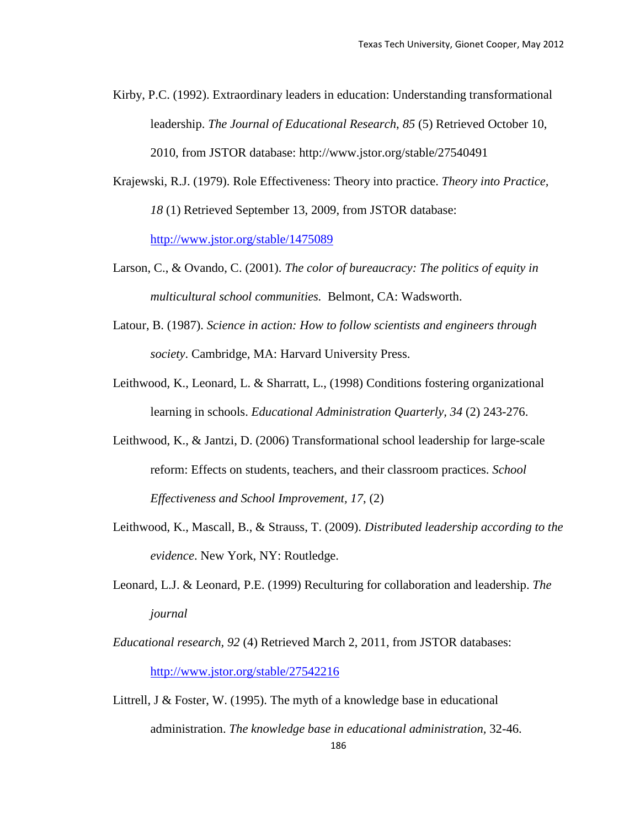Kirby, P.C. (1992). Extraordinary leaders in education: Understanding transformational leadership. *The Journal of Educational Research*, *85* (5) Retrieved October 10, 2010, from JSTOR database: http://www.jstor.org/stable/27540491

Krajewski, R.J. (1979). Role Effectiveness: Theory into practice. *Theory into Practice, 18* (1) Retrieved September 13, 2009, from JSTOR database:

<http://www.jstor.org/stable/1475089>

- Larson, C., & Ovando, C. (2001). *The color of bureaucracy: The politics of equity in multicultural school communities.* Belmont, CA: Wadsworth.
- Latour, B. (1987). *Science in action: How to follow scientists and engineers through society*. Cambridge, MA: Harvard University Press.
- Leithwood, K., Leonard, L. & Sharratt, L., (1998) Conditions fostering organizational learning in schools. *Educational Administration Quarterly, 34* (2) 243-276.
- Leithwood, K., & Jantzi, D. (2006) Transformational school leadership for large-scale reform: Effects on students, teachers, and their classroom practices. *School Effectiveness and School Improvement, 17*, (2)
- Leithwood, K., Mascall, B., & Strauss, T. (2009). *Distributed leadership according to the evidence*. New York, NY: Routledge.
- Leonard, L.J. & Leonard, P.E. (1999) Reculturing for collaboration and leadership. *The journal*
- *Educational research, 92* (4) Retrieved March 2, 2011, from JSTOR databases: <http://www.jstor.org/stable/27542216>
- 186 Littrell, J & Foster, W. (1995). The myth of a knowledge base in educational administration. *The knowledge base in educational administration,* 32-46.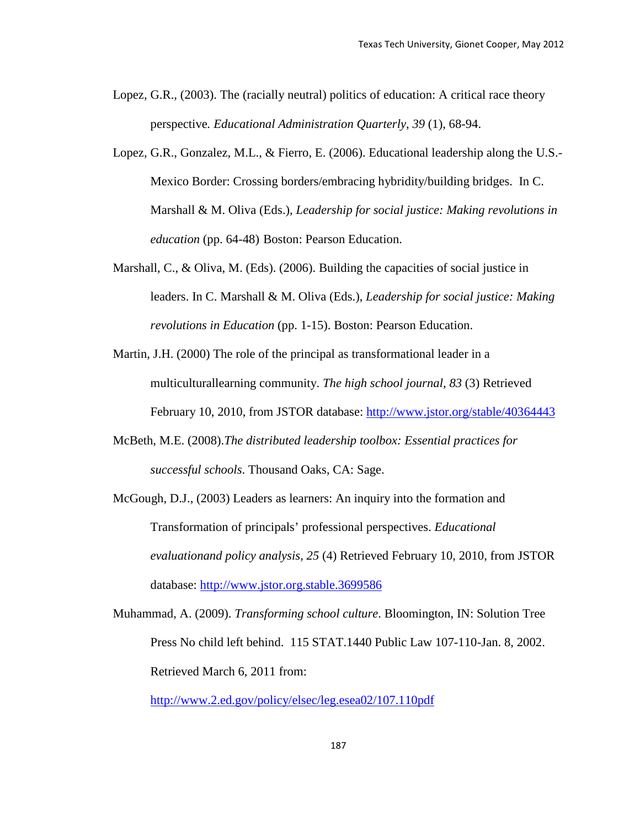- Lopez, G.R., (2003). The (racially neutral) politics of education: A critical race theory perspective*. Educational Administration Quarterly*, *39* (1), 68-94.
- Lopez, G.R., Gonzalez, M.L., & Fierro, E. (2006). Educational leadership along the U.S.- Mexico Border: Crossing borders/embracing hybridity/building bridges. In C. Marshall & M. Oliva (Eds.), *Leadership for social justice: Making revolutions in education* (pp. 64-48) Boston: Pearson Education.
- Marshall, C., & Oliva, M. (Eds). (2006). Building the capacities of social justice in leaders. In C. Marshall & M. Oliva (Eds.), *Leadership for social justice: Making revolutions in Education* (pp. 1-15). Boston: Pearson Education.
- Martin, J.H. (2000) The role of the principal as transformational leader in a multiculturallearning community. *The high school journal, 83* (3) Retrieved February 10, 2010, from JSTOR database:<http://www.jstor.org/stable/40364443>
- McBeth, M.E. (2008).*The distributed leadership toolbox: Essential practices for successful schools*. Thousand Oaks, CA: Sage.
- McGough, D.J., (2003) Leaders as learners: An inquiry into the formation and Transformation of principals' professional perspectives. *Educational evaluationand policy analysis, 25* (4) Retrieved February 10, 2010, from JSTOR database: [http://www.jstor.org.stable.3699586](http://www.jstor.org.stable.3699586/)
- Muhammad, A. (2009). *Transforming school culture*. Bloomington, IN: Solution Tree Press No child left behind. 115 STAT.1440 Public Law 107-110-Jan. 8, 2002. Retrieved March 6, 2011 from:

<http://www.2.ed.gov/policy/elsec/leg.esea02/107.110pdf>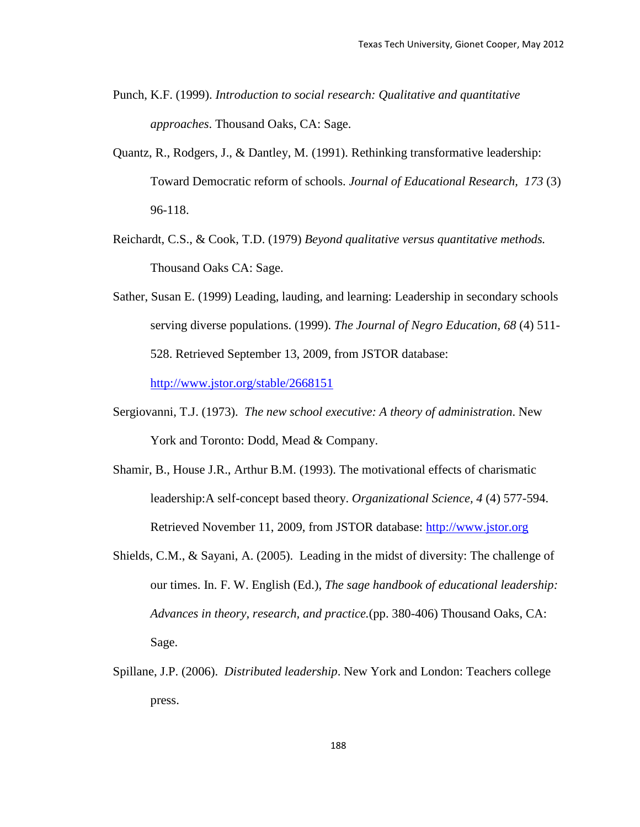- Punch, K.F. (1999). *Introduction to social research: Qualitative and quantitative approaches*. Thousand Oaks, CA: Sage.
- Quantz, R., Rodgers, J., & Dantley, M. (1991). Rethinking transformative leadership: Toward Democratic reform of schools. *Journal of Educational Research, 173* (3) 96-118.
- Reichardt, C.S., & Cook, T.D. (1979) *Beyond qualitative versus quantitative methods.* Thousand Oaks CA: Sage.
- Sather, Susan E. (1999) Leading, lauding, and learning: Leadership in secondary schools serving diverse populations. (1999). *The Journal of Negro Education, 68* (4) 511- 528. Retrieved September 13, 2009, from JSTOR database: <http://www.jstor.org/stable/2668151>

Sergiovanni, T.J. (1973). *The new school executive: A theory of administration*. New

York and Toronto: Dodd, Mead & Company.

- Shamir, B., House J.R., Arthur B.M. (1993). The motivational effects of charismatic leadership:A self-concept based theory. *Organizational Science, 4* (4) 577-594. Retrieved November 11, 2009, from JSTOR database: [http://www.jstor.org](http://www.jstor.org/)
- Shields, C.M., & Sayani, A. (2005). Leading in the midst of diversity: The challenge of our times. In. F. W. English (Ed.), *The sage handbook of educational leadership: Advances in theory, research, and practice.*(pp. 380-406) Thousand Oaks, CA: Sage.
- Spillane, J.P. (2006). *Distributed leadership*. New York and London: Teachers college press.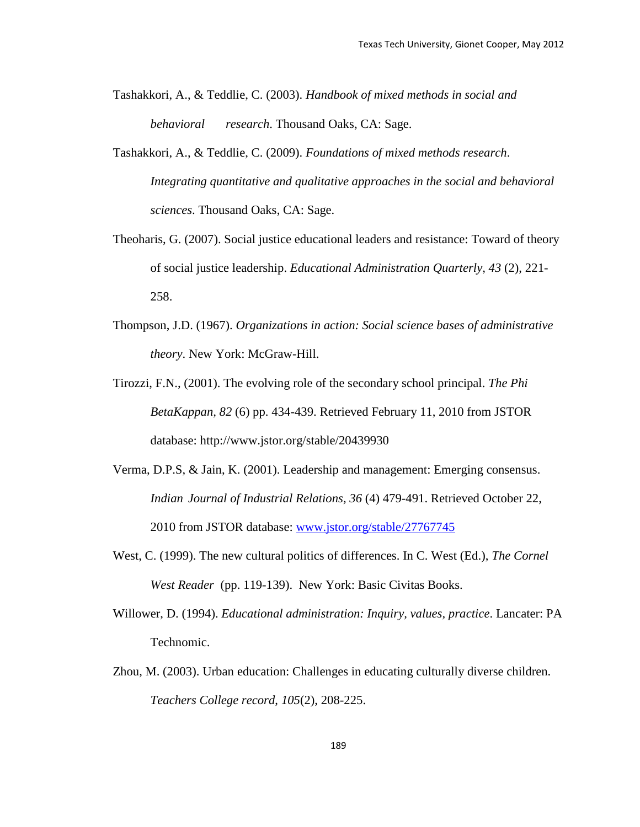- Tashakkori, A., & Teddlie, C. (2003). *Handbook of mixed methods in social and behavioral research*. Thousand Oaks, CA: Sage.
- Tashakkori, A., & Teddlie, C. (2009). *Foundations of mixed methods research*. *Integrating quantitative and qualitative approaches in the social and behavioral sciences*. Thousand Oaks, CA: Sage.
- Theoharis, G. (2007). Social justice educational leaders and resistance: Toward of theory of social justice leadership. *Educational Administration Quarterly, 43* (2), 221- 258.
- Thompson, J.D. (1967). *Organizations in action: Social science bases of administrative theory*. New York: McGraw-Hill.
- Tirozzi, F.N., (2001). The evolving role of the secondary school principal. *The Phi BetaKappan, 82* (6) pp. 434-439. Retrieved February 11, 2010 from JSTOR database: http://www.jstor.org/stable/20439930
- Verma, D.P.S, & Jain, K. (2001). Leadership and management: Emerging consensus. *Indian Journal of Industrial Relations, 36* (4) 479-491. Retrieved October 22, 2010 from JSTOR database: [www.jstor.org/stable/27767745](http://www.jstor.org/stable/27767745)
- West, C. (1999). The new cultural politics of differences. In C. West (Ed.), *The Cornel West Reader* (pp. 119-139). New York: Basic Civitas Books.
- Willower, D. (1994). *Educational administration: Inquiry, values, practice*. Lancater: PA Technomic.
- Zhou, M. (2003). Urban education: Challenges in educating culturally diverse children. *Teachers College record*, *105*(2), 208-225.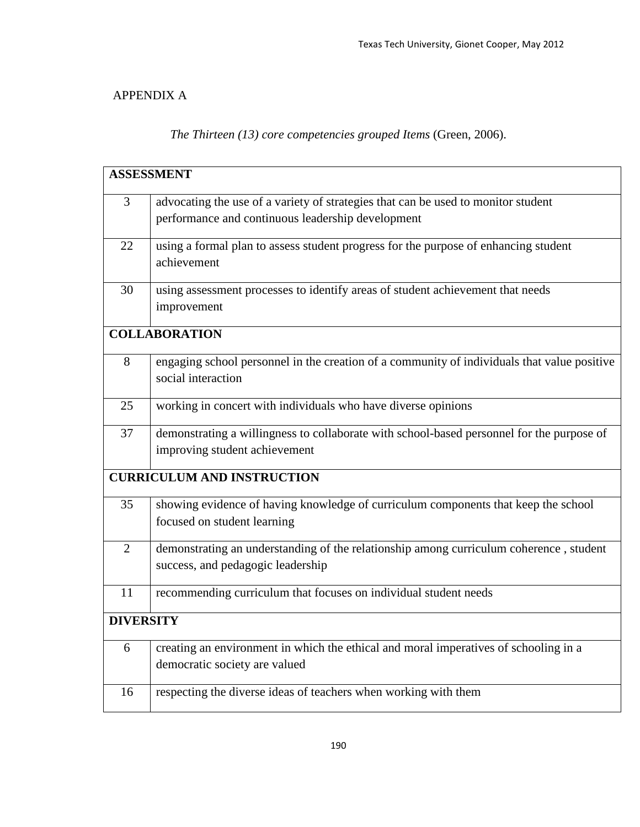## APPENDIX A

*The Thirteen (13) core competencies grouped Items* (Green, 2006).

|                  | <b>ASSESSMENT</b>                                                                           |  |  |  |  |  |  |  |
|------------------|---------------------------------------------------------------------------------------------|--|--|--|--|--|--|--|
|                  |                                                                                             |  |  |  |  |  |  |  |
| 3                | advocating the use of a variety of strategies that can be used to monitor student           |  |  |  |  |  |  |  |
|                  | performance and continuous leadership development                                           |  |  |  |  |  |  |  |
| 22               | using a formal plan to assess student progress for the purpose of enhancing student         |  |  |  |  |  |  |  |
|                  | achievement                                                                                 |  |  |  |  |  |  |  |
| 30               | using assessment processes to identify areas of student achievement that needs              |  |  |  |  |  |  |  |
|                  | improvement                                                                                 |  |  |  |  |  |  |  |
|                  | <b>COLLABORATION</b>                                                                        |  |  |  |  |  |  |  |
| 8                | engaging school personnel in the creation of a community of individuals that value positive |  |  |  |  |  |  |  |
|                  | social interaction                                                                          |  |  |  |  |  |  |  |
|                  |                                                                                             |  |  |  |  |  |  |  |
| 25               | working in concert with individuals who have diverse opinions                               |  |  |  |  |  |  |  |
| 37               | demonstrating a willingness to collaborate with school-based personnel for the purpose of   |  |  |  |  |  |  |  |
|                  | improving student achievement                                                               |  |  |  |  |  |  |  |
|                  | <b>CURRICULUM AND INSTRUCTION</b>                                                           |  |  |  |  |  |  |  |
| 35               | showing evidence of having knowledge of curriculum components that keep the school          |  |  |  |  |  |  |  |
|                  | focused on student learning                                                                 |  |  |  |  |  |  |  |
| $\overline{2}$   | demonstrating an understanding of the relationship among curriculum coherence, student      |  |  |  |  |  |  |  |
|                  | success, and pedagogic leadership                                                           |  |  |  |  |  |  |  |
| 11               | recommending curriculum that focuses on individual student needs                            |  |  |  |  |  |  |  |
| <b>DIVERSITY</b> |                                                                                             |  |  |  |  |  |  |  |
|                  |                                                                                             |  |  |  |  |  |  |  |
| 6                | creating an environment in which the ethical and moral imperatives of schooling in a        |  |  |  |  |  |  |  |
|                  | democratic society are valued                                                               |  |  |  |  |  |  |  |
| 16               | respecting the diverse ideas of teachers when working with them                             |  |  |  |  |  |  |  |
|                  |                                                                                             |  |  |  |  |  |  |  |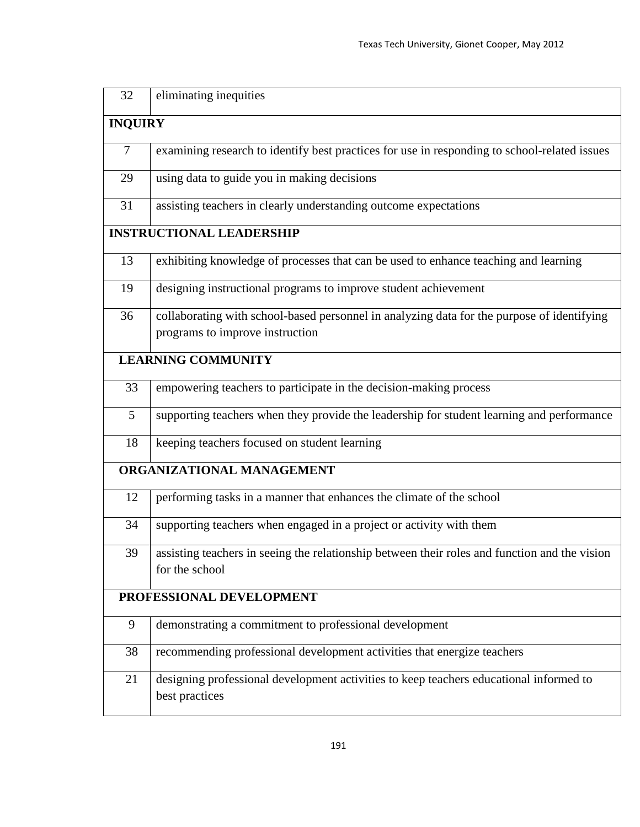| 32             | eliminating inequities                                                                                   |  |  |  |  |  |  |  |  |
|----------------|----------------------------------------------------------------------------------------------------------|--|--|--|--|--|--|--|--|
| <b>INQUIRY</b> |                                                                                                          |  |  |  |  |  |  |  |  |
| 7              | examining research to identify best practices for use in responding to school-related issues             |  |  |  |  |  |  |  |  |
| 29             | using data to guide you in making decisions                                                              |  |  |  |  |  |  |  |  |
| 31             | assisting teachers in clearly understanding outcome expectations                                         |  |  |  |  |  |  |  |  |
|                | <b>INSTRUCTIONAL LEADERSHIP</b>                                                                          |  |  |  |  |  |  |  |  |
| 13             | exhibiting knowledge of processes that can be used to enhance teaching and learning                      |  |  |  |  |  |  |  |  |
| 19             | designing instructional programs to improve student achievement                                          |  |  |  |  |  |  |  |  |
| 36             | collaborating with school-based personnel in analyzing data for the purpose of identifying               |  |  |  |  |  |  |  |  |
|                | programs to improve instruction                                                                          |  |  |  |  |  |  |  |  |
|                | <b>LEARNING COMMUNITY</b>                                                                                |  |  |  |  |  |  |  |  |
| 33             | empowering teachers to participate in the decision-making process                                        |  |  |  |  |  |  |  |  |
| 5              | supporting teachers when they provide the leadership for student learning and performance                |  |  |  |  |  |  |  |  |
| 18             | keeping teachers focused on student learning                                                             |  |  |  |  |  |  |  |  |
|                | ORGANIZATIONAL MANAGEMENT                                                                                |  |  |  |  |  |  |  |  |
| 12             | performing tasks in a manner that enhances the climate of the school                                     |  |  |  |  |  |  |  |  |
| 34             | supporting teachers when engaged in a project or activity with them                                      |  |  |  |  |  |  |  |  |
| 39             | assisting teachers in seeing the relationship between their roles and function and the vision            |  |  |  |  |  |  |  |  |
|                | for the school                                                                                           |  |  |  |  |  |  |  |  |
|                | PROFESSIONAL DEVELOPMENT                                                                                 |  |  |  |  |  |  |  |  |
| 9              | demonstrating a commitment to professional development                                                   |  |  |  |  |  |  |  |  |
| 38             | recommending professional development activities that energize teachers                                  |  |  |  |  |  |  |  |  |
| 21             | designing professional development activities to keep teachers educational informed to<br>best practices |  |  |  |  |  |  |  |  |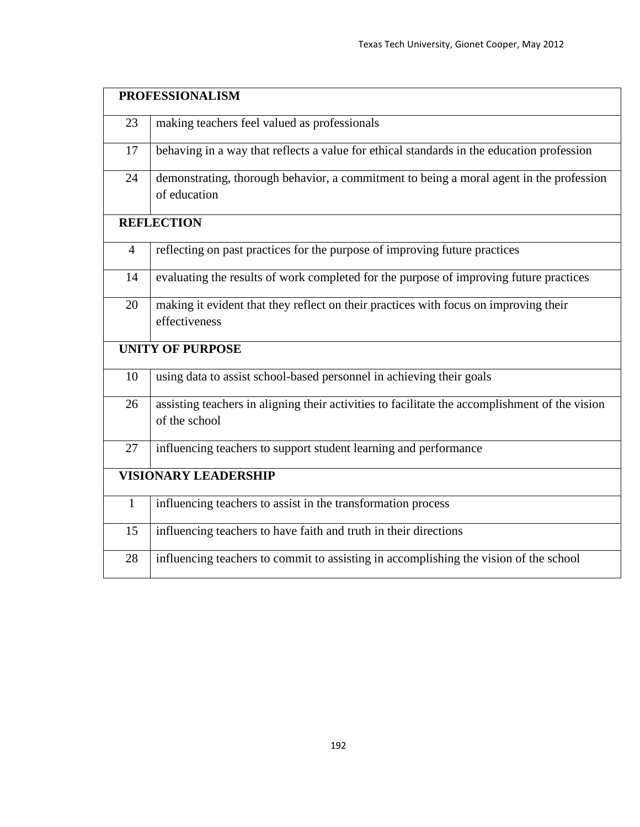|                | <b>PROFESSIONALISM</b>                                                                                          |  |  |  |  |  |  |  |  |
|----------------|-----------------------------------------------------------------------------------------------------------------|--|--|--|--|--|--|--|--|
| 23             | making teachers feel valued as professionals                                                                    |  |  |  |  |  |  |  |  |
| 17             | behaving in a way that reflects a value for ethical standards in the education profession                       |  |  |  |  |  |  |  |  |
| 24             | demonstrating, thorough behavior, a commitment to being a moral agent in the profession<br>of education         |  |  |  |  |  |  |  |  |
|                | <b>REFLECTION</b>                                                                                               |  |  |  |  |  |  |  |  |
| $\overline{4}$ | reflecting on past practices for the purpose of improving future practices                                      |  |  |  |  |  |  |  |  |
| 14             | evaluating the results of work completed for the purpose of improving future practices                          |  |  |  |  |  |  |  |  |
| 20             | making it evident that they reflect on their practices with focus on improving their<br>effectiveness           |  |  |  |  |  |  |  |  |
|                | <b>UNITY OF PURPOSE</b>                                                                                         |  |  |  |  |  |  |  |  |
| 10             | using data to assist school-based personnel in achieving their goals                                            |  |  |  |  |  |  |  |  |
| 26             | assisting teachers in aligning their activities to facilitate the accomplishment of the vision<br>of the school |  |  |  |  |  |  |  |  |
| 27             | influencing teachers to support student learning and performance                                                |  |  |  |  |  |  |  |  |
|                | <b>VISIONARY LEADERSHIP</b>                                                                                     |  |  |  |  |  |  |  |  |
| $\mathbf{1}$   | influencing teachers to assist in the transformation process                                                    |  |  |  |  |  |  |  |  |
| 15             | influencing teachers to have faith and truth in their directions                                                |  |  |  |  |  |  |  |  |
| 28             | influencing teachers to commit to assisting in accomplishing the vision of the school                           |  |  |  |  |  |  |  |  |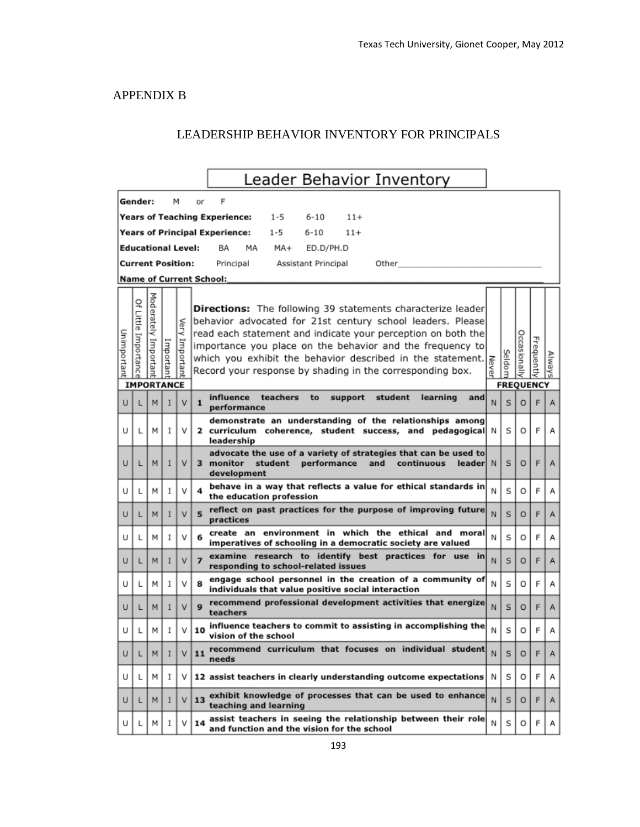### APPENDIX B

## LEADERSHIP BEHAVIOR INVENTORY FOR PRINCIPALS

|                                                                       |                                            |                      |          |                   | Leader Behavior Inventory                                                                                                                                                                                                                                                                                                                                                                  |             |        |                                         |            |        |  |
|-----------------------------------------------------------------------|--------------------------------------------|----------------------|----------|-------------------|--------------------------------------------------------------------------------------------------------------------------------------------------------------------------------------------------------------------------------------------------------------------------------------------------------------------------------------------------------------------------------------------|-------------|--------|-----------------------------------------|------------|--------|--|
|                                                                       | Gender:                                    |                      |          | м                 | F<br>٥r                                                                                                                                                                                                                                                                                                                                                                                    |             |        |                                         |            |        |  |
| Years of Teaching Experience:<br>$1 - 5$<br>$6 - 10$<br>$11+$         |                                            |                      |          |                   |                                                                                                                                                                                                                                                                                                                                                                                            |             |        |                                         |            |        |  |
| <b>Years of Principal Experience:</b><br>$6 - 10$<br>$11+$<br>$1 - 5$ |                                            |                      |          |                   |                                                                                                                                                                                                                                                                                                                                                                                            |             |        |                                         |            |        |  |
| <b>Educational Level:</b><br>MA+<br>ED.D/PH.D<br>ВA<br>МA             |                                            |                      |          |                   |                                                                                                                                                                                                                                                                                                                                                                                            |             |        |                                         |            |        |  |
| <b>Current Position:</b><br>Principal<br>Assistant Principal<br>Other |                                            |                      |          |                   |                                                                                                                                                                                                                                                                                                                                                                                            |             |        |                                         |            |        |  |
| <b>Name of Current School:</b>                                        |                                            |                      |          |                   |                                                                                                                                                                                                                                                                                                                                                                                            |             |        |                                         |            |        |  |
| Unimportant                                                           | ç<br>Little Importanc<br><b>IMPORTANCE</b> | Moderately Important | mportan  | Very<br>Important | Directions: The following 39 statements characterize leader<br>behavior advocated for 21st century school leaders. Please<br>read each statement and indicate your perception on both the<br>importance you place on the behavior discribed in the statement. $\begin{vmatrix} z \\ \overline{z} \\ \overline{z} \end{vmatrix}$ which you exhibit the behavior described in the statement. |             | Seldom | <b>Occasionally</b><br><b>FREQUENCY</b> | Frequently | Always |  |
|                                                                       |                                            | M                    |          |                   | teachers<br>influence<br>student<br>learning<br>to<br>support<br>and                                                                                                                                                                                                                                                                                                                       | N           | s      | $\circ$                                 | F          |        |  |
| U                                                                     | L                                          |                      | I        | v                 | 1<br>performance                                                                                                                                                                                                                                                                                                                                                                           |             |        |                                         |            | Α      |  |
| U                                                                     | L                                          | м                    | I        | ν                 | demonstrate an understanding of the relationships among<br>2 curriculum coherence, student success, and pedagogical<br>leadership                                                                                                                                                                                                                                                          | N           | s      | O                                       | F          | А      |  |
| U                                                                     | L                                          | M                    | I        | ٧                 | advocate the use of a variety of strategies that can be used to<br>monitor<br>student<br>performance<br>and<br>continuous<br>leaderl<br>3.<br>development                                                                                                                                                                                                                                  | $\mathbb N$ | s      | $\circ$                                 | F          | А      |  |
| U                                                                     | L                                          | м                    | L        | v                 | behave in a way that reflects a value for ethical standards in<br>4<br>the education profession                                                                                                                                                                                                                                                                                            | N           | s      | O                                       | F          | А      |  |
| U                                                                     | L                                          | м                    | I        | v                 | reflect on past practices for the purpose of improving future<br>5<br>practices                                                                                                                                                                                                                                                                                                            | N           | S      | $\circ$                                 | F          | Α      |  |
| U                                                                     | L                                          | м                    | I        | v                 | create an environment in which the ethical and moral<br>6<br>imperatives of schooling in a democratic society are valued                                                                                                                                                                                                                                                                   | Ν           | s      | O                                       | F          | Α      |  |
| U                                                                     | L                                          | м                    | I        | v                 | examine research to identify best practices for use in<br>$\overline{ }$<br>responding to school-related issues                                                                                                                                                                                                                                                                            | N           | S      | $\circ$                                 | F          | А      |  |
| U                                                                     | L                                          | м                    | I        | v                 | engage school personnel in the creation of a community of<br>8<br>individuals that value positive social interaction                                                                                                                                                                                                                                                                       | Ν           | s      | O                                       | F          | А      |  |
| U                                                                     | L                                          | M                    | I        | v                 | recommend professional development activities that energize<br>9<br>teachers                                                                                                                                                                                                                                                                                                               | N           | s      | O                                       | F          | Α      |  |
| U                                                                     | L                                          | м                    |          | ٧                 | influence teachers to commit to assisting in accomplishing the<br>10<br>vision of the school                                                                                                                                                                                                                                                                                               | и           | S      | O                                       | F          | Α      |  |
| U                                                                     | L                                          | M <sub>1</sub>       | <b>I</b> | v                 | recommend curriculum that focuses on individual student<br>11<br>needs                                                                                                                                                                                                                                                                                                                     | N           | S.     | $\circ$                                 | F          | Α      |  |
| U                                                                     | L                                          | м                    | Ι.       | ν                 | 12 assist teachers in clearly understanding outcome expectations                                                                                                                                                                                                                                                                                                                           | N           | s      | O                                       | F          | Α      |  |
| U                                                                     | L                                          | M                    | 1        | v                 | exhibit knowledge of processes that can be used to enhance<br>13<br>teaching and learning                                                                                                                                                                                                                                                                                                  | N           | s      | O                                       | F          | Α      |  |
|                                                                       |                                            | м                    | 1        | v                 | assist teachers in seeing the relationship between their role<br>14<br>and function and the vision for the school                                                                                                                                                                                                                                                                          | Ν           | s      | O                                       | F          | Α      |  |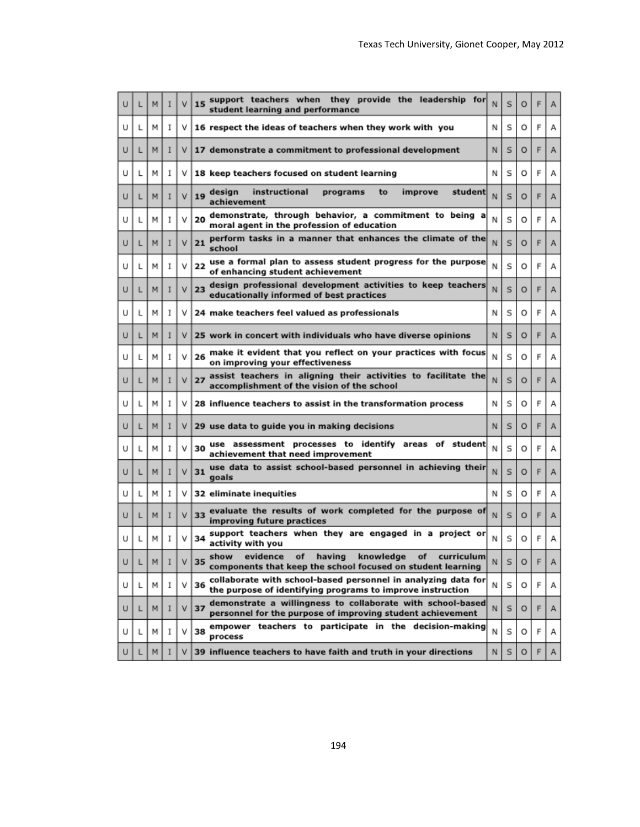| U | L | м   | I | v | support teachers when they provide the leadership for<br>15<br>student learning and performance                                         | N  | s | O |   | Α |
|---|---|-----|---|---|-----------------------------------------------------------------------------------------------------------------------------------------|----|---|---|---|---|
| U | L | м   | I | ν | 16 respect the ideas of teachers when they work with you                                                                                | N  | S | o | F | А |
| U | L | м   | I | ٧ | 17 demonstrate a commitment to professional development                                                                                 | N  | s | O | F | Α |
| U | L | м   | I | ν | 18 keep teachers focused on student learning                                                                                            | N  | s | O | F | А |
| U | L | м   | I | v | instructional<br>improve<br>student<br>design<br>programs<br>to<br>19<br>achievement                                                    | N  | s | o | F | Α |
| U | L | м   | I | ν | demonstrate, through behavior, a commitment to being<br>a<br>20<br>moral agent in the profession of education                           |    | S | O | F | А |
| U | L | м   | I | v | perform tasks in a manner that enhances the climate of the<br>21<br>school                                                              | N  | s | O | F | Α |
| U | L | м   | I | v | use a formal plan to assess student progress for the purpose<br>22<br>of enhancing student achievement                                  | N  | S | o | F | А |
| U | L | м   | I | v | design professional development activities to keep teachers<br>23<br>educationally informed of best practices                           | N  | S | O | F | Α |
| U | L | м   | I | ٧ | 24 make teachers feel valued as professionals                                                                                           | N  | S | o | F | А |
| U | L | м   | I | V | 25 work in concert with individuals who have diverse opinions                                                                           | N  | s | O | F | Α |
| U | L | м   | I | ν | make it evident that you reflect on your practices with focus<br>26<br>on improving your effectiveness                                  | Ν  | S | o | F | А |
| U | L | м   | I | v | assist teachers in aligning their activities to facilitate the<br>27<br>accomplishment of the vision of the school                      | N  | S | O | F | Α |
| U | L | м   | I | ν | 28 influence teachers to assist in the transformation process                                                                           | N  | S | o | F | А |
| U | L | м   | I | ٧ | 29 use data to guide you in making decisions                                                                                            | N  | s | O | F | Α |
| U | L | м   | I | ν | use assessment processes to identify areas of<br>student<br>30<br>achievement that need improvement                                     | N  | S | o | F | А |
| U | L | м   | I | v | use data to assist school-based personnel in achieving their<br>31<br>goals                                                             | N  | s | O | F | Α |
| U | L | м   | I | ν | 32 eliminate inequities                                                                                                                 | N  | s | O | F | А |
| U | L | м   | I | v | evaluate the results of work completed for the purpose of<br>33<br>improving future practices                                           | N  | S | O | F | Α |
| U | L | м   | I | v | support teachers when they are engaged in a project or<br>34<br>activity with you                                                       | Ν  | S | O | F | А |
| U | L | M I |   | v | curriculum<br>show<br>evidence<br>of<br>having<br>knowledge<br>оf<br> 35<br>components that keep the school focused on student learning | N. | ъ | o |   | A |
| U | L | м   | 1 | V | collaborate with school-based personnel in analyzing data for<br>36<br>the purpose of identifying programs to improve instruction       | Ν  | s | О | F | Α |
| U | L | м   | I | v | demonstrate a willingness to collaborate with school-based<br>37<br>personnel for the purpose of improving student achievement          | N  | s | o | F | Α |
| U | L | м   | I | v | empower teachers to participate in the decision-making<br>38<br>process                                                                 | N  | s | o | F | Α |
| U | L | м   | I | v | 39 influence teachers to have faith and truth in your directions                                                                        | N  | s | 0 | F | Α |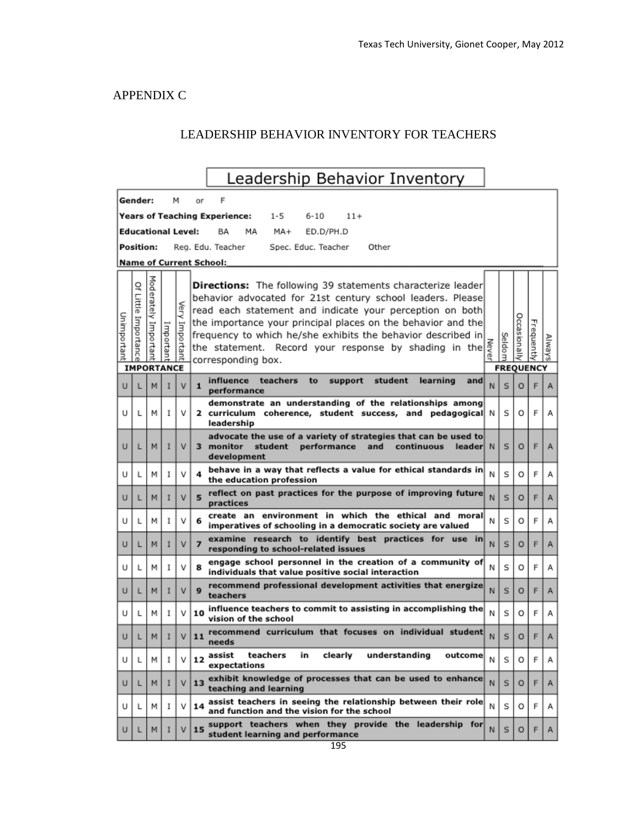### APPENDIX C

## LEADERSHIP BEHAVIOR INVENTORY FOR TEACHERS

|                                                                  |                       |                      |          |                |                | Leadership Behavior Inventory                                                                                                                                                                                                                                                                                                                                                                               |   |                  |                     |            |        |
|------------------------------------------------------------------|-----------------------|----------------------|----------|----------------|----------------|-------------------------------------------------------------------------------------------------------------------------------------------------------------------------------------------------------------------------------------------------------------------------------------------------------------------------------------------------------------------------------------------------------------|---|------------------|---------------------|------------|--------|
|                                                                  | Gender:               |                      |          | м              | or             |                                                                                                                                                                                                                                                                                                                                                                                                             |   |                  |                     |            |        |
| <b>Years of Teaching Experience:</b><br>1-5<br>$6 - 10$<br>$11+$ |                       |                      |          |                |                |                                                                                                                                                                                                                                                                                                                                                                                                             |   |                  |                     |            |        |
| <b>Educational Level:</b><br>BA<br>MA<br>MA+<br>ED.D/PH.D        |                       |                      |          |                |                |                                                                                                                                                                                                                                                                                                                                                                                                             |   |                  |                     |            |        |
| Position:<br>Spec. Educ. Teacher<br>Reg. Edu. Teacher<br>Other   |                       |                      |          |                |                |                                                                                                                                                                                                                                                                                                                                                                                                             |   |                  |                     |            |        |
| <b>Name of Current School:</b>                                   |                       |                      |          |                |                |                                                                                                                                                                                                                                                                                                                                                                                                             |   |                  |                     |            |        |
| Unimportant                                                      | 으<br>Little Importanc | Moderately Important | Importan | Very Important |                | <b>Directions:</b> The following 39 statements characterize leader<br>behavior advocated for 21st century school leaders. Please<br>read each statement and indicate your perception on both<br>the importance your principal places on the behavior and the<br>frequency to which he/she exhibits the behavior described in<br>the statement. Record your response by shading in the<br>corresponding box. |   | Seldom           | <b>Occasionally</b> | Frequently | Always |
|                                                                  | <b>IMPORTANCE</b>     |                      |          |                |                | influence<br>teachers<br>student<br>learning<br>to<br>support<br>and                                                                                                                                                                                                                                                                                                                                        |   | <b>FREQUENCY</b> |                     |            |        |
| U                                                                |                       | M                    |          | v              | $\mathbf{1}$   | performance                                                                                                                                                                                                                                                                                                                                                                                                 | N | s                | $\circ$             | F          | A      |
| U                                                                | L                     | M                    | I        | v              |                | demonstrate an understanding of the relationships among<br>2 curriculum coherence, student success, and pedagogical N<br>leadership                                                                                                                                                                                                                                                                         |   | s                | O                   | F          | А      |
| U                                                                | L                     | м                    |          | v              | 3.             | advocate the use of a variety of strategies that can be used to<br>monitor<br>student<br>leader  N<br>performance<br>and<br>continuous<br>development                                                                                                                                                                                                                                                       |   | s                | $\circ$             | F          | Α      |
| U                                                                | L                     | М                    | I        | v              | 4              | behave in a way that reflects a value for ethical standards in<br>the education profession                                                                                                                                                                                                                                                                                                                  | N | S                | O                   | F          | А      |
| U                                                                | L                     | м                    | I        | v              | 5              | reflect on past practices for the purpose of improving future<br>practices                                                                                                                                                                                                                                                                                                                                  | N | s                | $\circ$             | F          | A      |
| U                                                                | L                     | М                    | I        | v              | 6              | create an environment in which the ethical and moral<br>imperatives of schooling in a democratic society are valued                                                                                                                                                                                                                                                                                         | Ν | S                | о                   | F          | А      |
| U                                                                | L                     | м                    |          | v              | $\overline{ }$ | examine research to identify best practices for use in<br>responding to school-related issues                                                                                                                                                                                                                                                                                                               | N | Ś                | O                   | F          | Α      |
| U                                                                | L                     | м                    | I        | v              | 8              | engage school personnel in the creation of a community of<br>individuals that value positive social interaction                                                                                                                                                                                                                                                                                             | Ν | S                | O                   | F          | Α      |
| U                                                                | L                     | м                    | I        | v              | 9              | recommend professional development activities that energize<br>teachers                                                                                                                                                                                                                                                                                                                                     | N | S                | O                   | F          | А      |
| U                                                                | L                     | м                    | I        | v              | 10             | influence teachers to commit to assisting in accomplishing the<br>vision of the school                                                                                                                                                                                                                                                                                                                      | Ν | s                | O                   | F          | А      |
| U                                                                | L                     | M                    | I        | v              |                | 11 recommend curriculum that focuses on individual student<br>needs                                                                                                                                                                                                                                                                                                                                         | N | s                | $\circ$             | F          | Α      |
| U                                                                | L                     | м                    | 1        | v              | 12             | assist<br>teachers<br>in<br>clearly<br>understanding<br>outcome<br>expectations                                                                                                                                                                                                                                                                                                                             | Ν | s                | O                   | F          | Α      |
| U                                                                | L                     | м                    | I        | v              | 13             | exhibit knowledge of processes that can be used to enhance<br>teaching and learning                                                                                                                                                                                                                                                                                                                         | N | s                | O                   | F          | Α      |
| U                                                                | L                     | м                    | I        | v              | 14             | assist teachers in seeing the relationship between their role<br>and function and the vision for the school                                                                                                                                                                                                                                                                                                 | Ν | s                | O                   | F          | А      |
| U                                                                | L                     | M                    | I        | v              | 15             | support teachers when they provide the leadership for<br>student learning and performance                                                                                                                                                                                                                                                                                                                   | N | s                | $\circ$             | F          | Α      |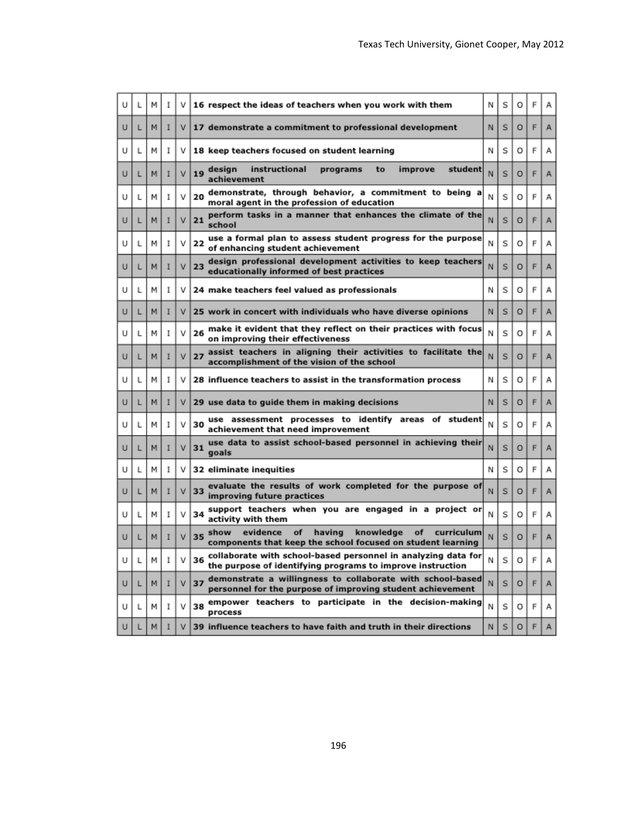|   | u. | м | I | ٧ | 16 respect the ideas of teachers when you work with them                                                                               | Ν | S | O | F |   |
|---|----|---|---|---|----------------------------------------------------------------------------------------------------------------------------------------|---|---|---|---|---|
| υ | L  | м | Ī | ۷ | 17 demonstrate a commitment to professional development                                                                                | N | S | O | F | Α |
| U | L  | м | I | v | 18 keep teachers focused on student learning                                                                                           | Ν | S | o | F | А |
| υ | L  | м | I | ٧ | instructional<br>student<br>design<br>programs<br>to<br>improve<br>19<br>achievement                                                   | Ν | S | o | F | Α |
| U | L  | м | I | ٧ | demonstrate, through behavior, a commitment to being a<br>20<br>moral agent in the profession of education                             | Ν | S | O | F | Α |
| U | L  | м | I | ٧ | perform tasks in a manner that enhances the climate of the<br>21<br>school                                                             | N | s | o | F | А |
| U | L  | м | I | v | use a formal plan to assess student progress for the purpose<br>22<br>of enhancing student achievement                                 | Ν | S | O | F | А |
| U | L  | м | I | ٧ | design professional development activities to keep teachers<br>23<br>educationally informed of best practices                          | N | Ś | o | F | Α |
| U | L  | м | I | ٧ | 24 make teachers feel valued as professionals                                                                                          | Ν | S | O | F | А |
| U | L  | м | I | ٧ | 25 work in concert with individuals who have diverse opinions                                                                          | N | S | O | F | A |
| U | L  | м | I | ٧ | make it evident that they reflect on their practices with focus<br>26<br>on improving their effectiveness                              | Ν | S | O | F | Α |
| U | L  | м | I | ٧ | 27 assist teachers in aligning their activities to facilitate the<br>accomplishment of the vision of the school                        | N | S | Ō | F | Α |
| U | L  | м | I | v | 28 influence teachers to assist in the transformation process                                                                          | Ν | S | O | F | А |
| U | L  | м | I | ٧ | 29 use data to guide them in making decisions                                                                                          | N | S | o | F | Α |
| U | L  | м | I | ٧ | use assessment processes to identify<br>areas<br>student<br>оf<br>30<br>achievement that need improvement                              | Ν | Ś | O | F | А |
| U | L  | М | I | ٧ | use data to assist school-based personnel in achieving their<br>31<br>goals                                                            | N | s | o | F | А |
| U | L  | м | I | ٧ | 32 eliminate inequities                                                                                                                | N | S | O | F | Α |
| U | L  | м | I | ٧ | evaluate the results of work completed for the purpose of<br>33<br>improving future practices                                          | Ν | S | O | F | Α |
| U | L  | м | I | v | support teachers when you are engaged in a project or<br>34<br>activity with them                                                      | N | S | O | F | А |
| U | L  | м | I | ٧ | evidence<br>having<br>knowledge<br>show<br>of<br>оf<br>curriculum<br>35<br>components that keep the school focused on student learning | N | s | o | F | Α |
| U | L  | м | I | ٧ | collaborate with school-based personnel in analyzing data for<br>36<br>the purpose of identifying programs to improve instruction      | Ν | s | o | F | А |
| U | L  | м | I | v | demonstrate a willingness to collaborate with school-based<br>37<br>personnel for the purpose of improving student achievement         | N | S | O | F | Α |
| U | L  | м | I | ٧ | empower teachers to participate in the decision-making<br>38<br>process                                                                | Ν | Ś | O | F | А |
| U |    | м |   | ٧ | 39 influence teachers to have faith and truth in their directions                                                                      | Ν | Ś | O | F | А |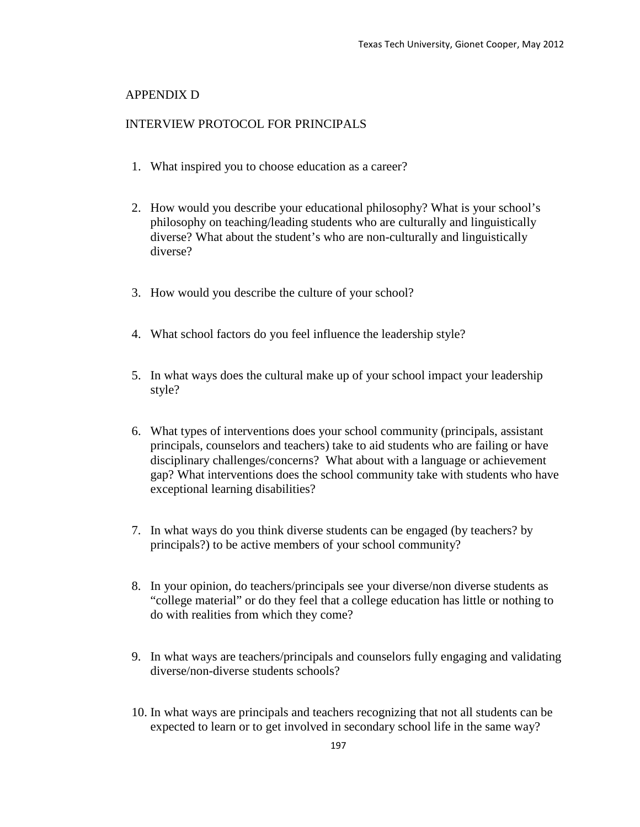### APPENDIX D

### INTERVIEW PROTOCOL FOR PRINCIPALS

- 1. What inspired you to choose education as a career?
- 2. How would you describe your educational philosophy? What is your school's philosophy on teaching/leading students who are culturally and linguistically diverse? What about the student's who are non-culturally and linguistically diverse?
- 3. How would you describe the culture of your school?
- 4. What school factors do you feel influence the leadership style?
- 5. In what ways does the cultural make up of your school impact your leadership style?
- 6. What types of interventions does your school community (principals, assistant principals, counselors and teachers) take to aid students who are failing or have disciplinary challenges/concerns? What about with a language or achievement gap? What interventions does the school community take with students who have exceptional learning disabilities?
- 7. In what ways do you think diverse students can be engaged (by teachers? by principals?) to be active members of your school community?
- 8. In your opinion, do teachers/principals see your diverse/non diverse students as "college material" or do they feel that a college education has little or nothing to do with realities from which they come?
- 9. In what ways are teachers/principals and counselors fully engaging and validating diverse/non-diverse students schools?
- 10. In what ways are principals and teachers recognizing that not all students can be expected to learn or to get involved in secondary school life in the same way?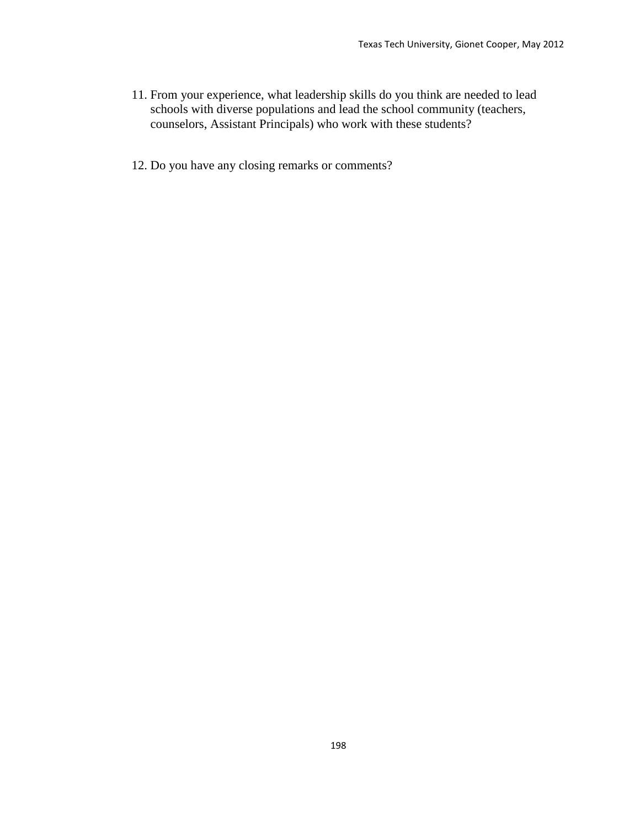- 11. From your experience, what leadership skills do you think are needed to lead schools with diverse populations and lead the school community (teachers, counselors, Assistant Principals) who work with these students?
- 12. Do you have any closing remarks or comments?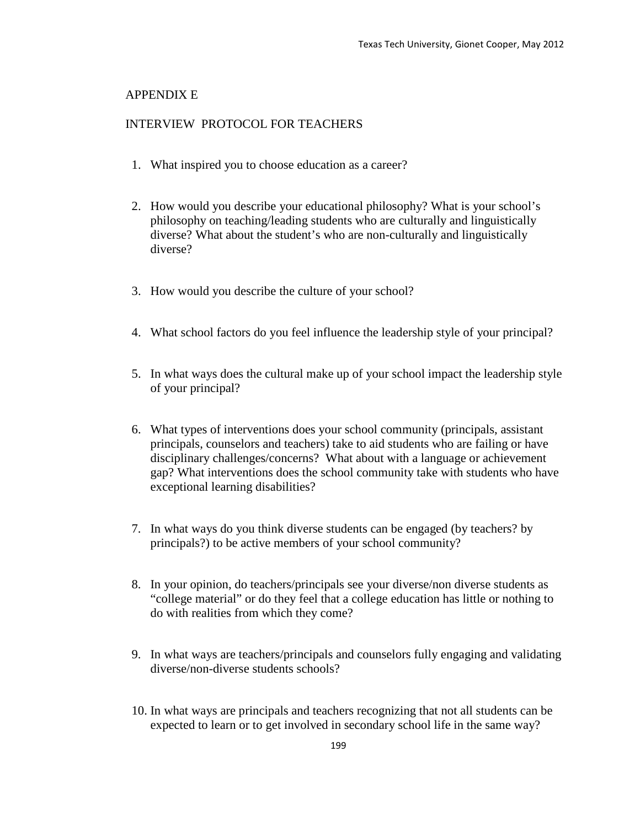### APPENDIX E

### INTERVIEW PROTOCOL FOR TEACHERS

- 1. What inspired you to choose education as a career?
- 2. How would you describe your educational philosophy? What is your school's philosophy on teaching/leading students who are culturally and linguistically diverse? What about the student's who are non-culturally and linguistically diverse?
- 3. How would you describe the culture of your school?
- 4. What school factors do you feel influence the leadership style of your principal?
- 5. In what ways does the cultural make up of your school impact the leadership style of your principal?
- 6. What types of interventions does your school community (principals, assistant principals, counselors and teachers) take to aid students who are failing or have disciplinary challenges/concerns? What about with a language or achievement gap? What interventions does the school community take with students who have exceptional learning disabilities?
- 7. In what ways do you think diverse students can be engaged (by teachers? by principals?) to be active members of your school community?
- 8. In your opinion, do teachers/principals see your diverse/non diverse students as "college material" or do they feel that a college education has little or nothing to do with realities from which they come?
- 9. In what ways are teachers/principals and counselors fully engaging and validating diverse/non-diverse students schools?
- 10. In what ways are principals and teachers recognizing that not all students can be expected to learn or to get involved in secondary school life in the same way?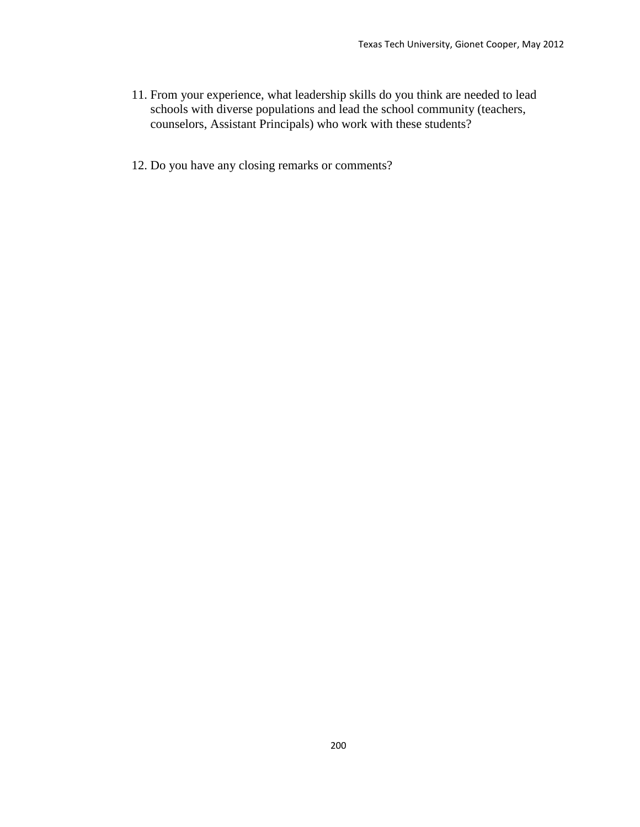- 11. From your experience, what leadership skills do you think are needed to lead schools with diverse populations and lead the school community (teachers, counselors, Assistant Principals) who work with these students?
- 12. Do you have any closing remarks or comments?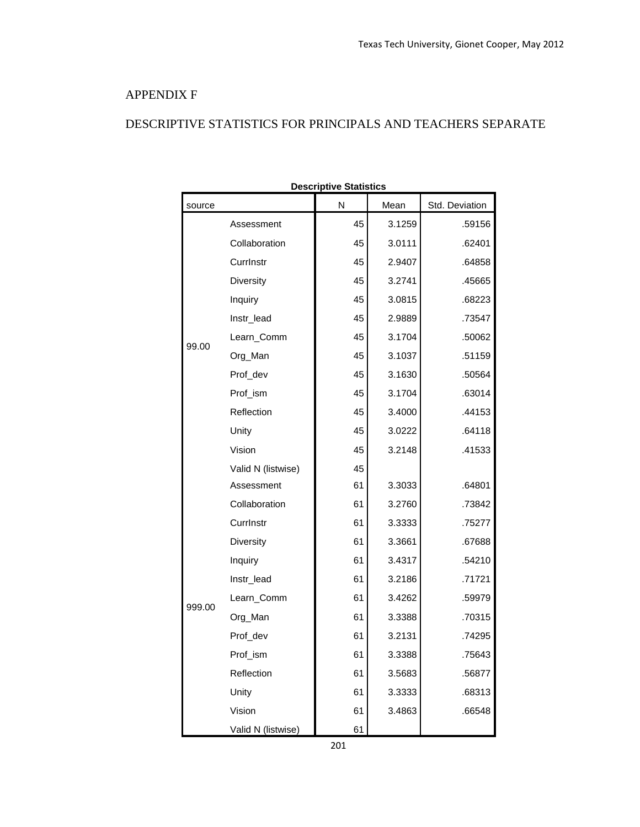### APPENDIX F

# DESCRIPTIVE STATISTICS FOR PRINCIPALS AND TEACHERS SEPARATE

|        |                    | <b>Descriptive Statistics</b> |        |                |  |  |  |
|--------|--------------------|-------------------------------|--------|----------------|--|--|--|
| source |                    | N                             | Mean   | Std. Deviation |  |  |  |
|        | Assessment         | 45                            | 3.1259 | .59156         |  |  |  |
|        | Collaboration      | 45                            | 3.0111 | .62401         |  |  |  |
|        | CurrInstr          | 45                            | 2.9407 | .64858         |  |  |  |
|        | Diversity          | 45                            | 3.2741 | .45665         |  |  |  |
|        | Inquiry            | 45                            | 3.0815 | .68223         |  |  |  |
|        | Instr_lead         | 45                            | 2.9889 | .73547         |  |  |  |
| 99.00  | Learn_Comm         | 45                            | 3.1704 | .50062         |  |  |  |
|        | Org_Man            | 45                            | 3.1037 | .51159         |  |  |  |
|        | Prof_dev           | 45                            | 3.1630 | .50564         |  |  |  |
|        | Prof_ism           | 45                            | 3.1704 | .63014         |  |  |  |
|        | Reflection         | 45                            | 3.4000 | .44153         |  |  |  |
|        | Unity              | 45                            | 3.0222 | .64118         |  |  |  |
|        | Vision             | 45                            | 3.2148 | .41533         |  |  |  |
|        | Valid N (listwise) | 45                            |        |                |  |  |  |
|        | Assessment         | 61                            | 3.3033 | .64801         |  |  |  |
|        | Collaboration      | 61                            | 3.2760 | .73842         |  |  |  |
|        | CurrInstr          | 61                            | 3.3333 | .75277         |  |  |  |
|        | Diversity          | 61                            | 3.3661 | .67688         |  |  |  |
|        | Inquiry            | 61                            | 3.4317 | .54210         |  |  |  |
|        | Instr_lead         | 61                            | 3.2186 | .71721         |  |  |  |
| 999.00 | Learn_Comm         | 61                            | 3.4262 | .59979         |  |  |  |
|        | Org_Man            | 61                            | 3.3388 | .70315         |  |  |  |
|        | Prof_dev           | 61                            | 3.2131 | .74295         |  |  |  |
|        | Prof_ism           | 61                            | 3.3388 | .75643         |  |  |  |
|        | Reflection         | 61                            | 3.5683 | .56877         |  |  |  |
|        | Unity              | 61                            | 3.3333 | .68313         |  |  |  |
|        | Vision             | 61                            | 3.4863 | .66548         |  |  |  |
|        | Valid N (listwise) | 61                            |        |                |  |  |  |

201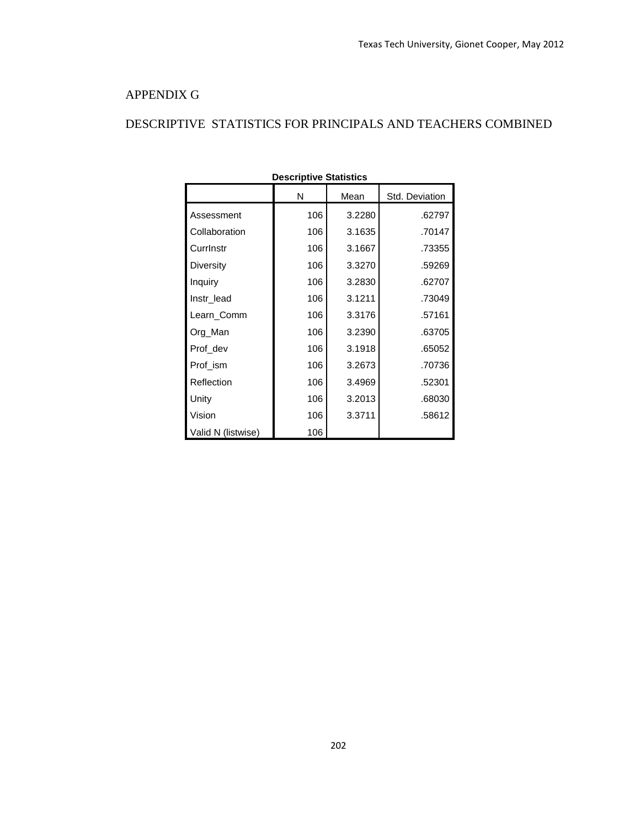### APPENDIX G

# DESCRIPTIVE STATISTICS FOR PRINCIPALS AND TEACHERS COMBINED

| <b>Descriptive Statistics</b> |     |        |                |  |  |  |  |  |  |  |
|-------------------------------|-----|--------|----------------|--|--|--|--|--|--|--|
|                               | N   | Mean   | Std. Deviation |  |  |  |  |  |  |  |
| Assessment                    | 106 | 3.2280 | .62797         |  |  |  |  |  |  |  |
| Collaboration                 | 106 | 3.1635 | .70147         |  |  |  |  |  |  |  |
| Currinstr                     | 106 | 3.1667 | .73355         |  |  |  |  |  |  |  |
| Diversity                     | 106 | 3.3270 | .59269         |  |  |  |  |  |  |  |
| Inquiry                       | 106 | 3.2830 | .62707         |  |  |  |  |  |  |  |
| Instr lead                    | 106 | 3.1211 | .73049         |  |  |  |  |  |  |  |
| Learn Comm                    | 106 | 3.3176 | .57161         |  |  |  |  |  |  |  |
| Org_Man                       | 106 | 3.2390 | .63705         |  |  |  |  |  |  |  |
| Prof dev                      | 106 | 3.1918 | .65052         |  |  |  |  |  |  |  |
| Prof_ism                      | 106 | 3.2673 | .70736         |  |  |  |  |  |  |  |
| Reflection                    | 106 | 3.4969 | .52301         |  |  |  |  |  |  |  |
| Unity                         | 106 | 3.2013 | .68030         |  |  |  |  |  |  |  |
| Vision                        | 106 | 3.3711 | .58612         |  |  |  |  |  |  |  |
| Valid N (listwise)            | 106 |        |                |  |  |  |  |  |  |  |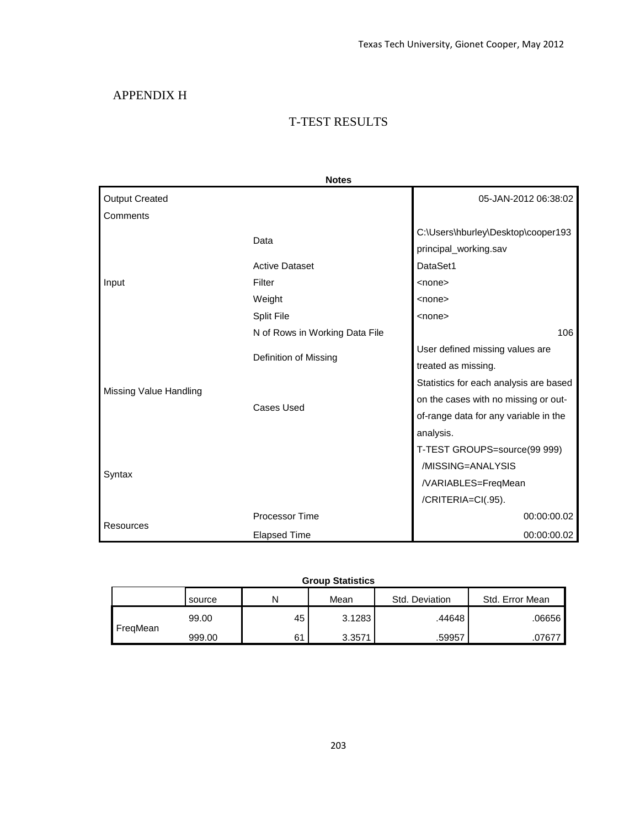## APPENDIX H

### T-TEST RESULTS

|                        | <b>Notes</b>                   |                                                             |
|------------------------|--------------------------------|-------------------------------------------------------------|
| <b>Output Created</b>  |                                | 05-JAN-2012 06:38:02                                        |
| Comments               |                                |                                                             |
|                        | Data                           | C:\Users\hburley\Desktop\cooper193<br>principal_working.sav |
|                        | <b>Active Dataset</b>          | DataSet1                                                    |
| Input                  | Filter                         | $none$                                                      |
|                        | Weight                         | $none$                                                      |
|                        | <b>Split File</b>              | $none$                                                      |
|                        | N of Rows in Working Data File | 106                                                         |
|                        | Definition of Missing          | User defined missing values are                             |
|                        |                                | treated as missing.                                         |
| Missing Value Handling |                                | Statistics for each analysis are based                      |
|                        | <b>Cases Used</b>              | on the cases with no missing or out-                        |
|                        |                                | of-range data for any variable in the                       |
|                        |                                | analysis.                                                   |
|                        |                                | T-TEST GROUPS=source(99 999)                                |
|                        |                                | /MISSING=ANALYSIS                                           |
| Syntax                 |                                | /VARIABLES=FreqMean                                         |
|                        |                                | /CRITERIA=CI(.95).                                          |
|                        | <b>Processor Time</b>          | 00:00:00.02                                                 |
| Resources              | <b>Elapsed Time</b>            | 00:00:00.02                                                 |

### **Group Statistics**

|          | source | N  | Mean   | Std. Deviation | Std. Error Mean |
|----------|--------|----|--------|----------------|-----------------|
|          | 99.00  | 45 | 3.1283 | .44648         | .06656          |
| FreaMean | 999.00 | 61 | 3.3571 | .59957         | .07677          |